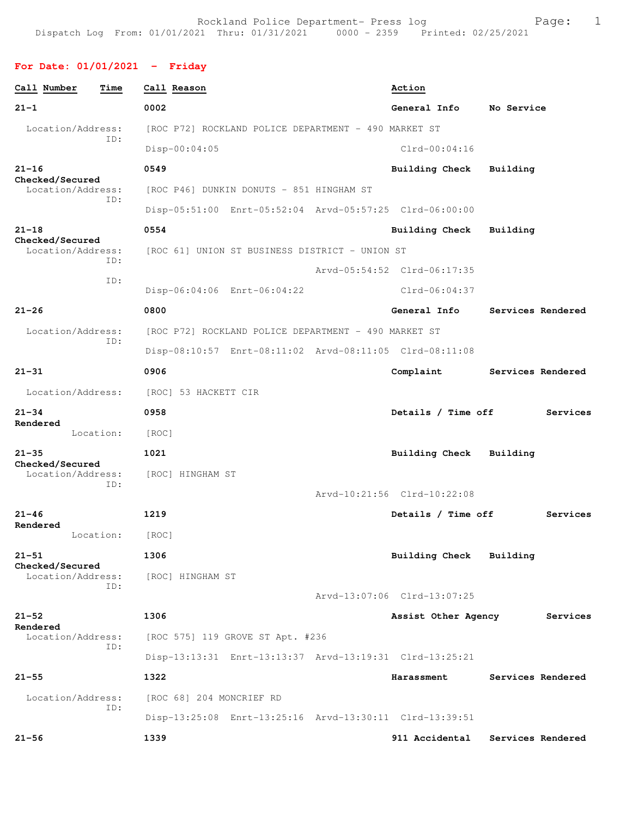## **For Date: 01/01/2021 - Friday**

| Call Number<br>Time                  | Call Reason                                             | Action                              |
|--------------------------------------|---------------------------------------------------------|-------------------------------------|
| $21 - 1$                             | 0002                                                    | General Info<br>No Service          |
| Location/Address:<br>TD:             | [ROC P72] ROCKLAND POLICE DEPARTMENT - 490 MARKET ST    |                                     |
|                                      | Disp-00:04:05                                           | $Clrd-00:04:16$                     |
| $21 - 16$<br>Checked/Secured         | 0549                                                    | <b>Building Check</b><br>Building   |
| Location/Address:<br>ID:             | [ROC P46] DUNKIN DONUTS - 851 HINGHAM ST                |                                     |
|                                      | Disp-05:51:00 Enrt-05:52:04 Arvd-05:57:25 Clrd-06:00:00 |                                     |
| $21 - 18$<br>Checked/Secured         | 0554                                                    | Building Check<br>Building          |
| Location/Address:<br>ID:             | [ROC 61] UNION ST BUSINESS DISTRICT - UNION ST          |                                     |
| ID:                                  |                                                         | Arvd-05:54:52 Clrd-06:17:35         |
|                                      | Disp-06:04:06 Enrt-06:04:22                             | $C1rd-06:04:37$                     |
| $21 - 26$                            | 0800                                                    | General Info<br>Services Rendered   |
| Location/Address:<br>ID:             | [ROC P72] ROCKLAND POLICE DEPARTMENT - 490 MARKET ST    |                                     |
|                                      | Disp-08:10:57 Enrt-08:11:02 Arvd-08:11:05 Clrd-08:11:08 |                                     |
| $21 - 31$                            | 0906                                                    | Complaint<br>Services Rendered      |
| Location/Address:                    | [ROC] 53 HACKETT CIR                                    |                                     |
| $21 - 34$<br>Rendered                | 0958                                                    | Details / Time off<br>Services      |
| Location:                            | [ROC]                                                   |                                     |
| $21 - 35$<br>Checked/Secured         | 1021                                                    | Building Check<br>Building          |
| Location/Address:<br>ID:             | [ROC] HINGHAM ST                                        |                                     |
|                                      |                                                         | Arvd-10:21:56 Clrd-10:22:08         |
| $21 - 46$<br>Rendered                | 1219                                                    | Details / Time off<br>Services      |
| Location:                            | [ROC]                                                   |                                     |
| $21 - 51$                            | 1306                                                    | <b>Building Check</b><br>Building   |
| Checked/Secured<br>Location/Address: | [ROC] HINGHAM ST                                        |                                     |
| ID:                                  |                                                         | Arvd-13:07:06 Clrd-13:07:25         |
| $21 - 52$                            | 1306                                                    | Services<br>Assist Other Agency     |
| Rendered<br>Location/Address:        | [ROC 575] 119 GROVE ST Apt. #236                        |                                     |
| ID:                                  | Disp-13:13:31 Enrt-13:13:37 Arvd-13:19:31 Clrd-13:25:21 |                                     |
| $21 - 55$                            | 1322                                                    | Services Rendered<br>Harassment     |
| Location/Address:                    | [ROC 68] 204 MONCRIEF RD                                |                                     |
| ID:                                  | Disp-13:25:08 Enrt-13:25:16 Arvd-13:30:11 Clrd-13:39:51 |                                     |
| $21 - 56$                            | 1339                                                    | 911 Accidental<br>Services Rendered |
|                                      |                                                         |                                     |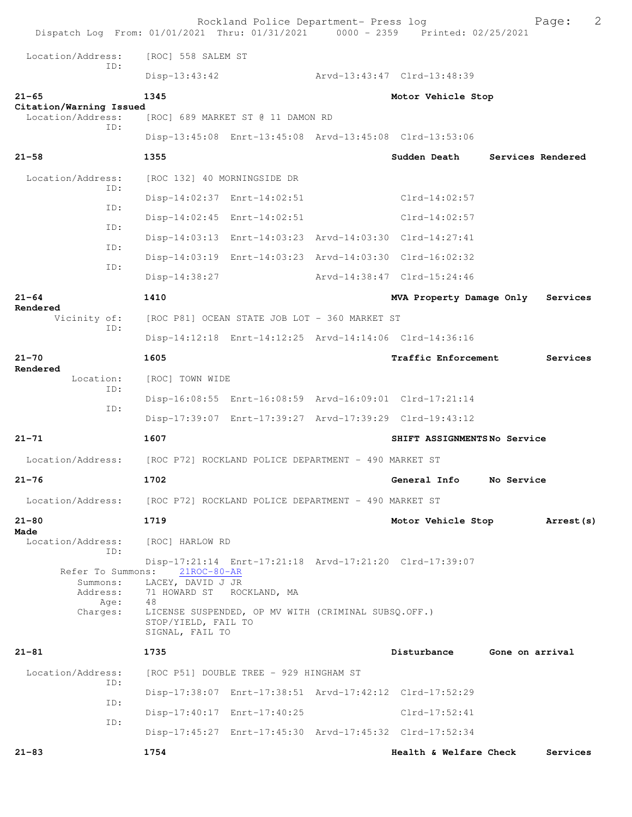| Dispatch Log From: 01/01/2021 Thru: 01/31/2021 0000 - 2359 Printed: 02/25/2021 |                                        | Rockland Police Department- Press log                |                                                         |                 | Page:             | 2 |
|--------------------------------------------------------------------------------|----------------------------------------|------------------------------------------------------|---------------------------------------------------------|-----------------|-------------------|---|
| Location/Address:                                                              | [ROC] 558 SALEM ST                     |                                                      |                                                         |                 |                   |   |
| TD:                                                                            | $Disp-13:43:42$                        |                                                      | Arvd-13:43:47 Clrd-13:48:39                             |                 |                   |   |
| $21 - 65$                                                                      | 1345                                   |                                                      | Motor Vehicle Stop                                      |                 |                   |   |
| Citation/Warning Issued<br>Location/Address:                                   |                                        | [ROC] 689 MARKET ST @ 11 DAMON RD                    |                                                         |                 |                   |   |
| ID:                                                                            |                                        |                                                      | Disp-13:45:08 Enrt-13:45:08 Arvd-13:45:08 Clrd-13:53:06 |                 |                   |   |
| $21 - 58$                                                                      | 1355                                   |                                                      | Sudden Death                                            |                 | Services Rendered |   |
| Location/Address:                                                              | [ROC 132] 40 MORNINGSIDE DR            |                                                      |                                                         |                 |                   |   |
| TD:                                                                            |                                        | Disp-14:02:37 Enrt-14:02:51                          | Clrd-14:02:57                                           |                 |                   |   |
| ID:                                                                            |                                        | Disp-14:02:45 Enrt-14:02:51                          | $Clrd-14:02:57$                                         |                 |                   |   |
| ID:                                                                            |                                        |                                                      | Disp-14:03:13 Enrt-14:03:23 Arvd-14:03:30 Clrd-14:27:41 |                 |                   |   |
| ID:                                                                            |                                        |                                                      | Disp-14:03:19 Enrt-14:03:23 Arvd-14:03:30 Clrd-16:02:32 |                 |                   |   |
| ID:                                                                            | Disp-14:38:27                          |                                                      | Arvd-14:38:47 Clrd-15:24:46                             |                 |                   |   |
| $21 - 64$                                                                      | 1410                                   |                                                      | MVA Property Damage Only                                |                 | Services          |   |
| Rendered<br>Vicinity of:                                                       |                                        | [ROC P81] OCEAN STATE JOB LOT - 360 MARKET ST        |                                                         |                 |                   |   |
| ID:                                                                            |                                        |                                                      | Disp-14:12:18 Enrt-14:12:25 Arvd-14:14:06 Clrd-14:36:16 |                 |                   |   |
| $21 - 70$                                                                      | 1605                                   |                                                      | Traffic Enforcement                                     |                 | Services          |   |
| Rendered<br>Location:                                                          | [ROC] TOWN WIDE                        |                                                      |                                                         |                 |                   |   |
| ID:                                                                            |                                        |                                                      | Disp-16:08:55 Enrt-16:08:59 Arvd-16:09:01 Clrd-17:21:14 |                 |                   |   |
| ID:                                                                            |                                        |                                                      | Disp-17:39:07 Enrt-17:39:27 Arvd-17:39:29 Clrd-19:43:12 |                 |                   |   |
| $21 - 71$                                                                      | 1607                                   |                                                      | SHIFT ASSIGNMENTSNo Service                             |                 |                   |   |
| Location/Address: [ROC P72] ROCKLAND POLICE DEPARTMENT - 490 MARKET ST         |                                        |                                                      |                                                         |                 |                   |   |
| $21 - 76$                                                                      | 1702                                   |                                                      | General Info                                            | No Service      |                   |   |
| Location/Address:                                                              |                                        | [ROC P72] ROCKLAND POLICE DEPARTMENT - 490 MARKET ST |                                                         |                 |                   |   |
| $21 - 80$                                                                      | 1719                                   |                                                      | Motor Vehicle Stop                                      |                 | Arrest (s)        |   |
| Made<br>Location/Address:                                                      | [ROC] HARLOW RD                        |                                                      |                                                         |                 |                   |   |
| ID:                                                                            |                                        |                                                      | Disp-17:21:14 Enrt-17:21:18 Arvd-17:21:20 Clrd-17:39:07 |                 |                   |   |
| Refer To Summons:<br>Summons:                                                  | $21$ ROC-80-AR<br>LACEY, DAVID J JR    |                                                      |                                                         |                 |                   |   |
| Address:<br>Age:                                                               | 71 HOWARD ST ROCKLAND, MA<br>48        |                                                      |                                                         |                 |                   |   |
| Charges:                                                                       | STOP/YIELD, FAIL TO<br>SIGNAL, FAIL TO | LICENSE SUSPENDED, OP MV WITH (CRIMINAL SUBSQ.OFF.)  |                                                         |                 |                   |   |
| $21 - 81$                                                                      | 1735                                   |                                                      | Disturbance                                             | Gone on arrival |                   |   |
| Location/Address:                                                              |                                        | [ROC P51] DOUBLE TREE - 929 HINGHAM ST               |                                                         |                 |                   |   |
| ID:                                                                            |                                        |                                                      | Disp-17:38:07 Enrt-17:38:51 Arvd-17:42:12 Clrd-17:52:29 |                 |                   |   |
| ID:                                                                            |                                        | Disp-17:40:17 Enrt-17:40:25                          | Clrd-17:52:41                                           |                 |                   |   |
| ID:                                                                            |                                        |                                                      | Disp-17:45:27 Enrt-17:45:30 Arvd-17:45:32 Clrd-17:52:34 |                 |                   |   |
| $21 - 83$                                                                      | 1754                                   |                                                      | Health & Welfare Check                                  |                 | Services          |   |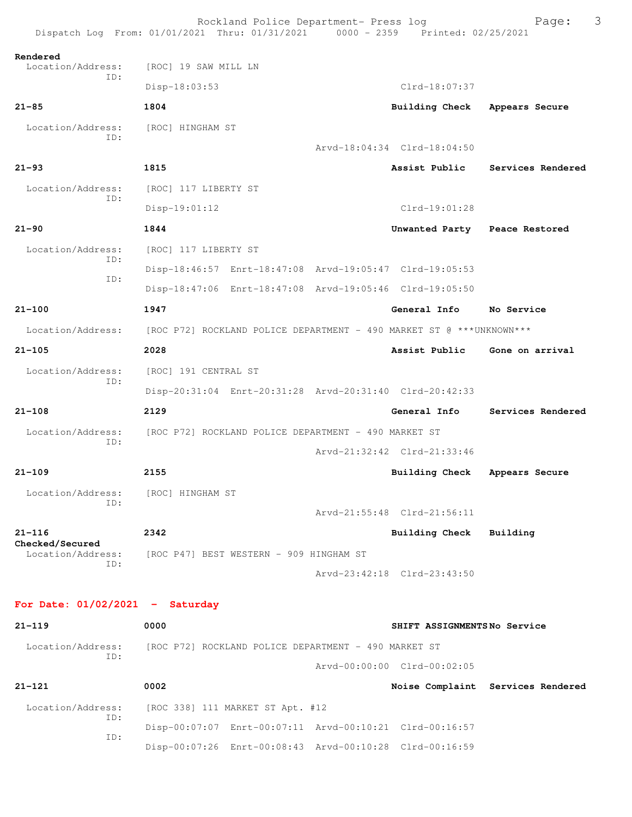|                                      | Rockland Police Department- Press log<br>Dispatch Log From: 01/01/2021 Thru: 01/31/2021 0000 - 2359 Printed: 02/25/2021 |  |                               | 3<br>Page:                        |  |  |
|--------------------------------------|-------------------------------------------------------------------------------------------------------------------------|--|-------------------------------|-----------------------------------|--|--|
| Rendered                             |                                                                                                                         |  |                               |                                   |  |  |
| Location/Address:<br>ID:             | [ROC] 19 SAW MILL LN                                                                                                    |  |                               |                                   |  |  |
|                                      | Disp-18:03:53                                                                                                           |  | Clrd-18:07:37                 |                                   |  |  |
| $21 - 85$                            | 1804                                                                                                                    |  | Building Check                | Appears Secure                    |  |  |
| Location/Address:<br>ID:             | [ROC] HINGHAM ST                                                                                                        |  |                               |                                   |  |  |
|                                      |                                                                                                                         |  | Arvd-18:04:34 Clrd-18:04:50   |                                   |  |  |
| $21 - 93$                            | 1815                                                                                                                    |  |                               | Assist Public Services Rendered   |  |  |
| Location/Address:<br>ID:             | [ROC] 117 LIBERTY ST                                                                                                    |  |                               |                                   |  |  |
|                                      | $Disp-19:01:12$                                                                                                         |  | $Clrd-19:01:28$               |                                   |  |  |
| $21 - 90$                            | 1844                                                                                                                    |  | Unwanted Party Peace Restored |                                   |  |  |
| Location/Address:<br>ID:             | [ROC] 117 LIBERTY ST                                                                                                    |  |                               |                                   |  |  |
| ID:                                  | Disp-18:46:57 Enrt-18:47:08 Arvd-19:05:47 Clrd-19:05:53                                                                 |  |                               |                                   |  |  |
|                                      | Disp-18:47:06 Enrt-18:47:08 Arvd-19:05:46 Clrd-19:05:50                                                                 |  |                               |                                   |  |  |
| $21 - 100$                           | 1947                                                                                                                    |  | General Info                  | No Service                        |  |  |
| Location/Address:                    | [ROC P72] ROCKLAND POLICE DEPARTMENT - 490 MARKET ST @ ***UNKNOWN***                                                    |  |                               |                                   |  |  |
| $21 - 105$                           | 2028                                                                                                                    |  | Assist Public                 | Gone on arrival                   |  |  |
| Location/Address:                    | [ROC] 191 CENTRAL ST                                                                                                    |  |                               |                                   |  |  |
| ID:                                  | Disp-20:31:04 Enrt-20:31:28 Arvd-20:31:40 Clrd-20:42:33                                                                 |  |                               |                                   |  |  |
| $21 - 108$                           | 2129                                                                                                                    |  | General Info                  | Services Rendered                 |  |  |
| Location/Address:                    | [ROC P72] ROCKLAND POLICE DEPARTMENT - 490 MARKET ST                                                                    |  |                               |                                   |  |  |
| ID:                                  |                                                                                                                         |  | Arvd-21:32:42 Clrd-21:33:46   |                                   |  |  |
| $21 - 109$                           | 2155                                                                                                                    |  | Building Check                | Appears Secure                    |  |  |
| Location/Address:                    | [ROC] HINGHAM ST                                                                                                        |  |                               |                                   |  |  |
| ID:                                  |                                                                                                                         |  | Arvd-21:55:48 Clrd-21:56:11   |                                   |  |  |
| $21 - 116$                           | 2342                                                                                                                    |  | <b>Building Check</b>         | Building                          |  |  |
| Checked/Secured<br>Location/Address: | [ROC P47] BEST WESTERN - 909 HINGHAM ST                                                                                 |  |                               |                                   |  |  |
| ID:                                  |                                                                                                                         |  | Arvd-23:42:18 Clrd-23:43:50   |                                   |  |  |
| For Date: $01/02/2021$ - Saturday    |                                                                                                                         |  |                               |                                   |  |  |
| $21 - 119$                           | 0000                                                                                                                    |  | SHIFT ASSIGNMENTSNo Service   |                                   |  |  |
| Location/Address:<br>ID:             | [ROC P72] ROCKLAND POLICE DEPARTMENT - 490 MARKET ST                                                                    |  |                               |                                   |  |  |
|                                      |                                                                                                                         |  | Arvd-00:00:00 Clrd-00:02:05   |                                   |  |  |
| $21 - 121$                           | 0002                                                                                                                    |  |                               | Noise Complaint Services Rendered |  |  |
| Location/Address:                    | [ROC 338] 111 MARKET ST Apt. #12                                                                                        |  |                               |                                   |  |  |
| ID:                                  | Disp-00:07:07 Enrt-00:07:11 Arvd-00:10:21 Clrd-00:16:57                                                                 |  |                               |                                   |  |  |
| ID:                                  | Disp-00:07:26 Enrt-00:08:43 Arvd-00:10:28 Clrd-00:16:59                                                                 |  |                               |                                   |  |  |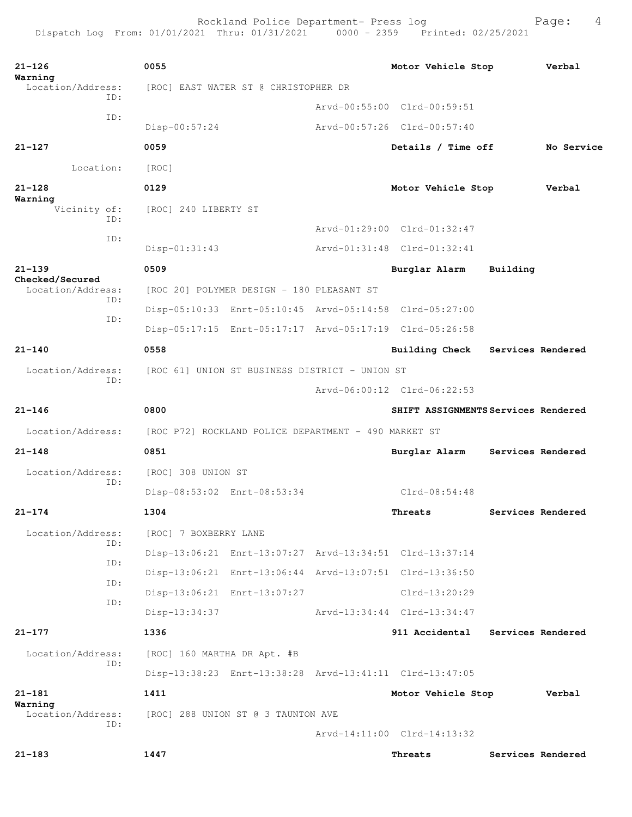Rockland Police Department- Press log Fage: 4

```
21-126 0055 Motor Vehicle Stop Verbal
Warning 
               [ROC] EAST WATER ST @ CHRISTOPHER DR
           ID: 
                                     Arvd-00:55:00 Clrd-00:59:51
            ID: 
                Disp-00:57:24 Arvd-00:57:26 Clrd-00:57:40
21-127 0059 Details / Time off No Service
       Location: [ROC] 
21-128 0129 Motor Vehicle Stop Verbal
Warning 
     Vicinity of: [ROC] 240 LIBERTY ST
           ID: 
                                     Arvd-01:29:00 Clrd-01:32:47
            ID: 
                Disp-01:31:43 Arvd-01:31:48 Clrd-01:32:41
21-139 0509 Burglar Alarm Building
Checked/Secured 
               [ROC 20] POLYMER DESIGN - 180 PLEASANT ST
            ID: 
                Disp-05:10:33 Enrt-05:10:45 Arvd-05:14:58 Clrd-05:27:00
           ID: 
                Disp-05:17:15 Enrt-05:17:17 Arvd-05:17:19 Clrd-05:26:58
21-140 0558 Building Check Services Rendered
  Location/Address: [ROC 61] UNION ST BUSINESS DISTRICT - UNION ST
           ID: 
                                     Arvd-06:00:12 Clrd-06:22:53
21-146 0800 SHIFT ASSIGNMENTS Services Rendered
 Location/Address: [ROC P72] ROCKLAND POLICE DEPARTMENT - 490 MARKET ST
21-148 0851 Burglar Alarm Services Rendered
  Location/Address: [ROC] 308 UNION ST
           ID: 
                Disp-08:53:02 Enrt-08:53:34 Clrd-08:54:48
21-174 1304 Threats Services Rendered
  Location/Address: [ROC] 7 BOXBERRY LANE
           ID: 
                Disp-13:06:21 Enrt-13:07:27 Arvd-13:34:51 Clrd-13:37:14
           ID: 
                Disp-13:06:21 Enrt-13:06:44 Arvd-13:07:51 Clrd-13:36:50
            ID: 
                Disp-13:06:21 Enrt-13:07:27 Clrd-13:20:29
            ID: 
                Disp-13:34:37 Arvd-13:34:44 Clrd-13:34:47
21-177 1336 911 Accidental Services Rendered
  Location/Address: [ROC] 160 MARTHA DR Apt. #B
           ID: 
                Disp-13:38:23 Enrt-13:38:28 Arvd-13:41:11 Clrd-13:47:05
21-181 1411 Motor Vehicle Stop Verbal
Warning 
               [ROC] 288 UNION ST @ 3 TAUNTON AVE
           ID: 
                                     Arvd-14:11:00 Clrd-14:13:32
21-183 1447 Threats Services Rendered
```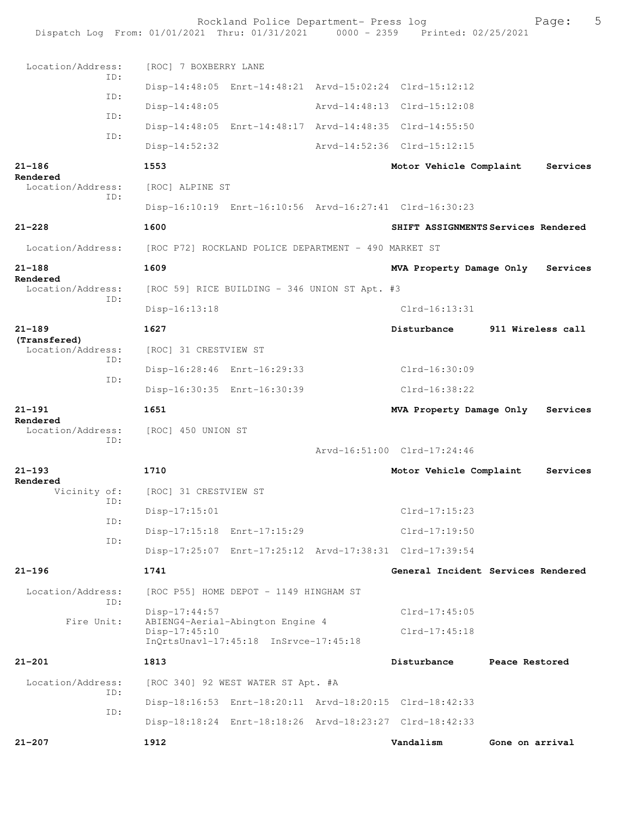Rockland Police Department- Press log Fage: 5<br>21 Thru: 01/31/2021 0000 - 2359 Printed: 02/25/2021 Dispatch Log From:  $01/01/2021$  Thru:  $01/31/2021$  0000 - 2359 Location/Address: [ROC] 7 BOXBERRY LANE ID: Disp-14:48:05 Enrt-14:48:21 Arvd-15:02:24 Clrd-15:12:12 ID: Disp-14:48:05 Arvd-14:48:13 Clrd-15:12:08 ID: Disp-14:48:05 Enrt-14:48:17 Arvd-14:48:35 Clrd-14:55:50 ID: Disp-14:52:32 Arvd-14:52:36 Clrd-15:12:15 **21-186 1553 Motor Vehicle Complaint Services Rendered**  Location/Address: [ROC] ALPINE ST ID: Disp-16:10:19 Enrt-16:10:56 Arvd-16:27:41 Clrd-16:30:23 **21-228 1600 SHIFT ASSIGNMENTS Services Rendered** Location/Address: [ROC P72] ROCKLAND POLICE DEPARTMENT - 490 MARKET ST **21-188 1609 MVA Property Damage Only Services Rendered**  Location/Address: [ROC 59] RICE BUILDING - 346 UNION ST Apt. #3 ID: Disp-16:13:18 Clrd-16:13:31 **21-189 1627 Disturbance 911 Wireless call (Transfered)**  [ROC] 31 CRESTVIEW ST ID: Disp-16:28:46 Enrt-16:29:33 Clrd-16:30:09 ID: Disp-16:30:35 Enrt-16:30:39 Clrd-16:38:22 **21-191 1651 MVA Property Damage Only Services Rendered**  [ROC] 450 UNION ST ID: Arvd-16:51:00 Clrd-17:24:46 **21-193 1710 Motor Vehicle Complaint Services Rendered**  Vicinity of: [ROC] 31 CRESTVIEW ST ID: Disp-17:15:01 Clrd-17:15:23 ID: Disp-17:15:18 Enrt-17:15:29 Clrd-17:19:50 ID: Disp-17:25:07 Enrt-17:25:12 Arvd-17:38:31 Clrd-17:39:54 **21-196 1741 General Incident Services Rendered** Location/Address: [ROC P55] HOME DEPOT - 1149 HINGHAM ST ID: Disp-17:44:57 Clrd-17:45:05 Fire Unit: ABIENG4-Aerial-Abington Engine 4 Disp-17:45:10 Clrd-17:45:18 InQrtsUnavl-17:45:18 InSrvce-17:45:18 **21-201 1813 Disturbance Peace Restored** Location/Address: [ROC 340] 92 WEST WATER ST Apt. #A ID: Disp-18:16:53 Enrt-18:20:11 Arvd-18:20:15 Clrd-18:42:33 ID: Disp-18:18:24 Enrt-18:18:26 Arvd-18:23:27 Clrd-18:42:33 **21-207 1912 Vandalism Gone on arrival**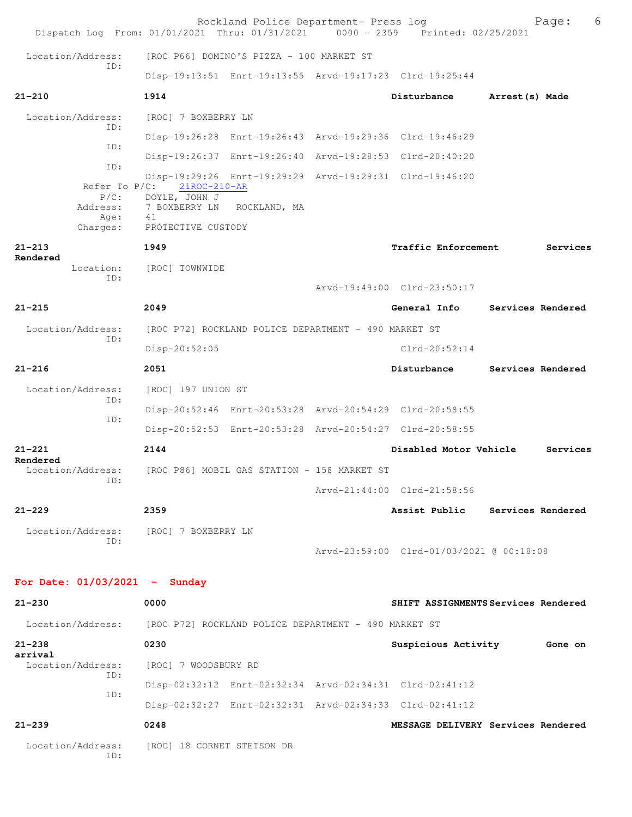|                                                 | Rockland Police Department- Press log<br>Dispatch Log From: 01/01/2021 Thru: 01/31/2021 0000 - 2359 Printed: 02/25/2021                |                                          |                   | 6<br>Page: |
|-------------------------------------------------|----------------------------------------------------------------------------------------------------------------------------------------|------------------------------------------|-------------------|------------|
| Location/Address:                               | [ROC P66] DOMINO'S PIZZA - 100 MARKET ST                                                                                               |                                          |                   |            |
| ID:                                             | Disp-19:13:51 Enrt-19:13:55 Arvd-19:17:23 Clrd-19:25:44                                                                                |                                          |                   |            |
| $21 - 210$                                      | 1914                                                                                                                                   | Disturbance                              | Arrest (s) Made   |            |
| Location/Address:<br>ID:                        | [ROC] 7 BOXBERRY LN                                                                                                                    |                                          |                   |            |
| ID:                                             | Disp-19:26:28 Enrt-19:26:43 Arvd-19:29:36 Clrd-19:46:29                                                                                |                                          |                   |            |
| ID:                                             | Disp-19:26:37 Enrt-19:26:40 Arvd-19:28:53 Clrd-20:40:20                                                                                |                                          |                   |            |
| Refer To $P/C$ :<br>$P/C$ :<br>Address:<br>Age: | Disp-19:29:26 Enrt-19:29:29 Arvd-19:29:31 Clrd-19:46:20<br>$21$ ROC- $210$ -AR<br>DOYLE, JOHN J<br>7 BOXBERRY LN<br>ROCKLAND, MA<br>41 |                                          |                   |            |
| Charges:                                        | PROTECTIVE CUSTODY                                                                                                                     |                                          |                   |            |
| $21 - 213$<br>Rendered                          | 1949                                                                                                                                   | Traffic Enforcement                      |                   | Services   |
| Location:<br>ID:                                | [ROC] TOWNWIDE                                                                                                                         |                                          |                   |            |
|                                                 |                                                                                                                                        | Arvd-19:49:00 Clrd-23:50:17              |                   |            |
| $21 - 215$                                      | 2049                                                                                                                                   | General Info                             | Services Rendered |            |
| Location/Address:<br>ID:                        | [ROC P72] ROCKLAND POLICE DEPARTMENT - 490 MARKET ST                                                                                   |                                          |                   |            |
|                                                 | Disp-20:52:05                                                                                                                          | $Clrd-20:52:14$                          |                   |            |
| $21 - 216$                                      | 2051                                                                                                                                   | Disturbance                              | Services Rendered |            |
| Location/Address:<br>ID:                        | [ROC] 197 UNION ST                                                                                                                     |                                          |                   |            |
| ID:                                             | Disp-20:52:46 Enrt-20:53:28 Arvd-20:54:29 Clrd-20:58:55                                                                                |                                          |                   |            |
|                                                 | Disp-20:52:53 Enrt-20:53:28 Arvd-20:54:27 Clrd-20:58:55                                                                                |                                          |                   |            |
| $21 - 221$<br>Rendered                          | 2144                                                                                                                                   | Disabled Motor Vehicle                   |                   | Services   |
| Location/Address:<br>ID:                        | [ROC P86] MOBIL GAS STATION - 158 MARKET ST                                                                                            | Arvd-21:44:00 Clrd-21:58:56              |                   |            |
| $21 - 229$                                      | 2359                                                                                                                                   | Assist Public Services Rendered          |                   |            |
|                                                 | Location/Address: [ROC] 7 BOXBERRY LN                                                                                                  |                                          |                   |            |
| ID:                                             |                                                                                                                                        | Arvd-23:59:00 Clrd-01/03/2021 @ 00:18:08 |                   |            |
| For Date: $01/03/2021$ - Sunday                 |                                                                                                                                        |                                          |                   |            |
| $21 - 230$                                      | 0000                                                                                                                                   | SHIFT ASSIGNMENTS Services Rendered      |                   |            |
|                                                 | Location/Address: [ROC P72] ROCKLAND POLICE DEPARTMENT - 490 MARKET ST                                                                 |                                          |                   |            |
| $21 - 238$<br>arrival                           | 0230                                                                                                                                   | Suspicious Activity 6one on              |                   |            |
| Location/Address:                               | [ROC] 7 WOODSBURY RD                                                                                                                   |                                          |                   |            |
| ID:                                             | Disp-02:32:12 Enrt-02:32:34 Arvd-02:34:31 Clrd-02:41:12                                                                                |                                          |                   |            |
| ID:                                             | Disp-02:32:27 Enrt-02:32:31 Arvd-02:34:33 Clrd-02:41:12                                                                                |                                          |                   |            |
| $21 - 239$                                      | 0248                                                                                                                                   | MESSAGE DELIVERY Services Rendered       |                   |            |
| Location/Address:<br>ID:                        | [ROC] 18 CORNET STETSON DR                                                                                                             |                                          |                   |            |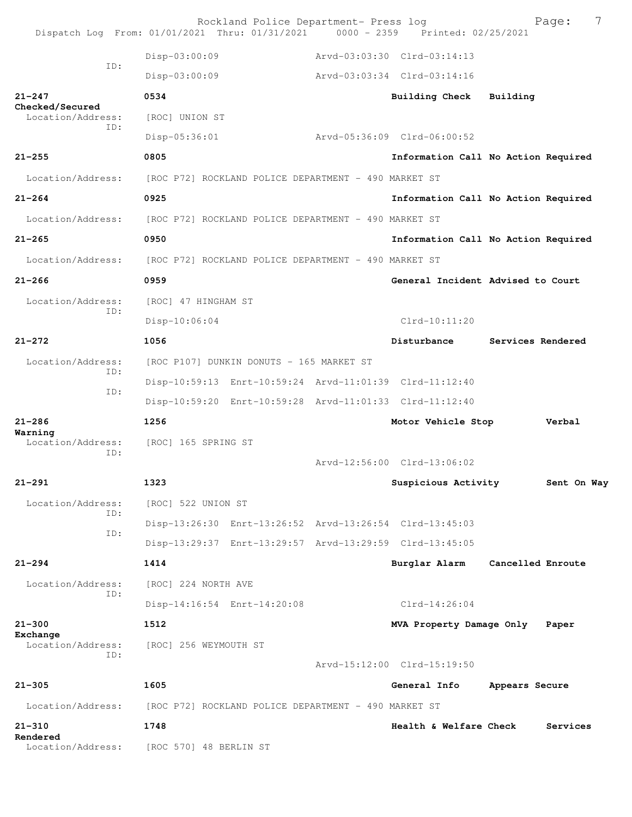|                                      | Rockland Police Department- Press log<br>Dispatch Log From: 01/01/2021 Thru: 01/31/2021 0000 - 2359 | Printed: 02/25/2021            | 7<br>Page:                          |
|--------------------------------------|-----------------------------------------------------------------------------------------------------|--------------------------------|-------------------------------------|
|                                      | Disp-03:00:09                                                                                       | Arvd-03:03:30 Clrd-03:14:13    |                                     |
| ID:                                  | Disp-03:00:09                                                                                       | Arvd-03:03:34 Clrd-03:14:16    |                                     |
| $21 - 247$                           | 0534                                                                                                | <b>Building Check</b>          | Building                            |
| Checked/Secured<br>Location/Address: | [ROC] UNION ST                                                                                      |                                |                                     |
| TD:                                  | Disp-05:36:01                                                                                       | Arvd-05:36:09 Clrd-06:00:52    |                                     |
| $21 - 255$                           | 0805                                                                                                |                                | Information Call No Action Required |
| Location/Address:                    | [ROC P72] ROCKLAND POLICE DEPARTMENT - 490 MARKET ST                                                |                                |                                     |
| $21 - 264$                           | 0925                                                                                                |                                | Information Call No Action Required |
| Location/Address:                    | [ROC P72] ROCKLAND POLICE DEPARTMENT - 490 MARKET ST                                                |                                |                                     |
| $21 - 265$                           | 0950                                                                                                |                                | Information Call No Action Required |
| Location/Address:                    | [ROC P72] ROCKLAND POLICE DEPARTMENT - 490 MARKET ST                                                |                                |                                     |
| $21 - 266$                           | 0959                                                                                                |                                | General Incident Advised to Court   |
| Location/Address:                    | [ROC] 47 HINGHAM ST                                                                                 |                                |                                     |
| TD:                                  | $Disp-10:06:04$                                                                                     | $Clrd-10:11:20$                |                                     |
| $21 - 272$                           | 1056                                                                                                | Disturbance                    | Services Rendered                   |
| Location/Address:                    | [ROC P107] DUNKIN DONUTS - 165 MARKET ST                                                            |                                |                                     |
| TD:<br>ID:                           | Disp-10:59:13 Enrt-10:59:24 Arvd-11:01:39 Clrd-11:12:40                                             |                                |                                     |
|                                      | Disp-10:59:20 Enrt-10:59:28 Arvd-11:01:33 Clrd-11:12:40                                             |                                |                                     |
| $21 - 286$<br>Warning                | 1256                                                                                                | Motor Vehicle Stop             | Verbal                              |
| Location/Address:<br>ID:             | [ROC] 165 SPRING ST                                                                                 |                                |                                     |
|                                      |                                                                                                     | Arvd-12:56:00 Clrd-13:06:02    |                                     |
| $21 - 291$                           | 1323                                                                                                | Suspicious Activity            | Sent On Way                         |
| Location/Address:<br>ID:             | [ROC] 522 UNION ST                                                                                  |                                |                                     |
| ID:                                  | Disp-13:26:30 Enrt-13:26:52 Arvd-13:26:54 Clrd-13:45:03                                             |                                |                                     |
|                                      | Disp-13:29:37 Enrt-13:29:57 Arvd-13:29:59 Clrd-13:45:05                                             |                                |                                     |
| $21 - 294$                           | 1414                                                                                                | Burglar Alarm                  | Cancelled Enroute                   |
| Location/Address:<br>ID:             | [ROC] 224 NORTH AVE                                                                                 |                                |                                     |
|                                      | Disp-14:16:54 Enrt-14:20:08                                                                         | $Clrd-14:26:04$                |                                     |
| $21 - 300$<br>Exchange               | 1512                                                                                                | MVA Property Damage Only Paper |                                     |
| Location/Address:<br>TD:             | [ROC] 256 WEYMOUTH ST                                                                               |                                |                                     |
|                                      |                                                                                                     | Arvd-15:12:00 Clrd-15:19:50    |                                     |
| $21 - 305$                           | 1605                                                                                                | General Info                   | Appears Secure                      |
| Location/Address:                    | [ROC P72] ROCKLAND POLICE DEPARTMENT - 490 MARKET ST                                                |                                |                                     |
| $21 - 310$<br>Rendered               | 1748                                                                                                | Health & Welfare Check         | Services                            |
|                                      | Location/Address: [ROC 570] 48 BERLIN ST                                                            |                                |                                     |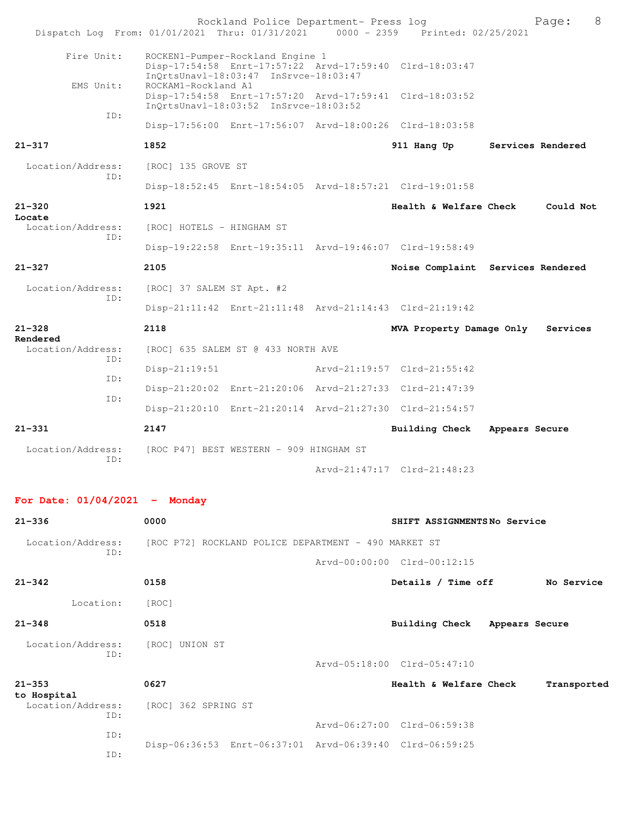| Dispatch Log From: 01/01/2021 Thru: 01/31/2021 0000 - 2359 Printed: 02/25/2021 |                                                                                                                                      | Rockland Police Department- Press log |                                   | 8<br>Page:        |
|--------------------------------------------------------------------------------|--------------------------------------------------------------------------------------------------------------------------------------|---------------------------------------|-----------------------------------|-------------------|
| Fire Unit:                                                                     | ROCKEN1-Pumper-Rockland Engine 1<br>Disp-17:54:58 Enrt-17:57:22 Arvd-17:59:40 Clrd-18:03:47<br>InQrtsUnavl-18:03:47 InSrvce-18:03:47 |                                       |                                   |                   |
| EMS Unit:                                                                      | ROCKAM1-Rockland A1<br>Disp-17:54:58 Enrt-17:57:20 Arvd-17:59:41 Clrd-18:03:52<br>InQrtsUnavl-18:03:52 InSrvce-18:03:52              |                                       |                                   |                   |
| ID:                                                                            | Disp-17:56:00 Enrt-17:56:07 Arvd-18:00:26 Clrd-18:03:58                                                                              |                                       |                                   |                   |
| $21 - 317$                                                                     | 1852                                                                                                                                 |                                       | 911 Hang Up                       | Services Rendered |
| Location/Address:                                                              | [ROC] 135 GROVE ST                                                                                                                   |                                       |                                   |                   |
| ID:                                                                            | Disp-18:52:45 Enrt-18:54:05 Arvd-18:57:21 Clrd-19:01:58                                                                              |                                       |                                   |                   |
| $21 - 320$                                                                     | 1921                                                                                                                                 |                                       | Health & Welfare Check            | Could Not         |
| Locate<br>Location/Address:                                                    | [ROC] HOTELS - HINGHAM ST                                                                                                            |                                       |                                   |                   |
| TD:                                                                            | Disp-19:22:58 Enrt-19:35:11 Arvd-19:46:07 Clrd-19:58:49                                                                              |                                       |                                   |                   |
| $21 - 327$                                                                     | 2105                                                                                                                                 |                                       | Noise Complaint Services Rendered |                   |
| Location/Address:                                                              | [ROC] 37 SALEM ST Apt. #2                                                                                                            |                                       |                                   |                   |
| ID:                                                                            | Disp-21:11:42 Enrt-21:11:48 Arvd-21:14:43 Clrd-21:19:42                                                                              |                                       |                                   |                   |
| $21 - 328$<br>Rendered                                                         | 2118                                                                                                                                 |                                       | MVA Property Damage Only          | Services          |
| Location/Address:<br>ID:                                                       | [ROC] 635 SALEM ST @ 433 NORTH AVE                                                                                                   |                                       |                                   |                   |
| ID:                                                                            | Disp-21:19:51                                                                                                                        |                                       | Arvd-21:19:57 Clrd-21:55:42       |                   |
| ID:                                                                            | Disp-21:20:02 Enrt-21:20:06 Arvd-21:27:33 Clrd-21:47:39                                                                              |                                       |                                   |                   |
|                                                                                | Disp-21:20:10 Enrt-21:20:14 Arvd-21:27:30 Clrd-21:54:57                                                                              |                                       |                                   |                   |
| $21 - 331$                                                                     | 2147                                                                                                                                 |                                       | Building Check Appears Secure     |                   |
| Location/Address:<br>ID:                                                       | [ROC P47] BEST WESTERN - 909 HINGHAM ST                                                                                              |                                       |                                   |                   |
|                                                                                |                                                                                                                                      |                                       | Arvd-21:47:17 Clrd-21:48:23       |                   |
| For Date: $01/04/2021$ - Monday                                                |                                                                                                                                      |                                       |                                   |                   |
| $21 - 336$                                                                     | 0000                                                                                                                                 |                                       | SHIFT ASSIGNMENTSNo Service       |                   |
| Location/Address: [ROC P72] ROCKLAND POLICE DEPARTMENT - 490 MARKET ST<br>ID:  |                                                                                                                                      |                                       |                                   |                   |
|                                                                                |                                                                                                                                      |                                       | Arvd-00:00:00 Clrd-00:12:15       |                   |
| $21 - 342$                                                                     | 0158                                                                                                                                 |                                       | Details / Time off                | No Service        |
| Location: [ROC]                                                                |                                                                                                                                      |                                       |                                   |                   |

**21-348 0518 Building Check Appears Secure**

ID:

Location/Address: [ROC] UNION ST

Arvd-05:18:00 Clrd-05:47:10

**21-353 0627 Health & Welfare Check Transported to Hospital**  [ROC] 362 SPRING ST ID: Arvd-06:27:00 Clrd-06:59:38 ID: Disp-06:36:53 Enrt-06:37:01 Arvd-06:39:40 Clrd-06:59:25 ID: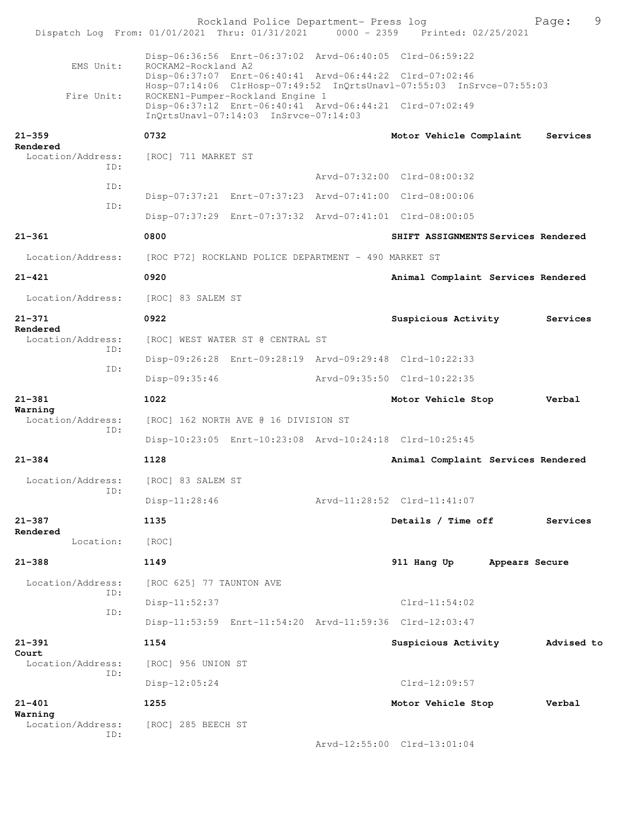|                               |                                  | Rockland Police Department- Press log                                     |  | Dispatch Log From: 01/01/2021 Thru: 01/31/2021 0000 - 2359 Printed: 02/25/2021                                                  | 9<br>Page:     |
|-------------------------------|----------------------------------|---------------------------------------------------------------------------|--|---------------------------------------------------------------------------------------------------------------------------------|----------------|
| EMS Unit:                     | ROCKAM2-Rockland A2              |                                                                           |  | Disp-06:36:56 Enrt-06:37:02 Arvd-06:40:05 Clrd-06:59:22<br>Disp-06:37:07 Enrt-06:40:41 Arvd-06:44:22 Clrd-07:02:46              |                |
| Fire Unit:                    |                                  | ROCKEN1-Pumper-Rockland Engine 1<br>InQrtsUnavl-07:14:03 InSrvce-07:14:03 |  | Hosp-07:14:06 ClrHosp-07:49:52 InQrtsUnavl-07:55:03 InSrvce-07:55:03<br>Disp-06:37:12 Enrt-06:40:41 Arvd-06:44:21 Clrd-07:02:49 |                |
| $21 - 359$                    | 0732                             |                                                                           |  | Motor Vehicle Complaint                                                                                                         | Services       |
| Rendered<br>Location/Address: | [ROC] 711 MARKET ST              |                                                                           |  |                                                                                                                                 |                |
| TD:                           |                                  |                                                                           |  | Arvd-07:32:00 Clrd-08:00:32                                                                                                     |                |
| ID:                           |                                  |                                                                           |  | Disp-07:37:21 Enrt-07:37:23 Arvd-07:41:00 Clrd-08:00:06                                                                         |                |
| ID:                           |                                  |                                                                           |  | Disp-07:37:29 Enrt-07:37:32 Arvd-07:41:01 Clrd-08:00:05                                                                         |                |
| $21 - 361$                    | 0800                             |                                                                           |  | SHIFT ASSIGNMENTS Services Rendered                                                                                             |                |
| Location/Address:             |                                  | [ROC P72] ROCKLAND POLICE DEPARTMENT - 490 MARKET ST                      |  |                                                                                                                                 |                |
| $21 - 421$                    | 0920                             |                                                                           |  | Animal Complaint Services Rendered                                                                                              |                |
| Location/Address:             | [ROC] 83 SALEM ST                |                                                                           |  |                                                                                                                                 |                |
| $21 - 371$                    | 0922                             |                                                                           |  | Suspicious Activity                                                                                                             | Services       |
| Rendered<br>Location/Address: | [ROC] WEST WATER ST @ CENTRAL ST |                                                                           |  |                                                                                                                                 |                |
| TD:                           |                                  |                                                                           |  | Disp-09:26:28 Enrt-09:28:19 Arvd-09:29:48 Clrd-10:22:33                                                                         |                |
| ID:                           | Disp-09:35:46                    |                                                                           |  | Arvd-09:35:50 Clrd-10:22:35                                                                                                     |                |
| $21 - 381$                    | 1022                             |                                                                           |  | Motor Vehicle Stop                                                                                                              | Verbal         |
| Warning<br>Location/Address:  |                                  | [ROC] 162 NORTH AVE @ 16 DIVISION ST                                      |  |                                                                                                                                 |                |
| TD:                           |                                  |                                                                           |  | Disp-10:23:05 Enrt-10:23:08 Arvd-10:24:18 Clrd-10:25:45                                                                         |                |
| $21 - 384$                    | 1128                             |                                                                           |  | Animal Complaint Services Rendered                                                                                              |                |
| Location/Address:             | [ROC] 83 SALEM ST                |                                                                           |  |                                                                                                                                 |                |
| ID:                           | Disp-11:28:46                    |                                                                           |  | Arvd-11:28:52 Clrd-11:41:07                                                                                                     |                |
| $21 - 387$                    | 1135                             |                                                                           |  | Details / Time off                                                                                                              | Services       |
| Rendered<br>Location:         | [ROC]                            |                                                                           |  |                                                                                                                                 |                |
| $21 - 388$                    | 1149                             |                                                                           |  | 911 Hang Up                                                                                                                     | Appears Secure |
| Location/Address:             | [ROC 625] 77 TAUNTON AVE         |                                                                           |  |                                                                                                                                 |                |
| TD:                           | Disp-11:52:37                    |                                                                           |  | $Clrd-11:54:02$                                                                                                                 |                |
| ID:                           |                                  |                                                                           |  | Disp-11:53:59 Enrt-11:54:20 Arvd-11:59:36 Clrd-12:03:47                                                                         |                |
| $21 - 391$                    | 1154                             |                                                                           |  | Suspicious Activity                                                                                                             | Advised to     |
| Court<br>Location/Address:    | [ROC] 956 UNION ST               |                                                                           |  |                                                                                                                                 |                |
| ID:                           | $Disp-12:05:24$                  |                                                                           |  | $Clrd-12:09:57$                                                                                                                 |                |
| $21 - 401$                    | 1255                             |                                                                           |  | Motor Vehicle Stop                                                                                                              | Verbal         |
| Warning<br>Location/Address:  | [ROC] 285 BEECH ST               |                                                                           |  |                                                                                                                                 |                |
| ID:                           |                                  |                                                                           |  | Arvd-12:55:00 Clrd-13:01:04                                                                                                     |                |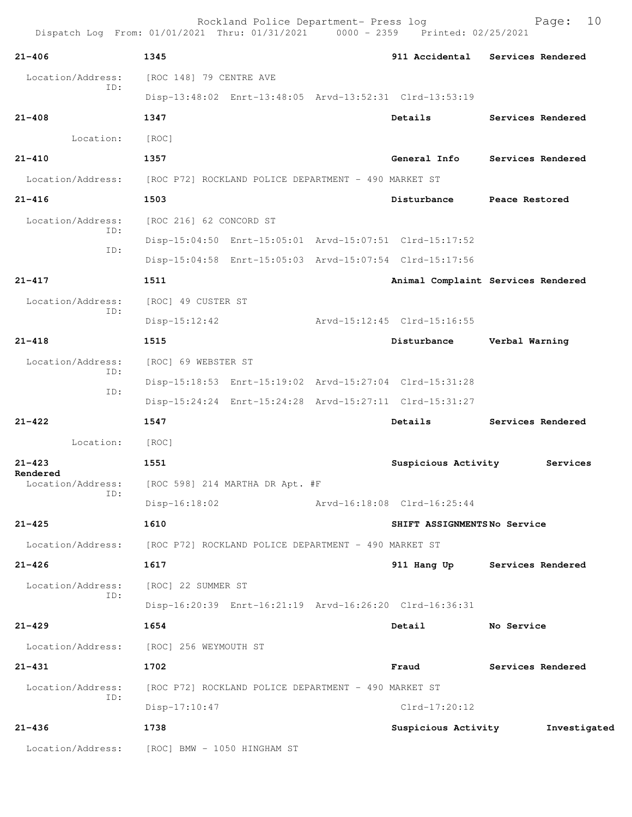| Dispatch Log From: 01/01/2021 Thru: 01/31/2021 0000 - 2359 Printed: 02/25/2021 |                                                      | Rockland Police Department- Press log                |  |                                                         | 10<br>Page:                         |  |
|--------------------------------------------------------------------------------|------------------------------------------------------|------------------------------------------------------|--|---------------------------------------------------------|-------------------------------------|--|
| $21 - 406$                                                                     | 1345                                                 |                                                      |  |                                                         | 911 Accidental Services Rendered    |  |
| Location/Address:                                                              | [ROC 148] 79 CENTRE AVE                              |                                                      |  |                                                         |                                     |  |
| ID:                                                                            |                                                      |                                                      |  | Disp-13:48:02 Enrt-13:48:05 Arvd-13:52:31 Clrd-13:53:19 |                                     |  |
| $21 - 408$                                                                     | 1347                                                 |                                                      |  | Details                                                 | Services Rendered                   |  |
| Location:                                                                      | [ROC]                                                |                                                      |  |                                                         |                                     |  |
| $21 - 410$                                                                     | 1357                                                 |                                                      |  | General Info                                            | Services Rendered                   |  |
| Location/Address:                                                              |                                                      | [ROC P72] ROCKLAND POLICE DEPARTMENT - 490 MARKET ST |  |                                                         |                                     |  |
| $21 - 416$                                                                     | 1503                                                 |                                                      |  | Disturbance                                             | Peace Restored                      |  |
| Location/Address:                                                              | [ROC 216] 62 CONCORD ST                              |                                                      |  |                                                         |                                     |  |
| ID:                                                                            |                                                      |                                                      |  | Disp-15:04:50 Enrt-15:05:01 Arvd-15:07:51 Clrd-15:17:52 |                                     |  |
| ID:                                                                            |                                                      |                                                      |  | Disp-15:04:58 Enrt-15:05:03 Arvd-15:07:54 Clrd-15:17:56 |                                     |  |
| $21 - 417$                                                                     | 1511                                                 |                                                      |  |                                                         | Animal Complaint Services Rendered  |  |
| Location/Address:                                                              | [ROC] 49 CUSTER ST                                   |                                                      |  |                                                         |                                     |  |
| ID:                                                                            | $Disp-15:12:42$                                      |                                                      |  | Arvd-15:12:45 Clrd-15:16:55                             |                                     |  |
| $21 - 418$                                                                     | 1515                                                 |                                                      |  | Disturbance                                             | Verbal Warning                      |  |
| Location/Address:                                                              | [ROC] 69 WEBSTER ST                                  |                                                      |  |                                                         |                                     |  |
| ID:<br>ID:                                                                     |                                                      |                                                      |  | Disp-15:18:53 Enrt-15:19:02 Arvd-15:27:04 Clrd-15:31:28 |                                     |  |
|                                                                                |                                                      |                                                      |  | Disp-15:24:24 Enrt-15:24:28 Arvd-15:27:11 Clrd-15:31:27 |                                     |  |
| $21 - 422$                                                                     | 1547                                                 |                                                      |  | Details                                                 | Services Rendered                   |  |
| Location:                                                                      | [ROC]                                                |                                                      |  |                                                         |                                     |  |
| $21 - 423$<br>Rendered                                                         | 1551                                                 |                                                      |  | Suspicious Activity                                     | Services                            |  |
| Location/Address:<br>ID:                                                       |                                                      | [ROC 598] 214 MARTHA DR Apt. #F                      |  |                                                         |                                     |  |
|                                                                                | $Disp-16:18:02$                                      |                                                      |  | Arvd-16:18:08 Clrd-16:25:44                             |                                     |  |
| $21 - 425$                                                                     | 1610                                                 |                                                      |  | SHIFT ASSIGNMENTSNo Service                             |                                     |  |
| Location/Address:                                                              | [ROC P72] ROCKLAND POLICE DEPARTMENT - 490 MARKET ST |                                                      |  |                                                         |                                     |  |
| $21 - 426$                                                                     | 1617                                                 |                                                      |  | 911 Hang Up                                             | Services Rendered                   |  |
| Location/Address:<br>ID:                                                       |                                                      | [ROC] 22 SUMMER ST                                   |  |                                                         |                                     |  |
|                                                                                |                                                      |                                                      |  | Disp-16:20:39 Enrt-16:21:19 Arvd-16:26:20 Clrd-16:36:31 |                                     |  |
| $21 - 429$                                                                     | 1654                                                 |                                                      |  | Detail                                                  | No Service                          |  |
| Location/Address:                                                              | [ROC] 256 WEYMOUTH ST                                |                                                      |  |                                                         |                                     |  |
| $21 - 431$                                                                     | 1702                                                 |                                                      |  | Fraud                                                   | Services Rendered                   |  |
| Location/Address:<br>ID:                                                       |                                                      | [ROC P72] ROCKLAND POLICE DEPARTMENT - 490 MARKET ST |  |                                                         |                                     |  |
|                                                                                | Disp-17:10:47                                        |                                                      |  | $Clrd-17:20:12$                                         |                                     |  |
| $21 - 436$                                                                     | 1738                                                 |                                                      |  |                                                         | Suspicious Activity 51 Investigated |  |
| Location/Address:                                                              | [ROC] BMW - 1050 HINGHAM ST                          |                                                      |  |                                                         |                                     |  |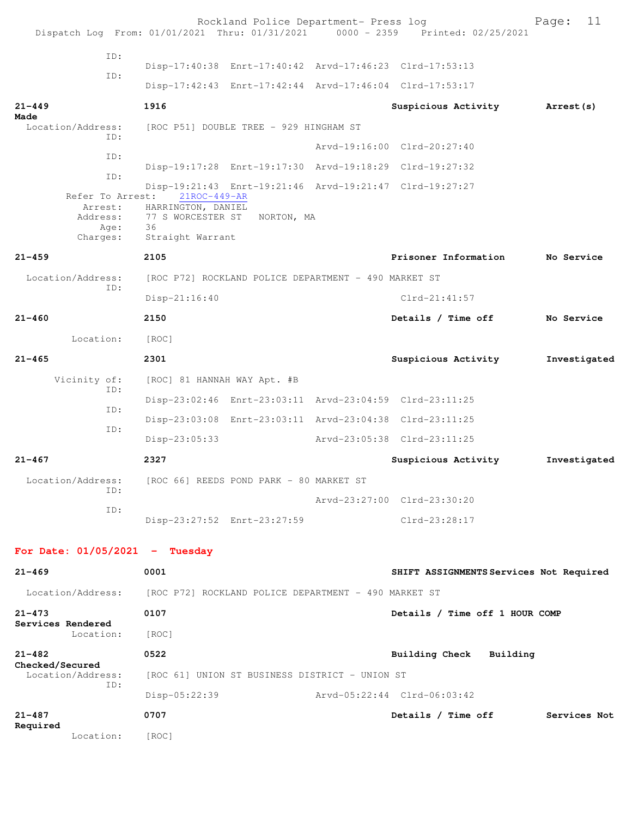|                                                             | Rockland Police Department- Press log<br>Dispatch Log From: 01/01/2021 Thru: 01/31/2021 0000 - 2359 Printed: 02/25/2021                                    |                                         | 11<br>Page:  |
|-------------------------------------------------------------|------------------------------------------------------------------------------------------------------------------------------------------------------------|-----------------------------------------|--------------|
| ID:                                                         |                                                                                                                                                            |                                         |              |
| ID:                                                         | Disp-17:40:38 Enrt-17:40:42 Arvd-17:46:23 Clrd-17:53:13                                                                                                    |                                         |              |
|                                                             | Disp-17:42:43 Enrt-17:42:44 Arvd-17:46:04 Clrd-17:53:17                                                                                                    |                                         |              |
| $21 - 449$<br>Made                                          | 1916                                                                                                                                                       | Suspicious Activity                     | Arrest (s)   |
| Location/Address:<br>ID:                                    | [ROC P51] DOUBLE TREE - 929 HINGHAM ST                                                                                                                     |                                         |              |
| ID:                                                         |                                                                                                                                                            | Arvd-19:16:00 Clrd-20:27:40             |              |
| ID:                                                         | Disp-19:17:28 Enrt-19:17:30 Arvd-19:18:29 Clrd-19:27:32                                                                                                    |                                         |              |
| Refer To Arrest:<br>Arrest:<br>Address:<br>Age:<br>Charges: | Disp-19:21:43 Enrt-19:21:46 Arvd-19:21:47 Clrd-19:27:27<br>21ROC-449-AR<br>HARRINGTON, DANIEL<br>77 S WORCESTER ST<br>NORTON, MA<br>36<br>Straight Warrant |                                         |              |
| $21 - 459$                                                  | 2105                                                                                                                                                       | Prisoner Information                    | No Service   |
| Location/Address:                                           | [ROC P72] ROCKLAND POLICE DEPARTMENT - 490 MARKET ST                                                                                                       |                                         |              |
| ID:                                                         | Disp-21:16:40                                                                                                                                              | $Clrd-21:41:57$                         |              |
| $21 - 460$                                                  | 2150                                                                                                                                                       | Details / Time off                      | No Service   |
| Location:                                                   | [ROC]                                                                                                                                                      |                                         |              |
| $21 - 465$                                                  | 2301                                                                                                                                                       | Suspicious Activity                     | Investigated |
| Vicinity of:                                                | [ROC] 81 HANNAH WAY Apt. #B                                                                                                                                |                                         |              |
| ID:<br>ID:                                                  | Disp-23:02:46 Enrt-23:03:11 Arvd-23:04:59 Clrd-23:11:25                                                                                                    |                                         |              |
| ID:                                                         | Disp-23:03:08 Enrt-23:03:11 Arvd-23:04:38 Clrd-23:11:25                                                                                                    |                                         |              |
|                                                             | $Disp-23:05:33$                                                                                                                                            | Arvd-23:05:38 Clrd-23:11:25             |              |
| $21 - 467$                                                  | 2327                                                                                                                                                       | Suspicious Activity                     | Investigated |
| Location/Address:<br>ID:                                    | [ROC 66] REEDS POND PARK - 80 MARKET ST                                                                                                                    |                                         |              |
| ID:                                                         |                                                                                                                                                            | Arvd-23:27:00 Clrd-23:30:20             |              |
|                                                             | Disp-23:27:52 Enrt-23:27:59                                                                                                                                | Clrd-23:28:17                           |              |
| For Date: $01/05/2021$ - Tuesday                            |                                                                                                                                                            |                                         |              |
| $21 - 469$                                                  | 0001                                                                                                                                                       | SHIFT ASSIGNMENTS Services Not Required |              |
|                                                             | Location/Address: [ROC P72] ROCKLAND POLICE DEPARTMENT - 490 MARKET ST                                                                                     |                                         |              |
| $21 - 473$                                                  | 0107                                                                                                                                                       | Details / Time off 1 HOUR COMP          |              |
| Services Rendered<br>Location:                              | [ROC]                                                                                                                                                      |                                         |              |
| $21 - 482$                                                  | 0522                                                                                                                                                       | Building Check Building                 |              |
| Checked/Secured<br>Location/Address:                        | [ROC 61] UNION ST BUSINESS DISTRICT - UNION ST                                                                                                             |                                         |              |
| ID:                                                         | Disp-05:22:39                                                                                                                                              | Arvd-05:22:44 Clrd-06:03:42             |              |
| $21 - 487$                                                  | 0707                                                                                                                                                       | Details / Time off                      | Services Not |
| Required<br>Location:                                       | [ROC]                                                                                                                                                      |                                         |              |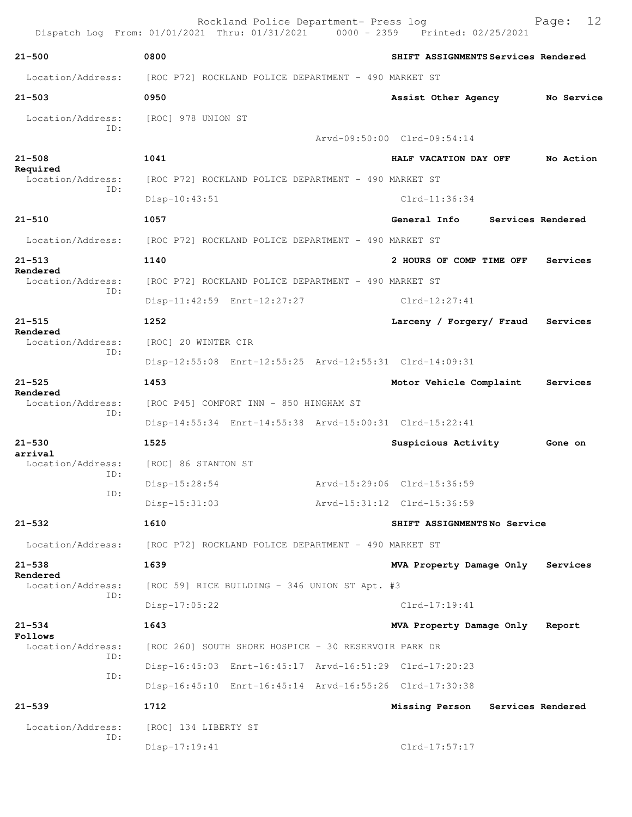|                                             | Rockland Police Department- Press log<br>Dispatch Log From: 01/01/2021 Thru: 01/31/2021 0000 - 2359 Printed: 02/25/2021 |                                     | 12<br>Page:       |  |  |  |
|---------------------------------------------|-------------------------------------------------------------------------------------------------------------------------|-------------------------------------|-------------------|--|--|--|
| $21 - 500$                                  | 0800                                                                                                                    | SHIFT ASSIGNMENTS Services Rendered |                   |  |  |  |
| Location/Address:                           | [ROC P72] ROCKLAND POLICE DEPARTMENT - 490 MARKET ST                                                                    |                                     |                   |  |  |  |
| $21 - 503$                                  | 0950                                                                                                                    | Assist Other Agency                 | No Service        |  |  |  |
| Location/Address: [ROC] 978 UNION ST<br>ID: |                                                                                                                         |                                     |                   |  |  |  |
|                                             |                                                                                                                         | Arvd-09:50:00 Clrd-09:54:14         |                   |  |  |  |
| $21 - 508$<br>Required                      | 1041                                                                                                                    | HALF VACATION DAY OFF               | No Action         |  |  |  |
| Location/Address:<br>TD:                    | [ROC P72] ROCKLAND POLICE DEPARTMENT - 490 MARKET ST                                                                    |                                     |                   |  |  |  |
|                                             | $Disp-10:43:51$                                                                                                         | $Clrd-11:36:34$                     |                   |  |  |  |
| $21 - 510$                                  | 1057                                                                                                                    | General Info                        | Services Rendered |  |  |  |
| Location/Address:                           | [ROC P72] ROCKLAND POLICE DEPARTMENT - 490 MARKET ST                                                                    |                                     |                   |  |  |  |
| $21 - 513$<br>Rendered                      | 1140                                                                                                                    | 2 HOURS OF COMP TIME OFF            | Services          |  |  |  |
| Location/Address:<br>ID:                    | [ROC P72] ROCKLAND POLICE DEPARTMENT - 490 MARKET ST                                                                    |                                     |                   |  |  |  |
|                                             | Disp-11:42:59 Enrt-12:27:27                                                                                             | $Clrd-12:27:41$                     |                   |  |  |  |
| $21 - 515$                                  | 1252                                                                                                                    | Larceny / Forgery/ Fraud            | Services          |  |  |  |
| Rendered<br>Location/Address:               | [ROC] 20 WINTER CIR                                                                                                     |                                     |                   |  |  |  |
| ID:                                         | Disp-12:55:08 Enrt-12:55:25 Arvd-12:55:31 Clrd-14:09:31                                                                 |                                     |                   |  |  |  |
| $21 - 525$                                  | 1453                                                                                                                    | Motor Vehicle Complaint             | Services          |  |  |  |
| Rendered<br>Location/Address:               | [ROC P45] COMFORT INN - 850 HINGHAM ST                                                                                  |                                     |                   |  |  |  |
| ID:                                         | Disp-14:55:34 Enrt-14:55:38 Arvd-15:00:31 Clrd-15:22:41                                                                 |                                     |                   |  |  |  |
| $21 - 530$                                  | 1525                                                                                                                    | Suspicious Activity                 | Gone on           |  |  |  |
| arrival<br>Location/Address:<br>ID:         | [ROC] 86 STANTON ST                                                                                                     |                                     |                   |  |  |  |
| ID:                                         | $Disp-15:28:54$                                                                                                         | Arvd-15:29:06 Clrd-15:36:59         |                   |  |  |  |
|                                             | $Disp-15:31:03$                                                                                                         | Arvd-15:31:12 Clrd-15:36:59         |                   |  |  |  |
| $21 - 532$                                  | 1610                                                                                                                    | SHIFT ASSIGNMENTSNo Service         |                   |  |  |  |
| Location/Address:                           | [ROC P72] ROCKLAND POLICE DEPARTMENT - 490 MARKET ST                                                                    |                                     |                   |  |  |  |
| $21 - 538$                                  | 1639                                                                                                                    | MVA Property Damage Only            | Services          |  |  |  |
| Rendered<br>Location/Address:               | [ROC 59] RICE BUILDING - 346 UNION ST Apt. #3                                                                           |                                     |                   |  |  |  |
| ID:                                         | Disp-17:05:22                                                                                                           | $Clrd-17:19:41$                     |                   |  |  |  |
| $21 - 534$                                  | 1643                                                                                                                    | MVA Property Damage Only            | Report            |  |  |  |
| Follows<br>Location/Address:                | [ROC 260] SOUTH SHORE HOSPICE - 30 RESERVOIR PARK DR                                                                    |                                     |                   |  |  |  |
| ID:                                         | Disp-16:45:03 Enrt-16:45:17 Arvd-16:51:29 Clrd-17:20:23                                                                 |                                     |                   |  |  |  |
| ID:                                         | Disp-16:45:10 Enrt-16:45:14 Arvd-16:55:26 Clrd-17:30:38                                                                 |                                     |                   |  |  |  |
| $21 - 539$                                  | 1712                                                                                                                    | Missing Person                      | Services Rendered |  |  |  |
| Location/Address:                           | [ROC] 134 LIBERTY ST                                                                                                    |                                     |                   |  |  |  |
| ID:                                         | $Disp-17:19:41$                                                                                                         | Clrd-17:57:17                       |                   |  |  |  |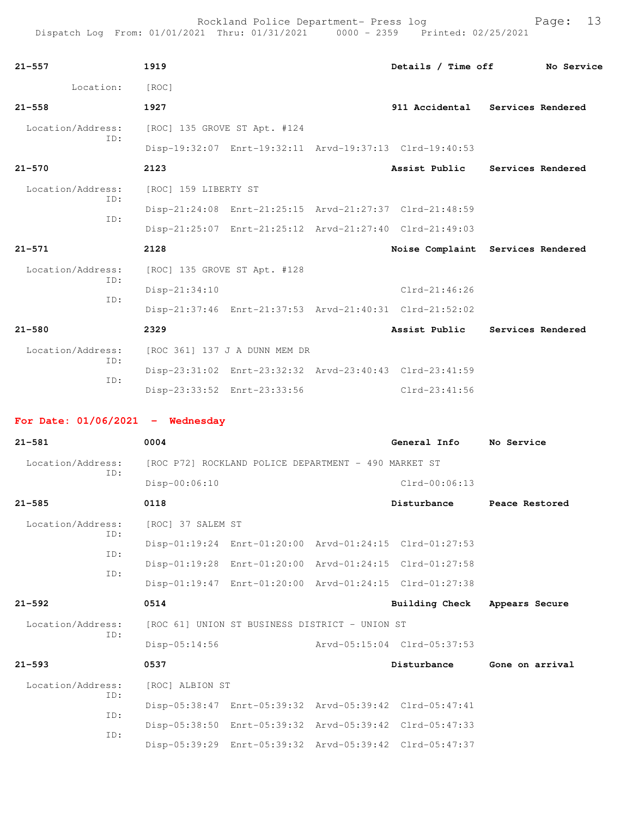| 21–557                             | 1919                                                 |                                                         | Details / Time off                                      | No Service                        |
|------------------------------------|------------------------------------------------------|---------------------------------------------------------|---------------------------------------------------------|-----------------------------------|
| Location:                          | [ROC]                                                |                                                         |                                                         |                                   |
| $21 - 558$                         | 1927                                                 |                                                         |                                                         | 911 Accidental Services Rendered  |
| Location/Address:                  | [ROC] 135 GROVE ST Apt. #124                         |                                                         |                                                         |                                   |
| ID:                                |                                                      | Disp-19:32:07 Enrt-19:32:11 Arvd-19:37:13 Clrd-19:40:53 |                                                         |                                   |
| $21 - 570$                         | 2123                                                 |                                                         |                                                         | Assist Public Services Rendered   |
| Location/Address:                  | [ROC] 159 LIBERTY ST                                 |                                                         |                                                         |                                   |
| ID:<br>ID:                         |                                                      | Disp-21:24:08 Enrt-21:25:15 Arvd-21:27:37 Clrd-21:48:59 |                                                         |                                   |
|                                    |                                                      | Disp-21:25:07 Enrt-21:25:12 Arvd-21:27:40 Clrd-21:49:03 |                                                         |                                   |
| 21–571                             | 2128                                                 |                                                         |                                                         | Noise Complaint Services Rendered |
| Location/Address:                  | [ROC] 135 GROVE ST Apt. #128                         |                                                         |                                                         |                                   |
| ID:                                | Disp-21:34:10                                        |                                                         | $Clrd-21:46:26$                                         |                                   |
| ID:                                |                                                      | Disp-21:37:46 Enrt-21:37:53 Arvd-21:40:31 Clrd-21:52:02 |                                                         |                                   |
| 21-580                             | 2329                                                 |                                                         | Assist Public                                           | Services Rendered                 |
| Location/Address:                  |                                                      | [ROC 361] 137 J A DUNN MEM DR                           |                                                         |                                   |
| ID:                                |                                                      | Disp-23:31:02 Enrt-23:32:32 Arvd-23:40:43 Clrd-23:41:59 |                                                         |                                   |
| ID:                                |                                                      | Disp-23:33:52 Enrt-23:33:56                             | $Clrd-23:41:56$                                         |                                   |
| For Date: $01/06/2021$ - Wednesday |                                                      |                                                         |                                                         |                                   |
| 21-581                             | 0004                                                 |                                                         | General Info                                            | No Service                        |
| Location/Address:                  | [ROC P72] ROCKLAND POLICE DEPARTMENT - 490 MARKET ST |                                                         |                                                         |                                   |
| ID:                                | Disp-00:06:10                                        |                                                         | Clrd-00:06:13                                           |                                   |
| 21-585                             | 0118                                                 |                                                         | Disturbance                                             | Peace Restored                    |
| Location/Address:                  |                                                      |                                                         |                                                         |                                   |
| ID:                                | [ROC] 37 SALEM ST                                    | Disp-01:19:24 Enrt-01:20:00 Arvd-01:24:15 Clrd-01:27:53 |                                                         |                                   |
| ID:                                |                                                      |                                                         |                                                         |                                   |
| ID:                                |                                                      | Disp-01:19:28 Enrt-01:20:00 Arvd-01:24:15 Clrd-01:27:58 |                                                         |                                   |
|                                    | 0514                                                 |                                                         | Disp-01:19:47 Enrt-01:20:00 Arvd-01:24:15 Clrd-01:27:38 |                                   |
| 21–592                             |                                                      |                                                         | <b>Building Check</b>                                   | Appears Secure                    |
| Location/Address:<br>ID:           |                                                      | [ROC 61] UNION ST BUSINESS DISTRICT - UNION ST          |                                                         |                                   |
|                                    | $Disp-05:14:56$                                      |                                                         | Arvd-05:15:04 Clrd-05:37:53                             |                                   |
| $21 - 593$                         | 0537                                                 |                                                         | Disturbance                                             | Gone on arrival                   |
| Location/Address:<br>ID:           | [ROC] ALBION ST                                      |                                                         |                                                         |                                   |
| ID:                                |                                                      |                                                         | Disp-05:38:47 Enrt-05:39:32 Arvd-05:39:42 Clrd-05:47:41 |                                   |
|                                    |                                                      |                                                         |                                                         |                                   |
| ID:                                |                                                      | Disp-05:38:50 Enrt-05:39:32 Arvd-05:39:42 Clrd-05:47:33 | Disp-05:39:29 Enrt-05:39:32 Arvd-05:39:42 Clrd-05:47:37 |                                   |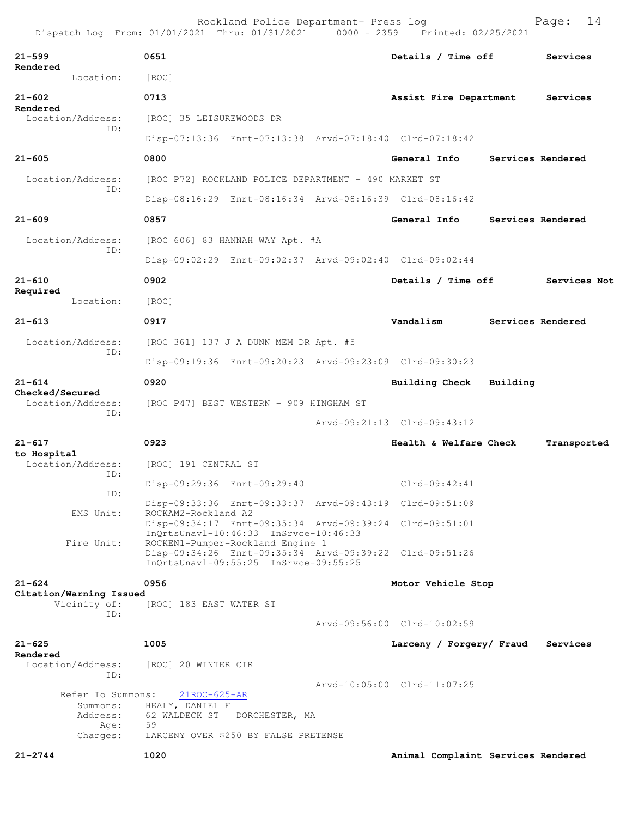|                                                               | Rockland Police Department- Press log<br>Dispatch Log From: 01/01/2021 Thru: 01/31/2021 0000 - 2359 Printed: 02/25/2021 |                                    |          | 14<br>Page:       |
|---------------------------------------------------------------|-------------------------------------------------------------------------------------------------------------------------|------------------------------------|----------|-------------------|
| $21 - 599$                                                    | 0651                                                                                                                    | Details / Time off                 |          | Services          |
| Rendered<br>Location:                                         | [ROC]                                                                                                                   |                                    |          |                   |
| $21 - 602$                                                    | 0713                                                                                                                    | Assist Fire Department             |          | Services          |
| Rendered<br>Location/Address:                                 | [ROC] 35 LEISUREWOODS DR                                                                                                |                                    |          |                   |
| ID:                                                           | Disp-07:13:36 Enrt-07:13:38 Arvd-07:18:40 Clrd-07:18:42                                                                 |                                    |          |                   |
| $21 - 605$                                                    | 0800                                                                                                                    | General Info                       |          | Services Rendered |
| Location/Address:                                             | [ROC P72] ROCKLAND POLICE DEPARTMENT - 490 MARKET ST                                                                    |                                    |          |                   |
| ID:                                                           | Disp-08:16:29 Enrt-08:16:34 Arvd-08:16:39 Clrd-08:16:42                                                                 |                                    |          |                   |
| $21 - 609$                                                    | 0857                                                                                                                    | General Info                       |          | Services Rendered |
| Location/Address:                                             | [ROC 606] 83 HANNAH WAY Apt. #A                                                                                         |                                    |          |                   |
| ID:                                                           | Disp-09:02:29 Enrt-09:02:37 Arvd-09:02:40 Clrd-09:02:44                                                                 |                                    |          |                   |
| $21 - 610$                                                    | 0902                                                                                                                    | Details / Time off                 |          | Services Not      |
| Required<br>Location:                                         | [ROC]                                                                                                                   |                                    |          |                   |
| $21 - 613$                                                    | 0917                                                                                                                    | Vandalism                          |          | Services Rendered |
| Location/Address:                                             | [ROC 361] 137 J A DUNN MEM DR Apt. #5                                                                                   |                                    |          |                   |
| ID:                                                           | Disp-09:19:36 Enrt-09:20:23 Arvd-09:23:09 Clrd-09:30:23                                                                 |                                    |          |                   |
| $21 - 614$                                                    | 0920                                                                                                                    | Building Check                     | Building |                   |
| Checked/Secured<br>Location/Address:<br>ID:                   | [ROC P47] BEST WESTERN - 909 HINGHAM ST                                                                                 |                                    |          |                   |
|                                                               |                                                                                                                         | Arvd-09:21:13 Clrd-09:43:12        |          |                   |
| $21 - 617$<br>to Hospital                                     | 0923                                                                                                                    | Health & Welfare Check             |          | Transported       |
| Location/Address:<br>ID:                                      | [ROC] 191 CENTRAL ST                                                                                                    |                                    |          |                   |
| ID:                                                           | Disp-09:29:36 Enrt-09:29:40                                                                                             | $Clrd-09:42:41$                    |          |                   |
| EMS Unit:                                                     | Disp-09:33:36 Enrt-09:33:37 Arvd-09:43:19 Clrd-09:51:09<br>ROCKAM2-Rockland A2                                          |                                    |          |                   |
|                                                               | Disp-09:34:17 Enrt-09:35:34 Arvd-09:39:24 Clrd-09:51:01<br>InQrtsUnavl-10:46:33 InSrvce-10:46:33                        |                                    |          |                   |
| Fire Unit:                                                    | ROCKEN1-Pumper-Rockland Engine 1<br>Disp-09:34:26 Enrt-09:35:34 Arvd-09:39:22 Clrd-09:51:26                             |                                    |          |                   |
|                                                               | InQrtsUnavl-09:55:25 InSrvce-09:55:25                                                                                   |                                    |          |                   |
| $21 - 624$<br>Citation/Warning Issued                         | 0956                                                                                                                    | Motor Vehicle Stop                 |          |                   |
| Vicinity of:<br>ID:                                           | [ROC] 183 EAST WATER ST                                                                                                 |                                    |          |                   |
|                                                               |                                                                                                                         | Arvd-09:56:00 Clrd-10:02:59        |          |                   |
| $21 - 625$<br>Rendered                                        | 1005                                                                                                                    | Larceny / Forgery/ Fraud           |          | Services          |
| Location/Address:<br>ID:                                      | [ROC] 20 WINTER CIR                                                                                                     |                                    |          |                   |
| Refer To Summons:<br>Summons:<br>Address:<br>Age:<br>Charges: | $21ROC-625-AR$<br>HEALY, DANIEL F<br>62 WALDECK ST<br>DORCHESTER, MA<br>59<br>LARCENY OVER \$250 BY FALSE PRETENSE      | Arvd-10:05:00 Clrd-11:07:25        |          |                   |
| $21 - 2744$                                                   | 1020                                                                                                                    | Animal Complaint Services Rendered |          |                   |
|                                                               |                                                                                                                         |                                    |          |                   |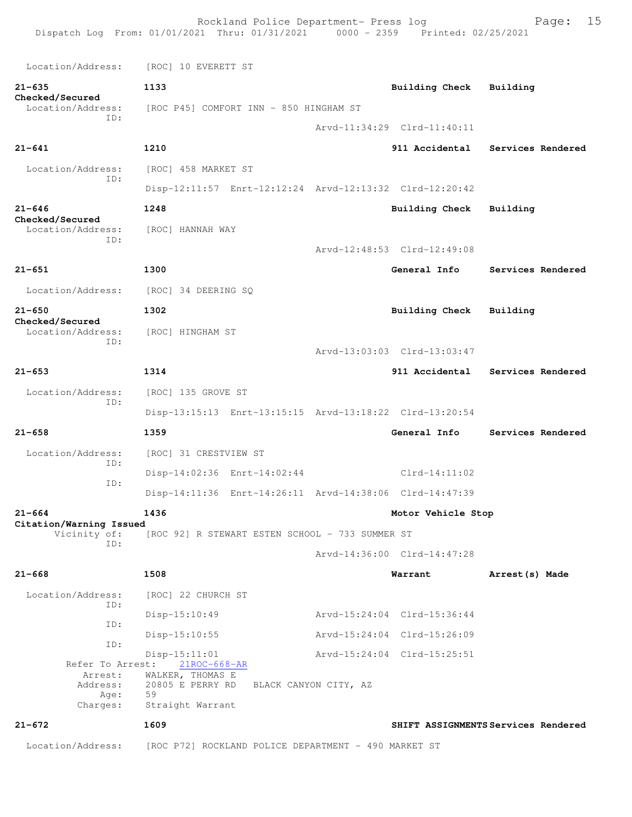| Location/Address:<br>[ROC] 10 EVERETT ST<br>$21 - 635$<br>1133<br>Building Check<br>Building<br>Checked/Secured<br>Location/Address:<br>[ROC P45] COMFORT INN - 850 HINGHAM ST<br>TD:<br>Arvd-11:34:29 Clrd-11:40:11<br>$21 - 641$<br>1210<br>911 Accidental<br>Location/Address:<br>[ROC] 458 MARKET ST<br>ID:<br>Disp-12:11:57 Enrt-12:12:24 Arvd-12:13:32 Clrd-12:20:42<br>$21 - 646$<br>1248<br><b>Building Check</b><br>Building<br>Checked/Secured<br>Location/Address:<br>[ROC] HANNAH WAY<br>ID:<br>Arvd-12:48:53 Clrd-12:49:08<br>$21 - 651$<br>1300<br>General Info<br>Location/Address:<br>[ROC] 34 DEERING SQ<br>$21 - 650$<br>1302<br>Building Check<br>Building<br>Checked/Secured<br>Location/Address:<br>[ROC] HINGHAM ST<br>ID:<br>Arvd-13:03:03 Clrd-13:03:47<br>$21 - 653$<br>1314<br>911 Accidental<br>Location/Address:<br>[ROC] 135 GROVE ST<br>ID:<br>Disp-13:15:13 Enrt-13:15:15 Arvd-13:18:22 Clrd-13:20:54<br>$21 - 658$<br>1359<br>General Info<br>Location/Address:<br>[ROC] 31 CRESTVIEW ST<br>ID:<br>Disp-14:02:36 Enrt-14:02:44<br>$Clrd-14:11:02$<br>ID:<br>Disp-14:11:36 Enrt-14:26:11 Arvd-14:38:06 Clrd-14:47:39<br>$21 - 664$<br>1436<br>Motor Vehicle Stop<br>Citation/Warning Issued<br>Vicinity of:<br>[ROC 92] R STEWART ESTEN SCHOOL - 733 SUMMER ST<br>ID:<br>Arvd-14:36:00 Clrd-14:47:28<br>$21 - 668$<br>1508<br>Warrant<br>Arrest (s) Made<br>Location/Address:<br>[ROC] 22 CHURCH ST<br>ID:<br>Disp-15:10:49<br>Arvd-15:24:04 Clrd-15:36:44 | 15<br>Page:       |
|-------------------------------------------------------------------------------------------------------------------------------------------------------------------------------------------------------------------------------------------------------------------------------------------------------------------------------------------------------------------------------------------------------------------------------------------------------------------------------------------------------------------------------------------------------------------------------------------------------------------------------------------------------------------------------------------------------------------------------------------------------------------------------------------------------------------------------------------------------------------------------------------------------------------------------------------------------------------------------------------------------------------------------------------------------------------------------------------------------------------------------------------------------------------------------------------------------------------------------------------------------------------------------------------------------------------------------------------------------------------------------------------------------------------------------------------------------------------------------------------|-------------------|
|                                                                                                                                                                                                                                                                                                                                                                                                                                                                                                                                                                                                                                                                                                                                                                                                                                                                                                                                                                                                                                                                                                                                                                                                                                                                                                                                                                                                                                                                                           |                   |
|                                                                                                                                                                                                                                                                                                                                                                                                                                                                                                                                                                                                                                                                                                                                                                                                                                                                                                                                                                                                                                                                                                                                                                                                                                                                                                                                                                                                                                                                                           |                   |
|                                                                                                                                                                                                                                                                                                                                                                                                                                                                                                                                                                                                                                                                                                                                                                                                                                                                                                                                                                                                                                                                                                                                                                                                                                                                                                                                                                                                                                                                                           |                   |
|                                                                                                                                                                                                                                                                                                                                                                                                                                                                                                                                                                                                                                                                                                                                                                                                                                                                                                                                                                                                                                                                                                                                                                                                                                                                                                                                                                                                                                                                                           |                   |
|                                                                                                                                                                                                                                                                                                                                                                                                                                                                                                                                                                                                                                                                                                                                                                                                                                                                                                                                                                                                                                                                                                                                                                                                                                                                                                                                                                                                                                                                                           | Services Rendered |
|                                                                                                                                                                                                                                                                                                                                                                                                                                                                                                                                                                                                                                                                                                                                                                                                                                                                                                                                                                                                                                                                                                                                                                                                                                                                                                                                                                                                                                                                                           |                   |
|                                                                                                                                                                                                                                                                                                                                                                                                                                                                                                                                                                                                                                                                                                                                                                                                                                                                                                                                                                                                                                                                                                                                                                                                                                                                                                                                                                                                                                                                                           |                   |
|                                                                                                                                                                                                                                                                                                                                                                                                                                                                                                                                                                                                                                                                                                                                                                                                                                                                                                                                                                                                                                                                                                                                                                                                                                                                                                                                                                                                                                                                                           |                   |
|                                                                                                                                                                                                                                                                                                                                                                                                                                                                                                                                                                                                                                                                                                                                                                                                                                                                                                                                                                                                                                                                                                                                                                                                                                                                                                                                                                                                                                                                                           |                   |
|                                                                                                                                                                                                                                                                                                                                                                                                                                                                                                                                                                                                                                                                                                                                                                                                                                                                                                                                                                                                                                                                                                                                                                                                                                                                                                                                                                                                                                                                                           |                   |
|                                                                                                                                                                                                                                                                                                                                                                                                                                                                                                                                                                                                                                                                                                                                                                                                                                                                                                                                                                                                                                                                                                                                                                                                                                                                                                                                                                                                                                                                                           | Services Rendered |
|                                                                                                                                                                                                                                                                                                                                                                                                                                                                                                                                                                                                                                                                                                                                                                                                                                                                                                                                                                                                                                                                                                                                                                                                                                                                                                                                                                                                                                                                                           |                   |
|                                                                                                                                                                                                                                                                                                                                                                                                                                                                                                                                                                                                                                                                                                                                                                                                                                                                                                                                                                                                                                                                                                                                                                                                                                                                                                                                                                                                                                                                                           |                   |
|                                                                                                                                                                                                                                                                                                                                                                                                                                                                                                                                                                                                                                                                                                                                                                                                                                                                                                                                                                                                                                                                                                                                                                                                                                                                                                                                                                                                                                                                                           |                   |
|                                                                                                                                                                                                                                                                                                                                                                                                                                                                                                                                                                                                                                                                                                                                                                                                                                                                                                                                                                                                                                                                                                                                                                                                                                                                                                                                                                                                                                                                                           |                   |
|                                                                                                                                                                                                                                                                                                                                                                                                                                                                                                                                                                                                                                                                                                                                                                                                                                                                                                                                                                                                                                                                                                                                                                                                                                                                                                                                                                                                                                                                                           | Services Rendered |
|                                                                                                                                                                                                                                                                                                                                                                                                                                                                                                                                                                                                                                                                                                                                                                                                                                                                                                                                                                                                                                                                                                                                                                                                                                                                                                                                                                                                                                                                                           |                   |
|                                                                                                                                                                                                                                                                                                                                                                                                                                                                                                                                                                                                                                                                                                                                                                                                                                                                                                                                                                                                                                                                                                                                                                                                                                                                                                                                                                                                                                                                                           |                   |
|                                                                                                                                                                                                                                                                                                                                                                                                                                                                                                                                                                                                                                                                                                                                                                                                                                                                                                                                                                                                                                                                                                                                                                                                                                                                                                                                                                                                                                                                                           | Services Rendered |
|                                                                                                                                                                                                                                                                                                                                                                                                                                                                                                                                                                                                                                                                                                                                                                                                                                                                                                                                                                                                                                                                                                                                                                                                                                                                                                                                                                                                                                                                                           |                   |
|                                                                                                                                                                                                                                                                                                                                                                                                                                                                                                                                                                                                                                                                                                                                                                                                                                                                                                                                                                                                                                                                                                                                                                                                                                                                                                                                                                                                                                                                                           |                   |
|                                                                                                                                                                                                                                                                                                                                                                                                                                                                                                                                                                                                                                                                                                                                                                                                                                                                                                                                                                                                                                                                                                                                                                                                                                                                                                                                                                                                                                                                                           |                   |
|                                                                                                                                                                                                                                                                                                                                                                                                                                                                                                                                                                                                                                                                                                                                                                                                                                                                                                                                                                                                                                                                                                                                                                                                                                                                                                                                                                                                                                                                                           |                   |
|                                                                                                                                                                                                                                                                                                                                                                                                                                                                                                                                                                                                                                                                                                                                                                                                                                                                                                                                                                                                                                                                                                                                                                                                                                                                                                                                                                                                                                                                                           |                   |
|                                                                                                                                                                                                                                                                                                                                                                                                                                                                                                                                                                                                                                                                                                                                                                                                                                                                                                                                                                                                                                                                                                                                                                                                                                                                                                                                                                                                                                                                                           |                   |
|                                                                                                                                                                                                                                                                                                                                                                                                                                                                                                                                                                                                                                                                                                                                                                                                                                                                                                                                                                                                                                                                                                                                                                                                                                                                                                                                                                                                                                                                                           |                   |
|                                                                                                                                                                                                                                                                                                                                                                                                                                                                                                                                                                                                                                                                                                                                                                                                                                                                                                                                                                                                                                                                                                                                                                                                                                                                                                                                                                                                                                                                                           |                   |
|                                                                                                                                                                                                                                                                                                                                                                                                                                                                                                                                                                                                                                                                                                                                                                                                                                                                                                                                                                                                                                                                                                                                                                                                                                                                                                                                                                                                                                                                                           |                   |
| ID:<br>$Disp-15:10:55$<br>Arvd-15:24:04 Clrd-15:26:09                                                                                                                                                                                                                                                                                                                                                                                                                                                                                                                                                                                                                                                                                                                                                                                                                                                                                                                                                                                                                                                                                                                                                                                                                                                                                                                                                                                                                                     |                   |
| ID:<br>$Disp-15:11:01$<br>Arvd-15:24:04 Clrd-15:25:51<br>Refer To Arrest:<br>$21$ ROC-668-AR                                                                                                                                                                                                                                                                                                                                                                                                                                                                                                                                                                                                                                                                                                                                                                                                                                                                                                                                                                                                                                                                                                                                                                                                                                                                                                                                                                                              |                   |
| WALKER, THOMAS E<br>Arrest:<br>20805 E PERRY RD<br>Address:                                                                                                                                                                                                                                                                                                                                                                                                                                                                                                                                                                                                                                                                                                                                                                                                                                                                                                                                                                                                                                                                                                                                                                                                                                                                                                                                                                                                                               |                   |
| BLACK CANYON CITY, AZ<br>59<br>Age:<br>Charges:<br>Straight Warrant                                                                                                                                                                                                                                                                                                                                                                                                                                                                                                                                                                                                                                                                                                                                                                                                                                                                                                                                                                                                                                                                                                                                                                                                                                                                                                                                                                                                                       |                   |
| $21 - 672$<br>1609<br>SHIFT ASSIGNMENTS Services Rendered                                                                                                                                                                                                                                                                                                                                                                                                                                                                                                                                                                                                                                                                                                                                                                                                                                                                                                                                                                                                                                                                                                                                                                                                                                                                                                                                                                                                                                 |                   |
| Location/Address:<br>[ROC P72] ROCKLAND POLICE DEPARTMENT - 490 MARKET ST                                                                                                                                                                                                                                                                                                                                                                                                                                                                                                                                                                                                                                                                                                                                                                                                                                                                                                                                                                                                                                                                                                                                                                                                                                                                                                                                                                                                                 |                   |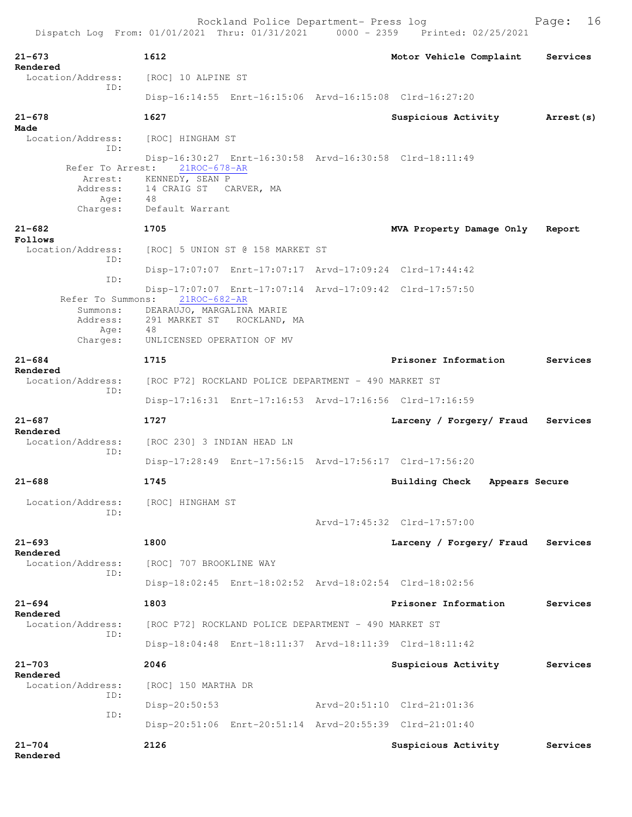| $21 - 673$<br>Rendered               | 1612                                                    | Motor Vehicle Complaint          | Services   |
|--------------------------------------|---------------------------------------------------------|----------------------------------|------------|
| Location/Address:                    | [ROC] 10 ALPINE ST                                      |                                  |            |
| ID:                                  | Disp-16:14:55 Enrt-16:15:06 Arvd-16:15:08 Clrd-16:27:20 |                                  |            |
| $21 - 678$                           | 1627                                                    | Suspicious Activity              | Arrest (s) |
| Made<br>Location/Address:            | [ROC] HINGHAM ST                                        |                                  |            |
| ID:                                  | Disp-16:30:27 Enrt-16:30:58 Arvd-16:30:58 Clrd-18:11:49 |                                  |            |
|                                      | Refer To Arrest: 21ROC-678-AR                           |                                  |            |
| Address:                             | Arrest: KENNEDY, SEAN P<br>14 CRAIG ST CARVER, MA       |                                  |            |
| Age:<br>Charges:                     | 48<br>Default Warrant                                   |                                  |            |
| $21 - 682$                           | 1705                                                    |                                  |            |
| Follows                              |                                                         | MVA Property Damage Only         | Report     |
| Location/Address:<br>TD:             | [ROC] 5 UNION ST @ 158 MARKET ST                        |                                  |            |
| ID:                                  | Disp-17:07:07 Enrt-17:07:17 Arvd-17:09:24 Clrd-17:44:42 |                                  |            |
|                                      | Disp-17:07:07 Enrt-17:07:14 Arvd-17:09:42 Clrd-17:57:50 |                                  |            |
| Refer To Summons:<br>Summons:        | $21$ ROC-682-AR<br>DEARAUJO, MARGALINA MARIE            |                                  |            |
| Address:<br>Age:                     | 291 MARKET ST<br>ROCKLAND, MA<br>48                     |                                  |            |
| Charges:                             | UNLICENSED OPERATION OF MV                              |                                  |            |
| $21 - 684$                           | 1715                                                    | Prisoner Information             | Services   |
| Rendered<br>Location/Address:        | [ROC P72] ROCKLAND POLICE DEPARTMENT - 490 MARKET ST    |                                  |            |
| ID:                                  | Disp-17:16:31 Enrt-17:16:53 Arvd-17:16:56 Clrd-17:16:59 |                                  |            |
| $21 - 687$                           | 1727                                                    | Larceny / Forgery/ Fraud         | Services   |
| Rendered<br>Location/Address:        | [ROC 230] 3 INDIAN HEAD LN                              |                                  |            |
| ID:                                  | Disp-17:28:49 Enrt-17:56:15 Arvd-17:56:17 Clrd-17:56:20 |                                  |            |
| $21 - 688$                           | 1745                                                    | Building Check<br>Appears Secure |            |
| Location/Address: [ROC] HINGHAM ST   |                                                         |                                  |            |
| ID:                                  |                                                         | Arvd-17:45:32 Clrd-17:57:00      |            |
| $21 - 693$                           | 1800                                                    | Larceny / Forgery/ Fraud         | Services   |
| Rendered<br>Location/Address:<br>ID: | [ROC] 707 BROOKLINE WAY                                 |                                  |            |
|                                      | Disp-18:02:45 Enrt-18:02:52 Arvd-18:02:54 Clrd-18:02:56 |                                  |            |
| $21 - 694$                           | 1803                                                    | Prisoner Information             | Services   |
| Rendered<br>Location/Address:        | [ROC P72] ROCKLAND POLICE DEPARTMENT - 490 MARKET ST    |                                  |            |
| TD:                                  | Disp-18:04:48 Enrt-18:11:37 Arvd-18:11:39 Clrd-18:11:42 |                                  |            |
| $21 - 703$                           | 2046                                                    | Suspicious Activity              | Services   |
| Rendered<br>Location/Address:        | [ROC] 150 MARTHA DR                                     |                                  |            |
| ID:                                  | Disp-20:50:53                                           | Arvd-20:51:10 Clrd-21:01:36      |            |
| ID:                                  | Disp-20:51:06 Enrt-20:51:14 Arvd-20:55:39 Clrd-21:01:40 |                                  |            |
| $21 - 704$                           | 2126                                                    | Suspicious Activity              | Services   |
| Rendered                             |                                                         |                                  |            |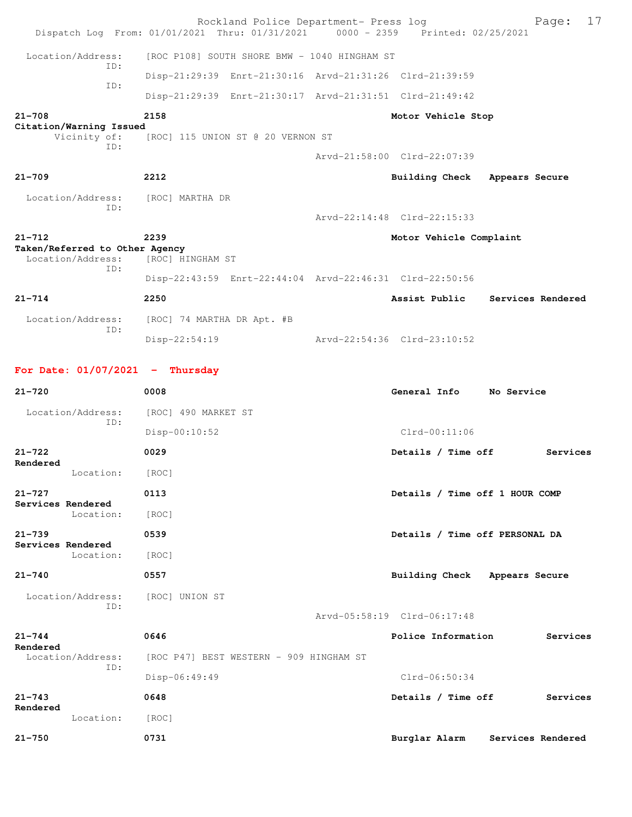Rockland Police Department- Press log Fage: 17 Dispatch Log From: 01/01/2021 Thru: 01/31/2021 0000 - 2359 Printed: 02/25/2021 Location/Address: [ROC P108] SOUTH SHORE BMW - 1040 HINGHAM ST ID: Disp-21:29:39 Enrt-21:30:16 Arvd-21:31:26 Clrd-21:39:59 ID: Disp-21:29:39 Enrt-21:30:17 Arvd-21:31:51 Clrd-21:49:42 **21-708 2158 Motor Vehicle Stop Citation/Warning Issued**  Vicinity of: [ROC] 115 UNION ST @ 20 VERNON ST ID: Arvd-21:58:00 Clrd-22:07:39 **21-709 2212 Building Check Appears Secure** Location/Address: [ROC] MARTHA DR ID: Arvd-22:14:48 Clrd-22:15:33 **21-712 2239 Motor Vehicle Complaint Taken/Referred to Other Agency**  Location/Address: [ROC] HINGHAM ST ID: Disp-22:43:59 Enrt-22:44:04 Arvd-22:46:31 Clrd-22:50:56 **21-714 2250 Assist Public Services Rendered** Location/Address: [ROC] 74 MARTHA DR Apt. #B ID: Disp-22:54:19 Arvd-22:54:36 Clrd-23:10:52 **For Date: 01/07/2021 - Thursday 21-720 0008 General Info No Service** Location/Address: [ROC] 490 MARKET ST ID: Disp-00:10:52 Clrd-00:11:06 **21-722 0029 Details / Time off Services Rendered**  Location: [ROC] **21-727 0113 Details / Time off 1 HOUR COMP Services Rendered**  Location: [ROC] **21-739 0539 Details / Time off PERSONAL DA Services Rendered**  Location: [ROC] **21-740 0557 Building Check Appears Secure** Location/Address: [ROC] UNION ST ID: Arvd-05:58:19 Clrd-06:17:48 **21-744 0646 Police Information Services Rendered**<br>Location/Address: [ROC P47] BEST WESTERN - 909 HINGHAM ST ID: Disp-06:49:49 Clrd-06:50:34 **21-743 0648 Details / Time off Services Rendered**  Location: [ROC] **21-750 0731 Burglar Alarm Services Rendered**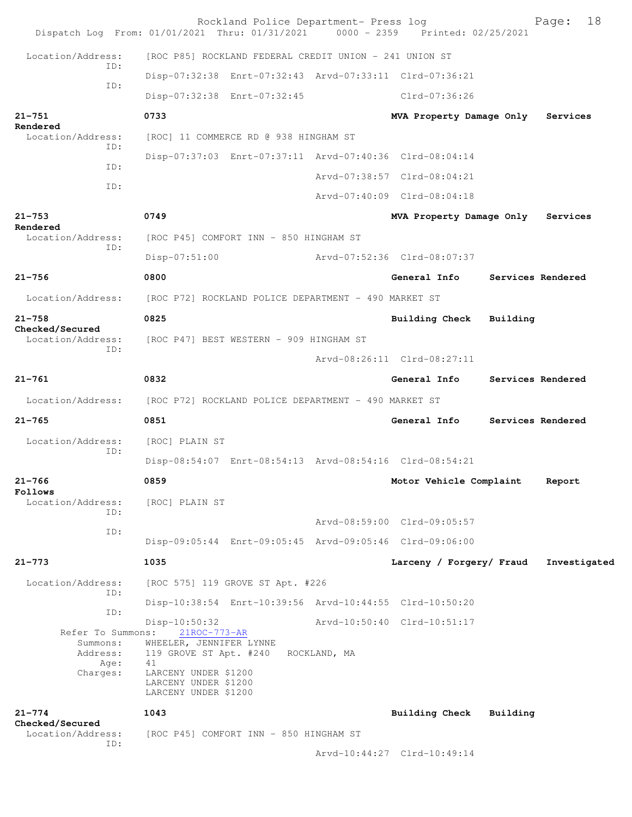| Dispatch Log From: 01/01/2021 Thru: 01/31/2021 0000 - 2359 Printed: 02/25/2021 |                                                                      | Rockland Police Department- Press log |              |                                                         |          | 18<br>Page:       |
|--------------------------------------------------------------------------------|----------------------------------------------------------------------|---------------------------------------|--------------|---------------------------------------------------------|----------|-------------------|
| Location/Address:                                                              | [ROC P85] ROCKLAND FEDERAL CREDIT UNION - 241 UNION ST               |                                       |              |                                                         |          |                   |
| ID:                                                                            |                                                                      |                                       |              | Disp-07:32:38 Enrt-07:32:43 Arvd-07:33:11 Clrd-07:36:21 |          |                   |
| ID:                                                                            | Disp-07:32:38 Enrt-07:32:45                                          |                                       |              | Clrd-07:36:26                                           |          |                   |
| $21 - 751$                                                                     | 0733                                                                 |                                       |              | MVA Property Damage Only                                |          | Services          |
| Rendered<br>Location/Address:                                                  | [ROC] 11 COMMERCE RD @ 938 HINGHAM ST                                |                                       |              |                                                         |          |                   |
| ID:                                                                            |                                                                      |                                       |              | Disp-07:37:03 Enrt-07:37:11 Arvd-07:40:36 Clrd-08:04:14 |          |                   |
| ID:<br>ID:                                                                     |                                                                      |                                       |              | Arvd-07:38:57 Clrd-08:04:21                             |          |                   |
|                                                                                |                                                                      |                                       |              | Arvd-07:40:09 Clrd-08:04:18                             |          |                   |
| $21 - 753$<br>Rendered                                                         | 0749                                                                 |                                       |              | MVA Property Damage Only                                |          | Services          |
| Location/Address:<br>ID:                                                       | [ROC P45] COMFORT INN - 850 HINGHAM ST                               |                                       |              |                                                         |          |                   |
|                                                                                | Disp-07:51:00                                                        |                                       |              | Arvd-07:52:36 Clrd-08:07:37                             |          |                   |
| $21 - 756$                                                                     | 0800                                                                 |                                       |              | General Info                                            |          | Services Rendered |
| Location/Address:                                                              | [ROC P72] ROCKLAND POLICE DEPARTMENT - 490 MARKET ST                 |                                       |              |                                                         |          |                   |
| $21 - 758$<br>Checked/Secured                                                  | 0825                                                                 |                                       |              | <b>Building Check</b>                                   | Building |                   |
| Location/Address:                                                              | [ROC P47] BEST WESTERN - 909 HINGHAM ST                              |                                       |              |                                                         |          |                   |
| ID:                                                                            |                                                                      |                                       |              | Arvd-08:26:11 Clrd-08:27:11                             |          |                   |
| $21 - 761$                                                                     | 0832                                                                 |                                       |              | General Info                                            |          | Services Rendered |
| Location/Address:                                                              | [ROC P72] ROCKLAND POLICE DEPARTMENT - 490 MARKET ST                 |                                       |              |                                                         |          |                   |
| $21 - 765$                                                                     | 0851                                                                 |                                       |              | General Info                                            |          | Services Rendered |
| Location/Address:<br>ID:                                                       | [ROC] PLAIN ST                                                       |                                       |              |                                                         |          |                   |
|                                                                                |                                                                      |                                       |              | Disp-08:54:07 Enrt-08:54:13 Arvd-08:54:16 Clrd-08:54:21 |          |                   |
| 21-766<br>Follows                                                              | 0859                                                                 |                                       |              | Motor Vehicle Complaint                                 |          | Report            |
| Location/Address:<br>ID:                                                       | [ROC] PLAIN ST                                                       |                                       |              |                                                         |          |                   |
| ID:                                                                            |                                                                      |                                       |              | Arvd-08:59:00 Clrd-09:05:57                             |          |                   |
|                                                                                |                                                                      |                                       |              | Disp-09:05:44 Enrt-09:05:45 Arvd-09:05:46 Clrd-09:06:00 |          |                   |
| $21 - 773$                                                                     | 1035                                                                 |                                       |              | Larceny / Forgery/ Fraud                                |          | Investigated      |
| Location/Address:<br>ID:                                                       | [ROC 575] 119 GROVE ST Apt. #226                                     |                                       |              |                                                         |          |                   |
| ID:                                                                            |                                                                      |                                       |              | Disp-10:38:54 Enrt-10:39:56 Arvd-10:44:55 Clrd-10:50:20 |          |                   |
| Refer To Summons:                                                              | Disp-10:50:32<br>$21$ ROC-773-AR                                     |                                       |              | Arvd-10:50:40 Clrd-10:51:17                             |          |                   |
| Summons:<br>Address:<br>Age:                                                   | WHEELER, JENNIFER LYNNE<br>119 GROVE ST Apt. #240<br>41              |                                       | ROCKLAND, MA |                                                         |          |                   |
| Charges:                                                                       | LARCENY UNDER \$1200<br>LARCENY UNDER \$1200<br>LARCENY UNDER \$1200 |                                       |              |                                                         |          |                   |
| $21 - 774$                                                                     | 1043                                                                 |                                       |              | Building Check Building                                 |          |                   |
| Checked/Secured<br>Location/Address:                                           | [ROC P45] COMFORT INN - 850 HINGHAM ST                               |                                       |              |                                                         |          |                   |
| ID:                                                                            |                                                                      |                                       |              | Arvd-10:44:27 Clrd-10:49:14                             |          |                   |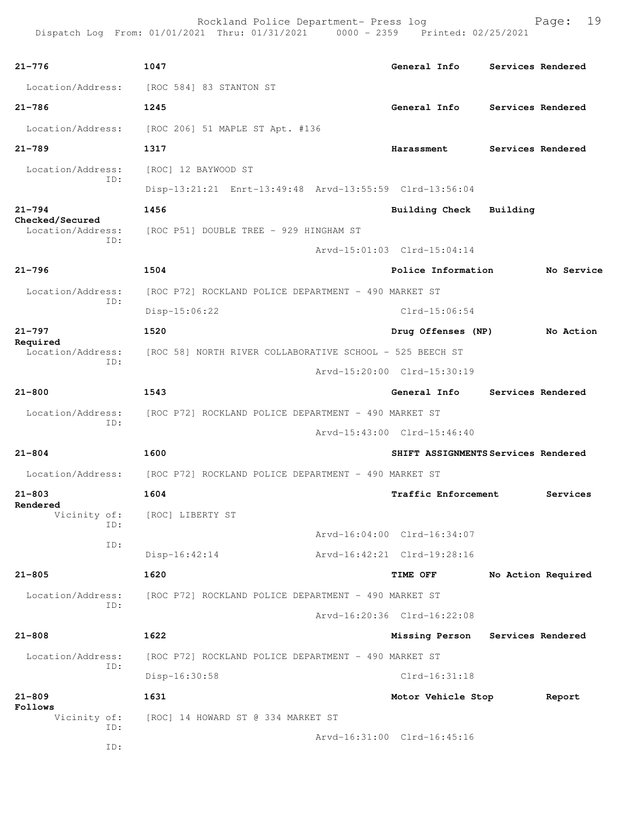**21-776 1047 General Info Services Rendered** Location/Address: [ROC 584] 83 STANTON ST **21-786 1245 General Info Services Rendered** Location/Address: [ROC 206] 51 MAPLE ST Apt. #136 **21-789 1317 Harassment Services Rendered** Location/Address: [ROC] 12 BAYWOOD ST ID: Disp-13:21:21 Enrt-13:49:48 Arvd-13:55:59 Clrd-13:56:04 **21-794 1456 Building Check Building Checked/Secured**  Location/Address: [ROC P51] DOUBLE TREE - 929 HINGHAM ST ID: Arvd-15:01:03 Clrd-15:04:14 **21-796 1504 Police Information No Service** Location/Address: [ROC P72] ROCKLAND POLICE DEPARTMENT - 490 MARKET ST ID: Disp-15:06:22 Clrd-15:06:54 **21-797 1520 Drug Offenses (NP) No Action Required**  Location/Address: [ROC 58] NORTH RIVER COLLABORATIVE SCHOOL - 525 BEECH ST ID: Arvd-15:20:00 Clrd-15:30:19 **21-800 1543 General Info Services Rendered** Location/Address: [ROC P72] ROCKLAND POLICE DEPARTMENT - 490 MARKET ST ID: Arvd-15:43:00 Clrd-15:46:40 **21-804 1600 SHIFT ASSIGNMENTS Services Rendered** Location/Address: [ROC P72] ROCKLAND POLICE DEPARTMENT - 490 MARKET ST **21-803 1604 Traffic Enforcement Services Rendered** Vicinity of: Vicinity of: [ROC] LIBERTY ST ID: Arvd-16:04:00 Clrd-16:34:07 ID: Disp-16:42:14 Arvd-16:42:21 Clrd-19:28:16 **21-805 1620 TIME OFF No Action Required** Location/Address: [ROC P72] ROCKLAND POLICE DEPARTMENT - 490 MARKET ST ID: Arvd-16:20:36 Clrd-16:22:08 **21-808 1622 Missing Person Services Rendered** Location/Address: [ROC P72] ROCKLAND POLICE DEPARTMENT - 490 MARKET ST ID: Disp-16:30:58 Clrd-16:31:18 **21-809 1631 Motor Vehicle Stop Report Follows**  Vicinity of: [ROC] 14 HOWARD ST @ 334 MARKET ST ID: Arvd-16:31:00 Clrd-16:45:16 ID: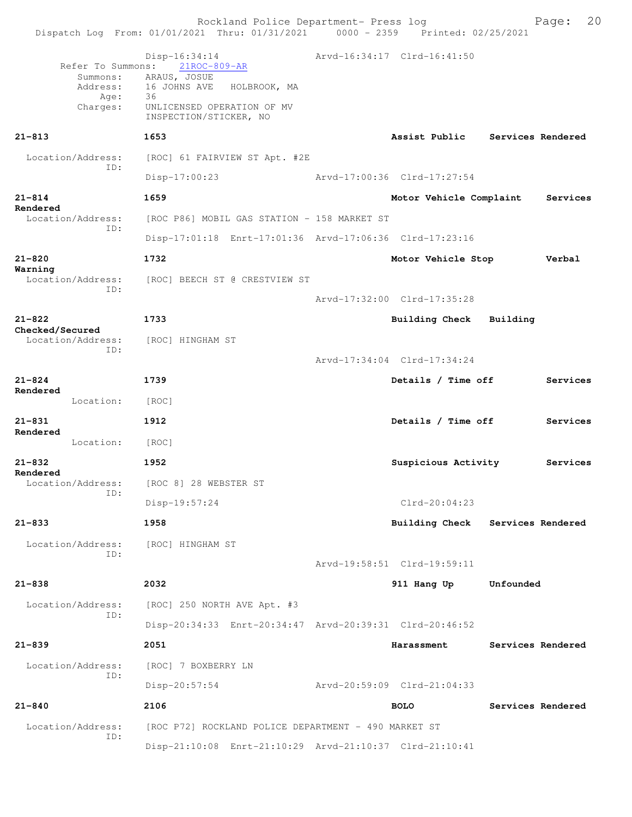|                                                               | Rockland Police Department- Press log<br>Dispatch Log From: 01/01/2021 Thru: 01/31/2021 0000 - 2359 Printed: 02/25/2021                        |                                  |                   | 20<br>Page: |
|---------------------------------------------------------------|------------------------------------------------------------------------------------------------------------------------------------------------|----------------------------------|-------------------|-------------|
| Refer To Summons:<br>Summons:<br>Address:<br>Age:<br>Charges: | Disp-16:34:14<br>$21$ ROC-809-AR<br>ARAUS, JOSUE<br>16 JOHNS AVE<br>HOLBROOK, MA<br>36<br>UNLICENSED OPERATION OF MV<br>INSPECTION/STICKER, NO | Arvd-16:34:17 Clrd-16:41:50      |                   |             |
| $21 - 813$                                                    | 1653                                                                                                                                           | Assist Public Services Rendered  |                   |             |
| Location/Address:<br>ID:                                      | [ROC] 61 FAIRVIEW ST Apt. #2E                                                                                                                  |                                  |                   |             |
|                                                               | $Disp-17:00:23$                                                                                                                                | Arvd-17:00:36 Clrd-17:27:54      |                   |             |
| $21 - 814$<br>Rendered                                        | 1659                                                                                                                                           | Motor Vehicle Complaint          |                   | Services    |
| Location/Address:<br>ID:                                      | [ROC P86] MOBIL GAS STATION - 158 MARKET ST                                                                                                    |                                  |                   |             |
|                                                               | Disp-17:01:18 Enrt-17:01:36 Arvd-17:06:36 Clrd-17:23:16                                                                                        |                                  |                   |             |
| $21 - 820$<br>Warning                                         | 1732                                                                                                                                           | Motor Vehicle Stop               |                   | Verbal      |
| Location/Address:<br>ID:                                      | [ROC] BEECH ST @ CRESTVIEW ST                                                                                                                  |                                  |                   |             |
|                                                               |                                                                                                                                                | Arvd-17:32:00 Clrd-17:35:28      |                   |             |
| $21 - 822$<br>Checked/Secured                                 | 1733                                                                                                                                           | Building Check Building          |                   |             |
| Location/Address:                                             | [ROC] HINGHAM ST                                                                                                                               |                                  |                   |             |
| ID:                                                           |                                                                                                                                                | Arvd-17:34:04 Clrd-17:34:24      |                   |             |
| $21 - 824$                                                    | 1739                                                                                                                                           | Details / Time off               |                   | Services    |
| Rendered<br>Location:                                         | [ROC]                                                                                                                                          |                                  |                   |             |
| $21 - 831$                                                    | 1912                                                                                                                                           | Details / Time off               |                   | Services    |
| Rendered<br>Location:                                         | [ROC]                                                                                                                                          |                                  |                   |             |
| 21-832                                                        | 1952                                                                                                                                           | Suspicious Activity              |                   | Services    |
| Rendered<br>Location/Address:                                 | [ROC 8] 28 WEBSTER ST                                                                                                                          |                                  |                   |             |
| ID:                                                           | Disp-19:57:24                                                                                                                                  | $Clrd-20:04:23$                  |                   |             |
| $21 - 833$                                                    | 1958                                                                                                                                           | Building Check Services Rendered |                   |             |
| Location/Address:                                             | [ROC] HINGHAM ST                                                                                                                               |                                  |                   |             |
| ID:                                                           |                                                                                                                                                | Arvd-19:58:51 Clrd-19:59:11      |                   |             |
| $21 - 838$                                                    | 2032                                                                                                                                           | 911 Hang Up                      | Unfounded         |             |
| Location/Address:                                             | [ROC] 250 NORTH AVE Apt. #3                                                                                                                    |                                  |                   |             |
| ID:                                                           | Disp-20:34:33 Enrt-20:34:47 Arvd-20:39:31 Clrd-20:46:52                                                                                        |                                  |                   |             |
| $21 - 839$                                                    | 2051                                                                                                                                           | Harassment                       | Services Rendered |             |
| Location/Address:                                             | [ROC] 7 BOXBERRY LN                                                                                                                            |                                  |                   |             |
| ID:                                                           | Disp-20:57:54                                                                                                                                  | Arvd-20:59:09 Clrd-21:04:33      |                   |             |
| $21 - 840$                                                    | 2106                                                                                                                                           | <b>BOLO</b>                      | Services Rendered |             |
| Location/Address:                                             | [ROC P72] ROCKLAND POLICE DEPARTMENT - 490 MARKET ST                                                                                           |                                  |                   |             |
| ID:                                                           | Disp-21:10:08 Enrt-21:10:29 Arvd-21:10:37 Clrd-21:10:41                                                                                        |                                  |                   |             |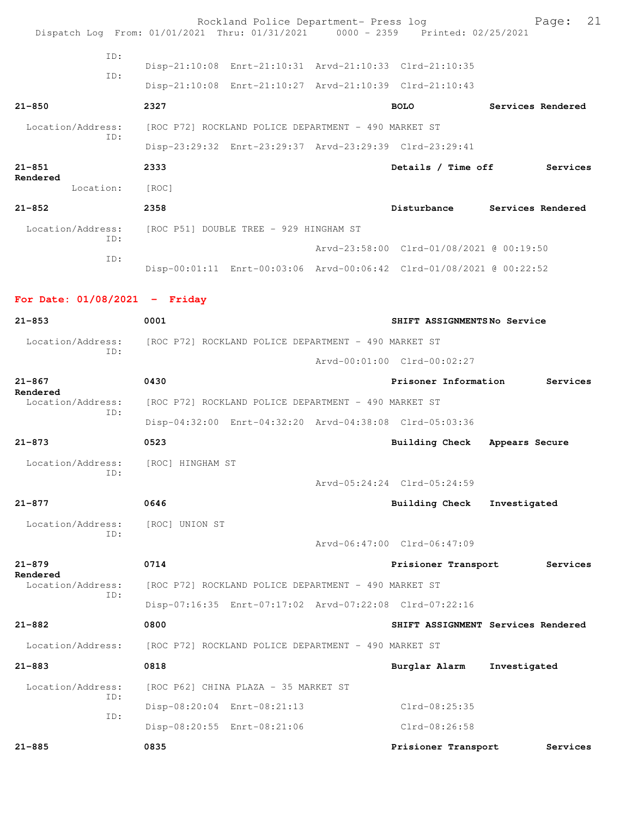|                                           | Rockland Police Department- Press log<br>Dispatch Log From: 01/01/2021 Thru: 01/31/2021 0000 - 2359 Printed: 02/25/2021 |                                          | 21<br>Page:                        |
|-------------------------------------------|-------------------------------------------------------------------------------------------------------------------------|------------------------------------------|------------------------------------|
| ID:                                       | Disp-21:10:08 Enrt-21:10:31 Arvd-21:10:33 Clrd-21:10:35                                                                 |                                          |                                    |
| ID:                                       | Disp-21:10:08 Enrt-21:10:27 Arvd-21:10:39 Clrd-21:10:43                                                                 |                                          |                                    |
| $21 - 850$                                | 2327                                                                                                                    | <b>BOLO</b>                              | Services Rendered                  |
| Location/Address:                         | [ROC P72] ROCKLAND POLICE DEPARTMENT - 490 MARKET ST                                                                    |                                          |                                    |
| TD:                                       | Disp-23:29:32 Enrt-23:29:37 Arvd-23:29:39 Clrd-23:29:41                                                                 |                                          |                                    |
| $21 - 851$                                | 2333                                                                                                                    | Details / Time off                       | Services                           |
| Rendered<br>Location: [ROC]               |                                                                                                                         |                                          |                                    |
| $21 - 852$                                | 2358                                                                                                                    |                                          | Disturbance Services Rendered      |
| Location/Address:<br>TD:                  | [ROC P51] DOUBLE TREE - 929 HINGHAM ST                                                                                  |                                          |                                    |
| ID:                                       |                                                                                                                         | Arvd-23:58:00 Clrd-01/08/2021 @ 00:19:50 |                                    |
|                                           | Disp-00:01:11 Enrt-00:03:06 Arvd-00:06:42 Clrd-01/08/2021 @ 00:22:52                                                    |                                          |                                    |
| For Date: $01/08/2021$ - Friday           |                                                                                                                         |                                          |                                    |
| $21 - 853$                                | 0001                                                                                                                    | SHIFT ASSIGNMENTSNo Service              |                                    |
|                                           | Location/Address: [ROC P72] ROCKLAND POLICE DEPARTMENT - 490 MARKET ST                                                  |                                          |                                    |
| ID:                                       |                                                                                                                         | Arvd-00:01:00 Clrd-00:02:27              |                                    |
| $21 - 867$                                | 0430                                                                                                                    | Prisoner Information                     | Services                           |
| Rendered<br>Location/Address:             | [ROC P72] ROCKLAND POLICE DEPARTMENT - 490 MARKET ST                                                                    |                                          |                                    |
| ID:                                       | Disp-04:32:00 Enrt-04:32:20 Arvd-04:38:08 Clrd-05:03:36                                                                 |                                          |                                    |
| $21 - 873$                                | 0523                                                                                                                    | Building Check                           | Appears Secure                     |
| Location/Address: [ROC] HINGHAM ST<br>ID: |                                                                                                                         |                                          |                                    |
|                                           |                                                                                                                         | Arvd-05:24:24 Clrd-05:24:59              |                                    |
| $21 - 877$                                | 0646                                                                                                                    | Building Check                           | Investigated                       |
| Location/Address:<br>ID:                  | [ROC] UNION ST                                                                                                          | Arvd-06:47:00 Clrd-06:47:09              |                                    |
| $21 - 879$                                | 0714                                                                                                                    | Prisioner Transport                      | Services                           |
| Rendered<br>Location/Address:             | [ROC P72] ROCKLAND POLICE DEPARTMENT - 490 MARKET ST                                                                    |                                          |                                    |
| ID:                                       | Disp-07:16:35 Enrt-07:17:02 Arvd-07:22:08 Clrd-07:22:16                                                                 |                                          |                                    |
| $21 - 882$                                | 0800                                                                                                                    |                                          | SHIFT ASSIGNMENT Services Rendered |
| Location/Address:                         | [ROC P72] ROCKLAND POLICE DEPARTMENT - 490 MARKET ST                                                                    |                                          |                                    |
| $21 - 883$                                | 0818                                                                                                                    | Burglar Alarm                            | Investigated                       |
| Location/Address:                         | [ROC P62] CHINA PLAZA - 35 MARKET ST                                                                                    |                                          |                                    |
| ID:                                       | Disp-08:20:04 Enrt-08:21:13                                                                                             | Clrd-08:25:35                            |                                    |
| ID:                                       | Disp-08:20:55 Enrt-08:21:06                                                                                             | Clrd-08:26:58                            |                                    |
| $21 - 885$                                | 0835                                                                                                                    | Prisioner Transport                      | Services                           |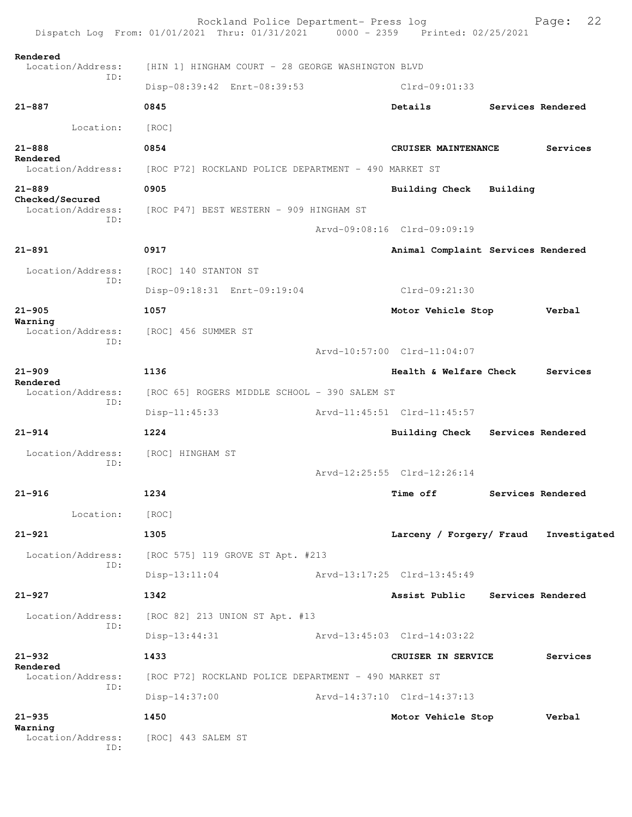|                                      | Rockland Police Department- Press log<br>Dispatch Log From: 01/01/2021 Thru: 01/31/2021 0000 - 2359 Printed: 02/25/2021 |                             |                                    |  | 22<br>Page:       |  |
|--------------------------------------|-------------------------------------------------------------------------------------------------------------------------|-----------------------------|------------------------------------|--|-------------------|--|
| Rendered<br>Location/Address:        | [HIN 1] HINGHAM COURT - 28 GEORGE WASHINGTON BLVD                                                                       |                             |                                    |  |                   |  |
| ID:                                  | Disp-08:39:42 Enrt-08:39:53                                                                                             |                             | $Clrd-09:01:33$                    |  |                   |  |
| $21 - 887$                           | 0845                                                                                                                    |                             | Details                            |  | Services Rendered |  |
| Location:                            | [ROC]                                                                                                                   |                             |                                    |  |                   |  |
| $21 - 888$                           | 0854<br>CRUISER MAINTENANCE                                                                                             |                             |                                    |  | Services          |  |
| Rendered<br>Location/Address:        | [ROC P72] ROCKLAND POLICE DEPARTMENT - 490 MARKET ST                                                                    |                             |                                    |  |                   |  |
| $21 - 889$                           | 0905                                                                                                                    |                             | Building Check Building            |  |                   |  |
| Checked/Secured<br>Location/Address: | [ROC P47] BEST WESTERN - 909 HINGHAM ST                                                                                 |                             |                                    |  |                   |  |
| ID:                                  |                                                                                                                         |                             | Arvd-09:08:16 Clrd-09:09:19        |  |                   |  |
| $21 - 891$                           | 0917                                                                                                                    |                             | Animal Complaint Services Rendered |  |                   |  |
| Location/Address:                    | [ROC] 140 STANTON ST                                                                                                    |                             |                                    |  |                   |  |
| ID:                                  | Disp-09:18:31 Enrt-09:19:04                                                                                             |                             | Clrd-09:21:30                      |  |                   |  |
| $21 - 905$                           | 1057                                                                                                                    |                             | Motor Vehicle Stop                 |  | Verbal            |  |
| Warning<br>Location/Address:         | [ROC] 456 SUMMER ST                                                                                                     |                             |                                    |  |                   |  |
| ID:                                  |                                                                                                                         |                             | Arvd-10:57:00 Clrd-11:04:07        |  |                   |  |
| $21 - 909$                           | 1136                                                                                                                    |                             | Health & Welfare Check             |  | Services          |  |
| Rendered<br>Location/Address:<br>ID: | [ROC 65] ROGERS MIDDLE SCHOOL - 390 SALEM ST                                                                            |                             |                                    |  |                   |  |
|                                      | $Disp-11:45:33$                                                                                                         | Arvd-11:45:51 Clrd-11:45:57 |                                    |  |                   |  |
| $21 - 914$                           | 1224                                                                                                                    |                             | <b>Building Check</b>              |  | Services Rendered |  |
| Location/Address:<br>ID:             | [ROC] HINGHAM ST                                                                                                        |                             |                                    |  |                   |  |
|                                      |                                                                                                                         |                             | Arvd-12:25:55 Clrd-12:26:14        |  |                   |  |
| $21 - 916$                           | 1234                                                                                                                    |                             | <b>Time off</b>                    |  | Services Rendered |  |
| Location:                            | [ROC]                                                                                                                   |                             |                                    |  |                   |  |
| $21 - 921$                           | 1305                                                                                                                    |                             | Larceny / Forgery/ Fraud           |  | Investigated      |  |
| Location/Address:<br>ID:             | [ROC 575] 119 GROVE ST Apt. #213                                                                                        |                             |                                    |  |                   |  |
|                                      | $Disp-13:11:04$                                                                                                         |                             | Arvd-13:17:25 Clrd-13:45:49        |  |                   |  |
| $21 - 927$                           | 1342                                                                                                                    |                             | Assist Public                      |  | Services Rendered |  |
| Location/Address:<br>ID:             | [ROC 82] 213 UNION ST Apt. #13                                                                                          |                             |                                    |  |                   |  |
|                                      | Disp-13:44:31                                                                                                           |                             | Arvd-13:45:03 Clrd-14:03:22        |  |                   |  |
| $21 - 932$<br>Rendered               | 1433                                                                                                                    |                             | CRUISER IN SERVICE                 |  | Services          |  |
| Location/Address:<br>ID:             | [ROC P72] ROCKLAND POLICE DEPARTMENT - 490 MARKET ST                                                                    |                             |                                    |  |                   |  |
|                                      | $Disp-14:37:00$                                                                                                         |                             | Arvd-14:37:10 Clrd-14:37:13        |  |                   |  |
| $21 - 935$<br>Warning                | 1450                                                                                                                    |                             | Motor Vehicle Stop                 |  | Verbal            |  |
| Location/Address:<br>ID:             | [ROC] 443 SALEM ST                                                                                                      |                             |                                    |  |                   |  |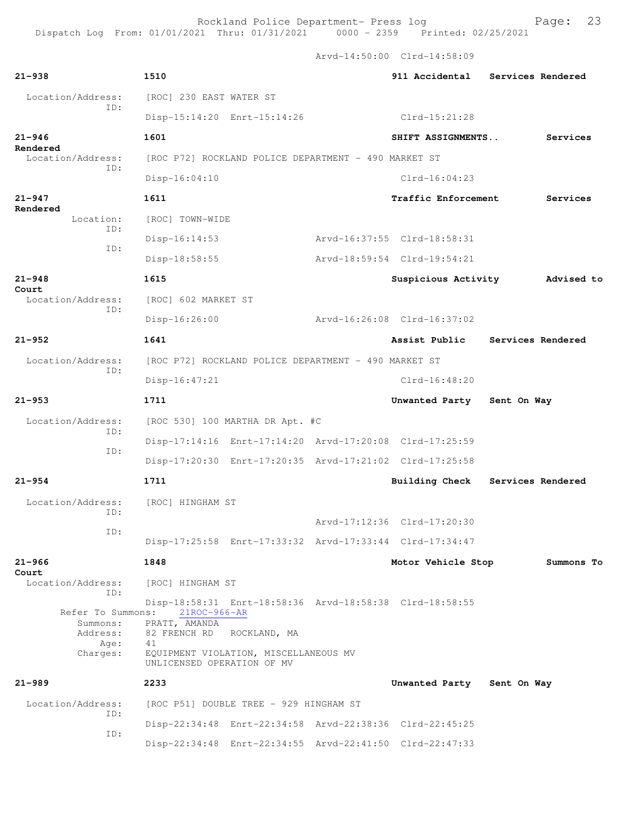Dispatch Log From: 01/01/2021 Thru: 01/31/2021 0000 - 2359 Printed: 02/25/2021

Arvd-14:50:00 Clrd-14:58:09

| $21 - 938$                                                           | 1510                                                                                                                         |                                                                         |                             | 911 Accidental Services Rendered |
|----------------------------------------------------------------------|------------------------------------------------------------------------------------------------------------------------------|-------------------------------------------------------------------------|-----------------------------|----------------------------------|
| Location/Address:                                                    | [ROC] 230 EAST WATER ST                                                                                                      |                                                                         |                             |                                  |
| TD:                                                                  | Disp-15:14:20 Enrt-15:14:26                                                                                                  |                                                                         | Clrd-15:21:28               |                                  |
| $21 - 946$                                                           | 1601                                                                                                                         |                                                                         | SHIFT ASSIGNMENTS           | Services                         |
| Rendered<br>Location/Address:                                        |                                                                                                                              | [ROC P72] ROCKLAND POLICE DEPARTMENT - 490 MARKET ST                    |                             |                                  |
| ID:                                                                  | Disp-16:04:10                                                                                                                |                                                                         | $C1rd-16:04:23$             |                                  |
| $21 - 947$                                                           | 1611                                                                                                                         |                                                                         | Traffic Enforcement         | Services                         |
| Rendered<br>Location:                                                | [ROC] TOWN-WIDE                                                                                                              |                                                                         |                             |                                  |
| TD:                                                                  | Disp-16:14:53                                                                                                                |                                                                         | Arvd-16:37:55 Clrd-18:58:31 |                                  |
| ID:                                                                  | Disp-18:58:55                                                                                                                |                                                                         | Arvd-18:59:54 Clrd-19:54:21 |                                  |
| $21 - 948$                                                           | 1615                                                                                                                         |                                                                         | Suspicious Activity         | Advised to                       |
| Court<br>Location/Address:                                           | [ROC] 602 MARKET ST                                                                                                          |                                                                         |                             |                                  |
| TD:                                                                  | $Disp-16:26:00$                                                                                                              |                                                                         | Arvd-16:26:08 Clrd-16:37:02 |                                  |
| $21 - 952$                                                           | 1641                                                                                                                         |                                                                         | Assist Public               | Services Rendered                |
| Location/Address:                                                    |                                                                                                                              | [ROC P72] ROCKLAND POLICE DEPARTMENT - 490 MARKET ST                    |                             |                                  |
| ID:                                                                  | $Disp-16:47:21$                                                                                                              |                                                                         | $Clrd-16:48:20$             |                                  |
| $21 - 953$                                                           | 1711                                                                                                                         |                                                                         | Unwanted Party              | Sent On Way                      |
| Location/Address:                                                    | [ROC 530] 100 MARTHA DR Apt. #C                                                                                              |                                                                         |                             |                                  |
| ID:                                                                  |                                                                                                                              | Disp-17:14:16 Enrt-17:14:20 Arvd-17:20:08 Clrd-17:25:59                 |                             |                                  |
| ID:                                                                  |                                                                                                                              | Disp-17:20:30 Enrt-17:20:35 Arvd-17:21:02 Clrd-17:25:58                 |                             |                                  |
| $21 - 954$                                                           | 1711                                                                                                                         |                                                                         | <b>Building Check</b>       | Services Rendered                |
| Location/Address:                                                    | [ROC] HINGHAM ST                                                                                                             |                                                                         |                             |                                  |
| TD:                                                                  |                                                                                                                              |                                                                         | Arvd-17:12:36 Clrd-17:20:30 |                                  |
| ID:                                                                  |                                                                                                                              | Disp-17:25:58 Enrt-17:33:32 Arvd-17:33:44 Clrd-17:34:47                 |                             |                                  |
| $21 - 966$                                                           | 1848                                                                                                                         |                                                                         | Motor Vehicle Stop          | Summons To                       |
| Court<br>Location/Address:                                           | [ROC] HINGHAM ST                                                                                                             |                                                                         |                             |                                  |
| ID:<br>Refer To Summons:<br>Summons:<br>Address:<br>Aqe:<br>Charges: | $21ROC-966-AR$<br>PRATT, AMANDA<br>82 FRENCH RD<br>41<br>EQUIPMENT VIOLATION, MISCELLANEOUS MV<br>UNLICENSED OPERATION OF MV | Disp-18:58:31 Enrt-18:58:36 Arvd-18:58:38 Clrd-18:58:55<br>ROCKLAND, MA |                             |                                  |
| $21 - 989$                                                           | 2233                                                                                                                         |                                                                         | Unwanted Party              | Sent On Way                      |
| Location/Address:                                                    | [ROC P51] DOUBLE TREE - 929 HINGHAM ST                                                                                       |                                                                         |                             |                                  |
| ID:                                                                  |                                                                                                                              | Disp-22:34:48 Enrt-22:34:58 Arvd-22:38:36 Clrd-22:45:25                 |                             |                                  |
| ID:                                                                  |                                                                                                                              | Disp-22:34:48 Enrt-22:34:55 Arvd-22:41:50 Clrd-22:47:33                 |                             |                                  |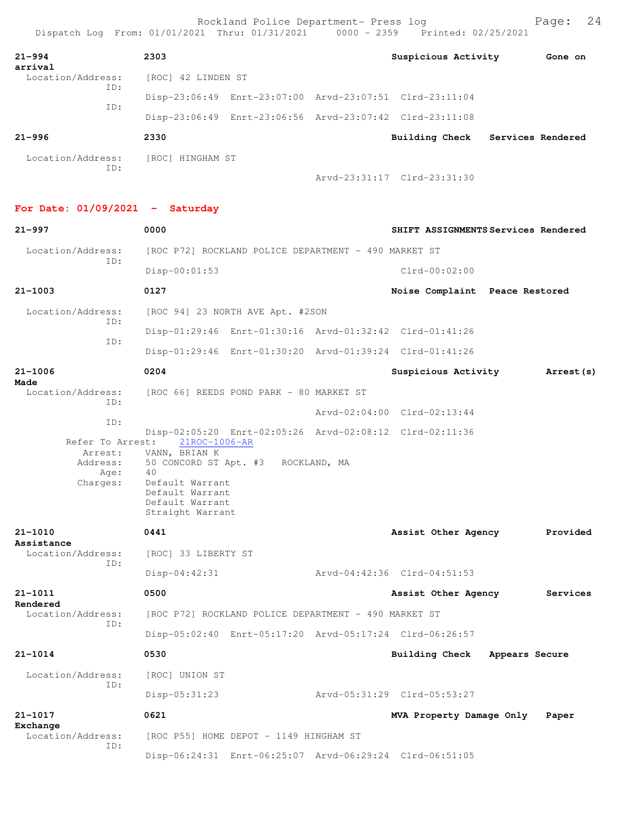| $21 - 994$<br>arrival    | 2303               |                                                         | Suspicious Activity         | Gone on                          |
|--------------------------|--------------------|---------------------------------------------------------|-----------------------------|----------------------------------|
| Location/Address:<br>ID: | [ROC] 42 LINDEN ST |                                                         |                             |                                  |
| ID:                      |                    | Disp-23:06:49 Enrt-23:07:00 Arvd-23:07:51 Clrd-23:11:04 |                             |                                  |
|                          |                    | Disp-23:06:49 Enrt-23:06:56 Arvd-23:07:42 Clrd-23:11:08 |                             |                                  |
| $21 - 996$               | 2330               |                                                         |                             | Building Check Services Rendered |
| Location/Address:<br>ID: | [ROC] HINGHAM ST   |                                                         |                             |                                  |
|                          |                    |                                                         | Arvd-23:31:17 Clrd-23:31:30 |                                  |

**For Date: 01/09/2021 - Saturday**

| $21 - 997$                                                         | 0000                                                                                                                                                           | SHIFT ASSIGNMENTS Services Rendered |                |
|--------------------------------------------------------------------|----------------------------------------------------------------------------------------------------------------------------------------------------------------|-------------------------------------|----------------|
| Location/Address:                                                  | [ROC P72] ROCKLAND POLICE DEPARTMENT - 490 MARKET ST                                                                                                           |                                     |                |
| ID:                                                                | $Disp-00:01:53$                                                                                                                                                | $Clrd-00:02:00$                     |                |
| $21 - 1003$                                                        | 0127                                                                                                                                                           | Noise Complaint Peace Restored      |                |
| Location/Address:                                                  | [ROC 94] 23 NORTH AVE Apt. #2SON                                                                                                                               |                                     |                |
| ID:                                                                | Disp-01:29:46 Enrt-01:30:16 Arvd-01:32:42 Clrd-01:41:26                                                                                                        |                                     |                |
| ID:                                                                | Disp-01:29:46 Enrt-01:30:20 Arvd-01:39:24 Clrd-01:41:26                                                                                                        |                                     |                |
| $21 - 1006$                                                        | 0204                                                                                                                                                           | Suspicious Activity                 | Arrest (s)     |
| Made<br>Location/Address:                                          | [ROC 66] REEDS POND PARK - 80 MARKET ST                                                                                                                        |                                     |                |
| TD:                                                                |                                                                                                                                                                | Arvd-02:04:00 Clrd-02:13:44         |                |
| ID:<br>Refer To Arrest:<br>Arrest:<br>Address:<br>Age:<br>Charges: | Disp-02:05:20 Enrt-02:05:26 Arvd-02:08:12 Clrd-02:11:36<br>21ROC-1006-AR<br>VANN, BRIAN K<br>50 CONCORD ST Apt. #3 ROCKLAND, MA<br>50<br>40<br>Default Warrant |                                     |                |
|                                                                    | Default Warrant<br>Default Warrant<br>Straight Warrant                                                                                                         |                                     |                |
| $21 - 1010$<br>Assistance                                          | 0441                                                                                                                                                           | Assist Other Agency                 | Provided       |
| Location/Address:<br>ID:                                           | [ROC] 33 LIBERTY ST                                                                                                                                            |                                     |                |
|                                                                    | $Disp-04:42:31$                                                                                                                                                | Arvd-04:42:36 Clrd-04:51:53         |                |
| $21 - 1011$<br>Rendered                                            | 0500                                                                                                                                                           | Assist Other Agency                 | Services       |
| Location/Address:<br>ID:                                           | [ROC P72] ROCKLAND POLICE DEPARTMENT - 490 MARKET ST                                                                                                           |                                     |                |
|                                                                    | Disp-05:02:40 Enrt-05:17:20 Arvd-05:17:24 Clrd-06:26:57                                                                                                        |                                     |                |
| $21 - 1014$                                                        | 0530                                                                                                                                                           | Building Check                      | Appears Secure |
| Location/Address:                                                  | [ROC] UNION ST                                                                                                                                                 |                                     |                |
| ID:                                                                | Disp-05:31:23                                                                                                                                                  | Arvd-05:31:29 Clrd-05:53:27         |                |
|                                                                    |                                                                                                                                                                |                                     |                |
| $21 - 1017$                                                        | 0621                                                                                                                                                           | MVA Property Damage Only            | Paper          |
| Exchange<br>Location/Address:<br>ID:                               | [ROC P55] HOME DEPOT - 1149 HINGHAM ST                                                                                                                         |                                     |                |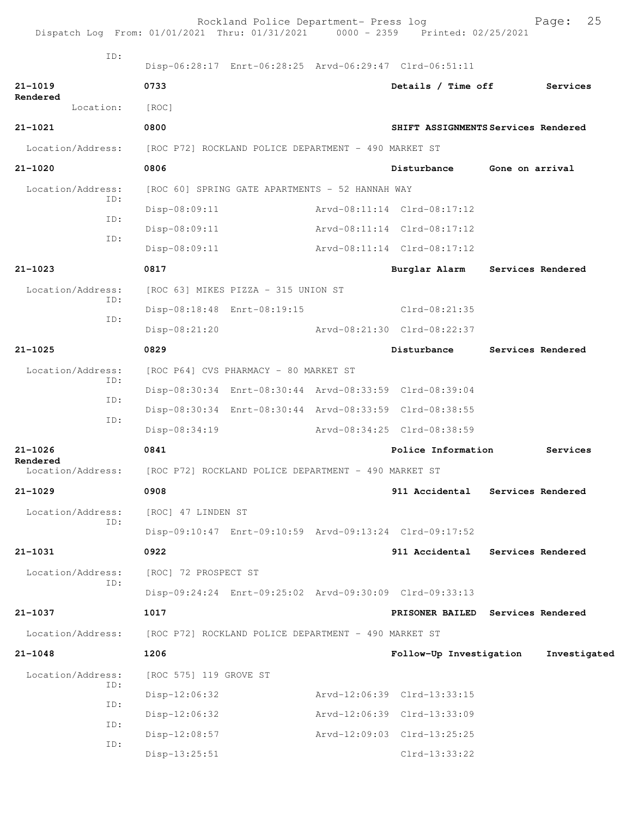|                                                                        | Dispatch Log From: 01/01/2021 Thru: 01/31/2021 0000 - 2359 Printed: 02/25/2021 | Rockland Police Department- Press log                |                                                         | 25<br>Page:       |
|------------------------------------------------------------------------|--------------------------------------------------------------------------------|------------------------------------------------------|---------------------------------------------------------|-------------------|
| ID:                                                                    |                                                                                |                                                      | Disp-06:28:17 Enrt-06:28:25 Arvd-06:29:47 Clrd-06:51:11 |                   |
| $21 - 1019$                                                            | 0733                                                                           |                                                      | Details / Time off                                      | Services          |
| Rendered<br>Location:                                                  | [ROC]                                                                          |                                                      |                                                         |                   |
| $21 - 1021$                                                            | 0800                                                                           |                                                      | SHIFT ASSIGNMENTS Services Rendered                     |                   |
| Location/Address:                                                      |                                                                                | [ROC P72] ROCKLAND POLICE DEPARTMENT - 490 MARKET ST |                                                         |                   |
| $21 - 1020$                                                            | 0806                                                                           |                                                      | Disturbance Gone on arrival                             |                   |
| Location/Address:                                                      |                                                                                | [ROC 60] SPRING GATE APARTMENTS - 52 HANNAH WAY      |                                                         |                   |
| ID:                                                                    | Disp-08:09:11                                                                  |                                                      | Arvd-08:11:14 Clrd-08:17:12                             |                   |
| ID:                                                                    | $Disp-08:09:11$                                                                |                                                      | Arvd-08:11:14 Clrd-08:17:12                             |                   |
| ID:                                                                    | Disp-08:09:11                                                                  |                                                      | Arvd-08:11:14 Clrd-08:17:12                             |                   |
| $21 - 1023$                                                            | 0817                                                                           |                                                      | Burglar Alarm                                           | Services Rendered |
| Location/Address:                                                      |                                                                                | [ROC 63] MIKES PIZZA - 315 UNION ST                  |                                                         |                   |
| ID:<br>ID:                                                             |                                                                                | Disp-08:18:48 Enrt-08:19:15                          | $Clrd-08:21:35$                                         |                   |
|                                                                        | Disp-08:21:20                                                                  |                                                      | Arvd-08:21:30 Clrd-08:22:37                             |                   |
| $21 - 1025$                                                            | 0829                                                                           |                                                      | Disturbance                                             | Services Rendered |
| Location/Address:<br>ID:                                               |                                                                                | [ROC P64] CVS PHARMACY - 80 MARKET ST                |                                                         |                   |
| ID:                                                                    |                                                                                |                                                      | Disp-08:30:34 Enrt-08:30:44 Arvd-08:33:59 Clrd-08:39:04 |                   |
| ID:                                                                    |                                                                                |                                                      | Disp-08:30:34 Enrt-08:30:44 Arvd-08:33:59 Clrd-08:38:55 |                   |
|                                                                        | Disp-08:34:19                                                                  |                                                      | Arvd-08:34:25 Clrd-08:38:59                             |                   |
| $21 - 1026$<br>Rendered                                                | 0841                                                                           |                                                      | Police Information                                      | Services          |
| Location/Address: [ROC P72] ROCKLAND POLICE DEPARTMENT - 490 MARKET ST |                                                                                |                                                      |                                                         |                   |
| $21 - 1029$                                                            | 0908                                                                           |                                                      | 911 Accidental                                          | Services Rendered |
| Location/Address:<br>ID:                                               | [ROC] 47 LINDEN ST                                                             |                                                      |                                                         |                   |
|                                                                        |                                                                                |                                                      | Disp-09:10:47 Enrt-09:10:59 Arvd-09:13:24 Clrd-09:17:52 |                   |
| $21 - 1031$                                                            | 0922                                                                           |                                                      | 911 Accidental                                          | Services Rendered |
| Location/Address:<br>ID:                                               | [ROC] 72 PROSPECT ST                                                           |                                                      |                                                         |                   |
|                                                                        |                                                                                |                                                      | Disp-09:24:24 Enrt-09:25:02 Arvd-09:30:09 Clrd-09:33:13 |                   |
| 21-1037                                                                | 1017                                                                           |                                                      | PRISONER BAILED Services Rendered                       |                   |
| Location/Address:                                                      |                                                                                | [ROC P72] ROCKLAND POLICE DEPARTMENT - 490 MARKET ST |                                                         |                   |
| $21 - 1048$                                                            | 1206                                                                           |                                                      | Follow-Up Investigation                                 | Investigated      |
| Location/Address:<br>ID:                                               | [ROC 575] 119 GROVE ST                                                         |                                                      |                                                         |                   |
| ID:                                                                    | $Disp-12:06:32$                                                                |                                                      | Arvd-12:06:39 Clrd-13:33:15                             |                   |
| ID:                                                                    | $Disp-12:06:32$                                                                |                                                      | Arvd-12:06:39 Clrd-13:33:09                             |                   |
| ID:                                                                    | Disp-12:08:57                                                                  |                                                      | Arvd-12:09:03 Clrd-13:25:25                             |                   |
|                                                                        | $Disp-13:25:51$                                                                |                                                      | $Clrd-13:33:22$                                         |                   |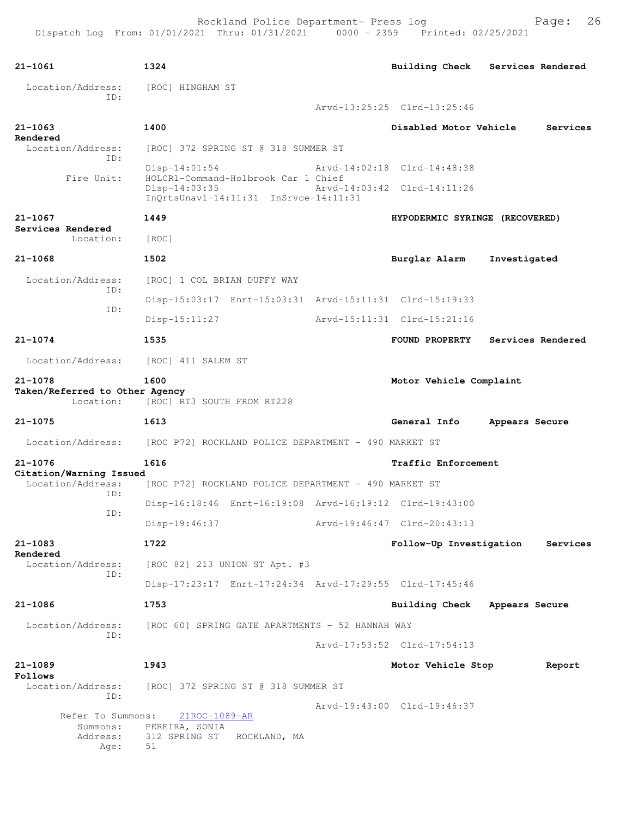| $21 - 1061$                                  | 1324                                                                                          | <b>Building Check</b>          | Services Rendered |
|----------------------------------------------|-----------------------------------------------------------------------------------------------|--------------------------------|-------------------|
| Location/Address:<br>TD:                     | [ROC] HINGHAM ST                                                                              |                                |                   |
|                                              |                                                                                               | Arvd-13:25:25 Clrd-13:25:46    |                   |
| $21 - 1063$<br>Rendered                      | 1400                                                                                          | Disabled Motor Vehicle         | Services          |
| Location/Address:<br>ID:                     | [ROC] 372 SPRING ST @ 318 SUMMER ST                                                           |                                |                   |
|                                              | $Disp-14:01:54$                                                                               | Arvd-14:02:18 Clrd-14:48:38    |                   |
| Fire Unit:                                   | HOLCR1-Command-Holbrook Car 1 Chief<br>Disp-14:03:35<br>InQrtsUnavl-14:11:31 InSrvce-14:11:31 | Arvd-14:03:42 Clrd-14:11:26    |                   |
| $21 - 1067$                                  | 1449                                                                                          | HYPODERMIC SYRINGE (RECOVERED) |                   |
| Services Rendered<br>Location:               | [ROC]                                                                                         |                                |                   |
| $21 - 1068$                                  | 1502                                                                                          | Burglar Alarm                  | Investigated      |
| Location/Address:                            | [ROC] 1 COL BRIAN DUFFY WAY                                                                   |                                |                   |
| ID:                                          | Disp-15:03:17 Enrt-15:03:31 Arvd-15:11:31 Clrd-15:19:33                                       |                                |                   |
| ID:                                          | Disp-15:11:27                                                                                 | Arvd-15:11:31 Clrd-15:21:16    |                   |
| $21 - 1074$                                  | 1535                                                                                          | FOUND PROPERTY                 | Services Rendered |
| Location/Address:                            | [ROC] 411 SALEM ST                                                                            |                                |                   |
| $21 - 1078$                                  | 1600                                                                                          | Motor Vehicle Complaint        |                   |
| Taken/Referred to Other Agency<br>Location:  | [ROC] RT3 SOUTH FROM RT228                                                                    |                                |                   |
| 21-1075                                      | 1613                                                                                          | General Info                   | Appears Secure    |
| Location/Address:                            | [ROC P72] ROCKLAND POLICE DEPARTMENT - 490 MARKET ST                                          |                                |                   |
| $21 - 1076$                                  | 1616                                                                                          | Traffic Enforcement            |                   |
| Citation/Warning Issued<br>Location/Address: | [ROC P72] ROCKLAND POLICE DEPARTMENT - 490 MARKET ST                                          |                                |                   |
| ID:                                          | Disp-16:18:46 Enrt-16:19:08 Arvd-16:19:12 Clrd-19:43:00                                       |                                |                   |
| ID:                                          | Disp-19:46:37                                                                                 | Arvd-19:46:47 Clrd-20:43:13    |                   |
|                                              |                                                                                               |                                |                   |
| $21 - 1083$<br>Rendered                      | 1722                                                                                          | Follow-Up Investigation        | Services          |
| Location/Address:<br>ID:                     | [ROC 82] 213 UNION ST Apt. #3                                                                 |                                |                   |
|                                              | Disp-17:23:17 Enrt-17:24:34 Arvd-17:29:55 Clrd-17:45:46                                       |                                |                   |
| $21 - 1086$                                  | 1753                                                                                          | <b>Building Check</b>          | Appears Secure    |
| Location/Address:                            | [ROC 60] SPRING GATE APARTMENTS - 52 HANNAH WAY                                               |                                |                   |
| ID:                                          |                                                                                               | Arvd-17:53:52 Clrd-17:54:13    |                   |
| $21 - 1089$<br>Follows                       | 1943                                                                                          | Motor Vehicle Stop             | Report            |
| Location/Address:                            | [ROC] 372 SPRING ST @ 318 SUMMER ST                                                           |                                |                   |
| ID:                                          |                                                                                               | Arvd-19:43:00 Clrd-19:46:37    |                   |
| Refer To Summons:<br>Summons:                | 21ROC-1089-AR<br>PEREIRA, SONIA                                                               |                                |                   |
| Address:<br>Age:                             | 312 SPRING ST ROCKLAND, MA<br>51                                                              |                                |                   |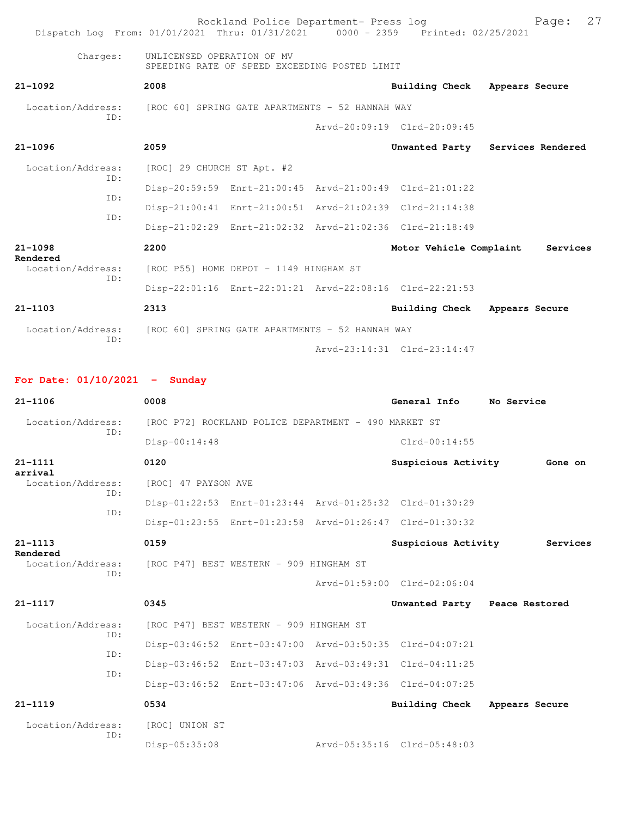| Dispatch Log From: 01/01/2021 Thru: 01/31/2021 0000 - 2359 Printed: 02/25/2021 |                                                 | Rockland Police Department- Press log                   |                             | 27<br>Page:                      |
|--------------------------------------------------------------------------------|-------------------------------------------------|---------------------------------------------------------|-----------------------------|----------------------------------|
| Charges:                                                                       | UNLICENSED OPERATION OF MV                      | SPEEDING RATE OF SPEED EXCEEDING POSTED LIMIT           |                             |                                  |
| $21 - 1092$                                                                    | 2008                                            |                                                         | Building Check              | Appears Secure                   |
| Location/Address: [ROC 60] SPRING GATE APARTMENTS - 52 HANNAH WAY              |                                                 |                                                         |                             |                                  |
| TD:                                                                            |                                                 |                                                         | Arvd-20:09:19 Clrd-20:09:45 |                                  |
| $21 - 1096$                                                                    | 2059                                            |                                                         |                             | Unwanted Party Services Rendered |
| Location/Address:                                                              | [ROC] 29 CHURCH ST Apt. #2                      |                                                         |                             |                                  |
| ID:<br>TD:                                                                     |                                                 | Disp-20:59:59 Enrt-21:00:45 Arvd-21:00:49 Clrd-21:01:22 |                             |                                  |
| TD:                                                                            |                                                 | Disp-21:00:41 Enrt-21:00:51 Arvd-21:02:39 Clrd-21:14:38 |                             |                                  |
|                                                                                |                                                 | Disp-21:02:29 Enrt-21:02:32 Arvd-21:02:36 Clrd-21:18:49 |                             |                                  |
| $21 - 1098$                                                                    | 2200                                            |                                                         | Motor Vehicle Complaint     | Services                         |
| Rendered<br>Location/Address:<br>TD:                                           |                                                 | [ROC P55] HOME DEPOT - 1149 HINGHAM ST                  |                             |                                  |
|                                                                                |                                                 | Disp-22:01:16 Enrt-22:01:21 Arvd-22:08:16 Clrd-22:21:53 |                             |                                  |
| $21 - 1103$                                                                    | 2313                                            |                                                         | Building Check              | Appears Secure                   |
| Location/Address:<br>TD:                                                       | [ROC 60] SPRING GATE APARTMENTS - 52 HANNAH WAY |                                                         |                             |                                  |
|                                                                                |                                                 |                                                         | Arvd-23:14:31 Clrd-23:14:47 |                                  |

## **For Date: 01/10/2021 - Sunday**

| $21 - 1106$              | 0008                                                    |  | General Info                | No Service     |  |  |  |
|--------------------------|---------------------------------------------------------|--|-----------------------------|----------------|--|--|--|
| Location/Address:<br>ID: | [ROC P72] ROCKLAND POLICE DEPARTMENT - 490 MARKET ST    |  |                             |                |  |  |  |
|                          | $Disp-00:14:48$                                         |  | $Clrd-00:14:55$             |                |  |  |  |
| $21 - 1111$<br>arrival   | 0120                                                    |  | Suspicious Activity         | Gone on        |  |  |  |
| Location/Address:        | [ROC] 47 PAYSON AVE                                     |  |                             |                |  |  |  |
| ID:<br>TD:               | Disp-01:22:53 Enrt-01:23:44 Arvd-01:25:32 Clrd-01:30:29 |  |                             |                |  |  |  |
|                          | Disp-01:23:55 Enrt-01:23:58 Arvd-01:26:47 Clrd-01:30:32 |  |                             |                |  |  |  |
| $21 - 1113$<br>Rendered  | 0159                                                    |  | Suspicious Activity         | Services       |  |  |  |
| Location/Address:<br>ID: | [ROC P47] BEST WESTERN - 909 HINGHAM ST                 |  |                             |                |  |  |  |
|                          |                                                         |  | Arvd-01:59:00 Clrd-02:06:04 |                |  |  |  |
| $21 - 1117$              | 0345                                                    |  | Unwanted Party              | Peace Restored |  |  |  |
| Location/Address:        | [ROC P47] BEST WESTERN - 909 HINGHAM ST                 |  |                             |                |  |  |  |
| ID:<br>TD:               | Disp-03:46:52 Enrt-03:47:00 Arvd-03:50:35 Clrd-04:07:21 |  |                             |                |  |  |  |
| TD:                      | Disp-03:46:52 Enrt-03:47:03 Arvd-03:49:31 Clrd-04:11:25 |  |                             |                |  |  |  |
|                          | Disp-03:46:52 Enrt-03:47:06 Arvd-03:49:36 Clrd-04:07:25 |  |                             |                |  |  |  |
| $21 - 1119$              | 0534                                                    |  | <b>Building Check</b>       | Appears Secure |  |  |  |
| Location/Address:<br>ID: | [ROC] UNION ST                                          |  |                             |                |  |  |  |
|                          | Disp-05:35:08                                           |  | Arvd-05:35:16 Clrd-05:48:03 |                |  |  |  |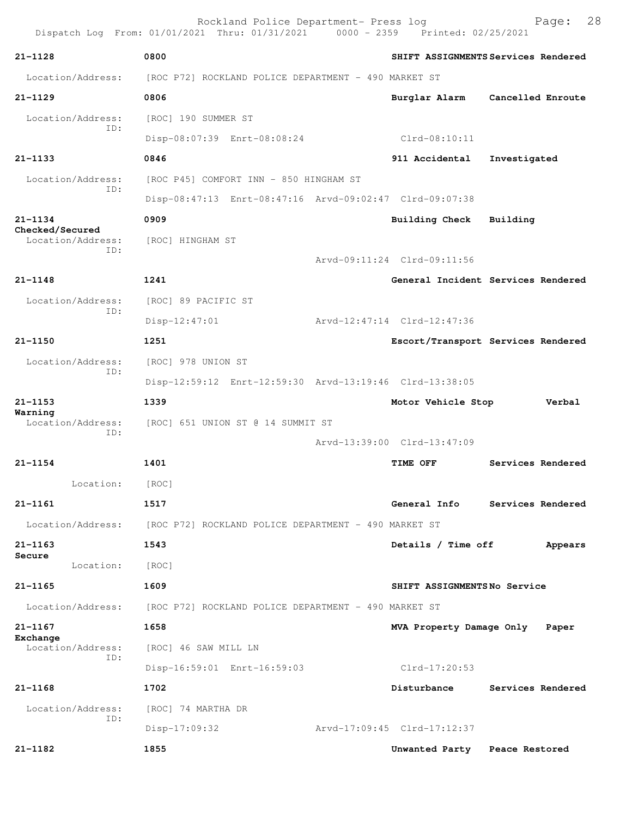|                                      | Rockland Police Department- Press log<br>Dispatch Log From: 01/01/2021 Thru: 01/31/2021 0000 - 2359 Printed: 02/25/2021 | 28<br>Page:                         |
|--------------------------------------|-------------------------------------------------------------------------------------------------------------------------|-------------------------------------|
| $21 - 1128$                          | 0800                                                                                                                    | SHIFT ASSIGNMENTS Services Rendered |
| Location/Address:                    | [ROC P72] ROCKLAND POLICE DEPARTMENT - 490 MARKET ST                                                                    |                                     |
| $21 - 1129$                          | 0806                                                                                                                    | Burglar Alarm<br>Cancelled Enroute  |
| Location/Address:                    | [ROC] 190 SUMMER ST                                                                                                     |                                     |
| ID:                                  | Disp-08:07:39 Enrt-08:08:24                                                                                             | $Clrd-08:10:11$                     |
| $21 - 1133$                          | 0846                                                                                                                    | 911 Accidental<br>Investigated      |
| Location/Address:                    | [ROC P45] COMFORT INN - 850 HINGHAM ST                                                                                  |                                     |
| ID:                                  | Disp-08:47:13 Enrt-08:47:16 Arvd-09:02:47 Clrd-09:07:38                                                                 |                                     |
| $21 - 1134$                          | 0909                                                                                                                    | Building Check<br>Building          |
| Checked/Secured<br>Location/Address: | [ROC] HINGHAM ST                                                                                                        |                                     |
| ID:                                  |                                                                                                                         | Arvd-09:11:24 Clrd-09:11:56         |
| $21 - 1148$                          | 1241                                                                                                                    | General Incident Services Rendered  |
| Location/Address:                    | [ROC] 89 PACIFIC ST                                                                                                     |                                     |
| ID:                                  | Disp-12:47:01                                                                                                           | Arvd-12:47:14 Clrd-12:47:36         |
| $21 - 1150$                          | 1251                                                                                                                    | Escort/Transport Services Rendered  |
| Location/Address:                    | [ROC] 978 UNION ST                                                                                                      |                                     |
| ID:                                  | Disp-12:59:12 Enrt-12:59:30 Arvd-13:19:46 Clrd-13:38:05                                                                 |                                     |
| $21 - 1153$                          | 1339                                                                                                                    | Motor Vehicle Stop<br>Verbal        |
| Warning<br>Location/Address:         | [ROC] 651 UNION ST @ 14 SUMMIT ST                                                                                       |                                     |
| ID:                                  |                                                                                                                         | Arvd-13:39:00 Clrd-13:47:09         |
| $21 - 1154$                          | 1401                                                                                                                    | Services Rendered<br>TIME OFF       |
| Location:                            | [ROC]                                                                                                                   |                                     |
| $21 - 1161$                          | 1517                                                                                                                    | General Info<br>Services Rendered   |
| Location/Address:                    | [ROC P72] ROCKLAND POLICE DEPARTMENT - 490 MARKET ST                                                                    |                                     |
| $21 - 1163$                          | 1543                                                                                                                    | Details / Time off<br>Appears       |
| Secure<br>Location:                  | [ROC]                                                                                                                   |                                     |
| $21 - 1165$                          | 1609                                                                                                                    | SHIFT ASSIGNMENTSNo Service         |
| Location/Address:                    | [ROC P72] ROCKLAND POLICE DEPARTMENT - 490 MARKET ST                                                                    |                                     |
| $21 - 1167$                          | 1658                                                                                                                    | MVA Property Damage Only<br>Paper   |
| Exchange<br>Location/Address:        | [ROC] 46 SAW MILL LN                                                                                                    |                                     |
| TD:                                  | Disp-16:59:01 Enrt-16:59:03                                                                                             | $Clrd-17:20:53$                     |
| $21 - 1168$                          | 1702                                                                                                                    | Disturbance<br>Services Rendered    |
| Location/Address:                    | [ROC] 74 MARTHA DR                                                                                                      |                                     |
| ID:                                  | $Disp-17:09:32$                                                                                                         | Arvd-17:09:45 Clrd-17:12:37         |
| 21-1182                              | 1855                                                                                                                    | Unwanted Party Peace Restored       |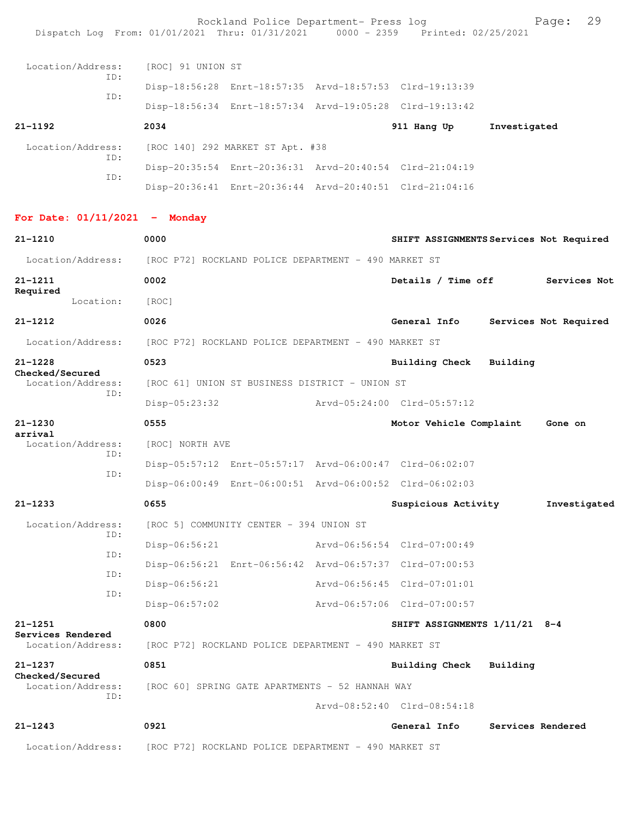Rockland Police Department- Press log entitled and Page: 29 Dispatch Log From: 01/01/2021 Thru: 01/31/2021 0000 - 2359 Printed: 02/25/2021

| Location/Address:<br>ID: | [ROC] 91 UNION ST                |                                                         |  |             |              |  |
|--------------------------|----------------------------------|---------------------------------------------------------|--|-------------|--------------|--|
|                          |                                  | Disp-18:56:28 Enrt-18:57:35 Arvd-18:57:53 Clrd-19:13:39 |  |             |              |  |
| ID:                      |                                  | Disp-18:56:34 Enrt-18:57:34 Arvd-19:05:28 Clrd-19:13:42 |  |             |              |  |
| 21-1192                  | 2034                             |                                                         |  | 911 Hang Up | Investigated |  |
| Location/Address:<br>ID: | [ROC 140] 292 MARKET ST Apt. #38 |                                                         |  |             |              |  |
| ID:                      |                                  | Disp-20:35:54 Enrt-20:36:31 Arvd-20:40:54 Clrd-21:04:19 |  |             |              |  |
|                          |                                  | Disp-20:36:41 Enrt-20:36:44 Arvd-20:40:51 Clrd-21:04:16 |  |             |              |  |

## **For Date: 01/11/2021 - Monday**

| $21 - 1210$                          | 0000                                                    |  | SHIFT ASSIGNMENTS Services Not Required |          |                       |  |  |
|--------------------------------------|---------------------------------------------------------|--|-----------------------------------------|----------|-----------------------|--|--|
| Location/Address:                    | [ROC P72] ROCKLAND POLICE DEPARTMENT - 490 MARKET ST    |  |                                         |          |                       |  |  |
| $21 - 1211$                          | 0002                                                    |  | Details / Time off                      |          | Services Not          |  |  |
| Required<br>Location:                | [ROC]                                                   |  |                                         |          |                       |  |  |
| $21 - 1212$                          | 0026                                                    |  | General Info                            |          | Services Not Required |  |  |
| Location/Address:                    | [ROC P72] ROCKLAND POLICE DEPARTMENT - 490 MARKET ST    |  |                                         |          |                       |  |  |
| $21 - 1228$                          | 0523                                                    |  | Building Check                          | Building |                       |  |  |
| Checked/Secured<br>Location/Address: | [ROC 61] UNION ST BUSINESS DISTRICT - UNION ST          |  |                                         |          |                       |  |  |
| TD:                                  | Disp-05:23:32                                           |  | Arvd-05:24:00 Clrd-05:57:12             |          |                       |  |  |
| $21 - 1230$                          | 0555                                                    |  | Motor Vehicle Complaint                 |          | Gone on               |  |  |
| arrival<br>Location/Address:         | [ROC] NORTH AVE                                         |  |                                         |          |                       |  |  |
| TD:<br>ID:                           | Disp-05:57:12 Enrt-05:57:17 Arvd-06:00:47 Clrd-06:02:07 |  |                                         |          |                       |  |  |
|                                      | Disp-06:00:49 Enrt-06:00:51 Arvd-06:00:52 Clrd-06:02:03 |  |                                         |          |                       |  |  |
| $21 - 1233$                          | 0655                                                    |  | Suspicious Activity                     |          | Investigated          |  |  |
| Location/Address:<br>ID:             | [ROC 5] COMMUNITY CENTER - 394 UNION ST                 |  |                                         |          |                       |  |  |
| ID:                                  | $Disp-06:56:21$                                         |  | Arvd-06:56:54 Clrd-07:00:49             |          |                       |  |  |
| ID:                                  | Disp-06:56:21 Enrt-06:56:42 Arvd-06:57:37 Clrd-07:00:53 |  |                                         |          |                       |  |  |
| ID:                                  | $Disp-06:56:21$                                         |  | Arvd-06:56:45 Clrd-07:01:01             |          |                       |  |  |
|                                      | $Disp-06:57:02$                                         |  | Arvd-06:57:06 Clrd-07:00:57             |          |                       |  |  |
| $21 - 1251$<br>Services Rendered     | 0800                                                    |  | SHIFT ASSIGNMENTS 1/11/21 8-4           |          |                       |  |  |
| Location/Address:                    | [ROC P72] ROCKLAND POLICE DEPARTMENT - 490 MARKET ST    |  |                                         |          |                       |  |  |
| $21 - 1237$<br>Checked/Secured       | 0851                                                    |  | Building Check                          | Building |                       |  |  |
| Location/Address:<br>ID:             | [ROC 60] SPRING GATE APARTMENTS - 52 HANNAH WAY         |  |                                         |          |                       |  |  |
|                                      |                                                         |  | Arvd-08:52:40 Clrd-08:54:18             |          |                       |  |  |
| $21 - 1243$                          | 0921                                                    |  | General Info                            |          | Services Rendered     |  |  |
| Location/Address:                    | [ROC P72] ROCKLAND POLICE DEPARTMENT - 490 MARKET ST    |  |                                         |          |                       |  |  |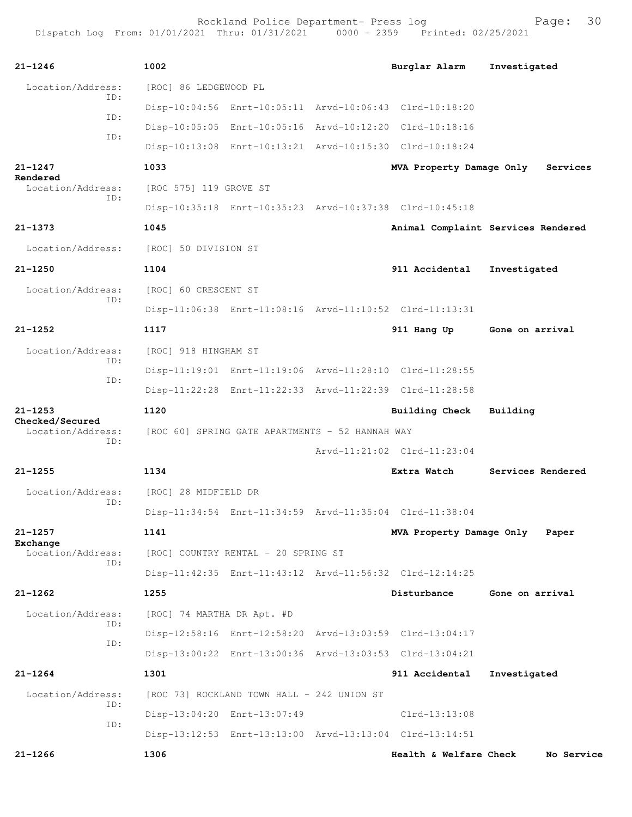| $21 - 1246$                          | 1002                                            |                                            |  | Burglar Alarm                                           | Investigated                       |
|--------------------------------------|-------------------------------------------------|--------------------------------------------|--|---------------------------------------------------------|------------------------------------|
| Location/Address:                    | [ROC] 86 LEDGEWOOD PL                           |                                            |  |                                                         |                                    |
| ID:                                  |                                                 |                                            |  | Disp-10:04:56 Enrt-10:05:11 Arvd-10:06:43 Clrd-10:18:20 |                                    |
| ID:                                  |                                                 |                                            |  | Disp-10:05:05 Enrt-10:05:16 Arvd-10:12:20 Clrd-10:18:16 |                                    |
| ID:                                  |                                                 |                                            |  | Disp-10:13:08 Enrt-10:13:21 Arvd-10:15:30 Clrd-10:18:24 |                                    |
| $21 - 1247$                          | 1033                                            |                                            |  | MVA Property Damage Only                                | Services                           |
| Rendered<br>Location/Address:        | [ROC 575] 119 GROVE ST                          |                                            |  |                                                         |                                    |
| ID:                                  |                                                 |                                            |  | Disp-10:35:18 Enrt-10:35:23 Arvd-10:37:38 Clrd-10:45:18 |                                    |
| $21 - 1373$                          | 1045                                            |                                            |  |                                                         | Animal Complaint Services Rendered |
| Location/Address:                    | [ROC] 50 DIVISION ST                            |                                            |  |                                                         |                                    |
| $21 - 1250$                          | 1104                                            |                                            |  | 911 Accidental                                          | Investigated                       |
| Location/Address:                    | [ROC] 60 CRESCENT ST                            |                                            |  |                                                         |                                    |
| ID:                                  |                                                 |                                            |  | Disp-11:06:38 Enrt-11:08:16 Arvd-11:10:52 Clrd-11:13:31 |                                    |
| $21 - 1252$                          | 1117                                            |                                            |  | 911 Hang Up                                             | Gone on arrival                    |
| Location/Address:                    | [ROC] 918 HINGHAM ST                            |                                            |  |                                                         |                                    |
| TD:                                  |                                                 |                                            |  | Disp-11:19:01 Enrt-11:19:06 Arvd-11:28:10 Clrd-11:28:55 |                                    |
| ID:                                  |                                                 |                                            |  | Disp-11:22:28 Enrt-11:22:33 Arvd-11:22:39 Clrd-11:28:58 |                                    |
| $21 - 1253$                          | 1120                                            |                                            |  | Building Check                                          | Building                           |
| Checked/Secured<br>Location/Address: | [ROC 60] SPRING GATE APARTMENTS - 52 HANNAH WAY |                                            |  |                                                         |                                    |
| TD:                                  |                                                 |                                            |  | Arvd-11:21:02 Clrd-11:23:04                             |                                    |
| $21 - 1255$                          | 1134                                            |                                            |  | Extra Watch                                             | Services Rendered                  |
| Location/Address:                    | [ROC] 28 MIDFIELD DR                            |                                            |  |                                                         |                                    |
| TD:                                  |                                                 |                                            |  | Disp-11:34:54 Enrt-11:34:59 Arvd-11:35:04 Clrd-11:38:04 |                                    |
| $21 - 1257$                          | 1141                                            |                                            |  | MVA Property Damage Only                                | Paper                              |
| Exchange<br>Location/Address:        |                                                 | [ROC] COUNTRY RENTAL - 20 SPRING ST        |  |                                                         |                                    |
| ID:                                  |                                                 |                                            |  | Disp-11:42:35 Enrt-11:43:12 Arvd-11:56:32 Clrd-12:14:25 |                                    |
| $21 - 1262$                          | 1255                                            |                                            |  | Disturbance                                             | Gone on arrival                    |
| Location/Address:                    | [ROC] 74 MARTHA DR Apt. #D                      |                                            |  |                                                         |                                    |
| TD:                                  |                                                 |                                            |  | Disp-12:58:16 Enrt-12:58:20 Arvd-13:03:59 Clrd-13:04:17 |                                    |
| ID:                                  |                                                 |                                            |  | Disp-13:00:22 Enrt-13:00:36 Arvd-13:03:53 Clrd-13:04:21 |                                    |
| $21 - 1264$                          | 1301                                            |                                            |  | 911 Accidental                                          | Investigated                       |
| Location/Address:                    |                                                 | [ROC 73] ROCKLAND TOWN HALL - 242 UNION ST |  |                                                         |                                    |
| ID:                                  |                                                 | Disp-13:04:20 Enrt-13:07:49                |  | $Clrd-13:13:08$                                         |                                    |
| ID:                                  |                                                 |                                            |  | Disp-13:12:53 Enrt-13:13:00 Arvd-13:13:04 Clrd-13:14:51 |                                    |
| $21 - 1266$                          | 1306                                            |                                            |  | Health & Welfare Check                                  | No Service                         |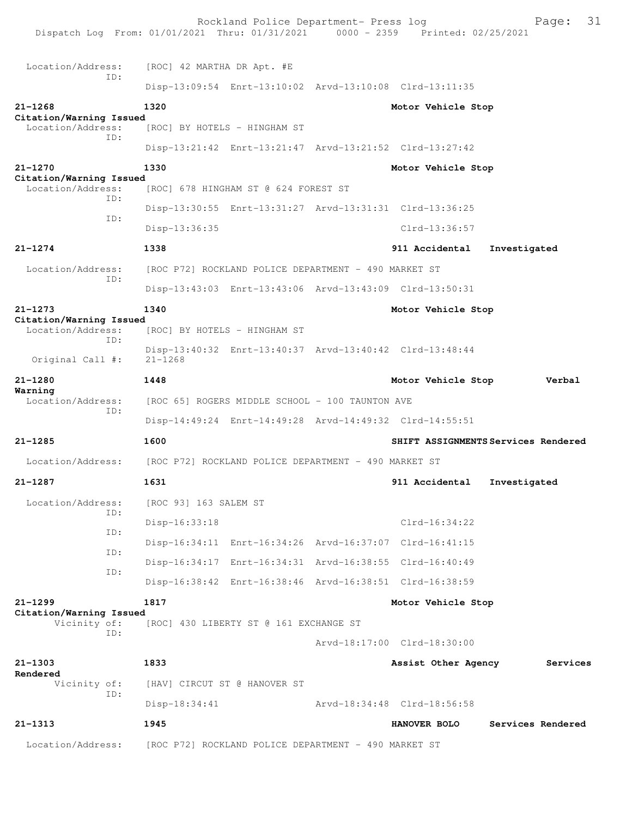| Dispatch Log From: 01/01/2021 Thru: 01/31/2021 0000 - 2359 Printed: 02/25/2021 |                                                      | Rockland Police Department- Press log                |                                                         | 31<br>Page:                         |
|--------------------------------------------------------------------------------|------------------------------------------------------|------------------------------------------------------|---------------------------------------------------------|-------------------------------------|
| Location/Address:                                                              | [ROC] 42 MARTHA DR Apt. #E                           |                                                      |                                                         |                                     |
| ID:                                                                            |                                                      |                                                      | Disp-13:09:54 Enrt-13:10:02 Arvd-13:10:08 Clrd-13:11:35 |                                     |
| $21 - 1268$                                                                    | 1320                                                 |                                                      | Motor Vehicle Stop                                      |                                     |
| Citation/Warning Issued<br>Location/Address:                                   |                                                      | [ROC] BY HOTELS - HINGHAM ST                         |                                                         |                                     |
| ID:                                                                            |                                                      |                                                      | Disp-13:21:42 Enrt-13:21:47 Arvd-13:21:52 Clrd-13:27:42 |                                     |
| $21 - 1270$                                                                    | 1330                                                 |                                                      | Motor Vehicle Stop                                      |                                     |
| Citation/Warning Issued<br>Location/Address:                                   |                                                      | [ROC] 678 HINGHAM ST @ 624 FOREST ST                 |                                                         |                                     |
| ID:                                                                            |                                                      |                                                      |                                                         |                                     |
| ID:                                                                            |                                                      |                                                      | Disp-13:30:55 Enrt-13:31:27 Arvd-13:31:31 Clrd-13:36:25 |                                     |
|                                                                                | Disp-13:36:35                                        |                                                      | Clrd-13:36:57                                           |                                     |
| $21 - 1274$                                                                    | 1338                                                 |                                                      | 911 Accidental                                          | Investigated                        |
| Location/Address:<br>ID:                                                       |                                                      | [ROC P72] ROCKLAND POLICE DEPARTMENT - 490 MARKET ST |                                                         |                                     |
|                                                                                |                                                      |                                                      | Disp-13:43:03 Enrt-13:43:06 Arvd-13:43:09 Clrd-13:50:31 |                                     |
| $21 - 1273$<br>Citation/Warning Issued                                         | 1340                                                 |                                                      | Motor Vehicle Stop                                      |                                     |
| Location/Address:<br>ID:                                                       |                                                      | [ROC] BY HOTELS - HINGHAM ST                         |                                                         |                                     |
| Original Call #:                                                               | $21 - 1268$                                          |                                                      | Disp-13:40:32 Enrt-13:40:37 Arvd-13:40:42 Clrd-13:48:44 |                                     |
| $21 - 1280$                                                                    | 1448                                                 |                                                      | Motor Vehicle Stop                                      | Verbal                              |
| Warning<br>Location/Address:                                                   |                                                      | [ROC 65] ROGERS MIDDLE SCHOOL - 100 TAUNTON AVE      |                                                         |                                     |
| ID:                                                                            |                                                      |                                                      | Disp-14:49:24 Enrt-14:49:28 Arvd-14:49:32 Clrd-14:55:51 |                                     |
| $21 - 1285$                                                                    | 1600                                                 |                                                      |                                                         | SHIFT ASSIGNMENTS Services Rendered |
| Location/Address:                                                              | [ROC P72] ROCKLAND POLICE DEPARTMENT - 490 MARKET ST |                                                      |                                                         |                                     |
| 21-1287                                                                        | 1631                                                 |                                                      | 911 Accidental                                          | Investigated                        |
| Location/Address:                                                              | [ROC 93] 163 SALEM ST                                |                                                      |                                                         |                                     |
| ID:                                                                            |                                                      |                                                      | $Clrd-16:34:22$                                         |                                     |
| ID:                                                                            | Disp-16:33:18                                        |                                                      |                                                         |                                     |
| ID:                                                                            |                                                      |                                                      | Disp-16:34:11 Enrt-16:34:26 Arvd-16:37:07 Clrd-16:41:15 |                                     |
| ID:                                                                            |                                                      |                                                      | Disp-16:34:17 Enrt-16:34:31 Arvd-16:38:55 Clrd-16:40:49 |                                     |
|                                                                                |                                                      |                                                      | Disp-16:38:42 Enrt-16:38:46 Arvd-16:38:51 Clrd-16:38:59 |                                     |
| $21 - 1299$<br>Citation/Warning Issued                                         | 1817                                                 |                                                      | Motor Vehicle Stop                                      |                                     |
| Vicinity of:<br>ID:                                                            |                                                      | [ROC] 430 LIBERTY ST @ 161 EXCHANGE ST               |                                                         |                                     |
|                                                                                |                                                      |                                                      | Arvd-18:17:00 Clrd-18:30:00                             |                                     |
| $21 - 1303$<br>Rendered                                                        | 1833                                                 |                                                      | Assist Other Agency                                     | Services                            |
| Vicinity of:<br>ID:                                                            |                                                      | [HAV] CIRCUT ST @ HANOVER ST                         |                                                         |                                     |
|                                                                                | $Disp-18:34:41$                                      |                                                      | Arvd-18:34:48 Clrd-18:56:58                             |                                     |
| $21 - 1313$                                                                    | 1945                                                 |                                                      | <b>HANOVER BOLO</b>                                     | Services Rendered                   |
| Location/Address:                                                              |                                                      | [ROC P72] ROCKLAND POLICE DEPARTMENT - 490 MARKET ST |                                                         |                                     |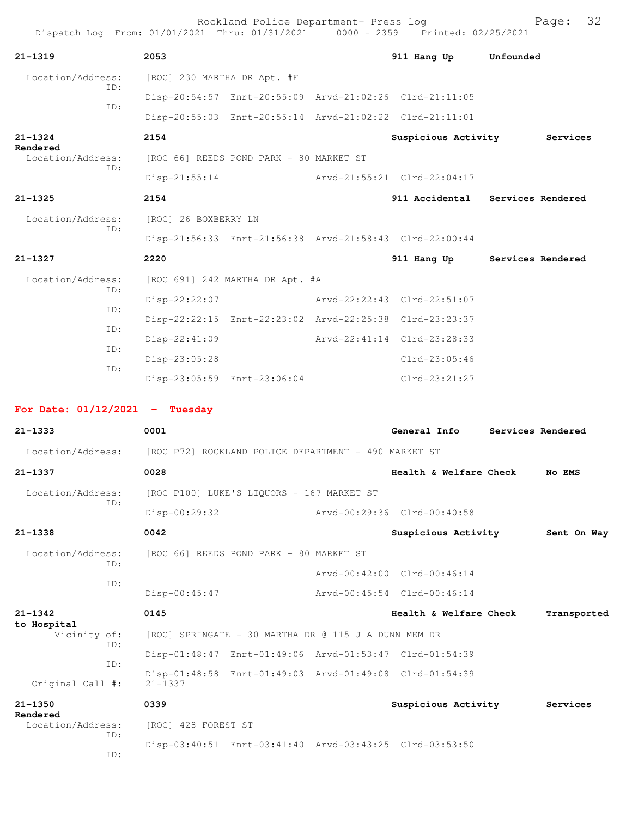| Dispatch Log From: 01/01/2021 Thru: 01/31/2021 0000 - 2359 Printed: 02/25/2021 |                                                         | Rockland Police Department- Press log |                                  |                   | Page:       | 32 |
|--------------------------------------------------------------------------------|---------------------------------------------------------|---------------------------------------|----------------------------------|-------------------|-------------|----|
| $21 - 1319$                                                                    | 2053                                                    |                                       | 911 Hang Up Unfounded            |                   |             |    |
| Location/Address:                                                              | [ROC] 230 MARTHA DR Apt. #F                             |                                       |                                  |                   |             |    |
| ID:                                                                            | Disp-20:54:57 Enrt-20:55:09 Arvd-21:02:26 Clrd-21:11:05 |                                       |                                  |                   |             |    |
| ID:                                                                            | Disp-20:55:03 Enrt-20:55:14 Arvd-21:02:22 Clrd-21:11:01 |                                       |                                  |                   |             |    |
| $21 - 1324$                                                                    | 2154                                                    |                                       | Suspicious Activity Services     |                   |             |    |
| Rendered<br>Location/Address:                                                  | [ROC 66] REEDS POND PARK - 80 MARKET ST                 |                                       |                                  |                   |             |    |
| ID:                                                                            | $Disp-21:55:14$                                         |                                       | Arvd-21:55:21 Clrd-22:04:17      |                   |             |    |
| $21 - 1325$                                                                    | 2154                                                    |                                       | 911 Accidental Services Rendered |                   |             |    |
| Location/Address:                                                              | [ROC] 26 BOXBERRY LN                                    |                                       |                                  |                   |             |    |
| ID:                                                                            | Disp-21:56:33 Enrt-21:56:38 Arvd-21:58:43 Clrd-22:00:44 |                                       |                                  |                   |             |    |
| $21 - 1327$                                                                    | 2220                                                    |                                       | 911 Hang Up                      | Services Rendered |             |    |
| Location/Address:                                                              | [ROC 691] 242 MARTHA DR Apt. #A                         |                                       |                                  |                   |             |    |
| ID:                                                                            | Disp-22:22:07                                           |                                       | Arvd-22:22:43 Clrd-22:51:07      |                   |             |    |
| ID:                                                                            | Disp-22:22:15 Enrt-22:23:02 Arvd-22:25:38 Clrd-23:23:37 |                                       |                                  |                   |             |    |
| ID:                                                                            | $Disp-22:41:09$                                         |                                       | Arvd-22:41:14 Clrd-23:28:33      |                   |             |    |
| ID:                                                                            | Disp-23:05:28                                           |                                       | $Clrd-23:05:46$                  |                   |             |    |
| ID:                                                                            | Disp-23:05:59 Enrt-23:06:04                             |                                       | $Clrd-23:21:27$                  |                   |             |    |
| For Date: $01/12/2021$ - Tuesday                                               |                                                         |                                       |                                  |                   |             |    |
| $21 - 1333$                                                                    | 0001                                                    |                                       | General Info                     | Services Rendered |             |    |
| Location/Address: [ROC P72] ROCKLAND POLICE DEPARTMENT - 490 MARKET ST         |                                                         |                                       |                                  |                   |             |    |
| 21-1337                                                                        | 0028                                                    |                                       | Health & Welfare Check           |                   | No EMS      |    |
| Location/Address:                                                              | [ROC P100] LUKE'S LIQUORS - 167 MARKET ST               |                                       |                                  |                   |             |    |
| ID:                                                                            | $Disp-00:29:32$                                         |                                       | Arvd-00:29:36 Clrd-00:40:58      |                   |             |    |
| $21 - 1338$                                                                    | 0042                                                    |                                       | Suspicious Activity              |                   | Sent On Way |    |
| Location/Address:                                                              | [ROC 66] REEDS POND PARK - 80 MARKET ST                 |                                       |                                  |                   |             |    |
| ID:                                                                            |                                                         |                                       | Arvd-00:42:00 Clrd-00:46:14      |                   |             |    |
| ID:                                                                            | $Disp-00:45:47$                                         |                                       | Arvd-00:45:54 Clrd-00:46:14      |                   |             |    |
| $21 - 1342$                                                                    | 0145                                                    |                                       | Health & Welfare Check           |                   | Transported |    |
| to Hospital<br>Vicinity of:                                                    | [ROC] SPRINGATE - 30 MARTHA DR @ 115 J A DUNN MEM DR    |                                       |                                  |                   |             |    |
| ID:                                                                            | Disp-01:48:47 Enrt-01:49:06 Arvd-01:53:47 Clrd-01:54:39 |                                       |                                  |                   |             |    |
| ID:                                                                            | Disp-01:48:58 Enrt-01:49:03 Arvd-01:49:08 Clrd-01:54:39 |                                       |                                  |                   |             |    |
| Original Call #:                                                               | $21 - 1337$                                             |                                       |                                  |                   |             |    |
| $21 - 1350$<br>Rendered                                                        | 0339                                                    |                                       | Suspicious Activity Services     |                   |             |    |
| Location/Address:<br>ID:                                                       | [ROC] 428 FOREST ST                                     |                                       |                                  |                   |             |    |
| ID:                                                                            | Disp-03:40:51 Enrt-03:41:40 Arvd-03:43:25 Clrd-03:53:50 |                                       |                                  |                   |             |    |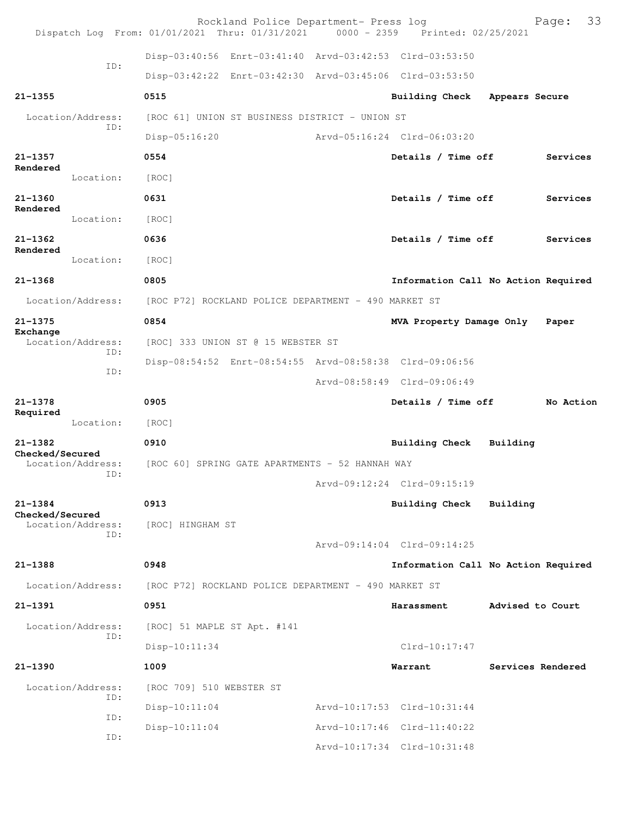|                                      |                          | Rockland Police Department- Press log<br>Dispatch Log From: 01/01/2021 Thru: 01/31/2021 0000 - 2359 Printed: 02/25/2021 |                             |                                     |                   | 33<br>Page: |
|--------------------------------------|--------------------------|-------------------------------------------------------------------------------------------------------------------------|-----------------------------|-------------------------------------|-------------------|-------------|
|                                      |                          | Disp-03:40:56 Enrt-03:41:40 Arvd-03:42:53 Clrd-03:53:50                                                                 |                             |                                     |                   |             |
|                                      | ID:                      | Disp-03:42:22 Enrt-03:42:30 Arvd-03:45:06 Clrd-03:53:50                                                                 |                             |                                     |                   |             |
| $21 - 1355$                          |                          | 0515                                                                                                                    |                             | Building Check                      | Appears Secure    |             |
|                                      | Location/Address:        | [ROC 61] UNION ST BUSINESS DISTRICT - UNION ST                                                                          |                             |                                     |                   |             |
|                                      | ID:                      | Disp-05:16:20                                                                                                           |                             | Arvd-05:16:24 Clrd-06:03:20         |                   |             |
| $21 - 1357$                          |                          | 0554                                                                                                                    |                             | Details / Time off                  |                   | Services    |
| Rendered                             | Location:                | [ROC]                                                                                                                   |                             |                                     |                   |             |
| $21 - 1360$                          |                          | 0631                                                                                                                    |                             | Details / Time off                  |                   | Services    |
| Rendered                             | Location:                | [ROC]                                                                                                                   |                             |                                     |                   |             |
| $21 - 1362$                          |                          | 0636                                                                                                                    |                             | Details / Time off                  |                   | Services    |
| Rendered                             | Location:                | [ROC]                                                                                                                   |                             |                                     |                   |             |
| $21 - 1368$                          |                          | 0805                                                                                                                    |                             | Information Call No Action Required |                   |             |
|                                      | Location/Address:        | [ROC P72] ROCKLAND POLICE DEPARTMENT - 490 MARKET ST                                                                    |                             |                                     |                   |             |
| $21 - 1375$                          |                          | 0854                                                                                                                    |                             | MVA Property Damage Only            |                   | Paper       |
| Exchange                             | Location/Address:        | [ROC] 333 UNION ST @ 15 WEBSTER ST                                                                                      |                             |                                     |                   |             |
|                                      | ID:                      | Disp-08:54:52 Enrt-08:54:55 Arvd-08:58:38 Clrd-09:06:56                                                                 |                             |                                     |                   |             |
|                                      | ID:                      |                                                                                                                         |                             | Arvd-08:58:49 Clrd-09:06:49         |                   |             |
| $21 - 1378$<br>Required              |                          | 0905                                                                                                                    |                             | Details / Time off                  |                   | No Action   |
|                                      | Location:                | [ROC]                                                                                                                   |                             |                                     |                   |             |
| $21 - 1382$<br>Checked/Secured       |                          | 0910                                                                                                                    |                             | <b>Building Check</b>               | Building          |             |
|                                      | Location/Address:<br>ID: | [ROC 60] SPRING GATE APARTMENTS - 52 HANNAH WAY                                                                         |                             |                                     |                   |             |
|                                      |                          |                                                                                                                         | Arvd-09:12:24 Clrd-09:15:19 |                                     |                   |             |
| $21 - 1384$                          |                          |                                                                                                                         |                             |                                     |                   |             |
| Checked/Secured<br>Location/Address: |                          | 0913                                                                                                                    |                             | Building Check                      | Building          |             |
|                                      |                          | [ROC] HINGHAM ST                                                                                                        |                             |                                     |                   |             |
|                                      | ID:                      |                                                                                                                         |                             | Arvd-09:14:04 Clrd-09:14:25         |                   |             |
| 21-1388                              |                          | 0948                                                                                                                    |                             | Information Call No Action Required |                   |             |
|                                      | Location/Address:        | [ROC P72] ROCKLAND POLICE DEPARTMENT - 490 MARKET ST                                                                    |                             |                                     |                   |             |
| $21 - 1391$                          |                          | 0951                                                                                                                    |                             | Harassment                          | Advised to Court  |             |
|                                      | Location/Address:        | [ROC] 51 MAPLE ST Apt. #141                                                                                             |                             |                                     |                   |             |
|                                      | ID:                      | Disp-10:11:34                                                                                                           |                             | Clrd-10:17:47                       |                   |             |
| $21 - 1390$                          |                          | 1009                                                                                                                    |                             | Warrant                             | Services Rendered |             |
|                                      | Location/Address:        | [ROC 709] 510 WEBSTER ST                                                                                                |                             |                                     |                   |             |
|                                      | ID:                      | Disp-10:11:04                                                                                                           |                             | Arvd-10:17:53 Clrd-10:31:44         |                   |             |
|                                      | ID:<br>ID:               | Disp-10:11:04                                                                                                           |                             | Arvd-10:17:46 Clrd-11:40:22         |                   |             |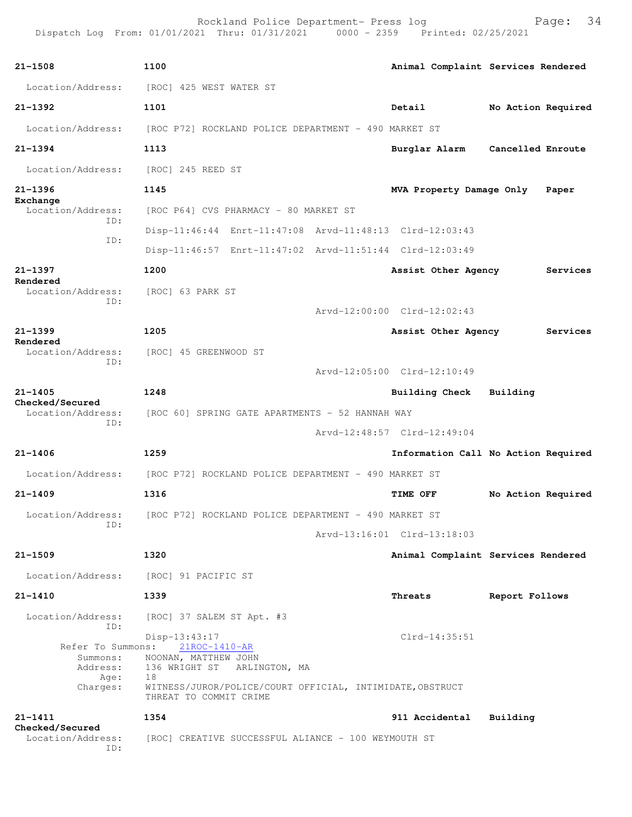| $21 - 1508$                                                            | 1100                                                                                                    |                                                                            |                             |          | Animal Complaint Services Rendered  |                    |                    |
|------------------------------------------------------------------------|---------------------------------------------------------------------------------------------------------|----------------------------------------------------------------------------|-----------------------------|----------|-------------------------------------|--------------------|--------------------|
| Location/Address:                                                      | [ROC] 425 WEST WATER ST                                                                                 |                                                                            |                             |          |                                     |                    |                    |
| $21 - 1392$                                                            | 1101                                                                                                    |                                                                            |                             | Detail   |                                     | No Action Required |                    |
| Location/Address:                                                      |                                                                                                         | [ROC P72] ROCKLAND POLICE DEPARTMENT - 490 MARKET ST                       |                             |          |                                     |                    |                    |
| $21 - 1394$                                                            | 1113                                                                                                    |                                                                            |                             |          | Burglar Alarm                       | Cancelled Enroute  |                    |
| Location/Address:                                                      | [ROC] 245 REED ST                                                                                       |                                                                            |                             |          |                                     |                    |                    |
| $21 - 1396$                                                            | 1145                                                                                                    |                                                                            |                             |          | MVA Property Damage Only            |                    | Paper              |
| Exchange<br>Location/Address:                                          |                                                                                                         | [ROC P64] CVS PHARMACY - 80 MARKET ST                                      |                             |          |                                     |                    |                    |
| ID:                                                                    |                                                                                                         | Disp-11:46:44 Enrt-11:47:08 Arvd-11:48:13 Clrd-12:03:43                    |                             |          |                                     |                    |                    |
| ID:                                                                    |                                                                                                         | Disp-11:46:57 Enrt-11:47:02 Arvd-11:51:44 Clrd-12:03:49                    |                             |          |                                     |                    |                    |
| $21 - 1397$                                                            | 1200                                                                                                    |                                                                            |                             |          | Assist Other Agency                 |                    | Services           |
| Rendered<br>Location/Address:                                          | [ROC] 63 PARK ST                                                                                        |                                                                            |                             |          |                                     |                    |                    |
| ID:                                                                    |                                                                                                         |                                                                            | Arvd-12:00:00 Clrd-12:02:43 |          |                                     |                    |                    |
| $21 - 1399$                                                            | 1205                                                                                                    |                                                                            |                             |          | Assist Other Agency                 |                    | Services           |
| Rendered<br>Location/Address:                                          | [ROC] 45 GREENWOOD ST                                                                                   |                                                                            |                             |          |                                     |                    |                    |
| ID:                                                                    |                                                                                                         |                                                                            | Arvd-12:05:00 Clrd-12:10:49 |          |                                     |                    |                    |
| $21 - 1405$                                                            | 1248                                                                                                    |                                                                            |                             |          | <b>Building Check</b>               | Building           |                    |
| Checked/Secured<br>Location/Address:                                   |                                                                                                         | [ROC 60] SPRING GATE APARTMENTS - 52 HANNAH WAY                            |                             |          |                                     |                    |                    |
| ID:                                                                    |                                                                                                         |                                                                            | Arvd-12:48:57 Clrd-12:49:04 |          |                                     |                    |                    |
| $21 - 1406$                                                            | 1259                                                                                                    |                                                                            |                             |          | Information Call No Action Required |                    |                    |
| Location/Address:                                                      | [ROC P72] ROCKLAND POLICE DEPARTMENT - 490 MARKET ST                                                    |                                                                            |                             |          |                                     |                    |                    |
| $21 - 1409$                                                            | 1316                                                                                                    |                                                                            |                             | TIME OFF |                                     |                    | No Action Required |
| Location/Address: [ROC P72] ROCKLAND POLICE DEPARTMENT - 490 MARKET ST |                                                                                                         |                                                                            |                             |          |                                     |                    |                    |
| ID:                                                                    |                                                                                                         |                                                                            | Arvd-13:16:01 Clrd-13:18:03 |          |                                     |                    |                    |
| $21 - 1509$                                                            | 1320                                                                                                    |                                                                            |                             |          | Animal Complaint Services Rendered  |                    |                    |
| Location/Address:                                                      | [ROC] 91 PACIFIC ST                                                                                     |                                                                            |                             |          |                                     |                    |                    |
| $21 - 1410$                                                            | 1339                                                                                                    |                                                                            |                             | Threats  |                                     | Report Follows     |                    |
| Location/Address:<br>ID:                                               | [ROC] 37 SALEM ST Apt. #3                                                                               |                                                                            |                             |          |                                     |                    |                    |
| Refer To Summons:<br>Summons:<br>Address:<br>Age:<br>Charges:          | Disp-13:43:17<br>21ROC-1410-AR<br>NOONAN, MATTHEW JOHN<br>136 WRIGHT ST<br>18<br>THREAT TO COMMIT CRIME | ARLINGTON, MA<br>WITNESS/JUROR/POLICE/COURT OFFICIAL, INTIMIDATE, OBSTRUCT |                             |          | $Clrd-14:35:51$                     |                    |                    |
| $21 - 1411$                                                            | 1354                                                                                                    |                                                                            |                             |          | 911 Accidental                      | Building           |                    |
| Checked/Secured<br>Location/Address:<br>ID:                            |                                                                                                         | [ROC] CREATIVE SUCCESSFUL ALIANCE - 100 WEYMOUTH ST                        |                             |          |                                     |                    |                    |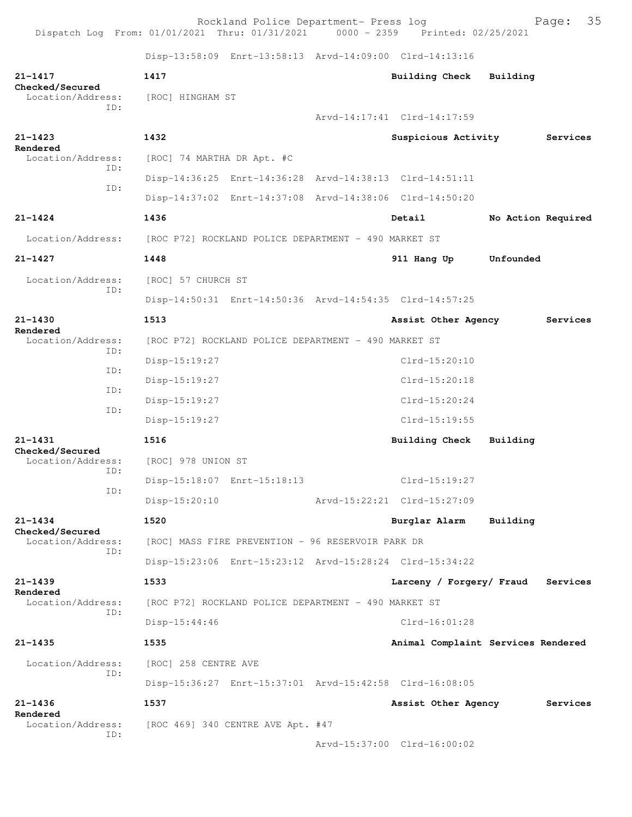Rockland Police Department- Press log entitled and Page: 35 Dispatch Log From: 01/01/2021 Thru: 01/31/2021 0000 - 2359 Printed: 02/25/2021

Disp-13:58:09 Enrt-13:58:13 Arvd-14:09:00 Clrd-14:13:16

| 21-1417<br>Checked/Secured                  | 1417                                                    | Building Check                     | Building           |          |
|---------------------------------------------|---------------------------------------------------------|------------------------------------|--------------------|----------|
| Location/Address:<br>ID:                    | [ROC] HINGHAM ST                                        |                                    |                    |          |
|                                             |                                                         | Arvd-14:17:41 Clrd-14:17:59        |                    |          |
| $21 - 1423$                                 | 1432                                                    | Suspicious Activity                |                    | Services |
| Rendered<br>Location/Address:<br>ID:<br>ID: | [ROC] 74 MARTHA DR Apt. #C                              |                                    |                    |          |
|                                             | Disp-14:36:25 Enrt-14:36:28 Arvd-14:38:13 Clrd-14:51:11 |                                    |                    |          |
|                                             | Disp-14:37:02 Enrt-14:37:08 Arvd-14:38:06 Clrd-14:50:20 |                                    |                    |          |
| $21 - 1424$                                 | 1436                                                    | Detail                             | No Action Required |          |
| Location/Address:                           | [ROC P72] ROCKLAND POLICE DEPARTMENT - 490 MARKET ST    |                                    |                    |          |
| $21 - 1427$                                 | 1448                                                    | 911 Hang Up                        | Unfounded          |          |
| Location/Address:                           | [ROC] 57 CHURCH ST                                      |                                    |                    |          |
| TD:                                         | Disp-14:50:31 Enrt-14:50:36 Arvd-14:54:35 Clrd-14:57:25 |                                    |                    |          |
| $21 - 1430$                                 | 1513                                                    | Assist Other Agency                |                    | Services |
| Rendered<br>Location/Address:               | [ROC P72] ROCKLAND POLICE DEPARTMENT - 490 MARKET ST    |                                    |                    |          |
| ID:                                         | Disp-15:19:27                                           | Clrd-15:20:10                      |                    |          |
| ID:                                         | Disp-15:19:27                                           | Clrd-15:20:18                      |                    |          |
| ID:                                         | Disp-15:19:27                                           | $Clrd-15:20:24$                    |                    |          |
| ID:                                         | Disp-15:19:27                                           | Clrd-15:19:55                      |                    |          |
| $21 - 1431$                                 | 1516                                                    | Building Check                     | Building           |          |
| Checked/Secured<br>Location/Address:        | [ROC] 978 UNION ST                                      |                                    |                    |          |
| ID:                                         | Disp-15:18:07 Enrt-15:18:13                             | $Clrd-15:19:27$                    |                    |          |
| ID:                                         | Disp-15:20:10                                           | Arvd-15:22:21 Clrd-15:27:09        |                    |          |
| $21 - 1434$                                 | 1520                                                    | Burglar Alarm                      | Building           |          |
| Checked/Secured<br>Location/Address:        | [ROC] MASS FIRE PREVENTION - 96 RESERVOIR PARK DR       |                                    |                    |          |
| ID:                                         | Disp-15:23:06 Enrt-15:23:12 Arvd-15:28:24 Clrd-15:34:22 |                                    |                    |          |
| $21 - 1439$                                 | 1533                                                    | Larceny / Forgery/ Fraud           |                    | Services |
| Rendered<br>Location/Address:               | [ROC P72] ROCKLAND POLICE DEPARTMENT - 490 MARKET ST    |                                    |                    |          |
| ID:                                         | $Disp-15:44:46$                                         | Clrd-16:01:28                      |                    |          |
| 21-1435                                     | 1535                                                    | Animal Complaint Services Rendered |                    |          |
| Location/Address:                           | [ROC] 258 CENTRE AVE                                    |                                    |                    |          |
| ID:                                         | Disp-15:36:27 Enrt-15:37:01 Arvd-15:42:58 Clrd-16:08:05 |                                    |                    |          |
| $21 - 1436$                                 | 1537                                                    | Assist Other Agency                |                    | Services |
| Rendered<br>Location/Address:               | [ROC 469] 340 CENTRE AVE Apt. #47                       |                                    |                    |          |
| ID:                                         |                                                         | Arvd-15:37:00 Clrd-16:00:02        |                    |          |
|                                             |                                                         |                                    |                    |          |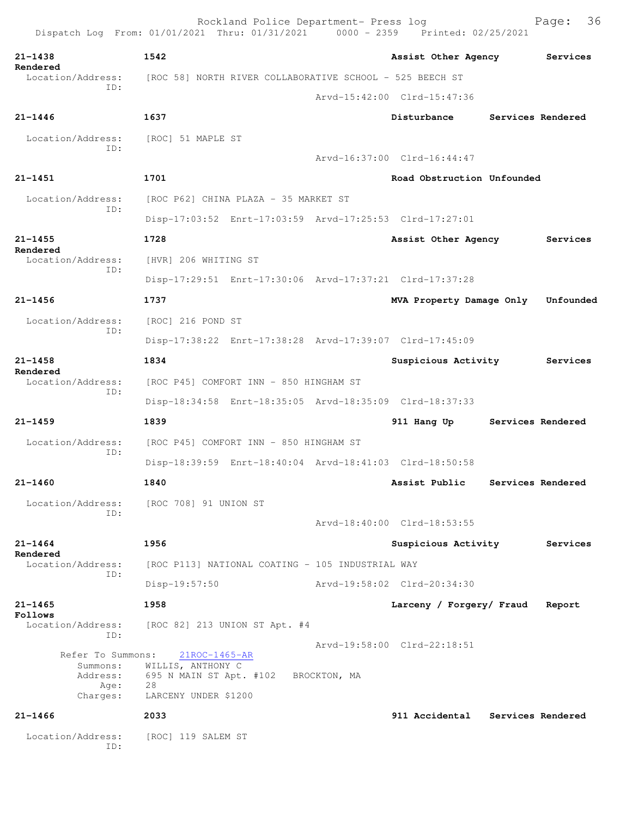| Dispatch Log From: 01/01/2021 Thru: 01/31/2021 0000 - 2359 Printed: 02/25/2021 |                                                                                             | Rockland Police Department- Press log            |              |                                                         | 36<br>Page:       |
|--------------------------------------------------------------------------------|---------------------------------------------------------------------------------------------|--------------------------------------------------|--------------|---------------------------------------------------------|-------------------|
| $21 - 1438$                                                                    | 1542                                                                                        |                                                  |              | Assist Other Agency Services                            |                   |
| Rendered<br>Location/Address:                                                  | [ROC 58] NORTH RIVER COLLABORATIVE SCHOOL - 525 BEECH ST                                    |                                                  |              |                                                         |                   |
| TD:                                                                            |                                                                                             |                                                  |              | Arvd-15:42:00 Clrd-15:47:36                             |                   |
| $21 - 1446$                                                                    | 1637                                                                                        |                                                  |              | Disturbance Services Rendered                           |                   |
| Location/Address:                                                              | [ROC] 51 MAPLE ST                                                                           |                                                  |              |                                                         |                   |
| TD:                                                                            |                                                                                             |                                                  |              | Arvd-16:37:00 Clrd-16:44:47                             |                   |
| $21 - 1451$                                                                    | 1701                                                                                        |                                                  |              | Road Obstruction Unfounded                              |                   |
| Location/Address:                                                              |                                                                                             | [ROC P62] CHINA PLAZA - 35 MARKET ST             |              |                                                         |                   |
| ID:                                                                            |                                                                                             |                                                  |              | Disp-17:03:52 Enrt-17:03:59 Arvd-17:25:53 Clrd-17:27:01 |                   |
| $21 - 1455$<br>Rendered                                                        | 1728                                                                                        |                                                  |              | Assist Other Agency                                     | Services          |
| Location/Address:                                                              | [HVR] 206 WHITING ST                                                                        |                                                  |              |                                                         |                   |
| ID:                                                                            |                                                                                             |                                                  |              | Disp-17:29:51 Enrt-17:30:06 Arvd-17:37:21 Clrd-17:37:28 |                   |
| $21 - 1456$                                                                    | 1737                                                                                        |                                                  |              | MVA Property Damage Only Unfounded                      |                   |
| Location/Address:                                                              | [ROC] 216 POND ST                                                                           |                                                  |              |                                                         |                   |
| TD:                                                                            |                                                                                             |                                                  |              | Disp-17:38:22 Enrt-17:38:28 Arvd-17:39:07 Clrd-17:45:09 |                   |
| $21 - 1458$<br>Rendered                                                        | 1834                                                                                        |                                                  |              | Suspicious Activity                                     | Services          |
| Location/Address:                                                              |                                                                                             | [ROC P45] COMFORT INN - 850 HINGHAM ST           |              |                                                         |                   |
| ID:                                                                            |                                                                                             |                                                  |              | Disp-18:34:58 Enrt-18:35:05 Arvd-18:35:09 Clrd-18:37:33 |                   |
| $21 - 1459$                                                                    | 1839                                                                                        |                                                  |              | 911 Hang Up Services Rendered                           |                   |
| Location/Address:<br>TD:                                                       |                                                                                             | [ROC P45] COMFORT INN - 850 HINGHAM ST           |              |                                                         |                   |
|                                                                                |                                                                                             |                                                  |              | Disp-18:39:59 Enrt-18:40:04 Arvd-18:41:03 Clrd-18:50:58 |                   |
| 21-1460                                                                        | 1840                                                                                        |                                                  |              | Assist Public                                           | Services Rendered |
| Location/Address:<br>ID:                                                       | [ROC 708] 91 UNION ST                                                                       |                                                  |              |                                                         |                   |
|                                                                                |                                                                                             |                                                  |              | Arvd-18:40:00 Clrd-18:53:55                             |                   |
| $21 - 1464$<br>Rendered                                                        | 1956                                                                                        |                                                  |              | Suspicious Activity                                     | Services          |
| Location/Address:<br>ID:                                                       |                                                                                             | [ROC P113] NATIONAL COATING - 105 INDUSTRIAL WAY |              |                                                         |                   |
|                                                                                | $Disp-19:57:50$                                                                             |                                                  |              | Arvd-19:58:02 Clrd-20:34:30                             |                   |
| $21 - 1465$<br>Follows                                                         | 1958                                                                                        |                                                  |              | Larceny / Forgery/ Fraud                                | Report            |
| Location/Address:<br>ID:                                                       |                                                                                             | [ROC 82] 213 UNION ST Apt. #4                    |              |                                                         |                   |
| Refer To Summons:<br>Summons:<br>Address:<br>Age:<br>Charges:                  | 21ROC-1465-AR<br>WILLIS, ANTHONY C<br>695 N MAIN ST Apt. #102<br>28<br>LARCENY UNDER \$1200 |                                                  | BROCKTON, MA | Arvd-19:58:00 Clrd-22:18:51                             |                   |
| $21 - 1466$                                                                    | 2033                                                                                        |                                                  |              | 911 Accidental                                          | Services Rendered |
| Location/Address:<br>ID:                                                       | [ROC] 119 SALEM ST                                                                          |                                                  |              |                                                         |                   |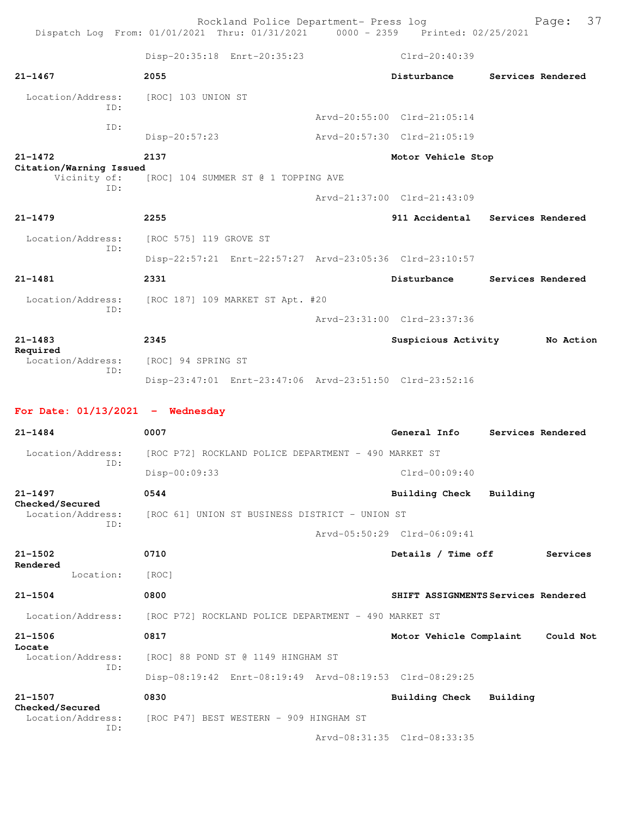|                                         | Rockland Police Department- Press log<br>Dispatch Log From: 01/01/2021 Thru: 01/31/2021 0000 - 2359 Printed: 02/25/2021 |                                     |          | 37<br>Page:       |
|-----------------------------------------|-------------------------------------------------------------------------------------------------------------------------|-------------------------------------|----------|-------------------|
|                                         | Disp-20:35:18 Enrt-20:35:23                                                                                             | $Clrd-20:40:39$                     |          |                   |
| $21 - 1467$                             | 2055                                                                                                                    | Disturbance                         |          | Services Rendered |
| Location/Address:                       | [ROC] 103 UNION ST                                                                                                      |                                     |          |                   |
| TD:                                     |                                                                                                                         | Arvd-20:55:00 Clrd-21:05:14         |          |                   |
| ID:                                     | $Disp-20:57:23$                                                                                                         | Arvd-20:57:30 Clrd-21:05:19         |          |                   |
| $21 - 1472$                             | 2137                                                                                                                    | Motor Vehicle Stop                  |          |                   |
| Citation/Warning Issued<br>Vicinity of: | [ROC] 104 SUMMER ST @ 1 TOPPING AVE                                                                                     |                                     |          |                   |
| ID:                                     |                                                                                                                         | Arvd-21:37:00 Clrd-21:43:09         |          |                   |
| $21 - 1479$                             | 2255                                                                                                                    | 911 Accidental Services Rendered    |          |                   |
| Location/Address:                       | [ROC 575] 119 GROVE ST                                                                                                  |                                     |          |                   |
| ID:                                     | Disp-22:57:21 Enrt-22:57:27 Arvd-23:05:36 Clrd-23:10:57                                                                 |                                     |          |                   |
| $21 - 1481$                             | 2331                                                                                                                    | Disturbance                         |          | Services Rendered |
| Location/Address:                       | [ROC 187] 109 MARKET ST Apt. #20                                                                                        |                                     |          |                   |
| ID:                                     |                                                                                                                         | Arvd-23:31:00 Clrd-23:37:36         |          |                   |
| $21 - 1483$                             | 2345                                                                                                                    | Suspicious Activity                 |          | No Action         |
| Required<br>Location/Address:<br>ID:    | [ROC] 94 SPRING ST                                                                                                      |                                     |          |                   |
|                                         | Disp-23:47:01 Enrt-23:47:06 Arvd-23:51:50 Clrd-23:52:16                                                                 |                                     |          |                   |
| For Date: $01/13/2021$ - Wednesday      |                                                                                                                         |                                     |          |                   |
| $21 - 1484$                             | 0007                                                                                                                    | General Info                        |          | Services Rendered |
| Location/Address:                       | [ROC P72] ROCKLAND POLICE DEPARTMENT - 490 MARKET ST                                                                    |                                     |          |                   |
| TD:                                     | $Disp-00:09:33$                                                                                                         | $Clrd-00:09:40$                     |          |                   |
| $21 - 1497$                             | 0544                                                                                                                    | <b>Building Check</b>               | Building |                   |
| Checked/Secured<br>Location/Address:    | [ROC 61] UNION ST BUSINESS DISTRICT - UNION ST                                                                          |                                     |          |                   |
| ID:                                     |                                                                                                                         | Arvd-05:50:29 Clrd-06:09:41         |          |                   |
| $21 - 1502$                             | 0710                                                                                                                    | Details / Time off                  |          | Services          |
| Rendered<br>Location:                   | [ROC]                                                                                                                   |                                     |          |                   |
| $21 - 1504$                             | 0800                                                                                                                    | SHIFT ASSIGNMENTS Services Rendered |          |                   |
| Location/Address:                       | [ROC P72] ROCKLAND POLICE DEPARTMENT - 490 MARKET ST                                                                    |                                     |          |                   |
| $21 - 1506$                             | 0817                                                                                                                    | Motor Vehicle Complaint             |          | Could Not         |
| Locate<br>Location/Address:             | [ROC] 88 POND ST @ 1149 HINGHAM ST                                                                                      |                                     |          |                   |
| ID:                                     | Disp-08:19:42 Enrt-08:19:49 Arvd-08:19:53 Clrd-08:29:25                                                                 |                                     |          |                   |
| $21 - 1507$                             | 0830                                                                                                                    | Building Check                      | Building |                   |
| Checked/Secured<br>Location/Address:    | [ROC P47] BEST WESTERN - 909 HINGHAM ST                                                                                 |                                     |          |                   |
| ID:                                     |                                                                                                                         | Arvd-08:31:35 Clrd-08:33:35         |          |                   |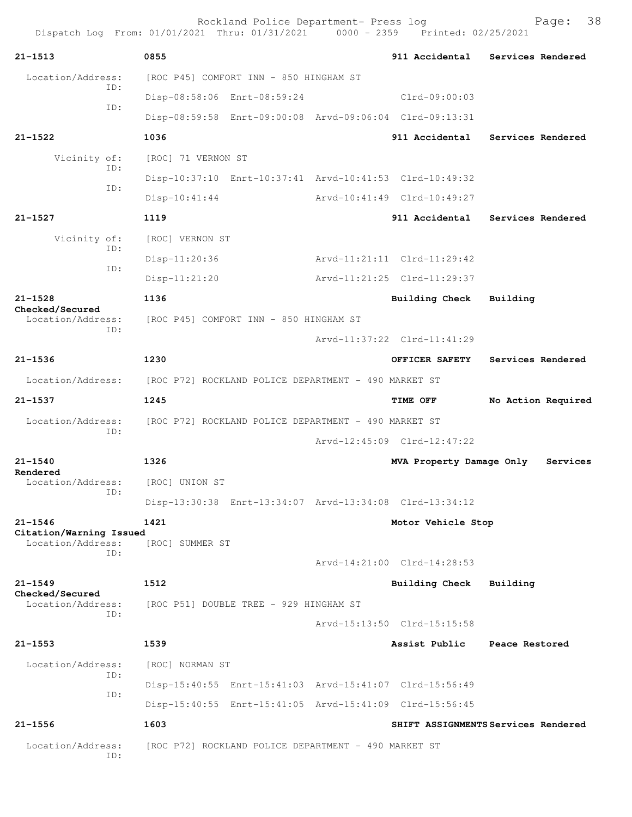|                                              | Rockland Police Department- Press log<br>Dispatch Log From: 01/01/2021 Thru: 01/31/2021 0000 - 2359 Printed: 02/25/2021 |                             | 38<br>Page:                         |
|----------------------------------------------|-------------------------------------------------------------------------------------------------------------------------|-----------------------------|-------------------------------------|
| $21 - 1513$                                  | 0855                                                                                                                    | 911 Accidental              | Services Rendered                   |
| Location/Address:<br>TD:                     | [ROC P45] COMFORT INN - 850 HINGHAM ST                                                                                  |                             |                                     |
| ID:                                          | Disp-08:58:06 Enrt-08:59:24                                                                                             | Clrd-09:00:03               |                                     |
|                                              | Disp-08:59:58 Enrt-09:00:08 Arvd-09:06:04 Clrd-09:13:31                                                                 |                             |                                     |
| $21 - 1522$                                  | 1036                                                                                                                    | 911 Accidental              | Services Rendered                   |
| Vicinity of:<br>ID:                          | [ROC] 71 VERNON ST                                                                                                      |                             |                                     |
| TD:                                          | Disp-10:37:10 Enrt-10:37:41 Arvd-10:41:53 Clrd-10:49:32                                                                 |                             |                                     |
|                                              | $Disp-10:41:44$                                                                                                         | Arvd-10:41:49 Clrd-10:49:27 |                                     |
| $21 - 1527$                                  | 1119                                                                                                                    |                             | 911 Accidental Services Rendered    |
| Vicinity of:<br>ID:                          | [ROC] VERNON ST                                                                                                         |                             |                                     |
| ID:                                          | Disp-11:20:36                                                                                                           | Arvd-11:21:11 Clrd-11:29:42 |                                     |
|                                              | $Disp-11:21:20$                                                                                                         | Arvd-11:21:25 Clrd-11:29:37 |                                     |
| $21 - 1528$<br>Checked/Secured               | 1136                                                                                                                    | Building Check              | Building                            |
| Location/Address:<br>ID:                     | [ROC P45] COMFORT INN - 850 HINGHAM ST                                                                                  |                             |                                     |
|                                              |                                                                                                                         | Arvd-11:37:22 Clrd-11:41:29 |                                     |
| $21 - 1536$                                  | 1230                                                                                                                    | OFFICER SAFETY              | Services Rendered                   |
| Location/Address:                            | [ROC P72] ROCKLAND POLICE DEPARTMENT - 490 MARKET ST                                                                    |                             |                                     |
| $21 - 1537$                                  | 1245                                                                                                                    | TIME OFF                    | No Action Required                  |
| Location/Address:                            | [ROC P72] ROCKLAND POLICE DEPARTMENT - 490 MARKET ST                                                                    |                             |                                     |
| ID:                                          |                                                                                                                         | Arvd-12:45:09 Clrd-12:47:22 |                                     |
| $21 - 1540$                                  | 1326                                                                                                                    | MVA Property Damage Only    | Services                            |
| Rendered<br>Location/Address:                | [ROC] UNION ST                                                                                                          |                             |                                     |
| ID:                                          | Disp-13:30:38 Enrt-13:34:07 Arvd-13:34:08 Clrd-13:34:12                                                                 |                             |                                     |
| $21 - 1546$                                  | 1421                                                                                                                    | Motor Vehicle Stop          |                                     |
| Citation/Warning Issued<br>Location/Address: | [ROC] SUMMER ST                                                                                                         |                             |                                     |
| TD:                                          |                                                                                                                         | Arvd-14:21:00 Clrd-14:28:53 |                                     |
| $21 - 1549$                                  | 1512                                                                                                                    | <b>Building Check</b>       | Building                            |
| Checked/Secured<br>Location/Address:         | [ROC P51] DOUBLE TREE - 929 HINGHAM ST                                                                                  |                             |                                     |
| TD:                                          |                                                                                                                         | Arvd-15:13:50 Clrd-15:15:58 |                                     |
| $21 - 1553$                                  | 1539                                                                                                                    | Assist Public               | Peace Restored                      |
| Location/Address:                            | [ROC] NORMAN ST                                                                                                         |                             |                                     |
| ID:                                          | Disp-15:40:55 Enrt-15:41:03 Arvd-15:41:07 Clrd-15:56:49                                                                 |                             |                                     |
| ID:                                          | Disp-15:40:55 Enrt-15:41:05 Arvd-15:41:09 Clrd-15:56:45                                                                 |                             |                                     |
| $21 - 1556$                                  | 1603                                                                                                                    |                             | SHIFT ASSIGNMENTS Services Rendered |
| Location/Address:<br>ID:                     | [ROC P72] ROCKLAND POLICE DEPARTMENT - 490 MARKET ST                                                                    |                             |                                     |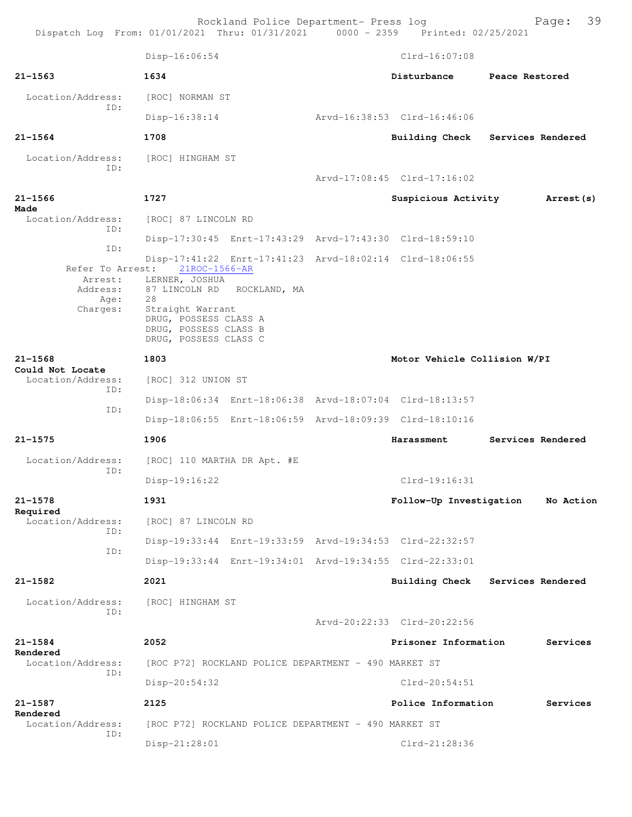Rockland Police Department- Press log Page: 39

Disp-16:06:54 Clrd-16:07:08 **21-1563 1634 Disturbance Peace Restored** Location/Address: [ROC] NORMAN ST ID: Disp-16:38:14 Arvd-16:38:53 Clrd-16:46:06 **21-1564 1708 Building Check Services Rendered** Location/Address: [ROC] HINGHAM ST ID: Arvd-17:08:45 Clrd-17:16:02 **21-1566 1727 Suspicious Activity Arrest(s) Made**  Location/Address: [ROC] 87 LINCOLN RD ID: Disp-17:30:45 Enrt-17:43:29 Arvd-17:43:30 Clrd-18:59:10 ID: Disp-17:41:22 Enrt-17:41:23 Arvd-18:02:14 Clrd-18:06:55 Refer To Arrest: 21ROC-1566-AR Arrest: LERNER, JOSHUA<br>Address: 87 LINCOLN RD 87 LINCOLN RD ROCKLAND, MA Age:<br>Charges: Straight Warrant DRUG, POSSESS CLASS A DRUG, POSSESS CLASS B DRUG, POSSESS CLASS C **21-1568 1803 Motor Vehicle Collision W/PI Could Not Locate**  Location/Address: [ROC] 312 UNION ST ID: Disp-18:06:34 Enrt-18:06:38 Arvd-18:07:04 Clrd-18:13:57 ID: Disp-18:06:55 Enrt-18:06:59 Arvd-18:09:39 Clrd-18:10:16 **21-1575 1906 Harassment Services Rendered** Location/Address: [ROC] 110 MARTHA DR Apt. #E ID: Disp-19:16:22 Clrd-19:16:31 **21-1578 1931 Follow-Up Investigation No Action Required**  Location/Address: [ROC] 87 LINCOLN RD ID: Disp-19:33:44 Enrt-19:33:59 Arvd-19:34:53 Clrd-22:32:57 ID: Disp-19:33:44 Enrt-19:34:01 Arvd-19:34:55 Clrd-22:33:01 **21-1582 2021 Building Check Services Rendered** Location/Address: [ROC] HINGHAM ST ID: Arvd-20:22:33 Clrd-20:22:56 **21-1584 2052 Prisoner Information Services Rendered**  Location/Address: [ROC P72] ROCKLAND POLICE DEPARTMENT - 490 MARKET ST ID: Disp-20:54:32 Clrd-20:54:51 **21-1587 2125 Police Information Services Rendered**  Location/Address: [ROC P72] ROCKLAND POLICE DEPARTMENT - 490 MARKET ST ID: Disp-21:28:01 Clrd-21:28:36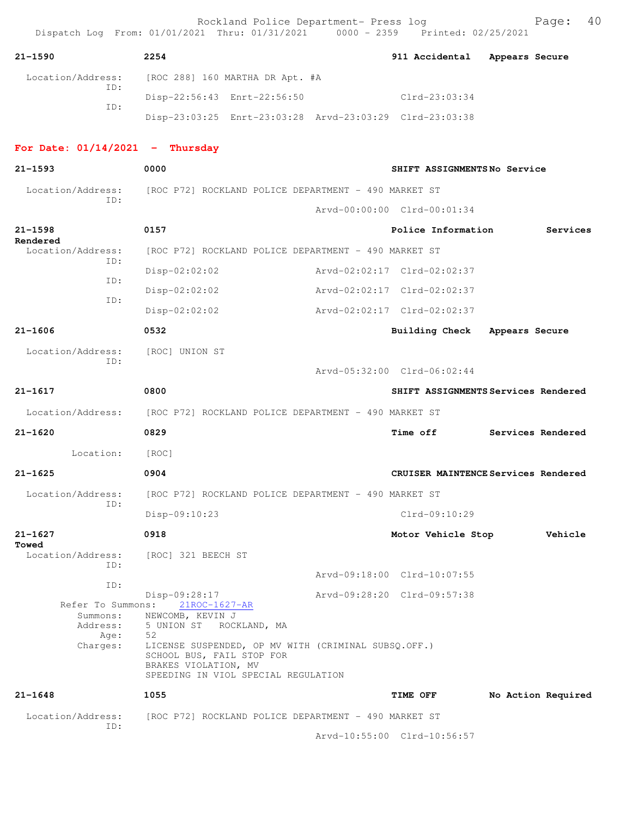|                                   | Rockland Police Department- Press log<br>Dispatch Log From: 01/01/2021 Thru: 01/31/2021 0000 - 2359 Printed: 02/25/2021                         |                                     |                | 40<br>Page:        |
|-----------------------------------|-------------------------------------------------------------------------------------------------------------------------------------------------|-------------------------------------|----------------|--------------------|
| $21 - 1590$                       | 2254                                                                                                                                            | 911 Accidental                      | Appears Secure |                    |
| Location/Address:                 | [ROC 288] 160 MARTHA DR Apt. #A                                                                                                                 |                                     |                |                    |
| TD:                               | Disp-22:56:43 Enrt-22:56:50                                                                                                                     | Clrd-23:03:34                       |                |                    |
| ID:                               | Disp-23:03:25 Enrt-23:03:28 Arvd-23:03:29 Clrd-23:03:38                                                                                         |                                     |                |                    |
| For Date: $01/14/2021$ - Thursday |                                                                                                                                                 |                                     |                |                    |
| $21 - 1593$                       | 0000                                                                                                                                            | SHIFT ASSIGNMENTSNo Service         |                |                    |
| Location/Address:                 | [ROC P72] ROCKLAND POLICE DEPARTMENT - 490 MARKET ST                                                                                            |                                     |                |                    |
| ID:                               |                                                                                                                                                 | Arvd-00:00:00 Clrd-00:01:34         |                |                    |
| $21 - 1598$                       | 0157                                                                                                                                            | Police Information                  |                | Services           |
| Rendered<br>Location/Address:     | [ROC P72] ROCKLAND POLICE DEPARTMENT - 490 MARKET ST                                                                                            |                                     |                |                    |
| ID:                               | Disp-02:02:02                                                                                                                                   | Arvd-02:02:17 Clrd-02:02:37         |                |                    |
| ID:                               | Disp-02:02:02                                                                                                                                   | Arvd-02:02:17 Clrd-02:02:37         |                |                    |
| ID:                               | Disp-02:02:02                                                                                                                                   | Arvd-02:02:17 Clrd-02:02:37         |                |                    |
| $21 - 1606$                       | 0532                                                                                                                                            | Building Check                      | Appears Secure |                    |
| Location/Address:                 | [ROC] UNION ST                                                                                                                                  |                                     |                |                    |
| ID:                               |                                                                                                                                                 | Arvd-05:32:00 Clrd-06:02:44         |                |                    |
| $21 - 1617$                       | 0800                                                                                                                                            | SHIFT ASSIGNMENTS Services Rendered |                |                    |
| Location/Address:                 | [ROC P72] ROCKLAND POLICE DEPARTMENT - 490 MARKET ST                                                                                            |                                     |                |                    |
| $21 - 1620$                       | 0829                                                                                                                                            | Time off                            |                | Services Rendered  |
| Location:                         | [ROC]                                                                                                                                           |                                     |                |                    |
| $21 - 1625$                       | 0904                                                                                                                                            | CRUISER MAINTENCE Services Rendered |                |                    |
| Location/Address:                 | [ROC P72] ROCKLAND POLICE DEPARTMENT - 490 MARKET ST                                                                                            |                                     |                |                    |
| ID:                               | Disp-09:10:23                                                                                                                                   | Clrd-09:10:29                       |                |                    |
| $21 - 1627$<br>Towed              | 0918                                                                                                                                            | Motor Vehicle Stop                  |                | Vehicle            |
| Location/Address:                 | [ROC] 321 BEECH ST                                                                                                                              |                                     |                |                    |
| ID:<br>ID:                        |                                                                                                                                                 | Arvd-09:18:00 Clrd-10:07:55         |                |                    |
| Refer To Summons:                 | Disp-09:28:17                                                                                                                                   | Arvd-09:28:20 Clrd-09:57:38         |                |                    |
| Summons:<br>Address:              | 21ROC-1627-AR<br>NEWCOMB, KEVIN J<br>5 UNION ST ROCKLAND, MA                                                                                    |                                     |                |                    |
| Age:                              | 52                                                                                                                                              |                                     |                |                    |
| Charges:                          | LICENSE SUSPENDED, OP MV WITH (CRIMINAL SUBSQ.OFF.)<br>SCHOOL BUS, FAIL STOP FOR<br>BRAKES VIOLATION, MV<br>SPEEDING IN VIOL SPECIAL REGULATION |                                     |                |                    |
| $21 - 1648$                       | 1055                                                                                                                                            | <b>TIME OFF</b>                     |                | No Action Required |
| Location/Address:                 | [ROC P72] ROCKLAND POLICE DEPARTMENT - 490 MARKET ST                                                                                            |                                     |                |                    |
| ID:                               |                                                                                                                                                 | Arvd-10:55:00 Clrd-10:56:57         |                |                    |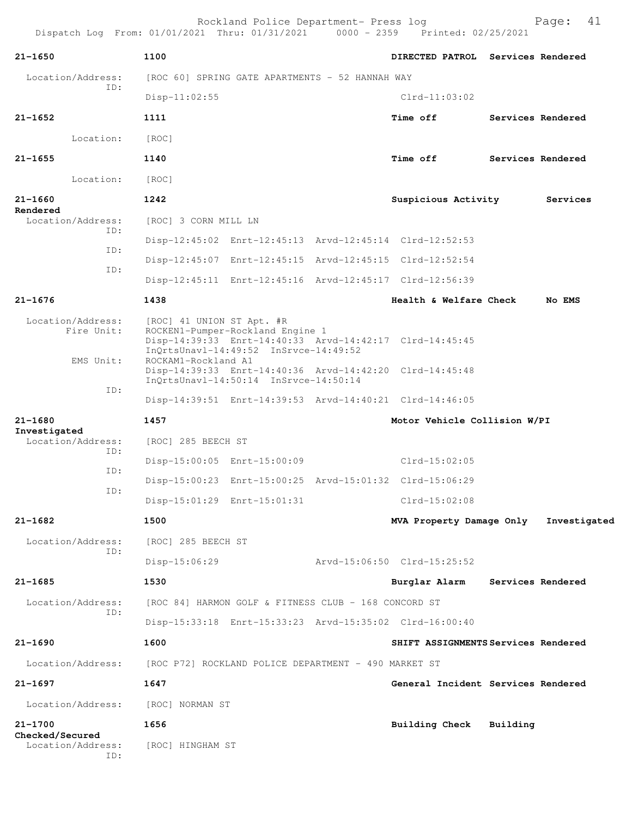| 21-1650                           | 1100                      |                                                                           | DIRECTED PATROL Services Rendered                       |                   |
|-----------------------------------|---------------------------|---------------------------------------------------------------------------|---------------------------------------------------------|-------------------|
| Location/Address:                 |                           | [ROC 60] SPRING GATE APARTMENTS - 52 HANNAH WAY                           |                                                         |                   |
| ID:                               | $Disp-11:02:55$           |                                                                           | $Clrd-11:03:02$                                         |                   |
| 21-1652                           | 1111                      |                                                                           | Time off                                                | Services Rendered |
| Location:                         | [ROC]                     |                                                                           |                                                         |                   |
| 21-1655                           | 1140                      |                                                                           | Time off Services Rendered                              |                   |
| Location:                         | [ROC]                     |                                                                           |                                                         |                   |
| 21-1660                           | 1242                      |                                                                           | Suspicious Activity                                     | Services          |
| Rendered<br>Location/Address:     | [ROC] 3 CORN MILL LN      |                                                                           |                                                         |                   |
| ID:                               |                           |                                                                           | Disp-12:45:02 Enrt-12:45:13 Arvd-12:45:14 Clrd-12:52:53 |                   |
| ID:                               |                           |                                                                           | Disp-12:45:07 Enrt-12:45:15 Arvd-12:45:15 Clrd-12:52:54 |                   |
| ID:                               |                           |                                                                           | Disp-12:45:11 Enrt-12:45:16 Arvd-12:45:17 Clrd-12:56:39 |                   |
| 21-1676                           | 1438                      |                                                                           | Health & Welfare Check                                  | No EMS            |
| Location/Address:<br>Fire Unit:   | [ROC] 41 UNION ST Apt. #R | ROCKEN1-Pumper-Rockland Engine 1<br>InQrtsUnavl-14:49:52 InSrvce-14:49:52 | Disp-14:39:33 Enrt-14:40:33 Arvd-14:42:17 Clrd-14:45:45 |                   |
| EMS Unit:                         | ROCKAM1-Rockland A1       | InQrtsUnavl-14:50:14 InSrvce-14:50:14                                     | Disp-14:39:33 Enrt-14:40:36 Arvd-14:42:20 Clrd-14:45:48 |                   |
| ID:                               |                           |                                                                           | Disp-14:39:51 Enrt-14:39:53 Arvd-14:40:21 Clrd-14:46:05 |                   |
| 21-1680                           | 1457                      |                                                                           | Motor Vehicle Collision W/PI                            |                   |
| Investigated<br>Location/Address: | [ROC] 285 BEECH ST        |                                                                           |                                                         |                   |
| ID:                               |                           | Disp-15:00:05 Enrt-15:00:09                                               | Clrd-15:02:05                                           |                   |
| ID:                               |                           |                                                                           | Disp-15:00:23 Enrt-15:00:25 Arvd-15:01:32 Clrd-15:06:29 |                   |
| ID:                               |                           | Disp-15:01:29 Enrt-15:01:31                                               | $Clrd-15:02:08$                                         |                   |
| 21-1682                           | 1500                      |                                                                           | MVA Property Damage Only Investigated                   |                   |
| Location/Address:                 | [ROC] 285 BEECH ST        |                                                                           |                                                         |                   |
| ID:                               | $Disp-15:06:29$           |                                                                           | Arvd-15:06:50 Clrd-15:25:52                             |                   |
| 21-1685                           | 1530                      |                                                                           | Burglar Alarm                                           | Services Rendered |
| Location/Address:                 |                           | [ROC 84] HARMON GOLF & FITNESS CLUB - 168 CONCORD ST                      |                                                         |                   |
| ID:                               |                           |                                                                           | Disp-15:33:18 Enrt-15:33:23 Arvd-15:35:02 Clrd-16:00:40 |                   |
| 21-1690                           | 1600                      |                                                                           | SHIFT ASSIGNMENTS Services Rendered                     |                   |
| Location/Address:                 |                           | [ROC P72] ROCKLAND POLICE DEPARTMENT - 490 MARKET ST                      |                                                         |                   |
| 21-1697                           | 1647                      |                                                                           | General Incident Services Rendered                      |                   |
| Location/Address:                 | [ROC] NORMAN ST           |                                                                           |                                                         |                   |
| 21-1700<br><b>Checked/Secured</b> | 1656                      |                                                                           | Building Check Building                                 |                   |
| Location/Address:<br>ID:          | [ROC] HINGHAM ST          |                                                                           |                                                         |                   |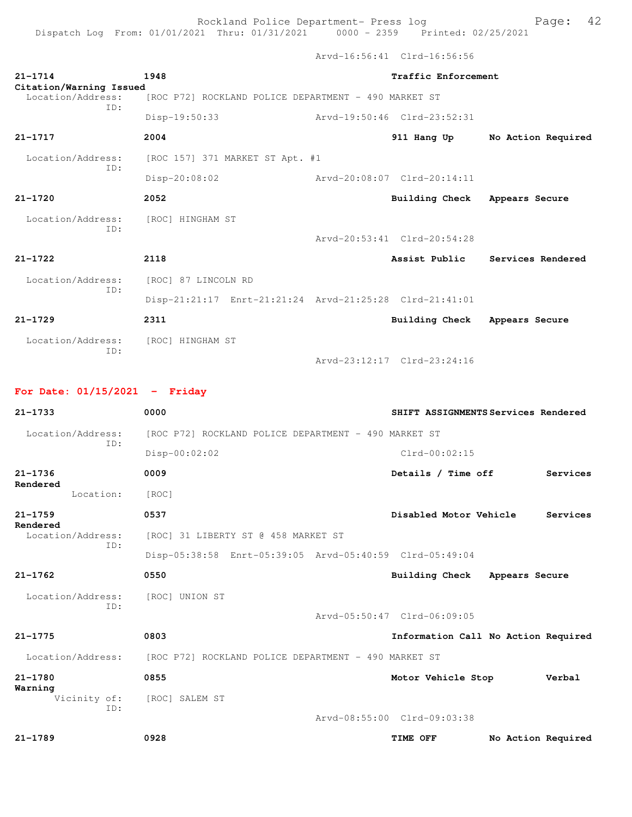Dispatch Log From: 01/01/2021 Thru: 01/31/2021 0000 - 2359 Printed: 02/25/2021

Arvd-16:56:41 Clrd-16:56:56

| $21 - 1714$                                  | 1948                                                    | Traffic Enforcement           |                                     |
|----------------------------------------------|---------------------------------------------------------|-------------------------------|-------------------------------------|
| Citation/Warning Issued<br>Location/Address: | [ROC P72] ROCKLAND POLICE DEPARTMENT - 490 MARKET ST    |                               |                                     |
| TD:                                          | Disp-19:50:33                                           | Arvd-19:50:46 Clrd-23:52:31   |                                     |
| $21 - 1717$                                  | 2004                                                    | 911 Hang Up                   | No Action Required                  |
| Location/Address:                            | [ROC 157] 371 MARKET ST Apt. #1                         |                               |                                     |
| ID:                                          | Disp-20:08:02                                           | Arvd-20:08:07 Clrd-20:14:11   |                                     |
| $21 - 1720$                                  | 2052                                                    | Building Check Appears Secure |                                     |
| Location/Address:                            | [ROC] HINGHAM ST                                        |                               |                                     |
| ID:                                          |                                                         | Arvd-20:53:41 Clrd-20:54:28   |                                     |
| $21 - 1722$                                  | 2118                                                    | Assist Public                 | Services Rendered                   |
| Location/Address:                            | [ROC] 87 LINCOLN RD                                     |                               |                                     |
| ID:                                          | Disp-21:21:17 Enrt-21:21:24 Arvd-21:25:28 Clrd-21:41:01 |                               |                                     |
| $21 - 1729$                                  | 2311                                                    | Building Check                | Appears Secure                      |
| Location/Address:                            | [ROC] HINGHAM ST                                        |                               |                                     |
| ID:                                          |                                                         | Arvd-23:12:17 Clrd-23:24:16   |                                     |
|                                              |                                                         |                               |                                     |
| For Date: $01/15/2021$ - Friday              |                                                         |                               |                                     |
| $21 - 1733$                                  | 0000                                                    |                               | SHIFT ASSIGNMENTS Services Rendered |
| Location/Address:<br>ID:                     | [ROC P72] ROCKLAND POLICE DEPARTMENT - 490 MARKET ST    |                               |                                     |
|                                              | Disp-00:02:02                                           | $Clrd-00:02:15$               |                                     |
|                                              |                                                         |                               |                                     |
| $21 - 1736$<br>Rendered                      | 0009                                                    | Details / Time off            | Services                            |
| Location:                                    | [ROC]                                                   |                               |                                     |
| $21 - 1759$                                  | 0537                                                    | Disabled Motor Vehicle        | Services                            |
| Rendered<br>Location/Address:                | [ROC] 31 LIBERTY ST @ 458 MARKET ST                     |                               |                                     |
| ID:                                          | Disp-05:38:58 Enrt-05:39:05 Arvd-05:40:59 Clrd-05:49:04 |                               |                                     |
| 21-1762                                      | 0550                                                    | <b>Building Check</b>         | Appears Secure                      |
| Location/Address:                            | [ROC] UNION ST                                          |                               |                                     |
| ID:                                          |                                                         | Arvd-05:50:47 Clrd-06:09:05   |                                     |
| $21 - 1775$                                  | 0803                                                    |                               | Information Call No Action Required |
| Location/Address:                            | [ROC P72] ROCKLAND POLICE DEPARTMENT - 490 MARKET ST    |                               |                                     |
| $21 - 1780$                                  | 0855                                                    | Motor Vehicle Stop            | Verbal                              |
| Warning<br>Vicinity of:                      | [ROC] SALEM ST                                          |                               |                                     |
| ID:                                          |                                                         | Arvd-08:55:00 Clrd-09:03:38   |                                     |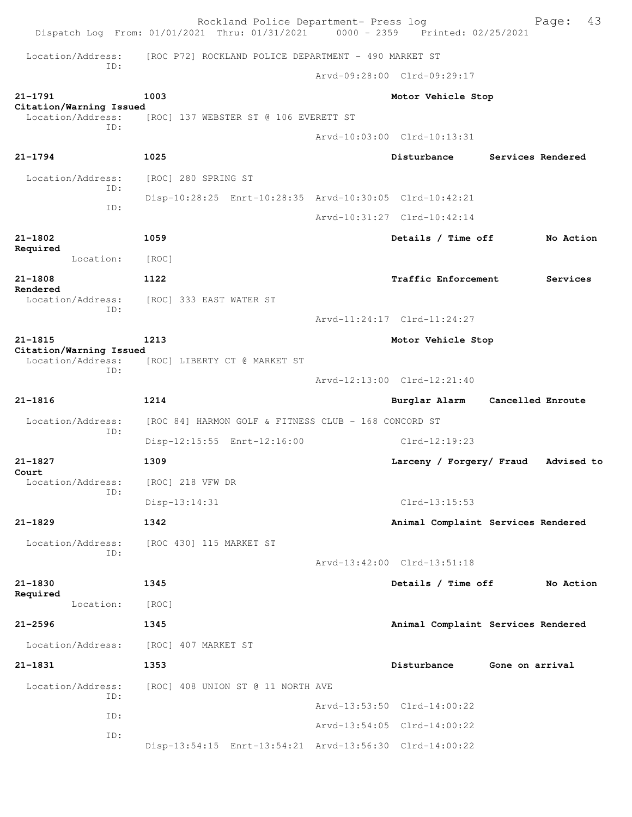|                                              | Rockland Police Department- Press log<br>Dispatch Log From: 01/01/2021 Thru: 01/31/2021 0000 - 2359 Printed: 02/25/2021 |                                    |                 | 43<br>Page:       |
|----------------------------------------------|-------------------------------------------------------------------------------------------------------------------------|------------------------------------|-----------------|-------------------|
| Location/Address:                            | [ROC P72] ROCKLAND POLICE DEPARTMENT - 490 MARKET ST                                                                    |                                    |                 |                   |
| ID:                                          |                                                                                                                         | Arvd-09:28:00 Clrd-09:29:17        |                 |                   |
| $21 - 1791$                                  | 1003                                                                                                                    | Motor Vehicle Stop                 |                 |                   |
| Citation/Warning Issued<br>Location/Address: | [ROC] 137 WEBSTER ST @ 106 EVERETT ST                                                                                   |                                    |                 |                   |
| TD:                                          |                                                                                                                         | Arvd-10:03:00 Clrd-10:13:31        |                 |                   |
| $21 - 1794$                                  | 1025                                                                                                                    | Disturbance                        |                 | Services Rendered |
| Location/Address:                            | [ROC] 280 SPRING ST                                                                                                     |                                    |                 |                   |
| ID:                                          | Disp-10:28:25 Enrt-10:28:35 Arvd-10:30:05 Clrd-10:42:21                                                                 |                                    |                 |                   |
| ID:                                          |                                                                                                                         | Arvd-10:31:27 Clrd-10:42:14        |                 |                   |
| $21 - 1802$                                  | 1059                                                                                                                    | Details / Time off                 |                 | No Action         |
| Required<br>Location:                        | [ROC]                                                                                                                   |                                    |                 |                   |
| $21 - 1808$                                  | 1122                                                                                                                    | Traffic Enforcement                |                 | Services          |
| Rendered<br>Location/Address:                | [ROC] 333 EAST WATER ST                                                                                                 |                                    |                 |                   |
| ID:                                          |                                                                                                                         | Arvd-11:24:17 Clrd-11:24:27        |                 |                   |
| $21 - 1815$                                  | 1213                                                                                                                    | Motor Vehicle Stop                 |                 |                   |
| Citation/Warning Issued<br>Location/Address: | [ROC] LIBERTY CT @ MARKET ST                                                                                            |                                    |                 |                   |
| ID:                                          |                                                                                                                         | Arvd-12:13:00 Clrd-12:21:40        |                 |                   |
| $21 - 1816$                                  | 1214                                                                                                                    | Burglar Alarm                      |                 | Cancelled Enroute |
| Location/Address:                            | [ROC 84] HARMON GOLF & FITNESS CLUB - 168 CONCORD ST                                                                    |                                    |                 |                   |
| ID:                                          | Disp-12:15:55 Enrt-12:16:00                                                                                             | $Clrd-12:19:23$                    |                 |                   |
| $21 - 1827$                                  | 1309                                                                                                                    | Larceny / Forgery/ Fraud           |                 | Advised to        |
| Court<br>Location/Address:                   | [ROC] 218 VFW DR                                                                                                        |                                    |                 |                   |
| ID:                                          | Disp-13:14:31                                                                                                           | $Clrd-13:15:53$                    |                 |                   |
| $21 - 1829$                                  | 1342                                                                                                                    | Animal Complaint Services Rendered |                 |                   |
| Location/Address:                            | [ROC 430] 115 MARKET ST                                                                                                 |                                    |                 |                   |
| ID:                                          |                                                                                                                         | Arvd-13:42:00 Clrd-13:51:18        |                 |                   |
| $21 - 1830$                                  | 1345                                                                                                                    | Details / Time off                 |                 | No Action         |
| Required<br>Location:                        | [ROC]                                                                                                                   |                                    |                 |                   |
| $21 - 2596$                                  | 1345                                                                                                                    | Animal Complaint Services Rendered |                 |                   |
| Location/Address:                            | [ROC] 407 MARKET ST                                                                                                     |                                    |                 |                   |
| $21 - 1831$                                  | 1353                                                                                                                    | Disturbance                        | Gone on arrival |                   |
| Location/Address:                            | [ROC] 408 UNION ST @ 11 NORTH AVE                                                                                       |                                    |                 |                   |
| ID:                                          |                                                                                                                         | Arvd-13:53:50 Clrd-14:00:22        |                 |                   |
| ID:                                          |                                                                                                                         | Arvd-13:54:05 Clrd-14:00:22        |                 |                   |
| ID:                                          | Disp-13:54:15 Enrt-13:54:21 Arvd-13:56:30 Clrd-14:00:22                                                                 |                                    |                 |                   |
|                                              |                                                                                                                         |                                    |                 |                   |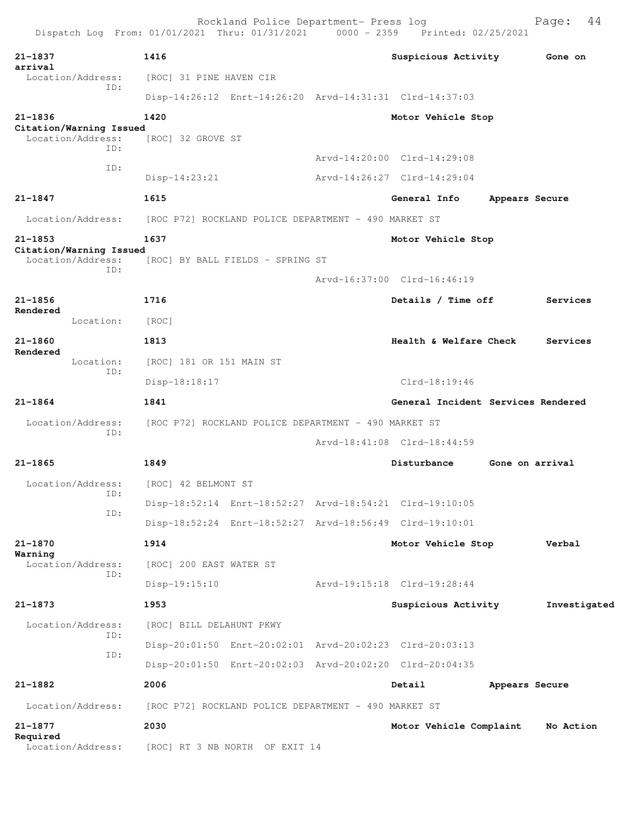| Dispatch Log From: 01/01/2021 Thru: 01/31/2021 0000 - 2359 Printed: 02/25/2021 |                                                      | Rockland Police Department- Press log |                                                         |                 | 44<br>Page:  |
|--------------------------------------------------------------------------------|------------------------------------------------------|---------------------------------------|---------------------------------------------------------|-----------------|--------------|
| $21 - 1837$                                                                    | 1416                                                 |                                       | Suspicious Activity                                     |                 | Gone on      |
| arrival<br>Location/Address:                                                   | [ROC] 31 PINE HAVEN CIR                              |                                       |                                                         |                 |              |
| ID:                                                                            |                                                      |                                       | Disp-14:26:12 Enrt-14:26:20 Arvd-14:31:31 Clrd-14:37:03 |                 |              |
| $21 - 1836$<br>Citation/Warning Issued                                         | 1420                                                 |                                       | Motor Vehicle Stop                                      |                 |              |
| Location/Address:<br>ID:                                                       | [ROC] 32 GROVE ST                                    |                                       |                                                         |                 |              |
| ID:                                                                            |                                                      |                                       | Arvd-14:20:00 Clrd-14:29:08                             |                 |              |
|                                                                                | $Disp-14:23:21$                                      |                                       | Arvd-14:26:27 Clrd-14:29:04                             |                 |              |
| $21 - 1847$                                                                    | 1615                                                 |                                       | General Info                                            | Appears Secure  |              |
| Location/Address:                                                              | [ROC P72] ROCKLAND POLICE DEPARTMENT - 490 MARKET ST |                                       |                                                         |                 |              |
| $21 - 1853$                                                                    | 1637                                                 |                                       | Motor Vehicle Stop                                      |                 |              |
| Citation/Warning Issued<br>Location/Address:                                   | [ROC] BY BALL FIELDS - SPRING ST                     |                                       |                                                         |                 |              |
| ID:                                                                            |                                                      |                                       | Arvd-16:37:00 Clrd-16:46:19                             |                 |              |
| $21 - 1856$                                                                    | 1716                                                 |                                       | Details / Time off                                      |                 | Services     |
| Rendered<br>Location:                                                          | [ROC]                                                |                                       |                                                         |                 |              |
| $21 - 1860$                                                                    | 1813                                                 |                                       | Health & Welfare Check                                  |                 | Services     |
| Rendered<br>Location:                                                          | [ROC] 181 OR 151 MAIN ST                             |                                       |                                                         |                 |              |
| ID:                                                                            | Disp-18:18:17                                        |                                       | $Clrd-18:19:46$                                         |                 |              |
| $21 - 1864$                                                                    | 1841                                                 |                                       | General Incident Services Rendered                      |                 |              |
| Location/Address:                                                              | [ROC P72] ROCKLAND POLICE DEPARTMENT - 490 MARKET ST |                                       |                                                         |                 |              |
| ID:                                                                            |                                                      |                                       | Arvd-18:41:08 Clrd-18:44:59                             |                 |              |
| $21 - 1865$                                                                    | 1849                                                 |                                       | Disturbance                                             | Gone on arrival |              |
| Location/Address:                                                              | [ROC] 42 BELMONT ST                                  |                                       |                                                         |                 |              |
| ID:                                                                            |                                                      |                                       | Disp-18:52:14 Enrt-18:52:27 Arvd-18:54:21 Clrd-19:10:05 |                 |              |
| ID:                                                                            |                                                      |                                       | Disp-18:52:24 Enrt-18:52:27 Arvd-18:56:49 Clrd-19:10:01 |                 |              |
| $21 - 1870$                                                                    | 1914                                                 |                                       | Motor Vehicle Stop                                      |                 | Verbal       |
| Warning<br>Location/Address:                                                   | [ROC] 200 EAST WATER ST                              |                                       |                                                         |                 |              |
| ID:                                                                            | $Disp-19:15:10$                                      |                                       | Arvd-19:15:18 Clrd-19:28:44                             |                 |              |
| $21 - 1873$                                                                    | 1953                                                 |                                       | Suspicious Activity                                     |                 | Investigated |
| Location/Address:                                                              | [ROC] BILL DELAHUNT PKWY                             |                                       |                                                         |                 |              |
| ID:                                                                            |                                                      |                                       | Disp-20:01:50 Enrt-20:02:01 Arvd-20:02:23 Clrd-20:03:13 |                 |              |
| ID:                                                                            |                                                      |                                       | Disp-20:01:50 Enrt-20:02:03 Arvd-20:02:20 Clrd-20:04:35 |                 |              |
| $21 - 1882$                                                                    | 2006                                                 |                                       | Detail                                                  | Appears Secure  |              |
| Location/Address:                                                              | [ROC P72] ROCKLAND POLICE DEPARTMENT - 490 MARKET ST |                                       |                                                         |                 |              |
| $21 - 1877$                                                                    | 2030                                                 |                                       | Motor Vehicle Complaint                                 |                 | No Action    |
| Required                                                                       |                                                      |                                       |                                                         |                 |              |
| Location/Address:                                                              | [ROC] RT 3 NB NORTH OF EXIT 14                       |                                       |                                                         |                 |              |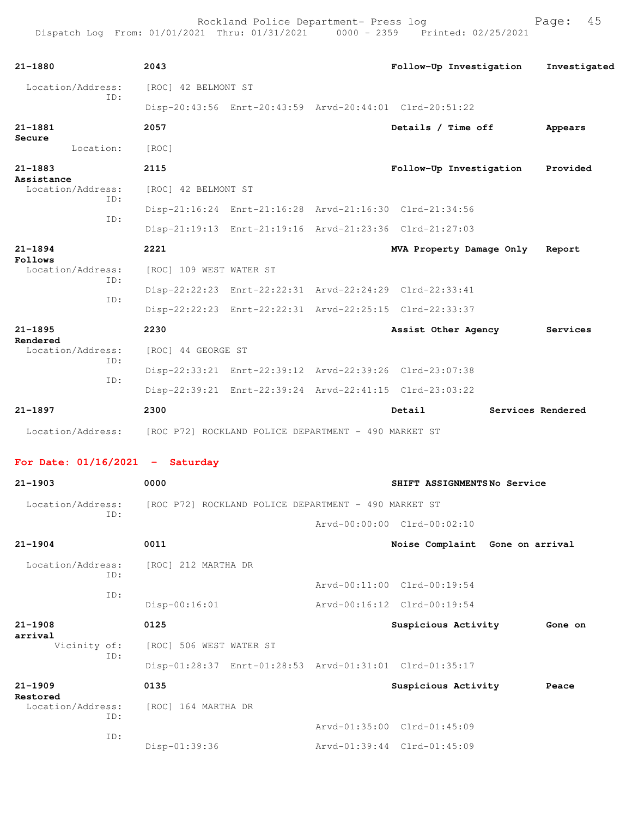| $21 - 1880$                                                            | 2043                    |                                                         |                             | Follow-Up Investigation         | Investigated      |
|------------------------------------------------------------------------|-------------------------|---------------------------------------------------------|-----------------------------|---------------------------------|-------------------|
| Location/Address:                                                      | [ROC] 42 BELMONT ST     |                                                         |                             |                                 |                   |
| ID:                                                                    |                         | Disp-20:43:56 Enrt-20:43:59 Arvd-20:44:01 Clrd-20:51:22 |                             |                                 |                   |
| 21-1881                                                                | 2057                    |                                                         |                             | Details / Time off              | Appears           |
| Secure<br>Location:                                                    | [ROC]                   |                                                         |                             |                                 |                   |
| $21 - 1883$                                                            | 2115                    |                                                         |                             | Follow-Up Investigation         | Provided          |
| Assistance<br>Location/Address:                                        | [ROC] 42 BELMONT ST     |                                                         |                             |                                 |                   |
| ID:                                                                    |                         | Disp-21:16:24 Enrt-21:16:28 Arvd-21:16:30 Clrd-21:34:56 |                             |                                 |                   |
| ID:                                                                    |                         | Disp-21:19:13 Enrt-21:19:16 Arvd-21:23:36 Clrd-21:27:03 |                             |                                 |                   |
| $21 - 1894$                                                            | 2221                    |                                                         |                             | MVA Property Damage Only        | Report            |
| Follows<br>Location/Address:                                           | [ROC] 109 WEST WATER ST |                                                         |                             |                                 |                   |
| ID:                                                                    |                         | Disp-22:22:23 Enrt-22:22:31 Arvd-22:24:29 Clrd-22:33:41 |                             |                                 |                   |
| ID:                                                                    |                         | Disp-22:22:23 Enrt-22:22:31 Arvd-22:25:15 Clrd-22:33:37 |                             |                                 |                   |
| $21 - 1895$                                                            | 2230                    |                                                         |                             | Assist Other Agency             | Services          |
| Rendered<br>Location/Address:                                          | [ROC] 44 GEORGE ST      |                                                         |                             |                                 |                   |
| ID:                                                                    |                         | Disp-22:33:21 Enrt-22:39:12 Arvd-22:39:26 Clrd-23:07:38 |                             |                                 |                   |
| ID:                                                                    |                         | Disp-22:39:21 Enrt-22:39:24 Arvd-22:41:15 Clrd-23:03:22 |                             |                                 |                   |
| $21 - 1897$                                                            | 2300                    |                                                         |                             | Detail                          | Services Rendered |
| Location/Address: [ROC P72] ROCKLAND POLICE DEPARTMENT - 490 MARKET ST |                         |                                                         |                             |                                 |                   |
|                                                                        |                         |                                                         |                             |                                 |                   |
| For Date: $01/16/2021$ - Saturday                                      |                         |                                                         |                             |                                 |                   |
| $21 - 1903$                                                            | 0000                    |                                                         |                             | SHIFT ASSIGNMENTSNo Service     |                   |
| Location/Address: [ROC P72] ROCKLAND POLICE DEPARTMENT - 490 MARKET ST |                         |                                                         |                             |                                 |                   |
| ID:                                                                    |                         |                                                         | Arvd-00:00:00 Clrd-00:02:10 |                                 |                   |
| $21 - 1904$                                                            | 0011                    |                                                         |                             | Noise Complaint Gone on arrival |                   |
| Location/Address:                                                      | [ROC] 212 MARTHA DR     |                                                         |                             |                                 |                   |
| ID:                                                                    |                         |                                                         | Arvd-00:11:00 Clrd-00:19:54 |                                 |                   |
| ID:                                                                    | $Disp-00:16:01$         |                                                         | Arvd-00:16:12 Clrd-00:19:54 |                                 |                   |
| $21 - 1908$                                                            | 0125                    |                                                         |                             | Suspicious Activity             | Gone on           |
| arrival<br>Vicinity of:                                                | [ROC] 506 WEST WATER ST |                                                         |                             |                                 |                   |
| ID:                                                                    |                         | Disp-01:28:37 Enrt-01:28:53 Arvd-01:31:01 Clrd-01:35:17 |                             |                                 |                   |
| $21 - 1909$                                                            | 0135                    |                                                         |                             | Suspicious Activity             | Peace             |
| Restored<br>Location/Address:                                          | [ROC] 164 MARTHA DR     |                                                         |                             |                                 |                   |
| ID:                                                                    |                         |                                                         | Arvd-01:35:00 Clrd-01:45:09 |                                 |                   |

ID:

Disp-01:39:36 Arvd-01:39:44 Clrd-01:45:09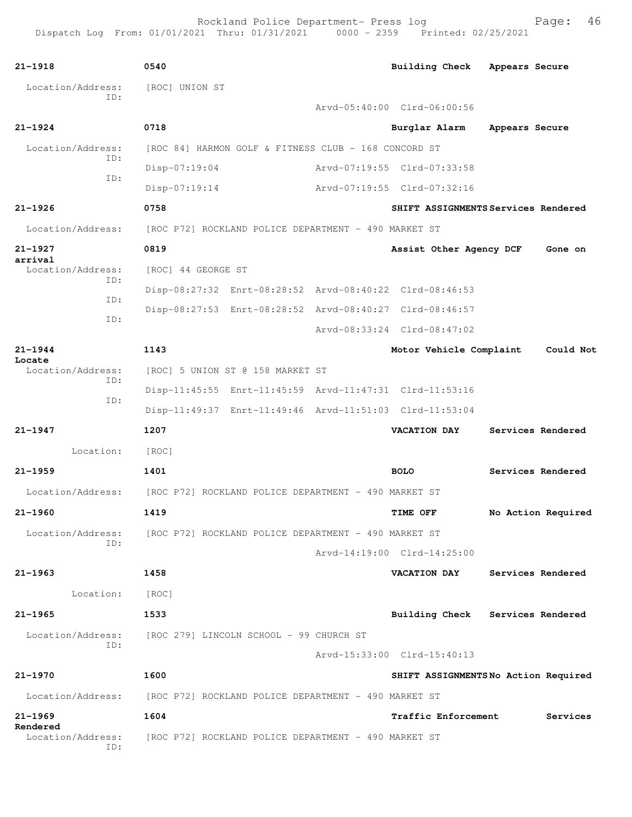| $21 - 1918$                          | 0540                                                                   | Building Check Appears Secure |                                     |
|--------------------------------------|------------------------------------------------------------------------|-------------------------------|-------------------------------------|
| Location/Address:                    | [ROC] UNION ST                                                         |                               |                                     |
| ID:                                  |                                                                        | Arvd-05:40:00 Clrd-06:00:56   |                                     |
| $21 - 1924$                          | 0718                                                                   | Burglar Alarm                 | Appears Secure                      |
| Location/Address:                    | [ROC 84] HARMON GOLF & FITNESS CLUB - 168 CONCORD ST                   |                               |                                     |
| ID:                                  | $Disp-07:19:04$                                                        | Arvd-07:19:55 Clrd-07:33:58   |                                     |
| ID:                                  | $Disp-07:19:14$                                                        | Arvd-07:19:55 Clrd-07:32:16   |                                     |
| $21 - 1926$                          | 0758                                                                   |                               | SHIFT ASSIGNMENTS Services Rendered |
| Location/Address:                    | [ROC P72] ROCKLAND POLICE DEPARTMENT - 490 MARKET ST                   |                               |                                     |
| $21 - 1927$                          | 0819                                                                   | Assist Other Agency DCF       | Gone on                             |
| arrival<br>Location/Address:         | [ROC] 44 GEORGE ST                                                     |                               |                                     |
| ID:                                  | Disp-08:27:32 Enrt-08:28:52 Arvd-08:40:22 Clrd-08:46:53                |                               |                                     |
| ID:                                  | Disp-08:27:53 Enrt-08:28:52 Arvd-08:40:27 Clrd-08:46:57                |                               |                                     |
| ID:                                  |                                                                        | Arvd-08:33:24 Clrd-08:47:02   |                                     |
| $21 - 1944$                          | 1143                                                                   | Motor Vehicle Complaint       | Could Not                           |
| Locate<br>Location/Address:          | [ROC] 5 UNION ST @ 158 MARKET ST                                       |                               |                                     |
| ID:                                  | Disp-11:45:55 Enrt-11:45:59 Arvd-11:47:31 Clrd-11:53:16                |                               |                                     |
| ID:                                  | Disp-11:49:37 Enrt-11:49:46 Arvd-11:51:03 Clrd-11:53:04                |                               |                                     |
| $21 - 1947$                          | 1207                                                                   | <b>VACATION DAY</b>           | Services Rendered                   |
| Location:                            | [ROC]                                                                  |                               |                                     |
| $21 - 1959$                          | 1401                                                                   | <b>BOLO</b>                   | Services Rendered                   |
| Location/Address:                    | [ROC P72] ROCKLAND POLICE DEPARTMENT - 490 MARKET ST                   |                               |                                     |
| $21 - 1960$                          | 1419                                                                   | TIME OFF                      | No Action Required                  |
|                                      | Location/Address: [ROC P72] ROCKLAND POLICE DEPARTMENT - 490 MARKET ST |                               |                                     |
| ID:                                  |                                                                        | Arvd-14:19:00 Clrd-14:25:00   |                                     |
| $21 - 1963$                          | 1458                                                                   | <b>VACATION DAY</b>           | Services Rendered                   |
| Location:                            | [ROC]                                                                  |                               |                                     |
| $21 - 1965$                          | 1533                                                                   |                               | Building Check Services Rendered    |
|                                      | Location/Address: [ROC 279] LINCOLN SCHOOL - 99 CHURCH ST              |                               |                                     |
| ID:                                  |                                                                        | Arvd-15:33:00 Clrd-15:40:13   |                                     |
| $21 - 1970$                          | 1600                                                                   |                               | SHIFT ASSIGNMENTSNo Action Required |
|                                      | Location/Address: [ROC P72] ROCKLAND POLICE DEPARTMENT - 490 MARKET ST |                               |                                     |
| $21 - 1969$                          | 1604                                                                   | <b>Traffic Enforcement</b>    | Services                            |
| Rendered<br>Location/Address:<br>ID: | [ROC P72] ROCKLAND POLICE DEPARTMENT - 490 MARKET ST                   |                               |                                     |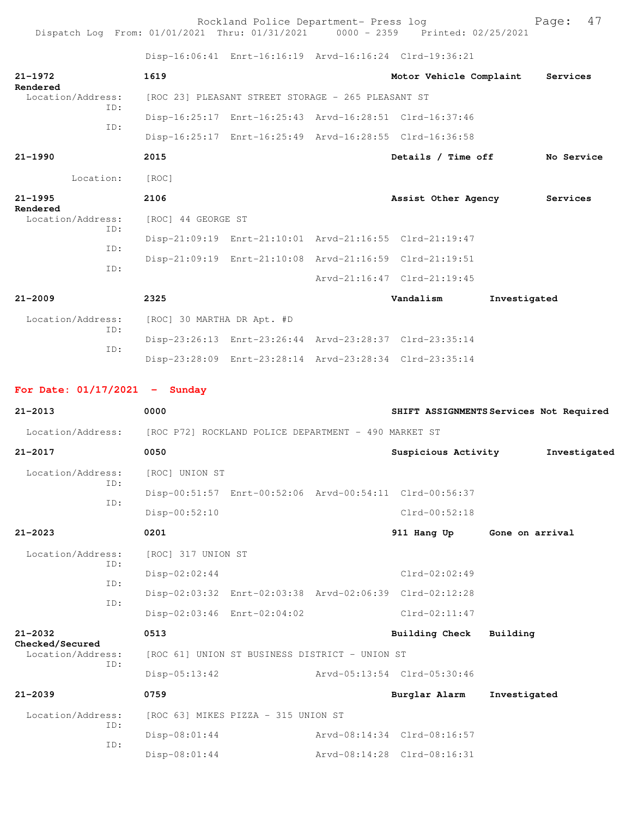Rockland Police Department- Press log entitled and Page: 47 Dispatch Log From: 01/01/2021 Thru: 01/31/2021 0000 - 2359 Printed: 02/25/2021

Disp-16:06:41 Enrt-16:16:19 Arvd-16:16:24 Clrd-19:36:21

| 21-1972<br>Rendered                                                    |     | 1619                       |                                                         | Motor Vehicle Complaint                                 | Services                                |
|------------------------------------------------------------------------|-----|----------------------------|---------------------------------------------------------|---------------------------------------------------------|-----------------------------------------|
| Location/Address:<br>ID:                                               |     |                            | [ROC 23] PLEASANT STREET STORAGE - 265 PLEASANT ST      |                                                         |                                         |
| ID:                                                                    |     |                            | Disp-16:25:17 Enrt-16:25:43 Arvd-16:28:51 Clrd-16:37:46 |                                                         |                                         |
|                                                                        |     |                            | Disp-16:25:17 Enrt-16:25:49 Arvd-16:28:55 Clrd-16:36:58 |                                                         |                                         |
| $21 - 1990$                                                            |     | 2015                       |                                                         | Details / Time off                                      | No Service                              |
| Location:                                                              |     | [ROC]                      |                                                         |                                                         |                                         |
| $21 - 1995$                                                            |     | 2106                       |                                                         |                                                         | Assist Other Agency Services            |
| Rendered<br>Location/Address:                                          |     | [ROC] 44 GEORGE ST         |                                                         |                                                         |                                         |
| ID:                                                                    |     |                            |                                                         | Disp-21:09:19 Enrt-21:10:01 Arvd-21:16:55 Clrd-21:19:47 |                                         |
| ID:                                                                    |     |                            | Disp-21:09:19 Enrt-21:10:08 Arvd-21:16:59 Clrd-21:19:51 |                                                         |                                         |
| ID:                                                                    |     |                            |                                                         | Arvd-21:16:47 Clrd-21:19:45                             |                                         |
| $21 - 2009$                                                            |     | 2325                       |                                                         | Vandalism                                               | Investigated                            |
| Location/Address:                                                      |     | [ROC] 30 MARTHA DR Apt. #D |                                                         |                                                         |                                         |
| ID:                                                                    |     |                            | Disp-23:26:13 Enrt-23:26:44 Arvd-23:28:37 Clrd-23:35:14 |                                                         |                                         |
| ID:                                                                    |     |                            |                                                         | Disp-23:28:09 Enrt-23:28:14 Arvd-23:28:34 Clrd-23:35:14 |                                         |
|                                                                        |     |                            |                                                         |                                                         |                                         |
| For Date: $01/17/2021$ - Sunday                                        |     |                            |                                                         |                                                         |                                         |
| $21 - 2013$                                                            |     | 0000                       |                                                         |                                                         | SHIFT ASSIGNMENTS Services Not Required |
| Location/Address: [ROC P72] ROCKLAND POLICE DEPARTMENT - 490 MARKET ST |     |                            |                                                         |                                                         |                                         |
| 21-2017                                                                |     | 0050                       |                                                         | Suspicious Activity                                     | Investigated                            |
| Location/Address:<br>ID:                                               |     | [ROC] UNION ST             |                                                         |                                                         |                                         |
| ID:                                                                    |     |                            |                                                         | Disp-00:51:57 Enrt-00:52:06 Arvd-00:54:11 Clrd-00:56:37 |                                         |
|                                                                        |     | Disp-00:52:10              |                                                         | $Clrd-00:52:18$                                         |                                         |
| $21 - 2023$                                                            |     | 0201                       |                                                         | 911 Hang Up                                             | Gone on arrival                         |
| Location/Address:                                                      |     | [ROC] 317 UNION ST         |                                                         |                                                         |                                         |
| ID:                                                                    |     | Disp-02:02:44              |                                                         | $Clrd-02:02:49$                                         |                                         |
| ID:                                                                    | ID: |                            |                                                         | Disp-02:03:32 Enrt-02:03:38 Arvd-02:06:39 Clrd-02:12:28 |                                         |
|                                                                        |     |                            | Disp-02:03:46 Enrt-02:04:02                             | $Clrd-02:11:47$                                         |                                         |
| $21 - 2032$                                                            |     | 0513                       |                                                         | <b>Building Check</b>                                   | Building                                |
| Checked/Secured<br>Location/Address:                                   |     |                            | [ROC 61] UNION ST BUSINESS DISTRICT - UNION ST          |                                                         |                                         |
| TD:                                                                    |     | Disp-05:13:42              |                                                         | Arvd-05:13:54 Clrd-05:30:46                             |                                         |
|                                                                        |     |                            |                                                         |                                                         |                                         |
| $21 - 2039$                                                            |     | 0759                       |                                                         | Burglar Alarm                                           | Investigated                            |
| Location/Address:                                                      |     |                            | [ROC 63] MIKES PIZZA - 315 UNION ST                     |                                                         |                                         |
| ID:<br>ID:                                                             |     | $Disp-08:01:44$            |                                                         | Arvd-08:14:34 Clrd-08:16:57                             |                                         |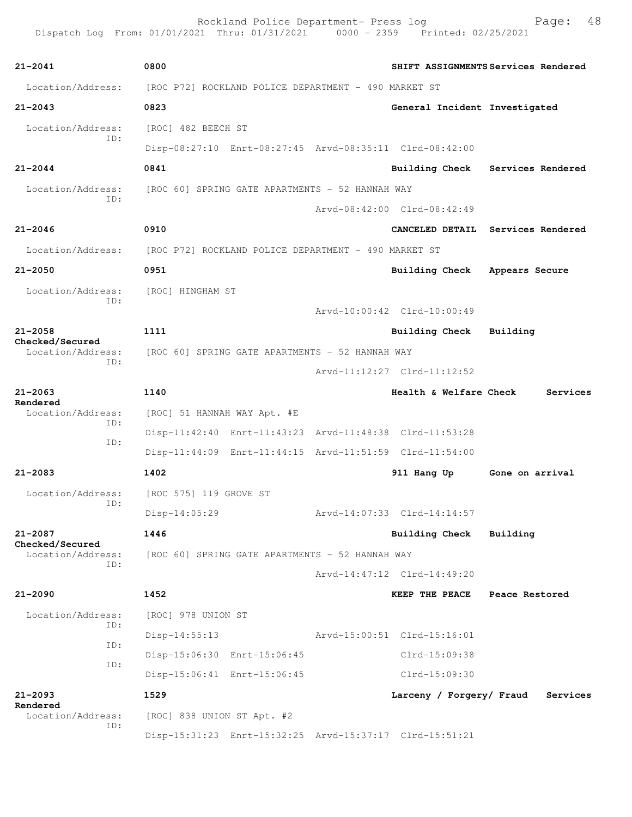| 21-2041                                     | 0800                                                                   |                               | SHIFT ASSIGNMENTS Services Rendered |
|---------------------------------------------|------------------------------------------------------------------------|-------------------------------|-------------------------------------|
|                                             | Location/Address: [ROC P72] ROCKLAND POLICE DEPARTMENT - 490 MARKET ST |                               |                                     |
| 21-2043                                     | 0823                                                                   | General Incident Investigated |                                     |
| Location/Address:                           | [ROC] 482 BEECH ST                                                     |                               |                                     |
| ID:                                         | Disp-08:27:10 Enrt-08:27:45 Arvd-08:35:11 Clrd-08:42:00                |                               |                                     |
| $21 - 2044$                                 | 0841                                                                   |                               | Building Check Services Rendered    |
|                                             | Location/Address: [ROC 60] SPRING GATE APARTMENTS - 52 HANNAH WAY      |                               |                                     |
| ID:                                         |                                                                        | Arvd-08:42:00 Clrd-08:42:49   |                                     |
| 21-2046                                     | 0910                                                                   |                               | CANCELED DETAIL Services Rendered   |
|                                             | Location/Address: [ROC P72] ROCKLAND POLICE DEPARTMENT - 490 MARKET ST |                               |                                     |
| 21-2050                                     | 0951                                                                   | Building Check Appears Secure |                                     |
| Location/Address: [ROC] HINGHAM ST          |                                                                        |                               |                                     |
| ID:                                         |                                                                        | Arvd-10:00:42 Clrd-10:00:49   |                                     |
| 21-2058                                     | 1111                                                                   | Building Check                | Building                            |
| Checked/Secured<br>ID:                      | Location/Address: [ROC 60] SPRING GATE APARTMENTS - 52 HANNAH WAY      |                               |                                     |
|                                             |                                                                        | Arvd-11:12:27 Clrd-11:12:52   |                                     |
| 21-2063                                     | 1140                                                                   | Health & Welfare Check        | Services                            |
| Rendered<br>Location/Address:               | [ROC] 51 HANNAH WAY Apt. #E                                            |                               |                                     |
| ID:                                         | Disp-11:42:40 Enrt-11:43:23 Arvd-11:48:38 Clrd-11:53:28                |                               |                                     |
| ID:                                         | Disp-11:44:09 Enrt-11:44:15 Arvd-11:51:59 Clrd-11:54:00                |                               |                                     |
| 21-2083                                     | 1402                                                                   | 911 Hang Up                   | Gone on arrival                     |
| Location/Address:                           | [ROC 575] 119 GROVE ST                                                 |                               |                                     |
| ID:                                         | Disp-14:05:29                                                          | Arvd-14:07:33 Clrd-14:14:57   |                                     |
| 21-2087                                     | 1446                                                                   | <b>Building Check</b>         | Building                            |
| <b>Checked/Secured</b><br>Location/Address: | [ROC 60] SPRING GATE APARTMENTS - 52 HANNAH WAY                        |                               |                                     |
| ID:                                         |                                                                        | Arvd-14:47:12 Clrd-14:49:20   |                                     |
| 21-2090                                     | 1452                                                                   | <b>KEEP THE PEACE</b>         | Peace Restored                      |
| Location/Address:                           | [ROC] 978 UNION ST                                                     |                               |                                     |
| ID:                                         | $Disp-14:55:13$                                                        | Arvd-15:00:51 Clrd-15:16:01   |                                     |
| ID:                                         | Disp-15:06:30 Enrt-15:06:45                                            | Clrd-15:09:38                 |                                     |
| ID:                                         | Disp-15:06:41 Enrt-15:06:45                                            | Clrd-15:09:30                 |                                     |
| 21-2093                                     | 1529                                                                   | Larceny / Forgery/ Fraud      | Services                            |
| Rendered<br>Location/Address:               | [ROC] 838 UNION ST Apt. #2                                             |                               |                                     |
| ID:                                         | Disp-15:31:23 Enrt-15:32:25 Arvd-15:37:17 Clrd-15:51:21                |                               |                                     |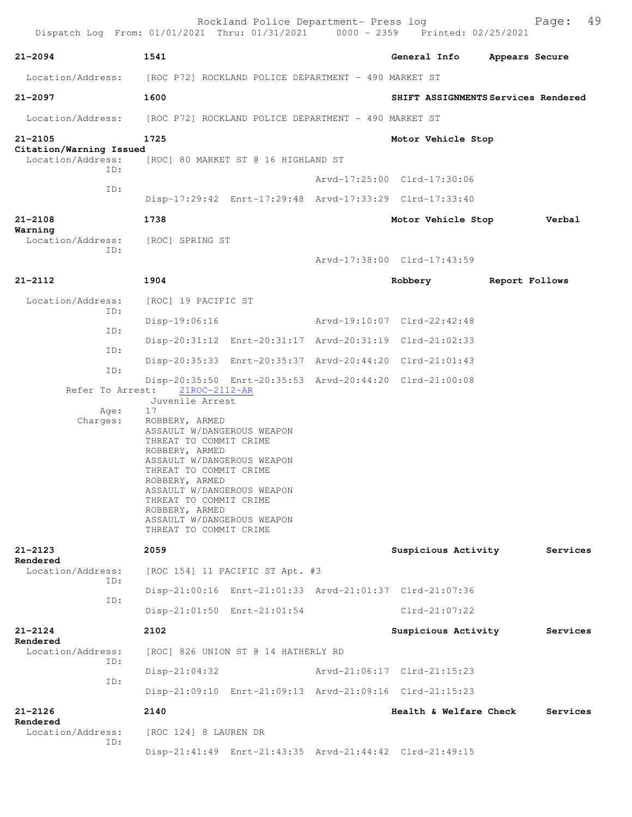|                                                     | Rockland Police Department- Press log<br>Dispatch Log From: 01/01/2021 Thru: 01/31/2021 0000 - 2359 Printed: 02/25/2021                                                                                                                                                                                                       |                             | 49<br>Page:                         |
|-----------------------------------------------------|-------------------------------------------------------------------------------------------------------------------------------------------------------------------------------------------------------------------------------------------------------------------------------------------------------------------------------|-----------------------------|-------------------------------------|
| 21-2094                                             | 1541                                                                                                                                                                                                                                                                                                                          | General Info                | Appears Secure                      |
|                                                     | Location/Address: [ROC P72] ROCKLAND POLICE DEPARTMENT - 490 MARKET ST                                                                                                                                                                                                                                                        |                             |                                     |
| 21-2097                                             | 1600                                                                                                                                                                                                                                                                                                                          |                             | SHIFT ASSIGNMENTS Services Rendered |
|                                                     | Location/Address: [ROC P72] ROCKLAND POLICE DEPARTMENT - 490 MARKET ST                                                                                                                                                                                                                                                        |                             |                                     |
| 21-2105                                             | 1725                                                                                                                                                                                                                                                                                                                          | Motor Vehicle Stop          |                                     |
| Citation/Warning Issued<br>Location/Address:<br>TD: | [ROC] 80 MARKET ST @ 16 HIGHLAND ST                                                                                                                                                                                                                                                                                           |                             |                                     |
|                                                     |                                                                                                                                                                                                                                                                                                                               | Arvd-17:25:00 Clrd-17:30:06 |                                     |
| ID:                                                 | Disp-17:29:42 Enrt-17:29:48 Arvd-17:33:29 Clrd-17:33:40                                                                                                                                                                                                                                                                       |                             |                                     |
| 21-2108                                             | 1738                                                                                                                                                                                                                                                                                                                          | Motor Vehicle Stop          | Verbal                              |
| Warning<br>Location/Address:                        | [ROC] SPRING ST                                                                                                                                                                                                                                                                                                               |                             |                                     |
| ID:                                                 |                                                                                                                                                                                                                                                                                                                               | Arvd-17:38:00 Clrd-17:43:59 |                                     |
| 21-2112                                             | 1904                                                                                                                                                                                                                                                                                                                          | Robbery                     | Report Follows                      |
| Location/Address:                                   | [ROC] 19 PACIFIC ST                                                                                                                                                                                                                                                                                                           |                             |                                     |
| ID:                                                 | $Disp-19:06:16$                                                                                                                                                                                                                                                                                                               | Arvd-19:10:07 Clrd-22:42:48 |                                     |
| ID:                                                 | Disp-20:31:12 Enrt-20:31:17 Arvd-20:31:19 Clrd-21:02:33                                                                                                                                                                                                                                                                       |                             |                                     |
| ID:                                                 | Disp-20:35:33 Enrt-20:35:37 Arvd-20:44:20 Clrd-21:01:43                                                                                                                                                                                                                                                                       |                             |                                     |
| ID:<br>Refer To Arrest:                             | Disp-20:35:50 Enrt-20:35:53 Arvd-20:44:20 Clrd-21:00:08<br>21ROC-2112-AR                                                                                                                                                                                                                                                      |                             |                                     |
| Age:<br>Charges:                                    | Juvenile Arrest<br>17<br>ROBBERY, ARMED<br>ASSAULT W/DANGEROUS WEAPON<br>THREAT TO COMMIT CRIME<br>ROBBERY, ARMED<br>ASSAULT W/DANGEROUS WEAPON<br>THREAT TO COMMIT CRIME<br>ROBBERY, ARMED<br>ASSAULT W/DANGEROUS WEAPON<br>THREAT TO COMMIT CRIME<br>ROBBERY, ARMED<br>ASSAULT W/DANGEROUS WEAPON<br>THREAT TO COMMIT CRIME |                             |                                     |
| 21-2123                                             | 2059                                                                                                                                                                                                                                                                                                                          | Suspicious Activity         | Services                            |
| Rendered<br>Location/Address:                       | [ROC 154] 11 PACIFIC ST Apt. #3                                                                                                                                                                                                                                                                                               |                             |                                     |
| ID:                                                 | Disp-21:00:16 Enrt-21:01:33 Arvd-21:01:37 Clrd-21:07:36                                                                                                                                                                                                                                                                       |                             |                                     |
| ID:                                                 | Disp-21:01:50 Enrt-21:01:54                                                                                                                                                                                                                                                                                                   | $Clrd-21:07:22$             |                                     |
| 21-2124                                             | 2102                                                                                                                                                                                                                                                                                                                          | Suspicious Activity         | Services                            |
| Rendered<br>Location/Address:<br>ID:                | [ROC] 826 UNION ST @ 14 HATHERLY RD                                                                                                                                                                                                                                                                                           |                             |                                     |
|                                                     | $Disp-21:04:32$                                                                                                                                                                                                                                                                                                               | Arvd-21:06:17 Clrd-21:15:23 |                                     |
| ID:                                                 | Disp-21:09:10 Enrt-21:09:13 Arvd-21:09:16 Clrd-21:15:23                                                                                                                                                                                                                                                                       |                             |                                     |
| 21-2126<br>Rendered                                 | 2140                                                                                                                                                                                                                                                                                                                          | Health & Welfare Check      | Services                            |
| Location/Address:<br>ID:                            | [ROC 124] 8 LAUREN DR                                                                                                                                                                                                                                                                                                         |                             |                                     |
|                                                     | Disp-21:41:49 Enrt-21:43:35 Arvd-21:44:42 Clrd-21:49:15                                                                                                                                                                                                                                                                       |                             |                                     |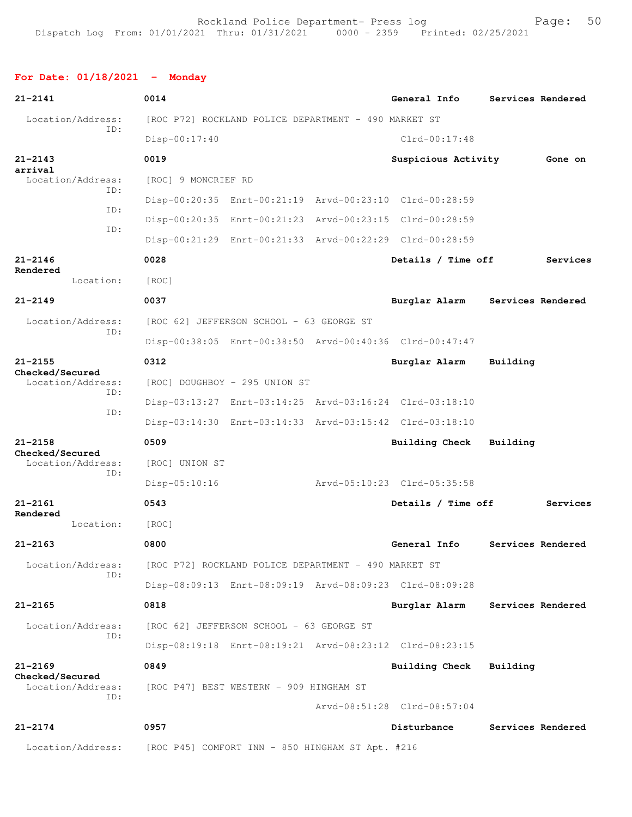## **For Date: 01/18/2021 - Monday**

| $21 - 2141$                          | 0014                                                    |  | General Info                |          | Services Rendered |  |
|--------------------------------------|---------------------------------------------------------|--|-----------------------------|----------|-------------------|--|
| Location/Address:<br>ID:             | [ROC P72] ROCKLAND POLICE DEPARTMENT - 490 MARKET ST    |  |                             |          |                   |  |
|                                      | Disp-00:17:40                                           |  | Clrd-00:17:48               |          |                   |  |
| $21 - 2143$<br>arrival               | 0019                                                    |  | Suspicious Activity         |          | Gone on           |  |
| Location/Address:<br>ID:             | [ROC] 9 MONCRIEF RD                                     |  |                             |          |                   |  |
| ID:                                  | Disp-00:20:35 Enrt-00:21:19 Arvd-00:23:10 Clrd-00:28:59 |  |                             |          |                   |  |
| ID:                                  | Disp-00:20:35 Enrt-00:21:23 Arvd-00:23:15 Clrd-00:28:59 |  |                             |          |                   |  |
|                                      | Disp-00:21:29 Enrt-00:21:33 Arvd-00:22:29 Clrd-00:28:59 |  |                             |          |                   |  |
| $21 - 2146$<br>Rendered              | 0028                                                    |  | Details / Time off          |          | Services          |  |
| Location:                            | [ROC]                                                   |  |                             |          |                   |  |
| $21 - 2149$                          | 0037                                                    |  | Burglar Alarm               |          | Services Rendered |  |
| Location/Address:                    | [ROC 62] JEFFERSON SCHOOL - 63 GEORGE ST                |  |                             |          |                   |  |
| ID:                                  | Disp-00:38:05 Enrt-00:38:50 Arvd-00:40:36 Clrd-00:47:47 |  |                             |          |                   |  |
| $21 - 2155$                          | 0312                                                    |  | Burglar Alarm               | Building |                   |  |
| Checked/Secured<br>Location/Address: | [ROC] DOUGHBOY - 295 UNION ST                           |  |                             |          |                   |  |
| ID:                                  | Disp-03:13:27 Enrt-03:14:25 Arvd-03:16:24 Clrd-03:18:10 |  |                             |          |                   |  |
| ID:                                  | Disp-03:14:30 Enrt-03:14:33 Arvd-03:15:42 Clrd-03:18:10 |  |                             |          |                   |  |
| $21 - 2158$                          | 0509                                                    |  | <b>Building Check</b>       | Building |                   |  |
| Checked/Secured<br>Location/Address: | [ROC] UNION ST                                          |  |                             |          |                   |  |
| ID:                                  | Disp-05:10:16                                           |  | Arvd-05:10:23 Clrd-05:35:58 |          |                   |  |
| $21 - 2161$                          | 0543                                                    |  | Details / Time off          |          | Services          |  |
| Rendered<br>Location:                | [ROC]                                                   |  |                             |          |                   |  |
| $21 - 2163$                          | 0800                                                    |  | General Info                |          | Services Rendered |  |
| Location/Address:                    | [ROC P72] ROCKLAND POLICE DEPARTMENT - 490 MARKET ST    |  |                             |          |                   |  |
| TD:                                  | Disp-08:09:13 Enrt-08:09:19 Arvd-08:09:23 Clrd-08:09:28 |  |                             |          |                   |  |
| $21 - 2165$                          | 0818                                                    |  | Burglar Alarm               |          | Services Rendered |  |
| Location/Address:                    | [ROC 62] JEFFERSON SCHOOL - 63 GEORGE ST                |  |                             |          |                   |  |
| ID:                                  | Disp-08:19:18 Enrt-08:19:21 Arvd-08:23:12 Clrd-08:23:15 |  |                             |          |                   |  |
| $21 - 2169$                          | 0849                                                    |  | <b>Building Check</b>       | Building |                   |  |
| Checked/Secured<br>Location/Address: | [ROC P47] BEST WESTERN - 909 HINGHAM ST                 |  |                             |          |                   |  |
| ID:                                  |                                                         |  | Arvd-08:51:28 Clrd-08:57:04 |          |                   |  |
| $21 - 2174$                          | 0957                                                    |  | Disturbance                 |          | Services Rendered |  |
| Location/Address:                    | [ROC P45] COMFORT INN - 850 HINGHAM ST Apt. #216        |  |                             |          |                   |  |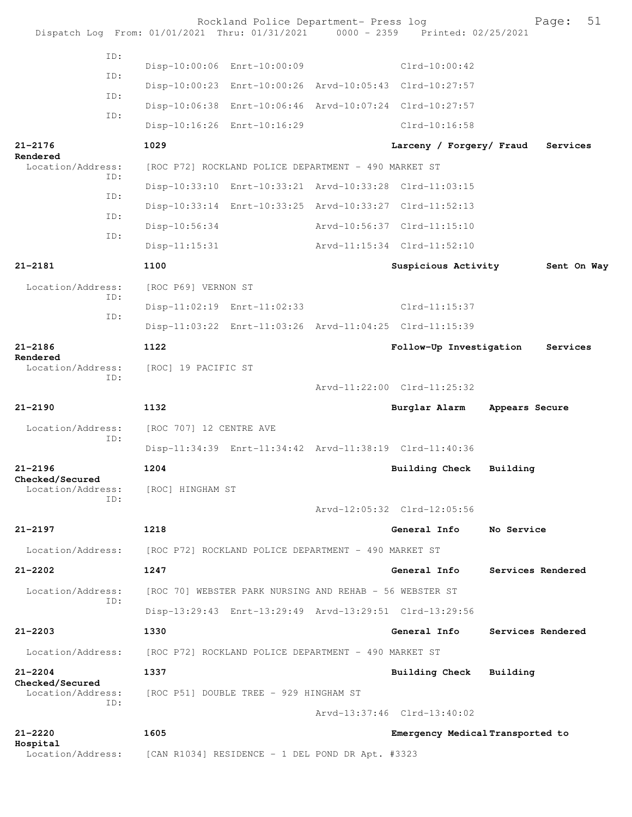|                                      |     |                                                         | Rockland Police Department- Press log                |  | Dispatch Log From: 01/01/2021 Thru: 01/31/2021 0000 - 2359 Printed: 02/25/2021 |                | Page:             | 51 |
|--------------------------------------|-----|---------------------------------------------------------|------------------------------------------------------|--|--------------------------------------------------------------------------------|----------------|-------------------|----|
|                                      | ID: |                                                         | Disp-10:00:06 Enrt-10:00:09                          |  | $Clrd-10:00:42$                                                                |                |                   |    |
|                                      | TD: |                                                         |                                                      |  | Disp-10:00:23 Enrt-10:00:26 Arvd-10:05:43 Clrd-10:27:57                        |                |                   |    |
|                                      | ID: |                                                         |                                                      |  | Disp-10:06:38 Enrt-10:06:46 Arvd-10:07:24 Clrd-10:27:57                        |                |                   |    |
|                                      | ID: |                                                         | Disp-10:16:26 Enrt-10:16:29                          |  | Clrd-10:16:58                                                                  |                |                   |    |
| $21 - 2176$                          |     | 1029                                                    |                                                      |  | Larceny / Forgery/ Fraud                                                       |                | Services          |    |
| Rendered<br>Location/Address:        |     |                                                         | [ROC P72] ROCKLAND POLICE DEPARTMENT - 490 MARKET ST |  |                                                                                |                |                   |    |
|                                      | ID: |                                                         |                                                      |  | Disp-10:33:10 Enrt-10:33:21 Arvd-10:33:28 Clrd-11:03:15                        |                |                   |    |
|                                      | ID: |                                                         |                                                      |  | Disp-10:33:14 Enrt-10:33:25 Arvd-10:33:27 Clrd-11:52:13                        |                |                   |    |
|                                      | ID: | Disp-10:56:34                                           |                                                      |  | Arvd-10:56:37 Clrd-11:15:10                                                    |                |                   |    |
|                                      | TD: | $Disp-11:15:31$                                         |                                                      |  | Arvd-11:15:34 Clrd-11:52:10                                                    |                |                   |    |
| $21 - 2181$                          |     | 1100                                                    |                                                      |  | Suspicious Activity                                                            |                | Sent On Way       |    |
| Location/Address:                    |     | [ROC P69] VERNON ST                                     |                                                      |  |                                                                                |                |                   |    |
|                                      | ID: |                                                         | Disp-11:02:19 Enrt-11:02:33                          |  | $Clrd-11:15:37$                                                                |                |                   |    |
|                                      | ID: |                                                         |                                                      |  | Disp-11:03:22 Enrt-11:03:26 Arvd-11:04:25 Clrd-11:15:39                        |                |                   |    |
| $21 - 2186$                          |     | 1122                                                    |                                                      |  | Follow-Up Investigation                                                        |                | Services          |    |
| Rendered<br>Location/Address:        |     | [ROC] 19 PACIFIC ST                                     |                                                      |  |                                                                                |                |                   |    |
|                                      | ID: |                                                         |                                                      |  | Arvd-11:22:00 Clrd-11:25:32                                                    |                |                   |    |
| $21 - 2190$                          |     | 1132                                                    |                                                      |  | Burglar Alarm                                                                  | Appears Secure |                   |    |
| Location/Address:                    |     | [ROC 707] 12 CENTRE AVE                                 |                                                      |  |                                                                                |                |                   |    |
|                                      | ID: |                                                         |                                                      |  | Disp-11:34:39 Enrt-11:34:42 Arvd-11:38:19 Clrd-11:40:36                        |                |                   |    |
| $21 - 2196$                          |     | 1204                                                    |                                                      |  | <b>Building Check</b>                                                          | Building       |                   |    |
| Checked/Secured<br>Location/Address: |     | [ROC] HINGHAM ST                                        |                                                      |  |                                                                                |                |                   |    |
|                                      | ID: |                                                         |                                                      |  | Arvd-12:05:32 Clrd-12:05:56                                                    |                |                   |    |
| $21 - 2197$                          |     | 1218                                                    |                                                      |  | General Info                                                                   | No Service     |                   |    |
| Location/Address:                    |     |                                                         | [ROC P72] ROCKLAND POLICE DEPARTMENT - 490 MARKET ST |  |                                                                                |                |                   |    |
| $21 - 2202$                          |     | 1247                                                    |                                                      |  | General Info                                                                   |                | Services Rendered |    |
| Location/Address:                    |     | [ROC 70] WEBSTER PARK NURSING AND REHAB - 56 WEBSTER ST |                                                      |  |                                                                                |                |                   |    |
|                                      | TD: |                                                         |                                                      |  | Disp-13:29:43 Enrt-13:29:49 Arvd-13:29:51 Clrd-13:29:56                        |                |                   |    |
| $21 - 2203$                          |     | 1330                                                    |                                                      |  | General Info                                                                   |                | Services Rendered |    |
| Location/Address:                    |     |                                                         | [ROC P72] ROCKLAND POLICE DEPARTMENT - 490 MARKET ST |  |                                                                                |                |                   |    |
| $21 - 2204$                          |     | 1337                                                    |                                                      |  | <b>Building Check</b>                                                          | Building       |                   |    |
| Checked/Secured<br>Location/Address: |     |                                                         | [ROC P51] DOUBLE TREE - 929 HINGHAM ST               |  |                                                                                |                |                   |    |
|                                      | TD: |                                                         |                                                      |  | Arvd-13:37:46 Clrd-13:40:02                                                    |                |                   |    |
| $21 - 2220$                          |     | 1605                                                    |                                                      |  | Emergency Medical Transported to                                               |                |                   |    |
| Hospital<br>Location/Address:        |     |                                                         | [CAN R1034] RESIDENCE - 1 DEL POND DR Apt. #3323     |  |                                                                                |                |                   |    |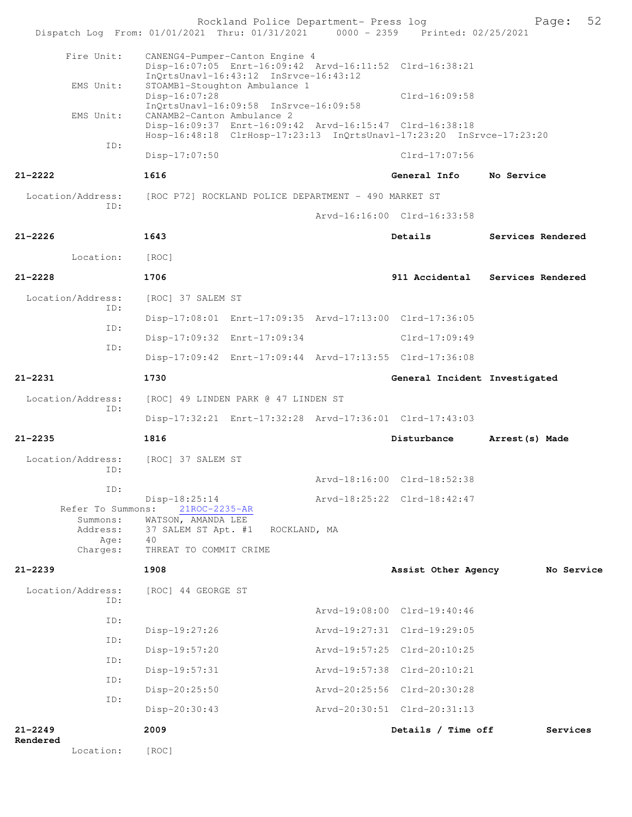|                                          | Rockland Police Department- Press log<br>Dispatch Log From: 01/01/2021 Thru: 01/31/2021 0000 - 2359 Printed: 02/25/2021                                                                                |                               | 52<br>Page:       |
|------------------------------------------|--------------------------------------------------------------------------------------------------------------------------------------------------------------------------------------------------------|-------------------------------|-------------------|
| Fire Unit:                               | CANENG4-Pumper-Canton Engine 4<br>Disp-16:07:05 Enrt-16:09:42 Arvd-16:11:52 Clrd-16:38:21                                                                                                              |                               |                   |
| EMS Unit:                                | $InQrtsUnav1-16:43:12$ $InSrvce-16:43:12$<br>STOAMB1-Stoughton Ambulance 1<br>Disp-16:07:28                                                                                                            | $Clrd-16:09:58$               |                   |
| EMS Unit:                                | InQrtsUnavl-16:09:58 InSrvce-16:09:58<br>CANAMB2-Canton Ambulance 2<br>Disp-16:09:37 Enrt-16:09:42 Arvd-16:15:47 Clrd-16:38:18<br>Hosp-16:48:18 ClrHosp-17:23:13 InQrtsUnavl-17:23:20 InSrvce-17:23:20 |                               |                   |
| ID:                                      | Disp-17:07:50                                                                                                                                                                                          | Clrd-17:07:56                 |                   |
| $21 - 2222$                              | 1616                                                                                                                                                                                                   | General Info                  | No Service        |
| Location/Address:                        | [ROC P72] ROCKLAND POLICE DEPARTMENT - 490 MARKET ST                                                                                                                                                   |                               |                   |
| TD:                                      |                                                                                                                                                                                                        | Arvd-16:16:00 Clrd-16:33:58   |                   |
| $21 - 2226$                              | 1643                                                                                                                                                                                                   | Details                       | Services Rendered |
| Location:                                | [ROC]                                                                                                                                                                                                  |                               |                   |
| $21 - 2228$                              | 1706                                                                                                                                                                                                   | 911 Accidental                | Services Rendered |
| Location/Address:                        | [ROC] 37 SALEM ST                                                                                                                                                                                      |                               |                   |
| ID:                                      | Disp-17:08:01 Enrt-17:09:35 Arvd-17:13:00 Clrd-17:36:05                                                                                                                                                |                               |                   |
| ID:                                      | Disp-17:09:32 Enrt-17:09:34                                                                                                                                                                            | Clrd-17:09:49                 |                   |
| ID:                                      | Disp-17:09:42 Enrt-17:09:44 Arvd-17:13:55 Clrd-17:36:08                                                                                                                                                |                               |                   |
| $21 - 2231$                              | 1730                                                                                                                                                                                                   | General Incident Investigated |                   |
| Location/Address:                        | [ROC] 49 LINDEN PARK @ 47 LINDEN ST                                                                                                                                                                    |                               |                   |
| ID:                                      | Disp-17:32:21 Enrt-17:32:28 Arvd-17:36:01 Clrd-17:43:03                                                                                                                                                |                               |                   |
| $21 - 2235$                              | 1816                                                                                                                                                                                                   | Disturbance                   | Arrest (s) Made   |
| Location/Address:<br>ID:                 | [ROC] 37 SALEM ST                                                                                                                                                                                      |                               |                   |
| ID:                                      |                                                                                                                                                                                                        | Arvd-18:16:00 Clrd-18:52:38   |                   |
| Refer To Summons:                        | $Disp-18:25:14$<br>21ROC-2235-AR                                                                                                                                                                       | Arvd-18:25:22 Clrd-18:42:47   |                   |
| Summons:<br>Address:<br>Age:<br>Charges: | WATSON, AMANDA LEE<br>37 SALEM ST Apt. #1<br>ROCKLAND, MA<br>40<br>THREAT TO COMMIT CRIME                                                                                                              |                               |                   |
| $21 - 2239$                              | 1908                                                                                                                                                                                                   | Assist Other Agency           | No Service        |
| Location/Address:<br>ID:                 | [ROC] 44 GEORGE ST                                                                                                                                                                                     |                               |                   |
| ID:                                      |                                                                                                                                                                                                        | Arvd-19:08:00 Clrd-19:40:46   |                   |
| ID:                                      | Disp-19:27:26                                                                                                                                                                                          | Arvd-19:27:31 Clrd-19:29:05   |                   |
| ID:                                      | Disp-19:57:20                                                                                                                                                                                          | Arvd-19:57:25 Clrd-20:10:25   |                   |
| ID:                                      | $Disp-19:57:31$                                                                                                                                                                                        | Arvd-19:57:38 Clrd-20:10:21   |                   |
| ID:                                      | Disp-20:25:50                                                                                                                                                                                          | Arvd-20:25:56 Clrd-20:30:28   |                   |
|                                          | Disp-20:30:43                                                                                                                                                                                          | Arvd-20:30:51 Clrd-20:31:13   |                   |
| $21 - 2249$<br>Rendered                  | 2009                                                                                                                                                                                                   | Details / Time off            | Services          |
| Location:                                | [ROC]                                                                                                                                                                                                  |                               |                   |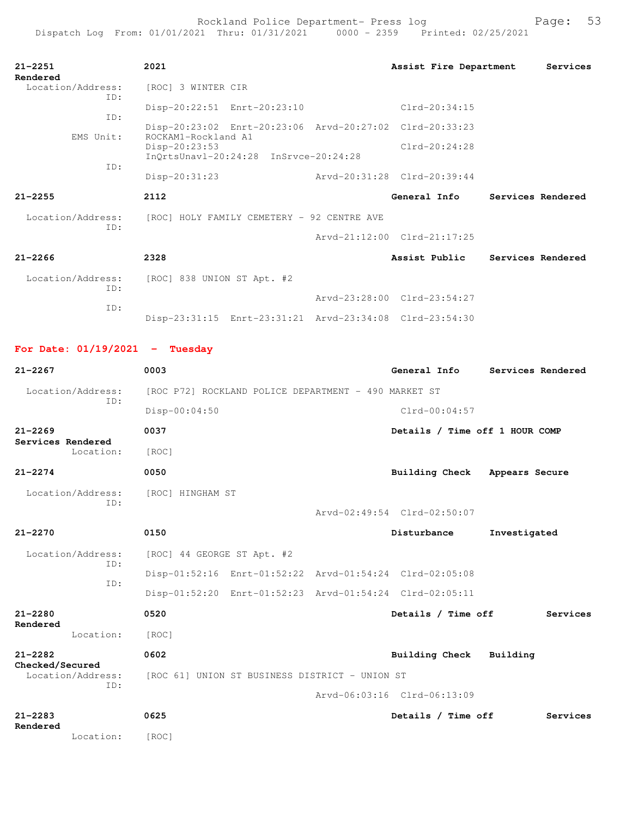| $21 - 2251$<br>Rendered  | 2021                                                                           | Assist Fire Department      | Services                        |
|--------------------------|--------------------------------------------------------------------------------|-----------------------------|---------------------------------|
| Location/Address:<br>TD: | [ROC] 3 WINTER CIR                                                             |                             |                                 |
| TD:                      | Disp-20:22:51 Enrt-20:23:10                                                    | $Clrd-20:34:15$             |                                 |
| EMS Unit:                | Disp-20:23:02 Enrt-20:23:06 Arvd-20:27:02 Clrd-20:33:23<br>ROCKAM1-Rockland A1 |                             |                                 |
|                          | Disp-20:23:53<br>InQrtsUnavl-20:24:28 InSrvce-20:24:28                         | $Clrd-20:24:28$             |                                 |
| TD:                      | $Disp-20:31:23$                                                                | Arvd-20:31:28 Clrd-20:39:44 |                                 |
|                          |                                                                                |                             |                                 |
| $21 - 2255$              | 2112                                                                           | General Info                | Services Rendered               |
| Location/Address:        | [ROC] HOLY FAMILY CEMETERY - 92 CENTRE AVE                                     |                             |                                 |
| TD:                      |                                                                                | Arvd-21:12:00 Clrd-21:17:25 |                                 |
| $21 - 2266$              | 2328                                                                           |                             | Assist Public Services Rendered |
| Location/Address:        | [ROC] 838 UNION ST Apt. #2                                                     |                             |                                 |
| TD:<br>TD:               |                                                                                | Arvd-23:28:00 Clrd-23:54:27 |                                 |

## **For Date: 01/19/2021 - Tuesday**

| $21 - 2267$                                 | 0003                                                    | General Info                   | Services Rendered |
|---------------------------------------------|---------------------------------------------------------|--------------------------------|-------------------|
| Location/Address:                           | [ROC P72] ROCKLAND POLICE DEPARTMENT - 490 MARKET ST    |                                |                   |
| TD:                                         | Disp-00:04:50                                           | $Clrd-00:04:57$                |                   |
| $21 - 2269$<br>Services Rendered            | 0037                                                    | Details / Time off 1 HOUR COMP |                   |
| Location:                                   | [ROC]                                                   |                                |                   |
| $21 - 2274$                                 | 0050                                                    | Building Check                 | Appears Secure    |
| Location/Address:<br>TD:                    | [ROC] HINGHAM ST                                        |                                |                   |
|                                             |                                                         | Arvd-02:49:54 Clrd-02:50:07    |                   |
| $21 - 2270$                                 | 0150                                                    | Disturbance                    | Investigated      |
| Location/Address:<br>ID:                    | [ROC] 44 GEORGE ST Apt. #2                              |                                |                   |
| ID:                                         | Disp-01:52:16 Enrt-01:52:22 Arvd-01:54:24 Clrd-02:05:08 |                                |                   |
|                                             | Disp-01:52:20 Enrt-01:52:23 Arvd-01:54:24 Clrd-02:05:11 |                                |                   |
| $21 - 2280$<br>Rendered                     | 0520                                                    | Details / Time off             | Services          |
| Location:                                   | [ROC]                                                   |                                |                   |
| $21 - 2282$                                 | 0602                                                    | Building Check                 | Building          |
| Checked/Secured<br>Location/Address:<br>ID: | [ROC 61] UNION ST BUSINESS DISTRICT - UNION ST          |                                |                   |
|                                             |                                                         | Arvd-06:03:16 Clrd-06:13:09    |                   |
| $21 - 2283$                                 | 0625                                                    | Details / Time off             | Services          |
| Rendered<br>Location:                       | [ROC]                                                   |                                |                   |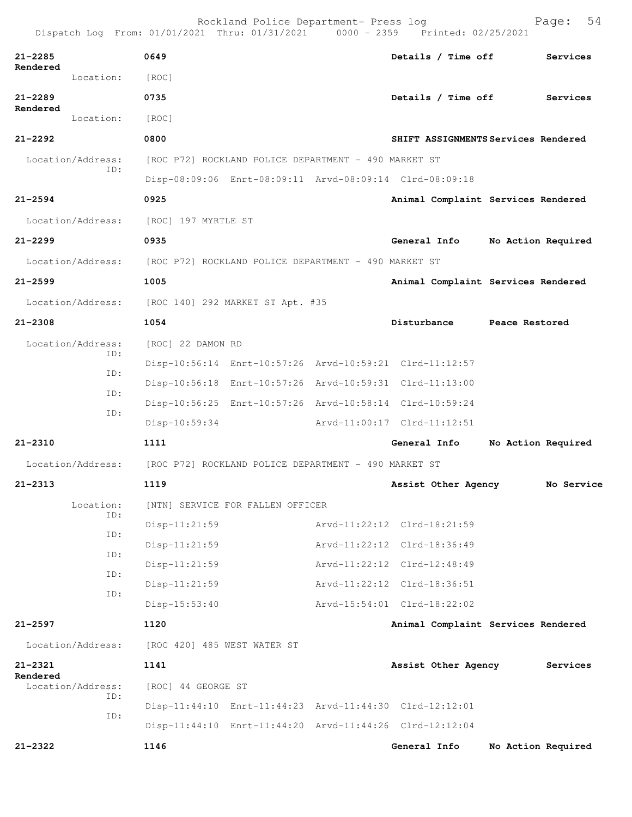Dispatch Log From: 01/01/2021 Thru: 01/31/2021 0000 - 2359 Printed: 02/25/2021

| $21 - 2285$<br>Rendered                                                | 0649                                       |                                                         | Details / Time off                                      | Services                            |
|------------------------------------------------------------------------|--------------------------------------------|---------------------------------------------------------|---------------------------------------------------------|-------------------------------------|
| Location:                                                              | [ROC]                                      |                                                         |                                                         |                                     |
| $21 - 2289$<br>Rendered                                                | 0735                                       |                                                         | Details / Time off                                      | Services                            |
| Location:                                                              | [ROC]                                      |                                                         |                                                         |                                     |
| $21 - 2292$                                                            | 0800                                       |                                                         |                                                         | SHIFT ASSIGNMENTS Services Rendered |
| Location/Address:                                                      |                                            | [ROC P72] ROCKLAND POLICE DEPARTMENT - 490 MARKET ST    |                                                         |                                     |
| ID:                                                                    |                                            | Disp-08:09:06 Enrt-08:09:11 Arvd-08:09:14 Clrd-08:09:18 |                                                         |                                     |
| $21 - 2594$                                                            | 0925                                       |                                                         |                                                         | Animal Complaint Services Rendered  |
| Location/Address: [ROC] 197 MYRTLE ST                                  |                                            |                                                         |                                                         |                                     |
| $21 - 2299$                                                            | 0935                                       |                                                         | General Info                                            | No Action Required                  |
| Location/Address: [ROC P72] ROCKLAND POLICE DEPARTMENT - 490 MARKET ST |                                            |                                                         |                                                         |                                     |
| $21 - 2599$                                                            | 1005                                       |                                                         |                                                         | Animal Complaint Services Rendered  |
| Location/Address: [ROC 140] 292 MARKET ST Apt. #35                     |                                            |                                                         |                                                         |                                     |
| $21 - 2308$                                                            | 1054                                       |                                                         | Disturbance Peace Restored                              |                                     |
| Location/Address:                                                      | [ROC] 22 DAMON RD                          |                                                         |                                                         |                                     |
| ID:                                                                    |                                            |                                                         | Disp-10:56:14 Enrt-10:57:26 Arvd-10:59:21 Clrd-11:12:57 |                                     |
| ID:                                                                    |                                            | Disp-10:56:18 Enrt-10:57:26 Arvd-10:59:31 Clrd-11:13:00 |                                                         |                                     |
| ID:                                                                    |                                            |                                                         | Disp-10:56:25 Enrt-10:57:26 Arvd-10:58:14 Clrd-10:59:24 |                                     |
| ID:                                                                    | $Disp-10:59:34$                            |                                                         | Arvd-11:00:17 Clrd-11:12:51                             |                                     |
| $21 - 2310$                                                            | 1111                                       |                                                         | General Info                                            | No Action Required                  |
| Location/Address: [ROC P72] ROCKLAND POLICE DEPARTMENT - 490 MARKET ST |                                            |                                                         |                                                         |                                     |
| $21 - 2313$                                                            | 1119                                       |                                                         | Assist Other Agency                                     | No Service                          |
|                                                                        | Location: [NTN] SERVICE FOR FALLEN OFFICER |                                                         |                                                         |                                     |
| ID:                                                                    | $Disp-11:21:59$                            |                                                         | Arvd-11:22:12 Clrd-18:21:59                             |                                     |
| ID:                                                                    | $Disp-11:21:59$                            |                                                         | Arvd-11:22:12 Clrd-18:36:49                             |                                     |
| ID:                                                                    | $Disp-11:21:59$                            |                                                         | Arvd-11:22:12 Clrd-12:48:49                             |                                     |
| ID:<br>ID:                                                             | Disp-11:21:59                              |                                                         | Arvd-11:22:12 Clrd-18:36:51                             |                                     |
|                                                                        | $Disp-15:53:40$                            |                                                         | Arvd-15:54:01 Clrd-18:22:02                             |                                     |
| $21 - 2597$                                                            | 1120                                       |                                                         |                                                         | Animal Complaint Services Rendered  |
| Location/Address:                                                      | [ROC 420] 485 WEST WATER ST                |                                                         |                                                         |                                     |
| $21 - 2321$                                                            | 1141                                       |                                                         | Assist Other Agency                                     | Services                            |
| Rendered<br>Location/Address:                                          | [ROC] 44 GEORGE ST                         |                                                         |                                                         |                                     |
| ID:                                                                    |                                            |                                                         | Disp-11:44:10 Enrt-11:44:23 Arvd-11:44:30 Clrd-12:12:01 |                                     |
| ID:                                                                    |                                            |                                                         | Disp-11:44:10 Enrt-11:44:20 Arvd-11:44:26 Clrd-12:12:04 |                                     |
| 21-2322                                                                | 1146                                       |                                                         | General Info                                            | No Action Required                  |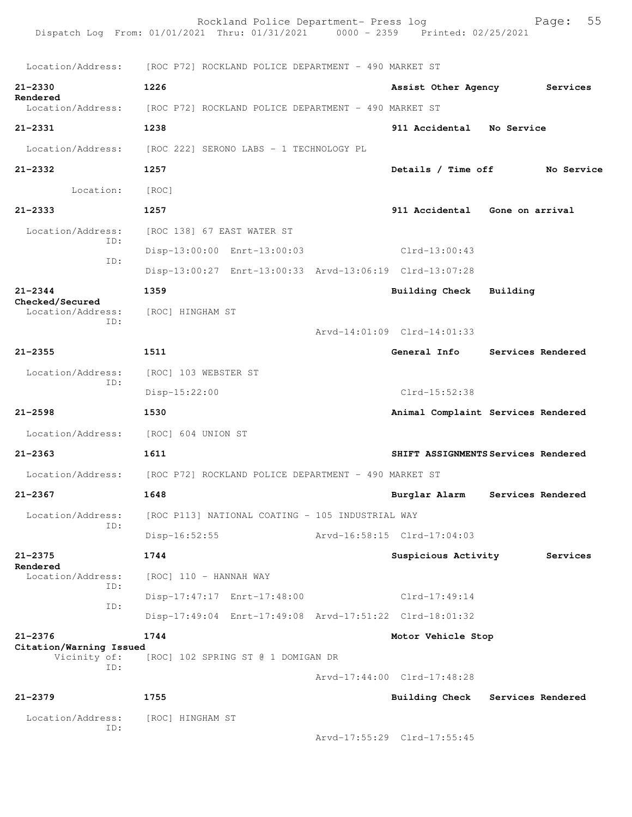|                                         | Rockland Police Department- Press log<br>Dispatch Log From: 01/01/2021 Thru: 01/31/2021 0000 - 2359 Printed: 02/25/2021 |                             | 55<br>Page:                         |
|-----------------------------------------|-------------------------------------------------------------------------------------------------------------------------|-----------------------------|-------------------------------------|
|                                         | Location/Address: [ROC P72] ROCKLAND POLICE DEPARTMENT - 490 MARKET ST                                                  |                             |                                     |
| $21 - 2330$                             | 1226                                                                                                                    | Assist Other Agency         | Services                            |
| Rendered                                | Location/Address: [ROC P72] ROCKLAND POLICE DEPARTMENT - 490 MARKET ST                                                  |                             |                                     |
| $21 - 2331$                             | 1238                                                                                                                    |                             | 911 Accidental No Service           |
|                                         | Location/Address: [ROC 222] SERONO LABS - 1 TECHNOLOGY PL                                                               |                             |                                     |
| $21 - 2332$                             | 1257                                                                                                                    | Details / Time off          | No Service                          |
| Location:                               | [ROC]                                                                                                                   |                             |                                     |
| $21 - 2333$                             | 1257                                                                                                                    |                             | 911 Accidental Gone on arrival      |
| Location/Address:                       | [ROC 138] 67 EAST WATER ST                                                                                              |                             |                                     |
| ID:                                     | Disp-13:00:00 Enrt-13:00:03                                                                                             | $Clrd-13:00:43$             |                                     |
| ID:                                     | Disp-13:00:27 Enrt-13:00:33 Arvd-13:06:19 Clrd-13:07:28                                                                 |                             |                                     |
| $21 - 2344$                             | 1359                                                                                                                    | Building Check              | Building                            |
| Checked/Secured<br>Location/Address:    | [ROC] HINGHAM ST                                                                                                        |                             |                                     |
| ID:                                     |                                                                                                                         | Arvd-14:01:09 Clrd-14:01:33 |                                     |
| $21 - 2355$                             | 1511                                                                                                                    | General Info                | Services Rendered                   |
| Location/Address:                       | [ROC] 103 WEBSTER ST                                                                                                    |                             |                                     |
| ID:                                     | $Disp-15:22:00$                                                                                                         | Clrd-15:52:38               |                                     |
| $21 - 2598$                             | 1530                                                                                                                    |                             | Animal Complaint Services Rendered  |
|                                         | Location/Address: [ROC] 604 UNION ST                                                                                    |                             |                                     |
| $21 - 2363$                             | 1611                                                                                                                    |                             | SHIFT ASSIGNMENTS Services Rendered |
| Location/Address:                       | [ROC P72] ROCKLAND POLICE DEPARTMENT - 490 MARKET ST                                                                    |                             |                                     |
| 21-2367                                 | 1648                                                                                                                    | Burglar Alarm               | Services Rendered                   |
| Location/Address:                       | [ROC P113] NATIONAL COATING - 105 INDUSTRIAL WAY                                                                        |                             |                                     |
| TD:                                     | $Disp-16:52:55$                                                                                                         | Arvd-16:58:15 Clrd-17:04:03 |                                     |
| $21 - 2375$                             | 1744                                                                                                                    | Suspicious Activity         | Services                            |
| Rendered<br>Location/Address:           | [ROC] 110 - HANNAH WAY                                                                                                  |                             |                                     |
| ID:                                     | Disp-17:47:17 Enrt-17:48:00                                                                                             | $Clrd-17:49:14$             |                                     |
| ID:                                     | Disp-17:49:04 Enrt-17:49:08 Arvd-17:51:22 Clrd-18:01:32                                                                 |                             |                                     |
| $21 - 2376$                             | 1744                                                                                                                    | Motor Vehicle Stop          |                                     |
| Citation/Warning Issued<br>Vicinity of: | [ROC] 102 SPRING ST @ 1 DOMIGAN DR                                                                                      |                             |                                     |
| ID:                                     |                                                                                                                         | Arvd-17:44:00 Clrd-17:48:28 |                                     |
| $21 - 2379$                             | 1755                                                                                                                    | Building Check              | Services Rendered                   |
| Location/Address:                       | [ROC] HINGHAM ST                                                                                                        |                             |                                     |
| ID:                                     |                                                                                                                         | Arvd-17:55:29 Clrd-17:55:45 |                                     |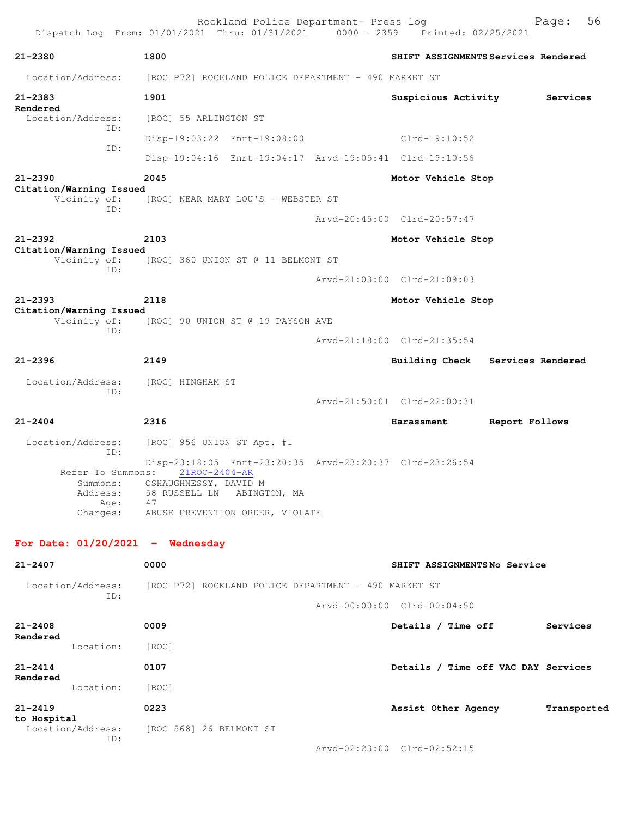|                                                                      | Rockland Police Department- Press log<br>Dispatch Log From: 01/01/2021 Thru: 01/31/2021 0000 - 2359 Printed: 02/25/2021                                                     |                                     | 56<br>Page:       |
|----------------------------------------------------------------------|-----------------------------------------------------------------------------------------------------------------------------------------------------------------------------|-------------------------------------|-------------------|
| $21 - 2380$                                                          | 1800                                                                                                                                                                        | SHIFT ASSIGNMENTS Services Rendered |                   |
| Location/Address:                                                    | [ROC P72] ROCKLAND POLICE DEPARTMENT - 490 MARKET ST                                                                                                                        |                                     |                   |
| $21 - 2383$<br>Rendered                                              | 1901                                                                                                                                                                        | Suspicious Activity                 | Services          |
| Location/Address:<br>ID:                                             | [ROC] 55 ARLINGTON ST                                                                                                                                                       |                                     |                   |
| ID:                                                                  | Disp-19:03:22 Enrt-19:08:00                                                                                                                                                 | Clrd-19:10:52                       |                   |
|                                                                      | Disp-19:04:16 Enrt-19:04:17 Arvd-19:05:41 Clrd-19:10:56                                                                                                                     |                                     |                   |
| $21 - 2390$                                                          | 2045                                                                                                                                                                        | Motor Vehicle Stop                  |                   |
| Citation/Warning Issued<br>Vicinity of:<br>ID:                       | [ROC] NEAR MARY LOU'S - WEBSTER ST                                                                                                                                          |                                     |                   |
|                                                                      |                                                                                                                                                                             | Arvd-20:45:00 Clrd-20:57:47         |                   |
| $21 - 2392$<br>Citation/Warning Issued                               | 2103                                                                                                                                                                        | Motor Vehicle Stop                  |                   |
| Vicinity of:<br>ID:                                                  | [ROC] 360 UNION ST @ 11 BELMONT ST                                                                                                                                          |                                     |                   |
|                                                                      |                                                                                                                                                                             | Arvd-21:03:00 Clrd-21:09:03         |                   |
| $21 - 2393$<br>Citation/Warning Issued                               | 2118                                                                                                                                                                        | Motor Vehicle Stop                  |                   |
| Vicinity of:<br>ID:                                                  | [ROC] 90 UNION ST @ 19 PAYSON AVE                                                                                                                                           |                                     |                   |
|                                                                      |                                                                                                                                                                             | Arvd-21:18:00 Clrd-21:35:54         |                   |
| $21 - 2396$                                                          | 2149                                                                                                                                                                        | Building Check                      | Services Rendered |
| Location/Address:                                                    | [ROC] HINGHAM ST                                                                                                                                                            |                                     |                   |
| ID:                                                                  |                                                                                                                                                                             | Arvd-21:50:01 Clrd-22:00:31         |                   |
| $21 - 2404$                                                          | 2316                                                                                                                                                                        | Harassment                          | Report Follows    |
| Location/Address:                                                    | [ROC] 956 UNION ST Apt. #1                                                                                                                                                  |                                     |                   |
| ID:<br>Refer To Summons:<br>Summons:<br>Address:<br>Age:<br>Charges: | Disp-23:18:05 Enrt-23:20:35 Arvd-23:20:37 Clrd-23:26:54<br>$21$ ROC-2404-AR<br>OSHAUGHNESSY, DAVID M<br>58 RUSSELL LN ABINGTON, MA<br>47<br>ABUSE PREVENTION ORDER, VIOLATE |                                     |                   |
| For Date: $01/20/2021$ - Wednesday                                   |                                                                                                                                                                             |                                     |                   |
| $21 - 2407$                                                          | 0000                                                                                                                                                                        | SHIFT ASSIGNMENTSNo Service         |                   |
| Location/Address:                                                    | [ROC P72] ROCKLAND POLICE DEPARTMENT - 490 MARKET ST                                                                                                                        |                                     |                   |
| ID:                                                                  |                                                                                                                                                                             | Arvd-00:00:00 Clrd-00:04:50         |                   |
| $21 - 2408$                                                          | 0009                                                                                                                                                                        | Details / Time off                  | Services          |
| Rendered<br>Location:                                                | [ROC]                                                                                                                                                                       |                                     |                   |
| $21 - 2414$                                                          | 0107                                                                                                                                                                        | Details / Time off VAC DAY Services |                   |
| Rendered<br>Location:                                                | [ROC]                                                                                                                                                                       |                                     |                   |
| $21 - 2419$                                                          | 0223                                                                                                                                                                        | Assist Other Agency                 | Transported       |
| to Hospital<br>Location/Address:                                     | [ROC 568] 26 BELMONT ST                                                                                                                                                     |                                     |                   |
| ID:                                                                  |                                                                                                                                                                             | Arvd-02:23:00 Clrd-02:52:15         |                   |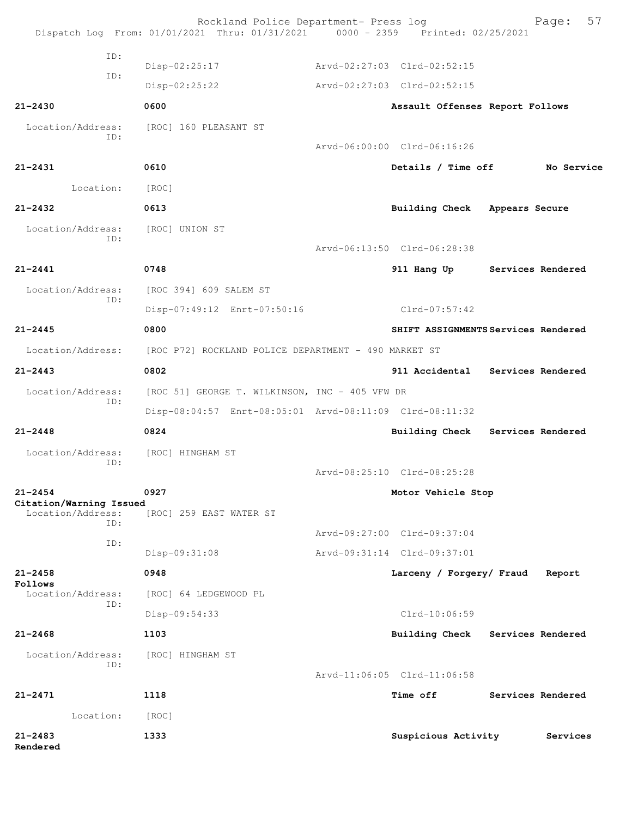|                                              | Rockland Police Department- Press log<br>Dispatch Log From: 01/01/2021 Thru: 01/31/2021 0000 - 2359 Printed: 02/25/2021 |                                     |                   | 57<br>Page: |
|----------------------------------------------|-------------------------------------------------------------------------------------------------------------------------|-------------------------------------|-------------------|-------------|
| ID:                                          |                                                                                                                         |                                     |                   |             |
| ID:                                          | Disp-02:25:17                                                                                                           | Arvd-02:27:03 Clrd-02:52:15         |                   |             |
|                                              | $Disp-02:25:22$                                                                                                         | Arvd-02:27:03 Clrd-02:52:15         |                   |             |
| $21 - 2430$                                  | 0600                                                                                                                    | Assault Offenses Report Follows     |                   |             |
| Location/Address:<br>ID:                     | [ROC] 160 PLEASANT ST                                                                                                   |                                     |                   |             |
|                                              |                                                                                                                         | Arvd-06:00:00 Clrd-06:16:26         |                   |             |
| $21 - 2431$                                  | 0610                                                                                                                    | Details / Time off                  |                   | No Service  |
| Location:                                    | [ROC]                                                                                                                   |                                     |                   |             |
| $21 - 2432$                                  | 0613                                                                                                                    | <b>Building Check</b>               | Appears Secure    |             |
| Location/Address:<br>ID:                     | [ROC] UNION ST                                                                                                          |                                     |                   |             |
|                                              |                                                                                                                         | Arvd-06:13:50 Clrd-06:28:38         |                   |             |
| $21 - 2441$                                  | 0748                                                                                                                    | 911 Hang Up                         | Services Rendered |             |
| Location/Address:<br>ID:                     | [ROC 394] 609 SALEM ST                                                                                                  |                                     |                   |             |
|                                              | Disp-07:49:12 Enrt-07:50:16                                                                                             | Clrd-07:57:42                       |                   |             |
| $21 - 2445$                                  | 0800                                                                                                                    | SHIFT ASSIGNMENTS Services Rendered |                   |             |
| Location/Address:                            | [ROC P72] ROCKLAND POLICE DEPARTMENT - 490 MARKET ST                                                                    |                                     |                   |             |
| $21 - 2443$                                  | 0802                                                                                                                    | 911 Accidental Services Rendered    |                   |             |
| Location/Address:                            | [ROC 51] GEORGE T. WILKINSON, INC - 405 VFW DR                                                                          |                                     |                   |             |
| ID:                                          | Disp-08:04:57 Enrt-08:05:01 Arvd-08:11:09 Clrd-08:11:32                                                                 |                                     |                   |             |
| $21 - 2448$                                  | 0824                                                                                                                    | Building Check Services Rendered    |                   |             |
| Location/Address:                            | [ROC] HINGHAM ST                                                                                                        |                                     |                   |             |
| ID:                                          |                                                                                                                         | Arvd-08:25:10 Clrd-08:25:28         |                   |             |
| $21 - 2454$                                  | 0927                                                                                                                    | Motor Vehicle Stop                  |                   |             |
| Citation/Warning Issued<br>Location/Address: | [ROC] 259 EAST WATER ST                                                                                                 |                                     |                   |             |
| TD:                                          |                                                                                                                         | Arvd-09:27:00 Clrd-09:37:04         |                   |             |
| ID:                                          | Disp-09:31:08                                                                                                           | Arvd-09:31:14 Clrd-09:37:01         |                   |             |
| $21 - 2458$                                  | 0948                                                                                                                    | Larceny / Forgery/ Fraud            |                   | Report      |
| Follows<br>Location/Address:                 | [ROC] 64 LEDGEWOOD PL                                                                                                   |                                     |                   |             |
| ID:                                          | Disp-09:54:33                                                                                                           | Clrd-10:06:59                       |                   |             |
| $21 - 2468$                                  | 1103                                                                                                                    | Building Check                      | Services Rendered |             |
| Location/Address:                            | [ROC] HINGHAM ST                                                                                                        |                                     |                   |             |
| ID:                                          |                                                                                                                         | Arvd-11:06:05 Clrd-11:06:58         |                   |             |
| $21 - 2471$                                  | 1118                                                                                                                    | <b>Time off</b>                     | Services Rendered |             |
| Location:                                    | [ROC]                                                                                                                   |                                     |                   |             |
| $21 - 2483$<br>Rendered                      | 1333                                                                                                                    | Suspicious Activity                 |                   | Services    |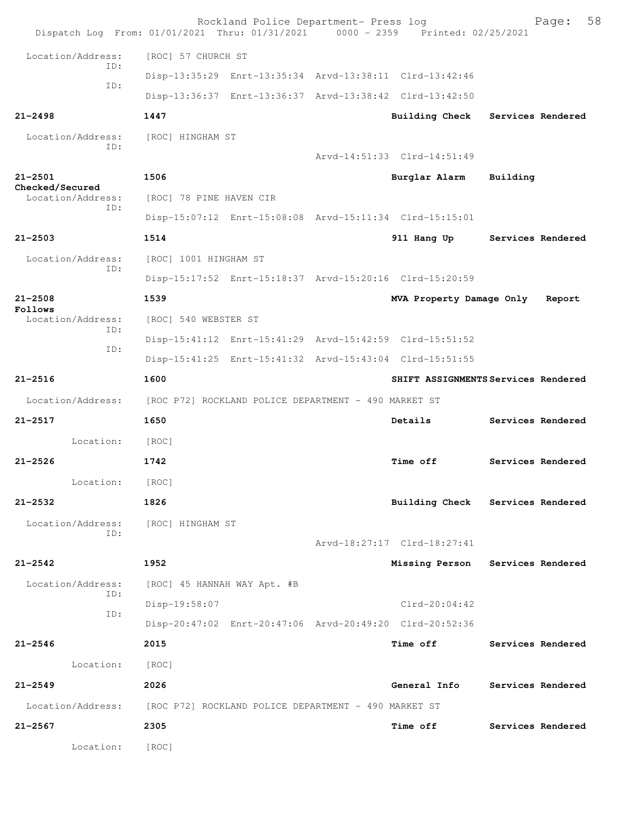| Dispatch Log From: 01/01/2021 Thru: 01/31/2021 0000 - 2359 Printed: 02/25/2021 |                                                      | Rockland Police Department- Press log |                                                         |                   | Page:  | 58 |
|--------------------------------------------------------------------------------|------------------------------------------------------|---------------------------------------|---------------------------------------------------------|-------------------|--------|----|
| Location/Address:                                                              | [ROC] 57 CHURCH ST                                   |                                       |                                                         |                   |        |    |
| TD:                                                                            |                                                      |                                       | Disp-13:35:29 Enrt-13:35:34 Arvd-13:38:11 Clrd-13:42:46 |                   |        |    |
| ID:                                                                            |                                                      |                                       | Disp-13:36:37 Enrt-13:36:37 Arvd-13:38:42 Clrd-13:42:50 |                   |        |    |
| $21 - 2498$                                                                    | 1447                                                 |                                       | <b>Building Check</b>                                   | Services Rendered |        |    |
| Location/Address:                                                              | [ROC] HINGHAM ST                                     |                                       |                                                         |                   |        |    |
| ID:                                                                            |                                                      |                                       | Arvd-14:51:33 Clrd-14:51:49                             |                   |        |    |
| $21 - 2501$                                                                    | 1506                                                 |                                       | Burglar Alarm                                           | Building          |        |    |
| Checked/Secured<br>Location/Address:<br>ID:                                    | [ROC] 78 PINE HAVEN CIR                              |                                       |                                                         |                   |        |    |
|                                                                                |                                                      |                                       | Disp-15:07:12 Enrt-15:08:08 Arvd-15:11:34 Clrd-15:15:01 |                   |        |    |
| $21 - 2503$                                                                    | 1514                                                 |                                       | 911 Hang Up                                             | Services Rendered |        |    |
| Location/Address:<br>TD:                                                       | [ROC] 1001 HINGHAM ST                                |                                       |                                                         |                   |        |    |
|                                                                                |                                                      |                                       | Disp-15:17:52 Enrt-15:18:37 Arvd-15:20:16 Clrd-15:20:59 |                   |        |    |
| $21 - 2508$<br>Follows                                                         | 1539                                                 |                                       | MVA Property Damage Only                                |                   | Report |    |
| Location/Address:<br>ID:                                                       | [ROC] 540 WEBSTER ST                                 |                                       |                                                         |                   |        |    |
| ID:                                                                            |                                                      |                                       | Disp-15:41:12 Enrt-15:41:29 Arvd-15:42:59 Clrd-15:51:52 |                   |        |    |
|                                                                                |                                                      |                                       | Disp-15:41:25 Enrt-15:41:32 Arvd-15:43:04 Clrd-15:51:55 |                   |        |    |
| $21 - 2516$                                                                    | 1600                                                 |                                       | SHIFT ASSIGNMENTS Services Rendered                     |                   |        |    |
| Location/Address:                                                              | [ROC P72] ROCKLAND POLICE DEPARTMENT - 490 MARKET ST |                                       |                                                         |                   |        |    |
| $21 - 2517$                                                                    | 1650                                                 |                                       | Details                                                 | Services Rendered |        |    |
| Location:                                                                      | [ROC]                                                |                                       |                                                         |                   |        |    |
| $21 - 2526$                                                                    | 1742                                                 |                                       | <b>Time off</b>                                         | Services Rendered |        |    |
| Location:                                                                      | [ROC]                                                |                                       |                                                         |                   |        |    |
| $21 - 2532$                                                                    | 1826                                                 |                                       | Building Check Services Rendered                        |                   |        |    |
| Location/Address:<br>ID:                                                       | [ROC] HINGHAM ST                                     |                                       |                                                         |                   |        |    |
|                                                                                |                                                      |                                       | Arvd-18:27:17 Clrd-18:27:41                             |                   |        |    |
| $21 - 2542$                                                                    | 1952                                                 |                                       | Missing Person Services Rendered                        |                   |        |    |
| Location/Address:<br>ID:                                                       | [ROC] 45 HANNAH WAY Apt. #B                          |                                       |                                                         |                   |        |    |
| ID:                                                                            | Disp-19:58:07                                        |                                       | $Clrd-20:04:42$                                         |                   |        |    |
|                                                                                |                                                      |                                       | Disp-20:47:02 Enrt-20:47:06 Arvd-20:49:20 Clrd-20:52:36 |                   |        |    |
| $21 - 2546$                                                                    | 2015                                                 |                                       | <b>Time off</b>                                         | Services Rendered |        |    |
| Location:                                                                      | [ROC]                                                |                                       |                                                         |                   |        |    |
| $21 - 2549$                                                                    | 2026                                                 |                                       | General Info                                            | Services Rendered |        |    |
| Location/Address:                                                              | [ROC P72] ROCKLAND POLICE DEPARTMENT - 490 MARKET ST |                                       |                                                         |                   |        |    |
| $21 - 2567$                                                                    | 2305                                                 |                                       | <b>Time off</b>                                         | Services Rendered |        |    |
| Location:                                                                      | [ROC]                                                |                                       |                                                         |                   |        |    |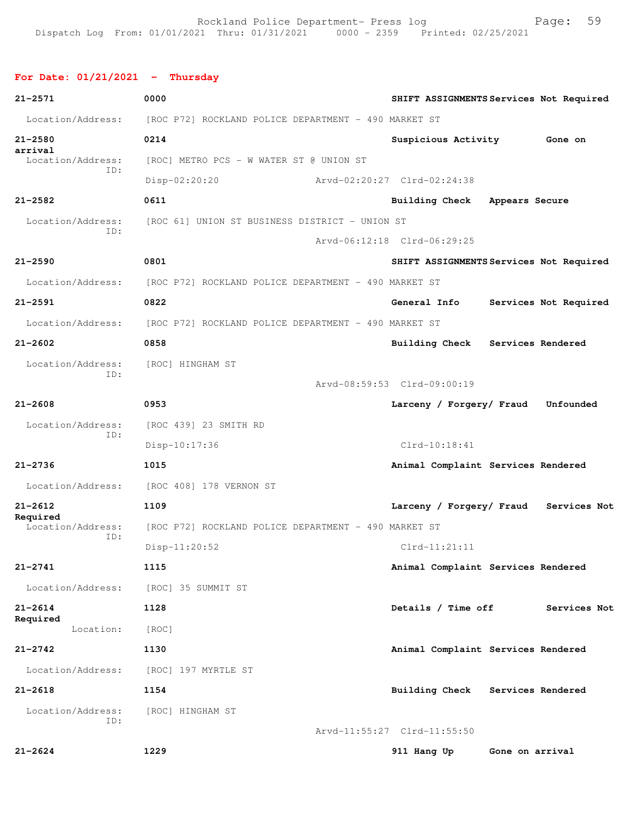## **For Date: 01/21/2021 - Thursday**

| $21 - 2571$                          | 0000                                                 | SHIFT ASSIGNMENTS Services Not Required  |
|--------------------------------------|------------------------------------------------------|------------------------------------------|
| Location/Address:                    | [ROC P72] ROCKLAND POLICE DEPARTMENT - 490 MARKET ST |                                          |
| $21 - 2580$                          | 0214                                                 | Suspicious Activity<br>Gone on           |
| arrival<br>Location/Address:         | [ROC] METRO PCS - W WATER ST @ UNION ST              |                                          |
| ID:                                  | Disp-02:20:20                                        | Arvd-02:20:27 Clrd-02:24:38              |
| $21 - 2582$                          | 0611                                                 | Building Check Appears Secure            |
| Location/Address:                    | [ROC 61] UNION ST BUSINESS DISTRICT - UNION ST       |                                          |
| ID:                                  |                                                      | Arvd-06:12:18 Clrd-06:29:25              |
| $21 - 2590$                          | 0801                                                 | SHIFT ASSIGNMENTS Services Not Required  |
| Location/Address:                    | [ROC P72] ROCKLAND POLICE DEPARTMENT - 490 MARKET ST |                                          |
| $21 - 2591$                          | 0822                                                 | General Info<br>Services Not Required    |
| Location/Address:                    | [ROC P72] ROCKLAND POLICE DEPARTMENT - 490 MARKET ST |                                          |
| $21 - 2602$                          | 0858                                                 | Building Check Services Rendered         |
| Location/Address:<br>TD:             | [ROC] HINGHAM ST                                     |                                          |
|                                      |                                                      | Arvd-08:59:53 Clrd-09:00:19              |
| $21 - 2608$                          | 0953                                                 | Larceny / Forgery/ Fraud<br>Unfounded    |
| Location/Address:<br>ID:             | [ROC 439] 23 SMITH RD                                |                                          |
|                                      | Disp-10:17:36                                        | $Clrd-10:18:41$                          |
| $21 - 2736$                          | 1015                                                 | Animal Complaint Services Rendered       |
| Location/Address:                    | [ROC 408] 178 VERNON ST                              |                                          |
| $21 - 2612$                          | 1109                                                 | Larceny / Forgery/ Fraud<br>Services Not |
| Required<br>Location/Address:<br>ID: | [ROC P72] ROCKLAND POLICE DEPARTMENT - 490 MARKET ST |                                          |
|                                      | $Disp-11:20:52$                                      | $Clrd-11:21:11$                          |
| $21 - 2741$                          | 1115                                                 | Animal Complaint Services Rendered       |
| Location/Address:                    | [ROC] 35 SUMMIT ST                                   |                                          |
| $21 - 2614$                          | 1128                                                 | Details / Time off<br>Services Not       |
| Required<br>Location:                | [ROC]                                                |                                          |
| $21 - 2742$                          | 1130                                                 | Animal Complaint Services Rendered       |
| Location/Address:                    | [ROC] 197 MYRTLE ST                                  |                                          |
| $21 - 2618$                          | 1154                                                 | Building Check Services Rendered         |
| Location/Address:                    | [ROC] HINGHAM ST                                     |                                          |
| ID:                                  |                                                      | Arvd-11:55:27 Clrd-11:55:50              |
| $21 - 2624$                          | 1229                                                 | 911 Hang Up<br>Gone on arrival           |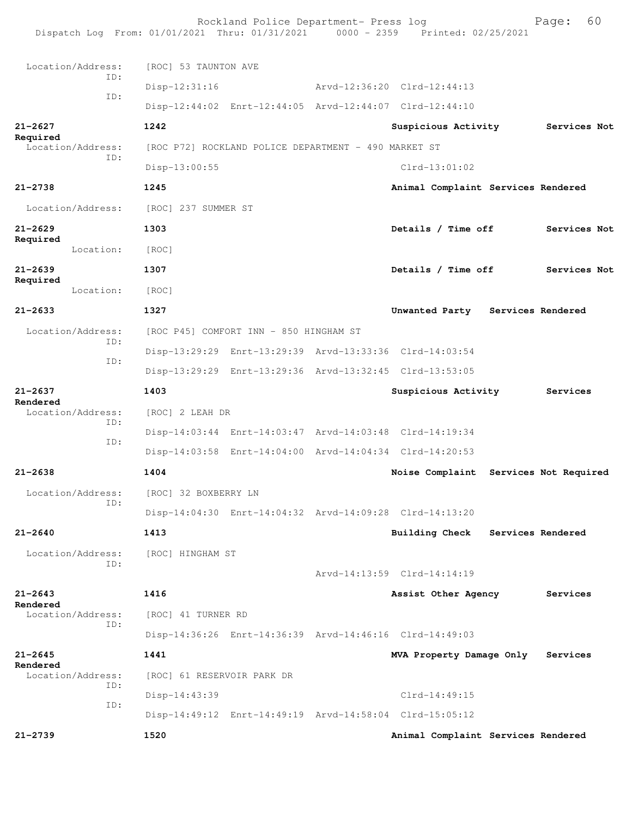| Dispatch Log From: 01/01/2021 Thru: 01/31/2021 0000 - 2359 Printed: 02/25/2021 |                            | Rockland Police Department- Press log                |  |                                                         |  | 60<br>Page:       |
|--------------------------------------------------------------------------------|----------------------------|------------------------------------------------------|--|---------------------------------------------------------|--|-------------------|
| Location/Address:                                                              | [ROC] 53 TAUNTON AVE       |                                                      |  |                                                         |  |                   |
| ID:                                                                            | $Disp-12:31:16$            |                                                      |  | Arvd-12:36:20 Clrd-12:44:13                             |  |                   |
| ID:                                                                            |                            |                                                      |  | Disp-12:44:02 Enrt-12:44:05 Arvd-12:44:07 Clrd-12:44:10 |  |                   |
| $21 - 2627$                                                                    | 1242                       |                                                      |  | Suspicious Activity                                     |  | Services Not      |
| Required<br>Location/Address:                                                  |                            | [ROC P72] ROCKLAND POLICE DEPARTMENT - 490 MARKET ST |  |                                                         |  |                   |
| ID:                                                                            | Disp-13:00:55              |                                                      |  | $Clrd-13:01:02$                                         |  |                   |
| $21 - 2738$                                                                    | 1245                       |                                                      |  | Animal Complaint Services Rendered                      |  |                   |
| Location/Address:                                                              | [ROC] 237 SUMMER ST        |                                                      |  |                                                         |  |                   |
| $21 - 2629$                                                                    | 1303                       |                                                      |  | Details / Time off                                      |  | Services Not      |
| Required<br>Location:                                                          | [ROC]                      |                                                      |  |                                                         |  |                   |
| $21 - 2639$                                                                    | 1307                       |                                                      |  | Details / Time off                                      |  | Services Not      |
| Required<br>Location:                                                          | [ROC]                      |                                                      |  |                                                         |  |                   |
| $21 - 2633$                                                                    | 1327                       |                                                      |  | Unwanted Party Services Rendered                        |  |                   |
| Location/Address:                                                              |                            | [ROC P45] COMFORT INN - 850 HINGHAM ST               |  |                                                         |  |                   |
| ID:                                                                            |                            |                                                      |  | Disp-13:29:29 Enrt-13:29:39 Arvd-13:33:36 Clrd-14:03:54 |  |                   |
| ID:                                                                            |                            |                                                      |  | Disp-13:29:29 Enrt-13:29:36 Arvd-13:32:45 Clrd-13:53:05 |  |                   |
| $21 - 2637$                                                                    | 1403                       |                                                      |  | Suspicious Activity                                     |  | Services          |
| Rendered<br>Location/Address:                                                  | [ROC] 2 LEAH DR            |                                                      |  |                                                         |  |                   |
| ID:                                                                            |                            |                                                      |  | Disp-14:03:44 Enrt-14:03:47 Arvd-14:03:48 Clrd-14:19:34 |  |                   |
| ID:                                                                            |                            |                                                      |  | Disp-14:03:58 Enrt-14:04:00 Arvd-14:04:34 Clrd-14:20:53 |  |                   |
| $21 - 2638$                                                                    | 1404                       |                                                      |  | Noise Complaint Services Not Required                   |  |                   |
| Location/Address:                                                              | [ROC] 32 BOXBERRY LN       |                                                      |  |                                                         |  |                   |
| ID:                                                                            |                            |                                                      |  | Disp-14:04:30 Enrt-14:04:32 Arvd-14:09:28 Clrd-14:13:20 |  |                   |
| $21 - 2640$                                                                    | 1413                       |                                                      |  | Building Check                                          |  | Services Rendered |
| Location/Address:<br>ID:                                                       | [ROC] HINGHAM ST           |                                                      |  |                                                         |  |                   |
|                                                                                |                            |                                                      |  | Arvd-14:13:59 Clrd-14:14:19                             |  |                   |
| $21 - 2643$<br>Rendered                                                        | 1416                       |                                                      |  | Assist Other Agency                                     |  | Services          |
| Location/Address:<br>ID:                                                       |                            | [ROC] 41 TURNER RD                                   |  |                                                         |  |                   |
|                                                                                |                            |                                                      |  | Disp-14:36:26 Enrt-14:36:39 Arvd-14:46:16 Clrd-14:49:03 |  |                   |
| $21 - 2645$<br>Rendered                                                        | 1441                       |                                                      |  | MVA Property Damage Only                                |  | Services          |
| Location/Address:<br>ID:                                                       | [ROC] 61 RESERVOIR PARK DR |                                                      |  |                                                         |  |                   |
| ID:                                                                            | Disp-14:43:39              |                                                      |  | $Clrd-14:49:15$                                         |  |                   |
|                                                                                |                            |                                                      |  | Disp-14:49:12 Enrt-14:49:19 Arvd-14:58:04 Clrd-15:05:12 |  |                   |
| $21 - 2739$                                                                    | 1520                       |                                                      |  | Animal Complaint Services Rendered                      |  |                   |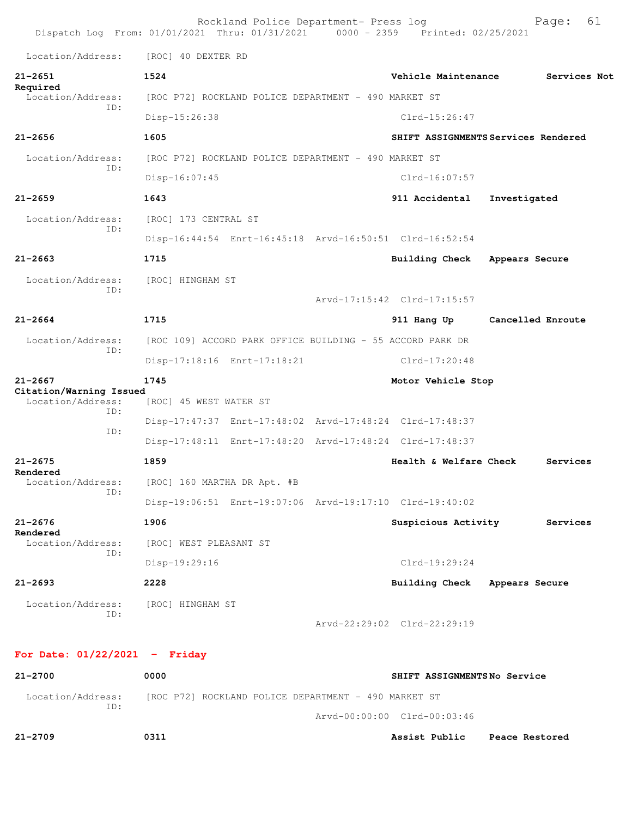|                                              | Rockland Police Department- Press log<br>Dispatch Log From: 01/01/2021 Thru: 01/31/2021 0000 - 2359 Printed: 02/25/2021 | 61<br>Page:                         |
|----------------------------------------------|-------------------------------------------------------------------------------------------------------------------------|-------------------------------------|
| Location/Address:                            | [ROC] 40 DEXTER RD                                                                                                      |                                     |
| $21 - 2651$                                  | 1524                                                                                                                    | Vehicle Maintenance<br>Services Not |
| Required<br>Location/Address:                | [ROC P72] ROCKLAND POLICE DEPARTMENT - 490 MARKET ST                                                                    |                                     |
| TD:                                          | Disp-15:26:38                                                                                                           | $Clrd-15:26:47$                     |
| $21 - 2656$                                  | 1605                                                                                                                    | SHIFT ASSIGNMENTS Services Rendered |
| Location/Address:                            | [ROC P72] ROCKLAND POLICE DEPARTMENT - 490 MARKET ST                                                                    |                                     |
| TD:                                          | Disp-16:07:45                                                                                                           | Clrd-16:07:57                       |
| $21 - 2659$                                  | 1643                                                                                                                    | 911 Accidental<br>Investigated      |
| Location/Address:                            | [ROC] 173 CENTRAL ST                                                                                                    |                                     |
| ID:                                          | Disp-16:44:54 Enrt-16:45:18 Arvd-16:50:51 Clrd-16:52:54                                                                 |                                     |
| $21 - 2663$                                  | 1715                                                                                                                    | Building Check<br>Appears Secure    |
| Location/Address:                            | [ROC] HINGHAM ST                                                                                                        |                                     |
| TD:                                          |                                                                                                                         | Arvd-17:15:42 Clrd-17:15:57         |
| $21 - 2664$                                  | 1715                                                                                                                    | 911 Hang Up<br>Cancelled Enroute    |
| Location/Address:                            | [ROC 109] ACCORD PARK OFFICE BUILDING - 55 ACCORD PARK DR                                                               |                                     |
| ID:                                          | Disp-17:18:16 Enrt-17:18:21                                                                                             | $Clrd-17:20:48$                     |
| $21 - 2667$                                  | 1745                                                                                                                    | Motor Vehicle Stop                  |
| Citation/Warning Issued<br>Location/Address: | [ROC] 45 WEST WATER ST                                                                                                  |                                     |
| ID:<br>ID:                                   | Disp-17:47:37 Enrt-17:48:02 Arvd-17:48:24 Clrd-17:48:37                                                                 |                                     |
|                                              | Disp-17:48:11 Enrt-17:48:20 Arvd-17:48:24 Clrd-17:48:37                                                                 |                                     |
| $21 - 2675$                                  | 1859                                                                                                                    | Health & Welfare Check<br>Services  |
| Rendered<br>Location/Address:                | [ROC] 160 MARTHA DR Apt. #B                                                                                             |                                     |
| ID:                                          | Disp-19:06:51 Enrt-19:07:06 Arvd-19:17:10 Clrd-19:40:02                                                                 |                                     |
|                                              |                                                                                                                         |                                     |
| $21 - 2676$                                  | 1906                                                                                                                    | Suspicious Activity<br>Services     |
| Rendered<br>Location/Address:                | [ROC] WEST PLEASANT ST                                                                                                  |                                     |
| ID:                                          | Disp-19:29:16                                                                                                           | $Clrd-19:29:24$                     |
| $21 - 2693$                                  | 2228                                                                                                                    | Building Check Appears Secure       |
| Location/Address:                            | [ROC] HINGHAM ST                                                                                                        |                                     |
| ID:                                          |                                                                                                                         | Arvd-22:29:02 Clrd-22:29:19         |
| For Date: $01/22/2021$ - Friday              |                                                                                                                         |                                     |
| $21 - 2700$                                  | 0000                                                                                                                    | SHIFT ASSIGNMENTSNo Service         |
| Location/Address:                            | [ROC P72] ROCKLAND POLICE DEPARTMENT - 490 MARKET ST                                                                    |                                     |

**21-2709 0311 Assist Public Peace Restored**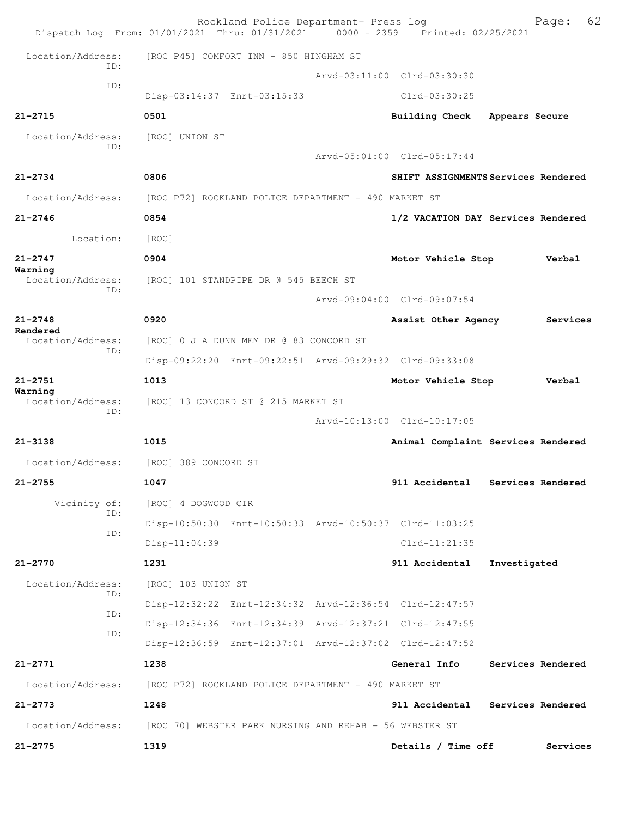|                                                     | Rockland Police Department- Press log<br>Dispatch Log From: 01/01/2021 Thru: 01/31/2021 0000 - 2359 Printed: 02/25/2021 |                             | 62<br>Page:                         |
|-----------------------------------------------------|-------------------------------------------------------------------------------------------------------------------------|-----------------------------|-------------------------------------|
| Location/Address:                                   | [ROC P45] COMFORT INN - 850 HINGHAM ST                                                                                  |                             |                                     |
| TD:                                                 |                                                                                                                         | Arvd-03:11:00 Clrd-03:30:30 |                                     |
| ID:                                                 | Disp-03:14:37 Enrt-03:15:33                                                                                             | $Clrd-03:30:25$             |                                     |
| $21 - 2715$                                         | 0501                                                                                                                    | <b>Building Check</b>       | Appears Secure                      |
| Location/Address:<br>TD:                            | [ROC] UNION ST                                                                                                          | Arvd-05:01:00 Clrd-05:17:44 |                                     |
|                                                     |                                                                                                                         |                             |                                     |
| $21 - 2734$                                         | 0806                                                                                                                    |                             | SHIFT ASSIGNMENTS Services Rendered |
| Location/Address:                                   | [ROC P72] ROCKLAND POLICE DEPARTMENT - 490 MARKET ST<br>0854                                                            |                             |                                     |
| $21 - 2746$                                         |                                                                                                                         |                             | 1/2 VACATION DAY Services Rendered  |
| Location:                                           | [ROC]                                                                                                                   |                             |                                     |
| $21 - 2747$<br>Warning                              | 0904                                                                                                                    | Motor Vehicle Stop          | Verbal                              |
| Location/Address:<br>ID:                            | [ROC] 101 STANDPIPE DR @ 545 BEECH ST                                                                                   |                             |                                     |
|                                                     |                                                                                                                         | Arvd-09:04:00 Clrd-09:07:54 |                                     |
| $21 - 2748$<br>Rendered<br>Location/Address:<br>TD: | 0920                                                                                                                    | Assist Other Agency         | Services                            |
|                                                     | [ROC] 0 J A DUNN MEM DR @ 83 CONCORD ST                                                                                 |                             |                                     |
|                                                     | Disp-09:22:20 Enrt-09:22:51 Arvd-09:29:32 Clrd-09:33:08                                                                 |                             |                                     |
| $21 - 2751$<br>Warning                              | 1013                                                                                                                    | Motor Vehicle Stop          | Verbal                              |
| Location/Address:<br>ID:                            | [ROC] 13 CONCORD ST @ 215 MARKET ST                                                                                     |                             |                                     |
|                                                     |                                                                                                                         | Arvd-10:13:00 Clrd-10:17:05 |                                     |
| $21 - 3138$                                         | 1015                                                                                                                    |                             | Animal Complaint Services Rendered  |
| Location/Address:                                   | [ROC] 389 CONCORD ST                                                                                                    |                             |                                     |
| $21 - 2755$                                         | 1047                                                                                                                    | 911 Accidental              | Services Rendered                   |
| Vicinity of:<br>ID:                                 | [ROC] 4 DOGWOOD CIR                                                                                                     |                             |                                     |
| ID:                                                 | Disp-10:50:30 Enrt-10:50:33 Arvd-10:50:37 Clrd-11:03:25                                                                 |                             |                                     |
|                                                     | $Disp-11:04:39$                                                                                                         | $Clrd-11:21:35$             |                                     |
| $21 - 2770$                                         | 1231                                                                                                                    | 911 Accidental              | Investigated                        |
| Location/Address:<br>ID:                            | [ROC] 103 UNION ST                                                                                                      |                             |                                     |
| ID:                                                 | Disp-12:32:22 Enrt-12:34:32 Arvd-12:36:54 Clrd-12:47:57                                                                 |                             |                                     |
| ID:                                                 | Disp-12:34:36 Enrt-12:34:39 Arvd-12:37:21 Clrd-12:47:55                                                                 |                             |                                     |
|                                                     | Disp-12:36:59 Enrt-12:37:01 Arvd-12:37:02 Clrd-12:47:52                                                                 |                             |                                     |
| $21 - 2771$                                         | 1238                                                                                                                    | General Info                | Services Rendered                   |
| Location/Address:                                   | [ROC P72] ROCKLAND POLICE DEPARTMENT - 490 MARKET ST                                                                    |                             |                                     |
| $21 - 2773$                                         | 1248                                                                                                                    |                             | 911 Accidental Services Rendered    |
| Location/Address:                                   | [ROC 70] WEBSTER PARK NURSING AND REHAB - 56 WEBSTER ST                                                                 |                             |                                     |
| $21 - 2775$                                         | 1319                                                                                                                    | Details / Time off          | Services                            |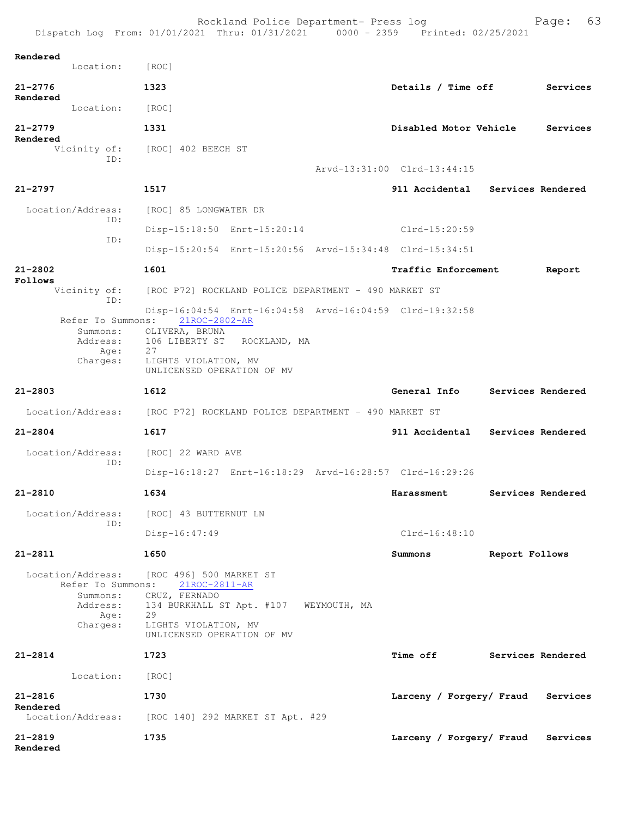| Rendered<br>Location:                                                              | [ROC]                                                                                                                                                                                 |                             |                   |
|------------------------------------------------------------------------------------|---------------------------------------------------------------------------------------------------------------------------------------------------------------------------------------|-----------------------------|-------------------|
| $21 - 2776$                                                                        | 1323                                                                                                                                                                                  | Details / Time off          | Services          |
| Rendered<br>Location:                                                              | [ROC]                                                                                                                                                                                 |                             |                   |
| $21 - 2779$                                                                        | 1331                                                                                                                                                                                  | Disabled Motor Vehicle      | Services          |
| Rendered                                                                           | Vicinity of: [ROC] 402 BEECH ST                                                                                                                                                       |                             |                   |
| ID:                                                                                |                                                                                                                                                                                       | Arvd-13:31:00 Clrd-13:44:15 |                   |
| $21 - 2797$                                                                        | 1517                                                                                                                                                                                  | 911 Accidental              | Services Rendered |
| Location/Address:<br>TD:                                                           | [ROC] 85 LONGWATER DR                                                                                                                                                                 |                             |                   |
|                                                                                    | Disp-15:18:50 Enrt-15:20:14                                                                                                                                                           | Clrd-15:20:59               |                   |
| ID:                                                                                | Disp-15:20:54 Enrt-15:20:56 Arvd-15:34:48 Clrd-15:34:51                                                                                                                               |                             |                   |
| $21 - 2802$                                                                        | 1601                                                                                                                                                                                  | Traffic Enforcement         | Report            |
| Follows<br>Vicinity of:                                                            | [ROC P72] ROCKLAND POLICE DEPARTMENT - 490 MARKET ST                                                                                                                                  |                             |                   |
| ID:<br>Refer To Summons:<br>Summons:<br>Address:<br>Age:<br>Charges:               | Disp-16:04:54 Enrt-16:04:58 Arvd-16:04:59 Clrd-19:32:58<br>21ROC-2802-AR<br>OLIVERA, BRUNA<br>106 LIBERTY ST ROCKLAND, MA<br>27<br>LIGHTS VIOLATION, MV<br>UNLICENSED OPERATION OF MV |                             |                   |
| $21 - 2803$                                                                        | 1612                                                                                                                                                                                  | General Info                | Services Rendered |
| Location/Address:                                                                  | [ROC P72] ROCKLAND POLICE DEPARTMENT - 490 MARKET ST                                                                                                                                  |                             |                   |
| $21 - 2804$                                                                        | 1617                                                                                                                                                                                  | 911 Accidental              | Services Rendered |
| Location/Address:                                                                  | [ROC] 22 WARD AVE                                                                                                                                                                     |                             |                   |
| TD:                                                                                | Disp-16:18:27 Enrt-16:18:29 Arvd-16:28:57 Clrd-16:29:26                                                                                                                               |                             |                   |
| $21 - 2810$                                                                        | 1634                                                                                                                                                                                  | Harassment                  | Services Rendered |
| Location/Address:                                                                  | [ROC] 43 BUTTERNUT LN                                                                                                                                                                 |                             |                   |
| ID:                                                                                | $Disp-16:47:49$                                                                                                                                                                       | $Clrd-16:48:10$             |                   |
| $21 - 2811$                                                                        | 1650                                                                                                                                                                                  | Summons                     | Report Follows    |
| Location/Address:<br>Refer To Summons:<br>Summons:<br>Address:<br>Age:<br>Charges: | [ROC 496] 500 MARKET ST<br>21ROC-2811-AR<br>CRUZ, FERNADO<br>134 BURKHALL ST Apt. #107<br>29<br>LIGHTS VIOLATION, MV<br>UNLICENSED OPERATION OF MV                                    | WEYMOUTH, MA                |                   |
| $21 - 2814$                                                                        | 1723                                                                                                                                                                                  | <b>Time off</b>             | Services Rendered |
| Location:                                                                          | [ROC]                                                                                                                                                                                 |                             |                   |
| $21 - 2816$<br>Rendered                                                            | 1730                                                                                                                                                                                  | Larceny / Forgery/ Fraud    | Services          |
| Location/Address:                                                                  | [ROC 140] 292 MARKET ST Apt. #29                                                                                                                                                      |                             |                   |
| $21 - 2819$<br>Rendered                                                            | 1735                                                                                                                                                                                  | Larceny / Forgery/ Fraud    | Services          |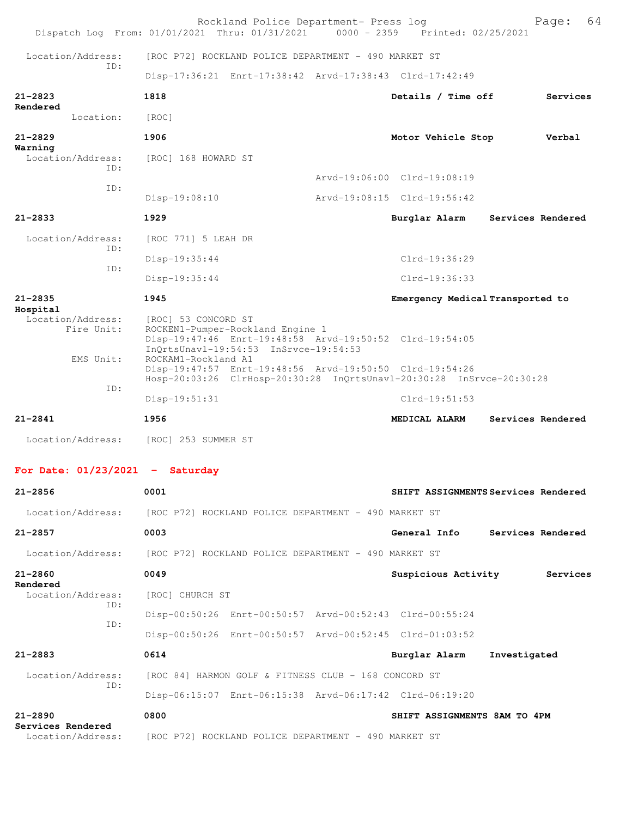| Dispatch Log From: 01/01/2021 Thru: 01/31/2021                         |                                            | Rockland Police Department- Press log                                                                                                | 0000 - 2359 Printed: 02/25/2021     |              | 64<br>Page:       |
|------------------------------------------------------------------------|--------------------------------------------|--------------------------------------------------------------------------------------------------------------------------------------|-------------------------------------|--------------|-------------------|
| Location/Address:                                                      |                                            | [ROC P72] ROCKLAND POLICE DEPARTMENT - 490 MARKET ST                                                                                 |                                     |              |                   |
| TD:                                                                    |                                            | Disp-17:36:21 Enrt-17:38:42 Arvd-17:38:43 Clrd-17:42:49                                                                              |                                     |              |                   |
| $21 - 2823$                                                            | 1818                                       |                                                                                                                                      | Details / Time off                  |              | Services          |
| Rendered<br>Location:                                                  | [ROC]                                      |                                                                                                                                      |                                     |              |                   |
| $21 - 2829$                                                            | 1906                                       |                                                                                                                                      | Motor Vehicle Stop                  |              | Verbal            |
| Warning<br>Location/Address:                                           | [ROC] 168 HOWARD ST                        |                                                                                                                                      |                                     |              |                   |
| TD:                                                                    |                                            |                                                                                                                                      | Arvd-19:06:00 Clrd-19:08:19         |              |                   |
| ID:                                                                    | Disp-19:08:10                              |                                                                                                                                      | Arvd-19:08:15 Clrd-19:56:42         |              |                   |
| $21 - 2833$                                                            | 1929                                       |                                                                                                                                      | Burglar Alarm                       |              | Services Rendered |
| Location/Address:                                                      | [ROC 771] 5 LEAH DR                        |                                                                                                                                      |                                     |              |                   |
| ID:                                                                    | $Disp-19:35:44$                            |                                                                                                                                      | Clrd-19:36:29                       |              |                   |
| ID:                                                                    | $Disp-19:35:44$                            |                                                                                                                                      | $Clrd-19:36:33$                     |              |                   |
| $21 - 2835$                                                            | 1945                                       |                                                                                                                                      | Emergency Medical Transported to    |              |                   |
| Hospital<br>Location/Address:<br>Fire Unit:<br>EMS Unit:               | [ROC] 53 CONCORD ST<br>ROCKAM1-Rockland A1 | ROCKEN1-Pumper-Rockland Engine 1<br>Disp-19:47:46 Enrt-19:48:58 Arvd-19:50:52 Clrd-19:54:05<br>InQrtsUnavl-19:54:53 InSrvce-19:54:53 |                                     |              |                   |
|                                                                        |                                            | Disp-19:47:57 Enrt-19:48:56 Arvd-19:50:50 Clrd-19:54:26<br>Hosp-20:03:26 ClrHosp-20:30:28 InQrtsUnavl-20:30:28 InSrvce-20:30:28      |                                     |              |                   |
| ID:                                                                    | Disp-19:51:31                              |                                                                                                                                      | $Clrd-19:51:53$                     |              |                   |
| $21 - 2841$                                                            | 1956                                       |                                                                                                                                      | MEDICAL ALARM                       |              | Services Rendered |
| Location/Address:                                                      | [ROC] 253 SUMMER ST                        |                                                                                                                                      |                                     |              |                   |
| For Date: $01/23/2021$ - Saturday                                      |                                            |                                                                                                                                      |                                     |              |                   |
| $21 - 2856$                                                            | 0001                                       |                                                                                                                                      | SHIFT ASSIGNMENTS Services Rendered |              |                   |
| Location/Address: [ROC P72] ROCKLAND POLICE DEPARTMENT - 490 MARKET ST |                                            |                                                                                                                                      |                                     |              |                   |
| $21 - 2857$                                                            | 0003                                       |                                                                                                                                      | General Info Services Rendered      |              |                   |
| Location/Address:                                                      |                                            | [ROC P72] ROCKLAND POLICE DEPARTMENT - 490 MARKET ST                                                                                 |                                     |              |                   |
| $21 - 2860$                                                            | 0049                                       |                                                                                                                                      | Suspicious Activity                 |              | Services          |
| Rendered<br>Location/Address:                                          | [ROC] CHURCH ST                            |                                                                                                                                      |                                     |              |                   |
| TD:                                                                    |                                            | Disp-00:50:26 Enrt-00:50:57 Arvd-00:52:43 Clrd-00:55:24                                                                              |                                     |              |                   |
| ID:                                                                    |                                            | Disp-00:50:26 Enrt-00:50:57 Arvd-00:52:45 Clrd-01:03:52                                                                              |                                     |              |                   |
| $21 - 2883$                                                            | 0614                                       |                                                                                                                                      | Burglar Alarm                       | Investigated |                   |
| Location/Address:                                                      |                                            | [ROC 84] HARMON GOLF & FITNESS CLUB - 168 CONCORD ST                                                                                 |                                     |              |                   |
| ID:                                                                    |                                            | Disp-06:15:07 Enrt-06:15:38 Arvd-06:17:42 Clrd-06:19:20                                                                              |                                     |              |                   |
| $21 - 2890$                                                            | 0800                                       |                                                                                                                                      | SHIFT ASSIGNMENTS 8AM TO 4PM        |              |                   |
| Services Rendered<br>Location/Address:                                 |                                            | [ROC P72] ROCKLAND POLICE DEPARTMENT - 490 MARKET ST                                                                                 |                                     |              |                   |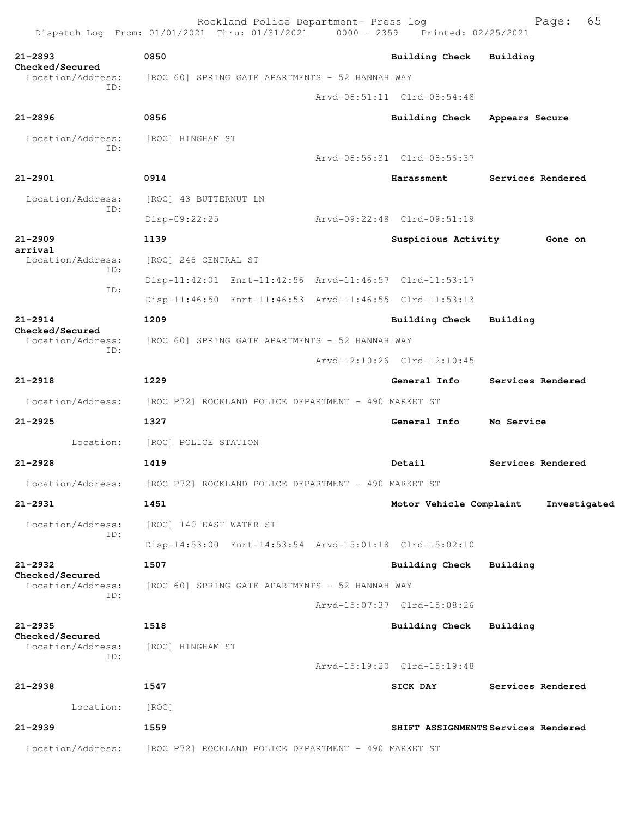Rockland Police Department- Press log Freed Page: 65 Dispatch Log From: 01/01/2021 Thru: 01/31/2021 0000 - 2359 Printed: 02/25/2021 **21-2893 0850 Building Check Building Checked/Secured**  Location/Address: [ROC 60] SPRING GATE APARTMENTS - 52 HANNAH WAY ID: Arvd-08:51:11 Clrd-08:54:48 **21-2896 0856 Building Check Appears Secure** Location/Address: [ROC] HINGHAM ST ID: Arvd-08:56:31 Clrd-08:56:37 **21-2901 0914 Harassment Services Rendered** Location/Address: [ROC] 43 BUTTERNUT LN ID: Disp-09:22:25 Arvd-09:22:48 Clrd-09:51:19 **21-2909 1139 Suspicious Activity Gone on arrival**  Location/Address: [ROC] 246 CENTRAL ST ID: Disp-11:42:01 Enrt-11:42:56 Arvd-11:46:57 Clrd-11:53:17 ID: Disp-11:46:50 Enrt-11:46:53 Arvd-11:46:55 Clrd-11:53:13 **21-2914 1209 Building Check Building Checked/Secured**  Location/Address: [ROC 60] SPRING GATE APARTMENTS - 52 HANNAH WAY ID: Arvd-12:10:26 Clrd-12:10:45 **21-2918 1229 General Info Services Rendered** Location/Address: [ROC P72] ROCKLAND POLICE DEPARTMENT - 490 MARKET ST **21-2925 1327 General Info No Service** Location: [ROC] POLICE STATION **21-2928 1419 Detail Services Rendered** Location/Address: [ROC P72] ROCKLAND POLICE DEPARTMENT - 490 MARKET ST **21-2931 1451 Motor Vehicle Complaint Investigated** Location/Address: [ROC] 140 EAST WATER ST ID: Disp-14:53:00 Enrt-14:53:54 Arvd-15:01:18 Clrd-15:02:10 **21-2932 1507 Building Check Building Checked/Secured**  Location/Address: [ROC 60] SPRING GATE APARTMENTS - 52 HANNAH WAY ID: Arvd-15:07:37 Clrd-15:08:26 **21-2935 1518 Building Check Building Checked/Secured**  Location/Address: [ROC] HINGHAM ST ID: Arvd-15:19:20 Clrd-15:19:48 **21-2938 1547 SICK DAY Services Rendered** Location: [ROC] **21-2939 1559 SHIFT ASSIGNMENTS Services Rendered** Location/Address: [ROC P72] ROCKLAND POLICE DEPARTMENT - 490 MARKET ST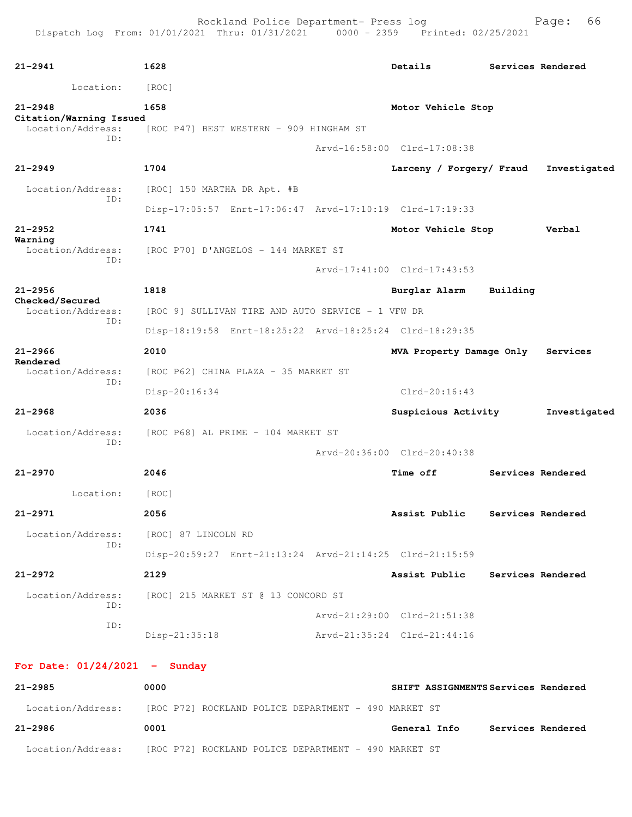| $21 - 2941$                                         | 1628                                                                   | Details                             | Services Rendered |                   |
|-----------------------------------------------------|------------------------------------------------------------------------|-------------------------------------|-------------------|-------------------|
| Location:                                           | [ROC]                                                                  |                                     |                   |                   |
| $21 - 2948$                                         | 1658                                                                   | Motor Vehicle Stop                  |                   |                   |
| Citation/Warning Issued<br>Location/Address:<br>TD: | [ROC P47] BEST WESTERN - 909 HINGHAM ST                                |                                     |                   |                   |
|                                                     |                                                                        | Arvd-16:58:00 Clrd-17:08:38         |                   |                   |
| $21 - 2949$                                         | 1704                                                                   | Larceny / Forgery/ Fraud            |                   | Investigated      |
| Location/Address:<br>ID:                            | [ROC] 150 MARTHA DR Apt. #B                                            |                                     |                   |                   |
|                                                     | Disp-17:05:57 Enrt-17:06:47 Arvd-17:10:19 Clrd-17:19:33                |                                     |                   |                   |
| $21 - 2952$<br>Warning                              | 1741                                                                   | Motor Vehicle Stop                  |                   | Verbal            |
| Location/Address:<br>ID:                            | [ROC P70] D'ANGELOS - 144 MARKET ST                                    |                                     |                   |                   |
|                                                     |                                                                        | Arvd-17:41:00 Clrd-17:43:53         |                   |                   |
| $21 - 2956$<br>Checked/Secured                      | 1818                                                                   | Burglar Alarm                       | Building          |                   |
| Location/Address:<br>ID:                            | [ROC 9] SULLIVAN TIRE AND AUTO SERVICE - 1 VFW DR                      |                                     |                   |                   |
|                                                     | Disp-18:19:58 Enrt-18:25:22 Arvd-18:25:24 Clrd-18:29:35                |                                     |                   |                   |
| $21 - 2966$<br>Rendered                             | 2010                                                                   | MVA Property Damage Only            |                   | Services          |
| Location/Address:<br>ID:                            | [ROC P62] CHINA PLAZA - 35 MARKET ST                                   |                                     |                   |                   |
|                                                     | Disp-20:16:34                                                          | $Clrd-20:16:43$                     |                   |                   |
| $21 - 2968$                                         | 2036                                                                   | Suspicious Activity                 |                   | Investigated      |
| Location/Address:<br>ID:                            | [ROC P68] AL PRIME - 104 MARKET ST                                     |                                     |                   |                   |
|                                                     |                                                                        | Arvd-20:36:00 Clrd-20:40:38         |                   |                   |
| $21 - 2970$                                         | 2046                                                                   | Time off                            |                   | Services Rendered |
| Location:                                           | [ROC]                                                                  |                                     |                   |                   |
| 21-2971                                             | 2056                                                                   | Assist Public                       |                   | Services Rendered |
| Location/Address:<br>ID:                            | [ROC] 87 LINCOLN RD                                                    |                                     |                   |                   |
|                                                     | Disp-20:59:27 Enrt-21:13:24 Arvd-21:14:25 Clrd-21:15:59                |                                     |                   |                   |
| $21 - 2972$                                         | 2129                                                                   | Assist Public                       | Services Rendered |                   |
| Location/Address:<br>ID:                            | [ROC] 215 MARKET ST @ 13 CONCORD ST                                    |                                     |                   |                   |
| ID:                                                 |                                                                        | Arvd-21:29:00 Clrd-21:51:38         |                   |                   |
|                                                     | Disp-21:35:18                                                          | Arvd-21:35:24 Clrd-21:44:16         |                   |                   |
| For Date: $01/24/2021$ - Sunday                     |                                                                        |                                     |                   |                   |
| $21 - 2985$                                         | 0000                                                                   | SHIFT ASSIGNMENTS Services Rendered |                   |                   |
|                                                     | Location/Address: [ROC P72] ROCKLAND POLICE DEPARTMENT - 490 MARKET ST |                                     |                   |                   |

**21-2986 0001 General Info Services Rendered** Location/Address: [ROC P72] ROCKLAND POLICE DEPARTMENT - 490 MARKET ST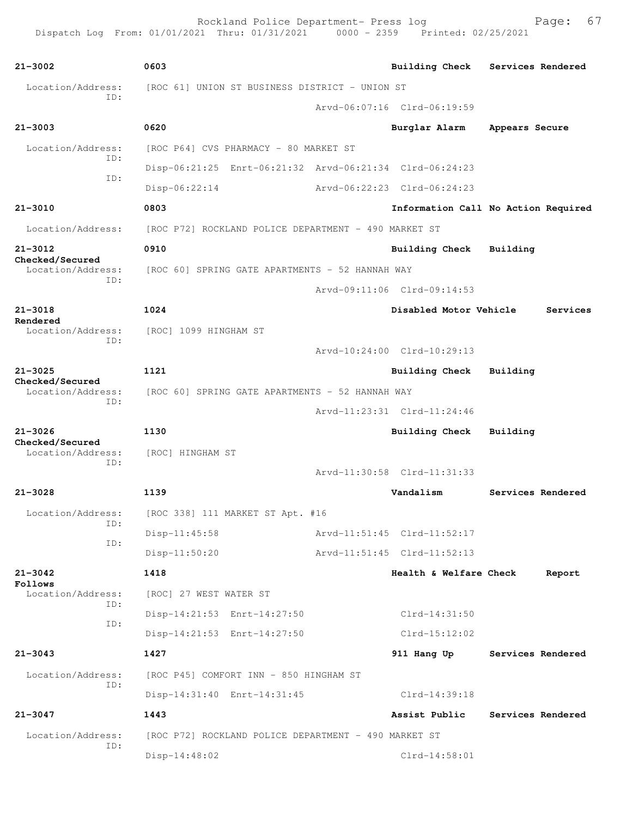| $21 - 3002$                                 | 0603                                                    | <b>Building Check</b>               |                | Services Rendered |
|---------------------------------------------|---------------------------------------------------------|-------------------------------------|----------------|-------------------|
| Location/Address:                           | [ROC 61] UNION ST BUSINESS DISTRICT - UNION ST          |                                     |                |                   |
| ID:                                         |                                                         | Arvd-06:07:16 Clrd-06:19:59         |                |                   |
| $21 - 3003$                                 | 0620                                                    | Burglar Alarm                       | Appears Secure |                   |
| Location/Address:<br>ID:                    | [ROC P64] CVS PHARMACY - 80 MARKET ST                   |                                     |                |                   |
| ID:                                         | Disp-06:21:25 Enrt-06:21:32 Arvd-06:21:34 Clrd-06:24:23 |                                     |                |                   |
|                                             | $Disp-06:22:14$                                         | Arvd-06:22:23 Clrd-06:24:23         |                |                   |
| $21 - 3010$                                 | 0803                                                    | Information Call No Action Required |                |                   |
| Location/Address:                           | [ROC P72] ROCKLAND POLICE DEPARTMENT - 490 MARKET ST    |                                     |                |                   |
| $21 - 3012$                                 | 0910                                                    | Building Check                      | Building       |                   |
| Checked/Secured<br>Location/Address:        | [ROC 60] SPRING GATE APARTMENTS - 52 HANNAH WAY         |                                     |                |                   |
| ID:                                         |                                                         | Arvd-09:11:06 Clrd-09:14:53         |                |                   |
| $21 - 3018$                                 | 1024                                                    | Disabled Motor Vehicle              |                | Services          |
| Rendered<br>Location/Address:               | [ROC] 1099 HINGHAM ST                                   |                                     |                |                   |
| ID:                                         |                                                         | Arvd-10:24:00 Clrd-10:29:13         |                |                   |
| $21 - 3025$                                 | 1121                                                    | <b>Building Check</b>               | Building       |                   |
| Checked/Secured<br>Location/Address:        | [ROC 60] SPRING GATE APARTMENTS - 52 HANNAH WAY         |                                     |                |                   |
| ID:                                         |                                                         | Arvd-11:23:31 Clrd-11:24:46         |                |                   |
| $21 - 3026$                                 | 1130                                                    | Building Check                      | Building       |                   |
| Checked/Secured<br>Location/Address:<br>ID: | [ROC] HINGHAM ST                                        |                                     |                |                   |
|                                             |                                                         | Arvd-11:30:58 Clrd-11:31:33         |                |                   |
| $21 - 3028$                                 | 1139                                                    | Vandalism                           |                | Services Rendered |
| Location/Address:<br>ID:                    | [ROC 338] 111 MARKET ST Apt. #16                        |                                     |                |                   |
| ID:                                         | $Disp-11:45:58$                                         | Arvd-11:51:45 Clrd-11:52:17         |                |                   |
|                                             | $Disp-11:50:20$                                         | Arvd-11:51:45 Clrd-11:52:13         |                |                   |
| $21 - 3042$<br>Follows                      | 1418                                                    | Health & Welfare Check              |                | Report            |
| Location/Address:<br>ID:                    | [ROC] 27 WEST WATER ST                                  |                                     |                |                   |
| ID:                                         | Disp-14:21:53 Enrt-14:27:50                             | Clrd-14:31:50                       |                |                   |
|                                             | Disp-14:21:53 Enrt-14:27:50                             | $Clrd-15:12:02$                     |                |                   |
| $21 - 3043$                                 | 1427                                                    | 911 Hang Up                         |                | Services Rendered |
| Location/Address:<br>ID:                    | [ROC P45] COMFORT INN - 850 HINGHAM ST                  |                                     |                |                   |
|                                             | Disp-14:31:40 Enrt-14:31:45                             | Clrd-14:39:18                       |                |                   |
| $21 - 3047$                                 | 1443                                                    | Assist Public                       |                | Services Rendered |
| Location/Address:<br>ID:                    | [ROC P72] ROCKLAND POLICE DEPARTMENT - 490 MARKET ST    |                                     |                |                   |
|                                             | Disp-14:48:02                                           | $Clrd-14:58:01$                     |                |                   |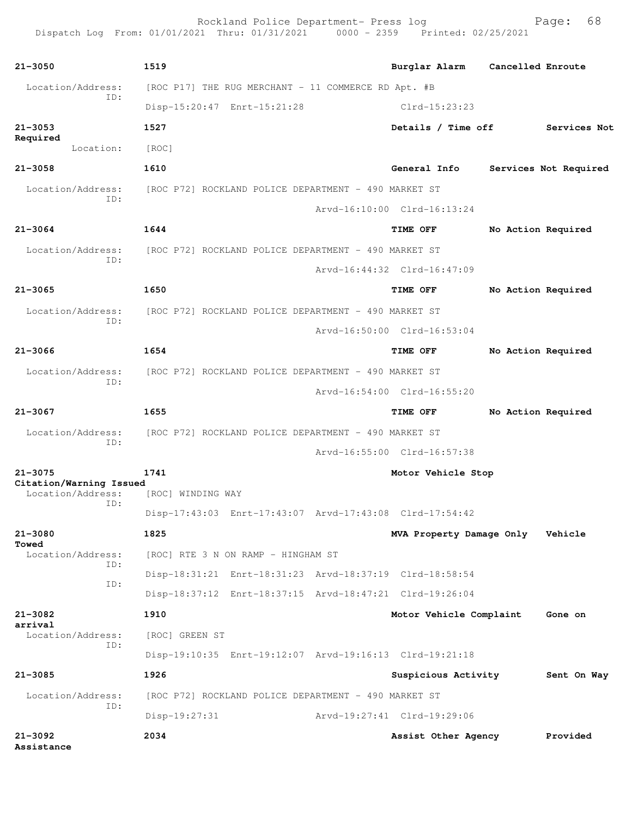Rockland Police Department- Press log entitled and Page: 68 Dispatch Log From: 01/01/2021 Thru: 01/31/2021 0000 - 2359 Printed: 02/25/2021

| $21 - 3050$                            | 1519                                                    |                                 |                    |                       |
|----------------------------------------|---------------------------------------------------------|---------------------------------|--------------------|-----------------------|
|                                        |                                                         | Burglar Alarm Cancelled Enroute |                    |                       |
| Location/Address:<br>ID:               | [ROC P17] THE RUG MERCHANT - 11 COMMERCE RD Apt. #B     |                                 |                    |                       |
|                                        | Disp-15:20:47 Enrt-15:21:28                             | Clrd-15:23:23                   |                    |                       |
| $21 - 3053$<br>Required                | 1527                                                    | Details / Time off Services Not |                    |                       |
| Location:                              | [ROC]                                                   |                                 |                    |                       |
| $21 - 3058$                            | 1610                                                    | General Info                    |                    | Services Not Required |
| Location/Address:                      | [ROC P72] ROCKLAND POLICE DEPARTMENT - 490 MARKET ST    |                                 |                    |                       |
| ID:                                    |                                                         | Arvd-16:10:00 Clrd-16:13:24     |                    |                       |
| $21 - 3064$                            | 1644                                                    | <b>TIME OFF</b>                 | No Action Required |                       |
| Location/Address:                      | [ROC P72] ROCKLAND POLICE DEPARTMENT - 490 MARKET ST    |                                 |                    |                       |
| ID:                                    |                                                         | Arvd-16:44:32 Clrd-16:47:09     |                    |                       |
| $21 - 3065$                            | 1650                                                    | <b>TIME OFF</b>                 | No Action Required |                       |
| Location/Address:                      | [ROC P72] ROCKLAND POLICE DEPARTMENT - 490 MARKET ST    |                                 |                    |                       |
| ID:                                    |                                                         | Arvd-16:50:00 Clrd-16:53:04     |                    |                       |
| $21 - 3066$                            | 1654                                                    | <b>TIME OFF</b>                 | No Action Required |                       |
|                                        |                                                         |                                 |                    |                       |
| Location/Address:<br>ID:               | [ROC P72] ROCKLAND POLICE DEPARTMENT - 490 MARKET ST    |                                 |                    |                       |
|                                        |                                                         | Arvd-16:54:00 Clrd-16:55:20     |                    |                       |
| $21 - 3067$                            | 1655                                                    | TIME OFF                        | No Action Required |                       |
| Location/Address:<br>ID:               | [ROC P72] ROCKLAND POLICE DEPARTMENT - 490 MARKET ST    |                                 |                    |                       |
|                                        |                                                         | Arvd-16:55:00 Clrd-16:57:38     |                    |                       |
| $21 - 3075$<br>Citation/Warning Issued | 1741                                                    | Motor Vehicle Stop              |                    |                       |
| Location/Address:<br>ID:               | [ROC] WINDING WAY                                       |                                 |                    |                       |
|                                        | Disp-17:43:03 Enrt-17:43:07 Arvd-17:43:08 Clrd-17:54:42 |                                 |                    |                       |
| $21 - 3080$<br>Towed                   | 1825                                                    | MVA Property Damage Only        |                    | Vehicle               |
| Location/Address:                      | [ROC] RTE 3 N ON RAMP - HINGHAM ST                      |                                 |                    |                       |
| ID:                                    | Disp-18:31:21 Enrt-18:31:23 Arvd-18:37:19 Clrd-18:58:54 |                                 |                    |                       |
| ID:                                    | Disp-18:37:12 Enrt-18:37:15 Arvd-18:47:21 Clrd-19:26:04 |                                 |                    |                       |
| $21 - 3082$                            | 1910                                                    | Motor Vehicle Complaint         |                    | Gone on               |
| arrival<br>Location/Address:           | [ROC] GREEN ST                                          |                                 |                    |                       |
| ID:                                    | Disp-19:10:35 Enrt-19:12:07 Arvd-19:16:13 Clrd-19:21:18 |                                 |                    |                       |
| $21 - 3085$                            | 1926                                                    | Suspicious Activity             |                    | Sent On Way           |
| Location/Address:                      | [ROC P72] ROCKLAND POLICE DEPARTMENT - 490 MARKET ST    |                                 |                    |                       |
| ID:                                    | $Disp-19:27:31$                                         | Arvd-19:27:41 Clrd-19:29:06     |                    |                       |
| $21 - 3092$<br>Assistance              | 2034                                                    | Assist Other Agency             |                    | Provided              |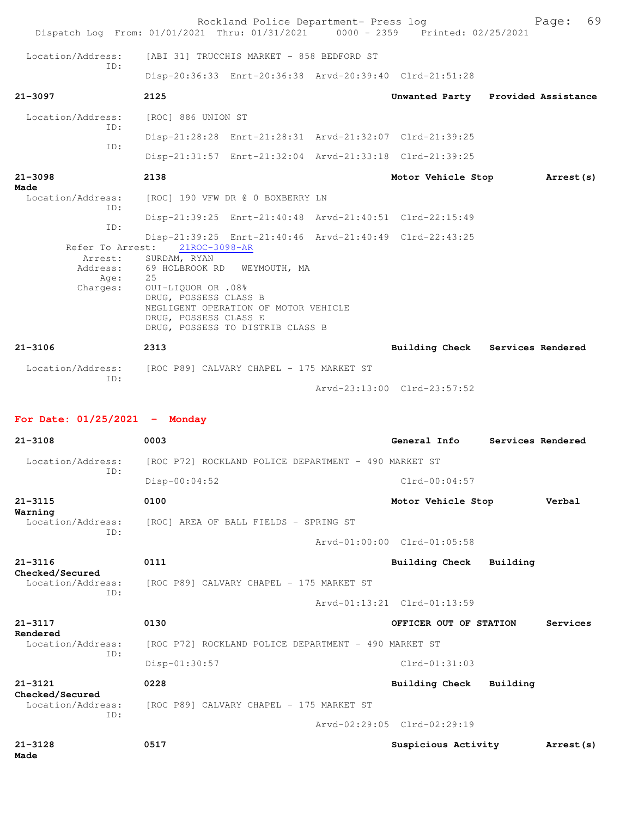|                                      | Rockland Police Department- Press log<br>Dispatch Log From: 01/01/2021 Thru: 01/31/2021 0000 - 2359 Printed: 02/25/2021                                |                             | Page: 69                           |
|--------------------------------------|--------------------------------------------------------------------------------------------------------------------------------------------------------|-----------------------------|------------------------------------|
| Location/Address:                    | [ABI 31] TRUCCHIS MARKET - 858 BEDFORD ST                                                                                                              |                             |                                    |
| TD:                                  | Disp-20:36:33 Enrt-20:36:38 Arvd-20:39:40 Clrd-21:51:28                                                                                                |                             |                                    |
| $21 - 3097$                          | 2125                                                                                                                                                   |                             | Unwanted Party Provided Assistance |
| Location/Address:                    | [ROC] 886 UNION ST                                                                                                                                     |                             |                                    |
| TD:                                  | Disp-21:28:28 Enrt-21:28:31 Arvd-21:32:07 Clrd-21:39:25                                                                                                |                             |                                    |
| ID:                                  | Disp-21:31:57 Enrt-21:32:04 Arvd-21:33:18 Clrd-21:39:25                                                                                                |                             |                                    |
| $21 - 3098$                          | 2138                                                                                                                                                   | Motor Vehicle Stop          | Arrest (s)                         |
| Made<br>Location/Address:            | [ROC] 190 VFW DR @ 0 BOXBERRY LN                                                                                                                       |                             |                                    |
| ID:                                  | Disp-21:39:25 Enrt-21:40:48 Arvd-21:40:51 Clrd-22:15:49                                                                                                |                             |                                    |
| ID:                                  |                                                                                                                                                        |                             |                                    |
|                                      | Disp-21:39:25 Enrt-21:40:46 Arvd-21:40:49 Clrd-22:43:25<br>Refer To Arrest: 21ROC-3098-AR                                                              |                             |                                    |
| Arrest:<br>Address:                  | SURDAM, RYAN<br>69 HOLBROOK RD WEYMOUTH, MA                                                                                                            |                             |                                    |
| Age:<br>Charges:                     | 25<br>0UI-LIQUOR OR .08%<br>DRUG, POSSESS CLASS B<br>NEGLIGENT OPERATION OF MOTOR VEHICLE<br>DRUG, POSSESS CLASS E<br>DRUG, POSSESS TO DISTRIB CLASS B |                             |                                    |
| $21 - 3106$                          | 2313                                                                                                                                                   |                             |                                    |
|                                      |                                                                                                                                                        |                             | Building Check Services Rendered   |
| ID:                                  | Location/Address: [ROC P89] CALVARY CHAPEL - 175 MARKET ST                                                                                             |                             |                                    |
|                                      |                                                                                                                                                        | Arvd-23:13:00 Clrd-23:57:52 |                                    |
| For Date: $01/25/2021$ - Monday      |                                                                                                                                                        |                             |                                    |
| $21 - 3108$                          | 0003                                                                                                                                                   | General Info                | Services Rendered                  |
| Location/Address:                    | [ROC P72] ROCKLAND POLICE DEPARTMENT - 490 MARKET ST                                                                                                   |                             |                                    |
| ID:                                  | $Disp-00:04:52$                                                                                                                                        | $Clrd-00:04:57$             |                                    |
| $21 - 3115$                          | 0100                                                                                                                                                   | Motor Vehicle Stop          | Verbal                             |
| Warning<br>Location/Address:         | [ROC] AREA OF BALL FIELDS - SPRING ST                                                                                                                  |                             |                                    |
| ID:                                  |                                                                                                                                                        | Arvd-01:00:00 Clrd-01:05:58 |                                    |
| $21 - 3116$                          | 0111                                                                                                                                                   | Building Check              | Building                           |
| Checked/Secured<br>Location/Address: | [ROC P89] CALVARY CHAPEL - 175 MARKET ST                                                                                                               |                             |                                    |
| ID:                                  |                                                                                                                                                        | Arvd-01:13:21 Clrd-01:13:59 |                                    |
| 21-3117                              | 0130                                                                                                                                                   | OFFICER OUT OF STATION      | Services                           |
| Rendered<br>Location/Address:        | [ROC P72] ROCKLAND POLICE DEPARTMENT - 490 MARKET ST                                                                                                   |                             |                                    |
| ID:                                  | Disp-01:30:57                                                                                                                                          | Clrd-01:31:03               |                                    |
| $21 - 3121$                          | 0228                                                                                                                                                   | Building Check              | Building                           |
| Checked/Secured<br>Location/Address: | [ROC P89] CALVARY CHAPEL - 175 MARKET ST                                                                                                               |                             |                                    |
| ID:                                  |                                                                                                                                                        | Arvd-02:29:05 Clrd-02:29:19 |                                    |
| $21 - 3128$<br>Made                  | 0517                                                                                                                                                   | Suspicious Activity         | Arrest (s)                         |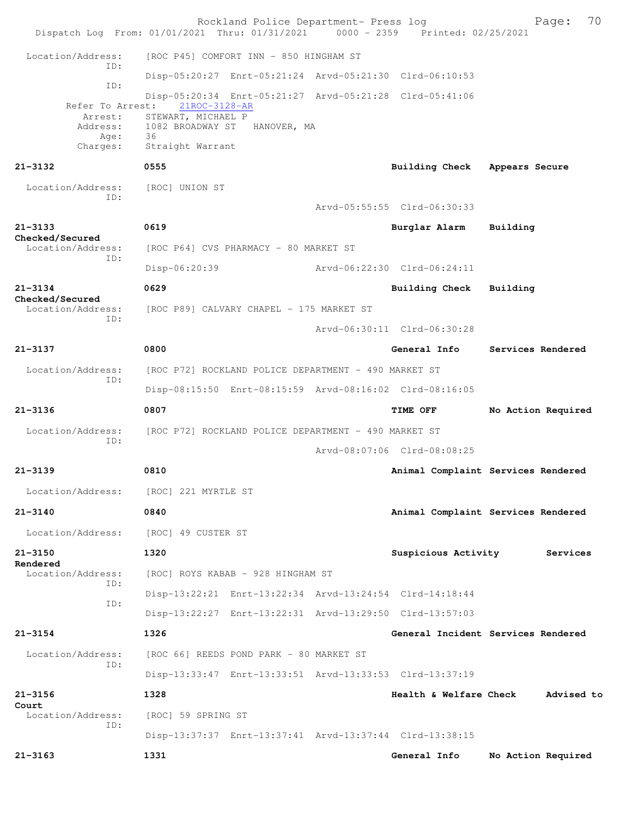Rockland Police Department- Press log Page: 70  $Dispatch$   $Loq$   $From:$   $01/01/2021$   $Thru:$   $01/31/2021$  Location/Address: [ROC P45] COMFORT INN - 850 HINGHAM ST ID: Disp-05:20:27 Enrt-05:21:24 Arvd-05:21:30 Clrd-06:10:53 ID: Disp-05:20:34 Enrt-05:21:27 Arvd-05:21:28 Clrd-05:41:06 Refer To Arrest: 21ROC-3128-AR Arrest: STEWART, MICHAEL P<br>Address: 1082 BROADWAY ST 1082 BROADWAY ST HANOVER, MA Age: 36 Charges: Straight Warrant **21-3132 0555 Building Check Appears Secure** Location/Address: [ROC] UNION ST ID: Arvd-05:55:55 Clrd-06:30:33 **21-3133 0619 Burglar Alarm Building Checked/Secured**  [ROC P64] CVS PHARMACY - 80 MARKET ST ID: Disp-06:20:39 Arvd-06:22:30 Clrd-06:24:11 **21-3134 0629 Building Check Building Checked/Secured**  Location/Address: [ROC P89] CALVARY CHAPEL - 175 MARKET ST ID: Arvd-06:30:11 Clrd-06:30:28 **21-3137 0800 General Info Services Rendered** Location/Address: [ROC P72] ROCKLAND POLICE DEPARTMENT - 490 MARKET ST ID: Disp-08:15:50 Enrt-08:15:59 Arvd-08:16:02 Clrd-08:16:05 **21-3136 0807 TIME OFF No Action Required** Location/Address: [ROC P72] ROCKLAND POLICE DEPARTMENT - 490 MARKET ST ID: Arvd-08:07:06 Clrd-08:08:25 **21-3139 0810 Animal Complaint Services Rendered** Location/Address: [ROC] 221 MYRTLE ST **21-3140 0840 Animal Complaint Services Rendered** Location/Address: [ROC] 49 CUSTER ST **21-3150 1320 Suspicious Activity Services Rendered**  [ROC] ROYS KABAB - 928 HINGHAM ST ID: Disp-13:22:21 Enrt-13:22:34 Arvd-13:24:54 Clrd-14:18:44 ID: Disp-13:22:27 Enrt-13:22:31 Arvd-13:29:50 Clrd-13:57:03 **21-3154 1326 General Incident Services Rendered** Location/Address: [ROC 66] REEDS POND PARK - 80 MARKET ST ID: Disp-13:33:47 Enrt-13:33:51 Arvd-13:33:53 Clrd-13:37:19 **21-3156 1328 Health & Welfare Check Advised to Court**  Location/Address: [ROC] 59 SPRING ST ID: Disp-13:37:37 Enrt-13:37:41 Arvd-13:37:44 Clrd-13:38:15 **21-3163 1331 General Info No Action Required**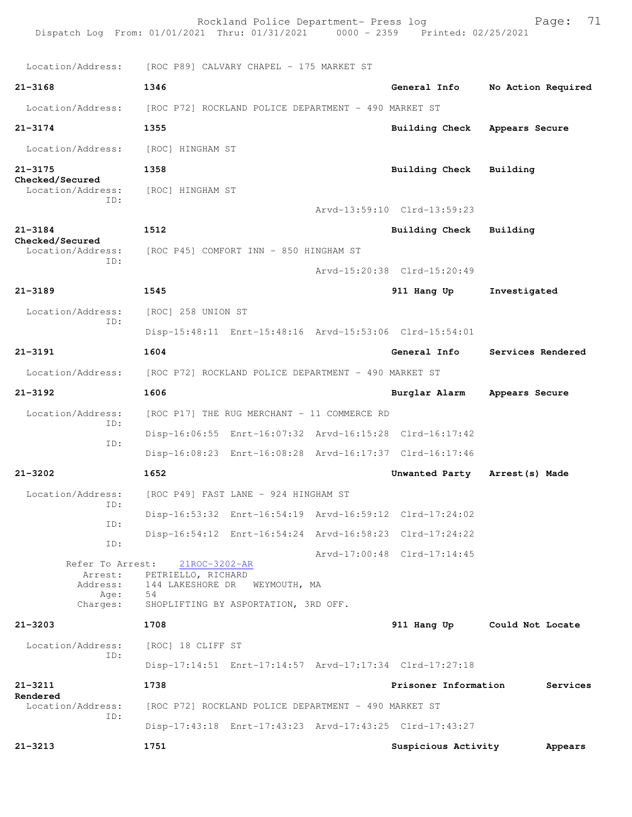| Dispatch Log From: 01/01/2021 Thru: 01/31/2021 0000 - 2359 Printed: 02/25/2021 |                                                      | Rockland Police Department- Press log                |                                                         |                    | 71<br>Page: |
|--------------------------------------------------------------------------------|------------------------------------------------------|------------------------------------------------------|---------------------------------------------------------|--------------------|-------------|
| Location/Address:                                                              | [ROC P89] CALVARY CHAPEL - 175 MARKET ST             |                                                      |                                                         |                    |             |
| $21 - 3168$                                                                    | 1346                                                 |                                                      | General Info                                            | No Action Required |             |
| Location/Address:                                                              | [ROC P72] ROCKLAND POLICE DEPARTMENT - 490 MARKET ST |                                                      |                                                         |                    |             |
| $21 - 3174$                                                                    | 1355                                                 |                                                      | Building Check                                          | Appears Secure     |             |
| Location/Address:                                                              | [ROC] HINGHAM ST                                     |                                                      |                                                         |                    |             |
| $21 - 3175$                                                                    | 1358                                                 |                                                      | Building Check                                          | Building           |             |
| Checked/Secured<br>Location/Address:                                           | [ROC] HINGHAM ST                                     |                                                      |                                                         |                    |             |
| ID:                                                                            |                                                      |                                                      | Arvd-13:59:10 Clrd-13:59:23                             |                    |             |
| $21 - 3184$                                                                    | 1512                                                 |                                                      | Building Check                                          | Building           |             |
| Checked/Secured<br>Location/Address:                                           |                                                      | [ROC P45] COMFORT INN - 850 HINGHAM ST               |                                                         |                    |             |
| ID:                                                                            |                                                      |                                                      | Arvd-15:20:38 Clrd-15:20:49                             |                    |             |
| $21 - 3189$                                                                    | 1545                                                 |                                                      | 911 Hang Up                                             | Investigated       |             |
| Location/Address:                                                              | [ROC] 258 UNION ST                                   |                                                      |                                                         |                    |             |
| ID:                                                                            |                                                      |                                                      | Disp-15:48:11 Enrt-15:48:16 Arvd-15:53:06 Clrd-15:54:01 |                    |             |
| $21 - 3191$                                                                    | 1604                                                 |                                                      | General Info                                            | Services Rendered  |             |
| Location/Address:                                                              | [ROC P72] ROCKLAND POLICE DEPARTMENT - 490 MARKET ST |                                                      |                                                         |                    |             |
| $21 - 3192$                                                                    | 1606                                                 |                                                      | Burglar Alarm                                           | Appears Secure     |             |
| Location/Address:<br>ID:                                                       |                                                      | [ROC P17] THE RUG MERCHANT - 11 COMMERCE RD          |                                                         |                    |             |
| ID:                                                                            |                                                      |                                                      | Disp-16:06:55 Enrt-16:07:32 Arvd-16:15:28 Clrd-16:17:42 |                    |             |
|                                                                                |                                                      |                                                      | Disp-16:08:23 Enrt-16:08:28 Arvd-16:17:37 Clrd-16:17:46 |                    |             |
| $21 - 3202$                                                                    | 1652                                                 |                                                      | Unwanted Party                                          | Arrest (s) Made    |             |
| Location/Address:<br>ID:                                                       |                                                      | [ROC P49] FAST LANE - 924 HINGHAM ST                 |                                                         |                    |             |
| ID:                                                                            |                                                      |                                                      | Disp-16:53:32 Enrt-16:54:19 Arvd-16:59:12 Clrd-17:24:02 |                    |             |
| ID:                                                                            |                                                      |                                                      | Disp-16:54:12 Enrt-16:54:24 Arvd-16:58:23 Clrd-17:24:22 |                    |             |
| Refer To Arrest:<br>Arrest:                                                    | 21ROC-3202-AR<br>PETRIELLO, RICHARD                  |                                                      | Arvd-17:00:48 Clrd-17:14:45                             |                    |             |
| Address:<br>Age:<br>Charges:                                                   | 144 LAKESHORE DR<br>54                               | WEYMOUTH, MA<br>SHOPLIFTING BY ASPORTATION, 3RD OFF. |                                                         |                    |             |
| $21 - 3203$                                                                    | 1708                                                 |                                                      | 911 Hang Up Could Not Locate                            |                    |             |
| Location/Address:<br>TD:                                                       | [ROC] 18 CLIFF ST                                    |                                                      |                                                         |                    |             |
|                                                                                |                                                      |                                                      | Disp-17:14:51 Enrt-17:14:57 Arvd-17:17:34 Clrd-17:27:18 |                    |             |
| $21 - 3211$<br>Rendered                                                        | 1738                                                 |                                                      | Prisoner Information                                    |                    | Services    |
| Location/Address:<br>ID:                                                       |                                                      | [ROC P72] ROCKLAND POLICE DEPARTMENT - 490 MARKET ST |                                                         |                    |             |
|                                                                                |                                                      |                                                      | Disp-17:43:18 Enrt-17:43:23 Arvd-17:43:25 Clrd-17:43:27 |                    |             |
| $21 - 3213$                                                                    | 1751                                                 |                                                      | Suspicious Activity                                     |                    | Appears     |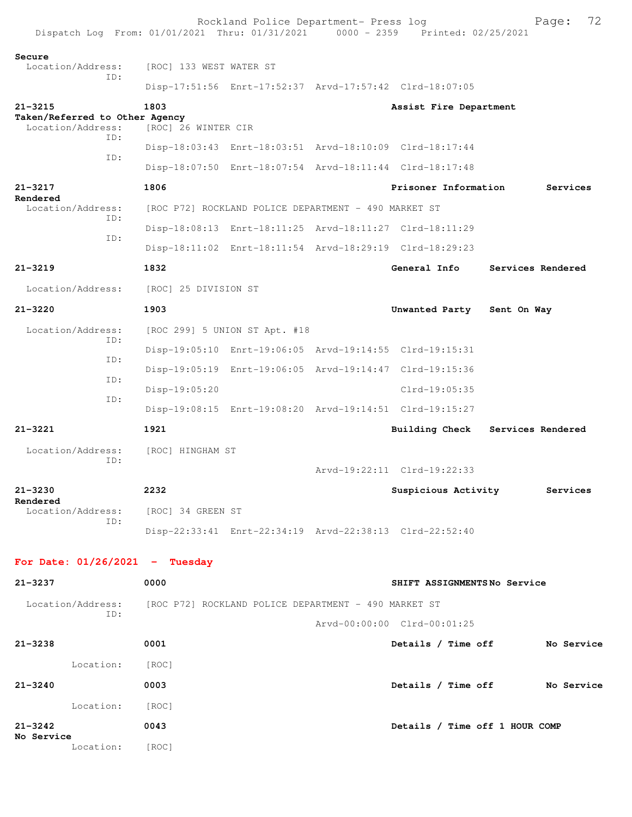|                                 |                                                     |                                                      | Rockland Police Department- Press log                   | Dispatch Log From: 01/01/2021 Thru: 01/31/2021 0000 - 2359 Printed: 02/25/2021 |                   | Page:      | 72         |
|---------------------------------|-----------------------------------------------------|------------------------------------------------------|---------------------------------------------------------|--------------------------------------------------------------------------------|-------------------|------------|------------|
| Secure                          | Location/Address:                                   | [ROC] 133 WEST WATER ST                              |                                                         |                                                                                |                   |            |            |
|                                 | ID:                                                 |                                                      |                                                         | Disp-17:51:56 Enrt-17:52:37 Arvd-17:57:42 Clrd-18:07:05                        |                   |            |            |
| $21 - 3215$                     | Taken/Referred to Other Agency<br>Location/Address: | 1803<br>[ROC] 26 WINTER CIR                          |                                                         | Assist Fire Department                                                         |                   |            |            |
|                                 | ID:                                                 |                                                      |                                                         | Disp-18:03:43 Enrt-18:03:51 Arvd-18:10:09 Clrd-18:17:44                        |                   |            |            |
|                                 | ID:                                                 |                                                      |                                                         | Disp-18:07:50 Enrt-18:07:54 Arvd-18:11:44 Clrd-18:17:48                        |                   |            |            |
| $21 - 3217$                     |                                                     | 1806                                                 |                                                         | Prisoner Information                                                           |                   | Services   |            |
| Rendered                        |                                                     |                                                      |                                                         |                                                                                |                   |            |            |
| Location/Address:<br>ID:<br>ID: |                                                     | [ROC P72] ROCKLAND POLICE DEPARTMENT - 490 MARKET ST |                                                         |                                                                                |                   |            |            |
|                                 |                                                     |                                                      | Disp-18:08:13 Enrt-18:11:25 Arvd-18:11:27 Clrd-18:11:29 |                                                                                |                   |            |            |
|                                 |                                                     |                                                      |                                                         | Disp-18:11:02 Enrt-18:11:54 Arvd-18:29:19 Clrd-18:29:23                        |                   |            |            |
| $21 - 3219$                     |                                                     | 1832                                                 |                                                         | General Info                                                                   | Services Rendered |            |            |
|                                 | Location/Address:                                   | [ROC] 25 DIVISION ST                                 |                                                         |                                                                                |                   |            |            |
| $21 - 3220$                     |                                                     | 1903                                                 |                                                         | Unwanted Party Sent On Way                                                     |                   |            |            |
|                                 | Location/Address:<br>ID:                            |                                                      | [ROC 299] 5 UNION ST Apt. #18                           |                                                                                |                   |            |            |
|                                 | ID:                                                 |                                                      |                                                         | Disp-19:05:10 Enrt-19:06:05 Arvd-19:14:55 Clrd-19:15:31                        |                   |            |            |
|                                 | ID:                                                 |                                                      |                                                         | Disp-19:05:19 Enrt-19:06:05 Arvd-19:14:47 Clrd-19:15:36                        |                   |            |            |
|                                 | ID:                                                 | Disp-19:05:20                                        |                                                         | Clrd-19:05:35                                                                  |                   |            |            |
|                                 |                                                     |                                                      |                                                         | Disp-19:08:15 Enrt-19:08:20 Arvd-19:14:51 Clrd-19:15:27                        |                   |            |            |
| $21 - 3221$                     |                                                     | 1921                                                 |                                                         | <b>Building Check</b>                                                          | Services Rendered |            |            |
|                                 | Location/Address:<br>ID:                            | [ROC] HINGHAM ST                                     |                                                         | Arvd-19:22:11 Clrd-19:22:33                                                    |                   |            |            |
| $21 - 3230$                     |                                                     | 2232                                                 |                                                         | Suspicious Activity                                                            |                   | Services   |            |
| Rendered                        | Location/Address:<br>ID:                            | [ROC] 34 GREEN ST                                    |                                                         |                                                                                |                   |            |            |
|                                 |                                                     |                                                      |                                                         | Disp-22:33:41 Enrt-22:34:19 Arvd-22:38:13 Clrd-22:52:40                        |                   |            |            |
|                                 |                                                     | For Date: $01/26/2021$ - Tuesday                     |                                                         |                                                                                |                   |            |            |
| 21-3237                         |                                                     | 0000                                                 |                                                         | SHIFT ASSIGNMENTSNo Service                                                    |                   |            |            |
|                                 | Location/Address:<br>ID:                            | [ROC P72] ROCKLAND POLICE DEPARTMENT - 490 MARKET ST |                                                         |                                                                                |                   |            |            |
|                                 |                                                     |                                                      |                                                         | Arvd-00:00:00 Clrd-00:01:25                                                    |                   |            |            |
| 21-3238                         |                                                     | 0001                                                 |                                                         | Details / Time off                                                             |                   | No Service |            |
|                                 | Location:                                           | [ROC]                                                |                                                         |                                                                                |                   |            |            |
| $21 - 3240$                     |                                                     | 0003                                                 |                                                         | Details / Time off                                                             |                   |            | No Service |
|                                 | Location: [ROC]                                     |                                                      |                                                         |                                                                                |                   |            |            |
| $21 - 3242$                     |                                                     | 0043                                                 |                                                         | Details / Time off 1 HOUR COMP                                                 |                   |            |            |
| No Service                      | Location:                                           | [ROC]                                                |                                                         |                                                                                |                   |            |            |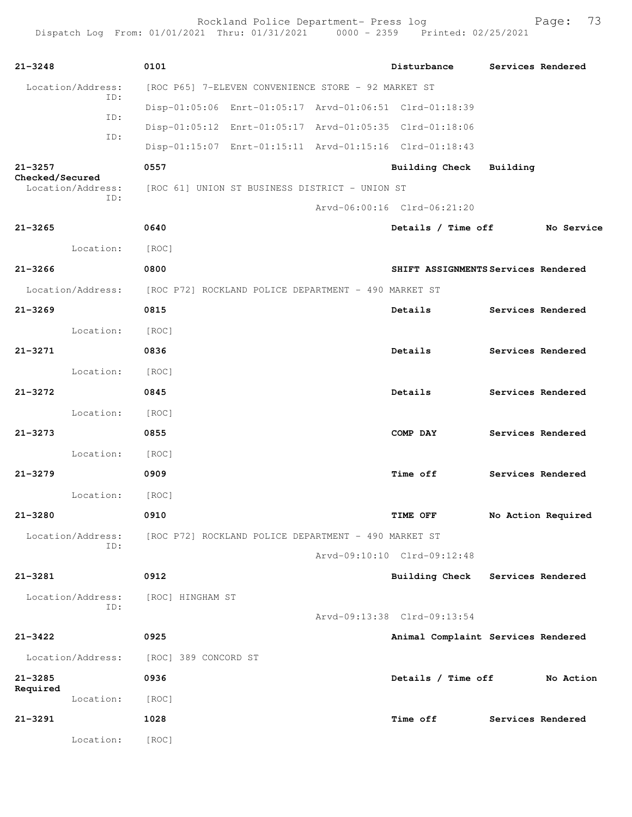Rockland Police Department- Press log entitled and Page: 73 Dispatch Log From: 01/01/2021 Thru: 01/31/2021 0000 - 2359 Printed: 02/25/2021

| $21 - 3248$       | 0101                                                                   | Disturbance                 | Services Rendered                   |
|-------------------|------------------------------------------------------------------------|-----------------------------|-------------------------------------|
| Location/Address: | [ROC P65] 7-ELEVEN CONVENIENCE STORE - 92 MARKET ST                    |                             |                                     |
| ID:               | Disp-01:05:06 Enrt-01:05:17 Arvd-01:06:51 Clrd-01:18:39                |                             |                                     |
| ID:               | Disp-01:05:12 Enrt-01:05:17 Arvd-01:05:35 Clrd-01:18:06                |                             |                                     |
| ID:               | Disp-01:15:07 Enrt-01:15:11 Arvd-01:15:16 Clrd-01:18:43                |                             |                                     |
| $21 - 3257$       | 0557                                                                   | Building Check Building     |                                     |
| Checked/Secured   | Location/Address: [ROC 61] UNION ST BUSINESS DISTRICT - UNION ST       |                             |                                     |
| ID:               |                                                                        | Arvd-06:00:16 Clrd-06:21:20 |                                     |
| $21 - 3265$       | 0640                                                                   | Details / Time off          | No Service                          |
| Location:         | [ROC]                                                                  |                             |                                     |
| $21 - 3266$       | 0800                                                                   |                             | SHIFT ASSIGNMENTS Services Rendered |
|                   | Location/Address: [ROC P72] ROCKLAND POLICE DEPARTMENT - 490 MARKET ST |                             |                                     |
| $21 - 3269$       | 0815                                                                   | Details                     | Services Rendered                   |
| Location:         | [ROC]                                                                  |                             |                                     |
| $21 - 3271$       | 0836                                                                   | Details                     | Services Rendered                   |
| Location: [ROC]   |                                                                        |                             |                                     |
| $21 - 3272$       | 0845                                                                   | Details                     | Services Rendered                   |
| Location:         | [ROC]                                                                  |                             |                                     |
| $21 - 3273$       | 0855                                                                   | COMP DAY                    | Services Rendered                   |
| Location:         | [ROC]                                                                  |                             |                                     |
| $21 - 3279$       | 0909                                                                   | <b>Time off</b>             | Services Rendered                   |
| Location:         | [ROC]                                                                  |                             |                                     |
| 21-3280           | 0910                                                                   | <b>TIME OFF</b>             | No Action Required                  |
| Location/Address: | [ROC P72] ROCKLAND POLICE DEPARTMENT - 490 MARKET ST                   |                             |                                     |
| ID:               |                                                                        | Arvd-09:10:10 Clrd-09:12:48 |                                     |
| $21 - 3281$       | 0912                                                                   | <b>Building Check</b>       | Services Rendered                   |
| Location/Address: | [ROC] HINGHAM ST                                                       |                             |                                     |
| ID:               |                                                                        | Arvd-09:13:38 Clrd-09:13:54 |                                     |
| $21 - 3422$       | 0925                                                                   |                             | Animal Complaint Services Rendered  |
| Location/Address: |                                                                        |                             |                                     |
| $21 - 3285$       | [ROC] 389 CONCORD ST<br>0936                                           | Details / Time off          | No Action                           |
| Required          |                                                                        |                             |                                     |
| Location:         | [ROC]                                                                  |                             |                                     |
| 21-3291           | 1028                                                                   | <b>Time off</b>             | Services Rendered                   |
| Location:         | [ROC]                                                                  |                             |                                     |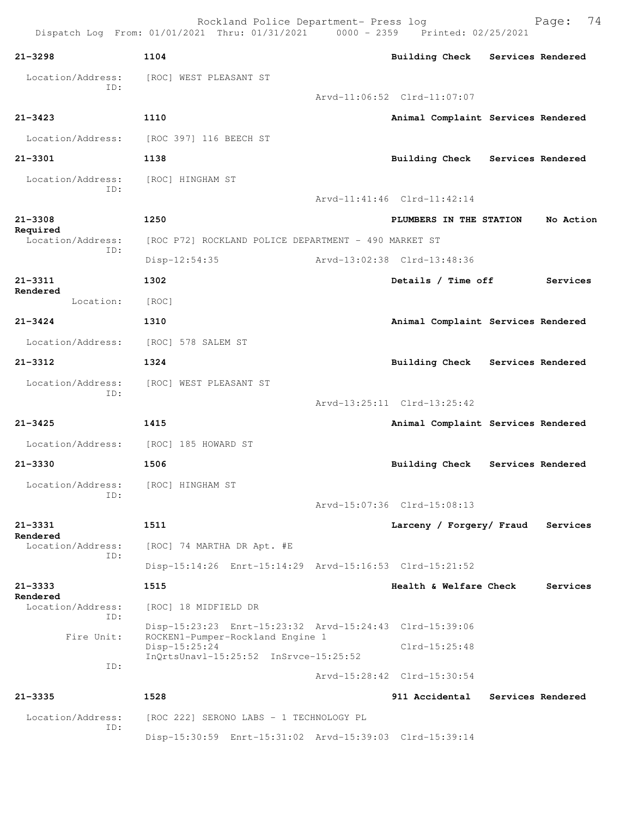Rockland Police Department- Press log Fage: 74<br>21 Thru: 01/31/2021 0000 - 2359 Printed: 02/25/2021  $Dispatch$   $Loq$   $From:$   $01/01/2021$   $Thru:$   $01/31/2021$ **21-3298 1104 Building Check Services Rendered** Location/Address: [ROC] WEST PLEASANT ST ID: Arvd-11:06:52 Clrd-11:07:07 **21-3423 1110 Animal Complaint Services Rendered** Location/Address: [ROC 397] 116 BEECH ST **21-3301 1138 Building Check Services Rendered** Location/Address: [ROC] HINGHAM ST ID: Arvd-11:41:46 Clrd-11:42:14 **21-3308 1250 PLUMBERS IN THE STATION No Action Required**  Location/Address: [ROC P72] ROCKLAND POLICE DEPARTMENT - 490 MARKET ST ID: Disp-12:54:35 Arvd-13:02:38 Clrd-13:48:36 **21-3311 1302 Details / Time off Services Rendered**  Location: [ROC] **21-3424 1310 Animal Complaint Services Rendered** Location/Address: [ROC] 578 SALEM ST **21-3312 1324 Building Check Services Rendered** Location/Address: [ROC] WEST PLEASANT ST ID: Arvd-13:25:11 Clrd-13:25:42 **21-3425 1415 Animal Complaint Services Rendered** Location/Address: [ROC] 185 HOWARD ST **21-3330 1506 Building Check Services Rendered** Location/Address: [ROC] HINGHAM ST ID: Arvd-15:07:36 Clrd-15:08:13 **21-3331 1511 Larceny / Forgery/ Fraud Services Rendered**<br>Location/Address: [ROC] 74 MARTHA DR Apt. #E ID: Disp-15:14:26 Enrt-15:14:29 Arvd-15:16:53 Clrd-15:21:52 **21-3333 1515 Health & Welfare Check Services Rendered**  Location/Address: [ROC] 18 MIDFIELD DR ID: Disp-15:23:23 Enrt-15:23:32 Arvd-15:24:43 Clrd-15:39:06 Fire Unit: ROCKEN1-Pumper-Rockland Engine 1 Disp-15:25:24 Clrd-15:25:48 InQrtsUnavl-15:25:52 InSrvce-15:25:52 ID: Arvd-15:28:42 Clrd-15:30:54 **21-3335 1528 911 Accidental Services Rendered** Location/Address: [ROC 222] SERONO LABS - 1 TECHNOLOGY PL ID: Disp-15:30:59 Enrt-15:31:02 Arvd-15:39:03 Clrd-15:39:14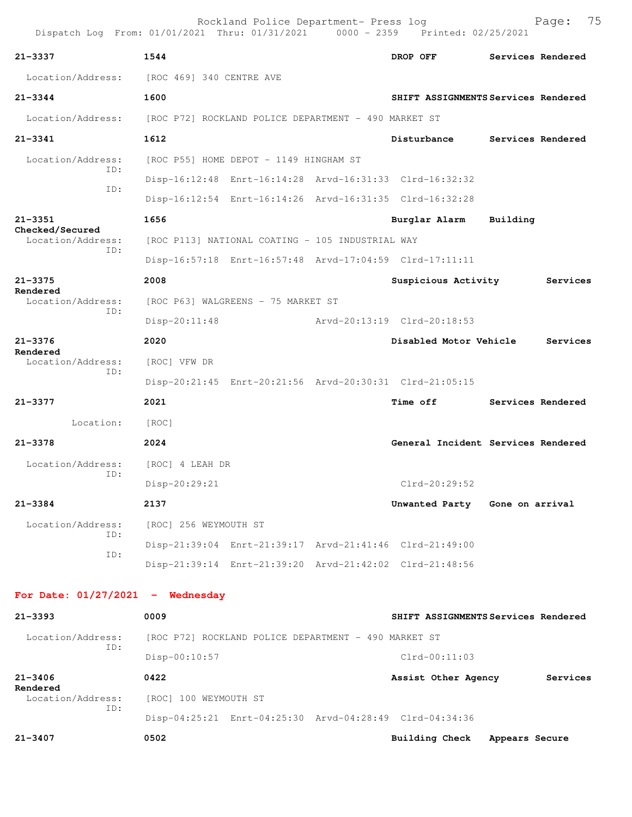| Dispatch Log From: 01/01/2021 Thru: 01/31/2021 |                            |                                                         | $0000 - 2359$               |                 | Printed: 02/25/2021                 |                |                   |
|------------------------------------------------|----------------------------|---------------------------------------------------------|-----------------------------|-----------------|-------------------------------------|----------------|-------------------|
| 21-3337                                        | 1544                       |                                                         |                             | DROP OFF        |                                     |                | Services Rendered |
| Location/Address: [ROC 469] 340 CENTRE AVE     |                            |                                                         |                             |                 |                                     |                |                   |
| $21 - 3344$                                    | 1600                       |                                                         |                             |                 | SHIFT ASSIGNMENTS Services Rendered |                |                   |
| Location/Address:                              |                            | [ROC P72] ROCKLAND POLICE DEPARTMENT - 490 MARKET ST    |                             |                 |                                     |                |                   |
| $21 - 3341$                                    | 1612                       |                                                         |                             |                 | Disturbance                         |                | Services Rendered |
| Location/Address:                              |                            | [ROC P55] HOME DEPOT - 1149 HINGHAM ST                  |                             |                 |                                     |                |                   |
| TD:                                            |                            | Disp-16:12:48 Enrt-16:14:28 Arvd-16:31:33 Clrd-16:32:32 |                             |                 |                                     |                |                   |
| ID:                                            |                            | Disp-16:12:54 Enrt-16:14:26 Arvd-16:31:35 Clrd-16:32:28 |                             |                 |                                     |                |                   |
| $21 - 3351$<br>Checked/Secured                 | 1656                       |                                                         |                             |                 | Burglar Alarm                       | Building       |                   |
| Location/Address:<br>ID:                       |                            | [ROC P113] NATIONAL COATING - 105 INDUSTRIAL WAY        |                             |                 |                                     |                |                   |
|                                                |                            | Disp-16:57:18 Enrt-16:57:48 Arvd-17:04:59 Clrd-17:11:11 |                             |                 |                                     |                |                   |
| $21 - 3375$<br>Rendered                        | 2008                       |                                                         |                             |                 | Suspicious Activity                 |                | Services          |
| Location/Address:<br>ID:                       |                            | [ROC P63] WALGREENS - 75 MARKET ST                      |                             |                 |                                     |                |                   |
|                                                | $Disp-20:11:48$            |                                                         | Arvd-20:13:19 Clrd-20:18:53 |                 |                                     |                |                   |
| $21 - 3376$<br>Rendered                        | 2020                       |                                                         |                             |                 | Disabled Motor Vehicle              |                | Services          |
| Location/Address:                              | [ROC] VFW DR               |                                                         |                             |                 |                                     |                |                   |
| ID:                                            |                            | Disp-20:21:45 Enrt-20:21:56 Arvd-20:30:31 Clrd-21:05:15 |                             |                 |                                     |                |                   |
| $21 - 3377$                                    | 2021                       |                                                         |                             | <b>Time off</b> |                                     |                | Services Rendered |
| Location:                                      | $\lceil \text{ROC} \rceil$ |                                                         |                             |                 |                                     |                |                   |
| $21 - 3378$                                    | 2024                       |                                                         |                             |                 | General Incident Services Rendered  |                |                   |
| Location/Address:<br>ID:                       | [ROC] 4 LEAH DR            |                                                         |                             |                 |                                     |                |                   |
|                                                | $Disp-20:29:21$            |                                                         |                             |                 | $Clrd-20:29:52$                     |                |                   |
| $21 - 3384$                                    | 2137                       |                                                         |                             |                 | Unwanted Party Gone on arrival      |                |                   |
| Location/Address:<br>TD:                       | [ROC] 256 WEYMOUTH ST      |                                                         |                             |                 |                                     |                |                   |
| ID:                                            |                            | Disp-21:39:04 Enrt-21:39:17 Arvd-21:41:46 Clrd-21:49:00 |                             |                 |                                     |                |                   |
|                                                |                            | Disp-21:39:14 Enrt-21:39:20 Arvd-21:42:02 Clrd-21:48:56 |                             |                 |                                     |                |                   |
| For Date: $01/27/2021$ - Wednesday             |                            |                                                         |                             |                 |                                     |                |                   |
| $21 - 3393$                                    | 0009                       |                                                         |                             |                 | SHIFT ASSIGNMENTS Services Rendered |                |                   |
| Location/Address:                              |                            | [ROC P72] ROCKLAND POLICE DEPARTMENT - 490 MARKET ST    |                             |                 |                                     |                |                   |
| ID:                                            | $Disp-00:10:57$            |                                                         |                             |                 | $Clrd-00:11:03$                     |                |                   |
| $21 - 3406$                                    | 0422                       |                                                         |                             |                 | Assist Other Agency                 |                | Services          |
| Rendered<br>Location/Address:                  | [ROC] 100 WEYMOUTH ST      |                                                         |                             |                 |                                     |                |                   |
| ID:                                            |                            | Disp-04:25:21 Enrt-04:25:30 Arvd-04:28:49 Clrd-04:34:36 |                             |                 |                                     |                |                   |
| $21 - 3407$                                    | 0502                       |                                                         |                             |                 | <b>Building Check</b>               | Appears Secure |                   |
|                                                |                            |                                                         |                             |                 |                                     |                |                   |

Rockland Police Department- Press log entitled and Page: 75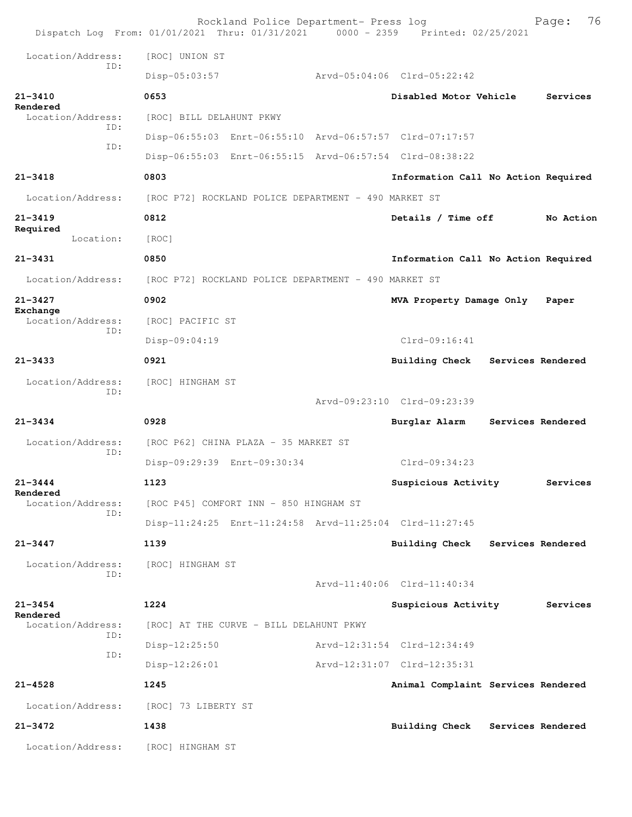|                                      | Rockland Police Department- Press log<br>Dispatch Log From: 01/01/2021 Thru: 01/31/2021 0000 - 2359 Printed: 02/25/2021 |                                     |                   | 76<br>Page: |
|--------------------------------------|-------------------------------------------------------------------------------------------------------------------------|-------------------------------------|-------------------|-------------|
| Location/Address:                    | [ROC] UNION ST                                                                                                          |                                     |                   |             |
| TD:                                  | Disp-05:03:57                                                                                                           | Arvd-05:04:06 Clrd-05:22:42         |                   |             |
| $21 - 3410$                          | 0653                                                                                                                    | Disabled Motor Vehicle              |                   | Services    |
| Rendered<br>Location/Address:        | [ROC] BILL DELAHUNT PKWY                                                                                                |                                     |                   |             |
| ID:                                  | Disp-06:55:03 Enrt-06:55:10 Arvd-06:57:57 Clrd-07:17:57                                                                 |                                     |                   |             |
| ID:                                  | Disp-06:55:03 Enrt-06:55:15 Arvd-06:57:54 Clrd-08:38:22                                                                 |                                     |                   |             |
| $21 - 3418$                          | 0803                                                                                                                    | Information Call No Action Required |                   |             |
| Location/Address:                    | [ROC P72] ROCKLAND POLICE DEPARTMENT - 490 MARKET ST                                                                    |                                     |                   |             |
| $21 - 3419$                          | 0812                                                                                                                    | Details / Time off                  |                   | No Action   |
| Required<br>Location:                | [ROC]                                                                                                                   |                                     |                   |             |
| $21 - 3431$                          | 0850                                                                                                                    | Information Call No Action Required |                   |             |
| Location/Address:                    | [ROC P72] ROCKLAND POLICE DEPARTMENT - 490 MARKET ST                                                                    |                                     |                   |             |
| $21 - 3427$                          | 0902                                                                                                                    | MVA Property Damage Only            |                   | Paper       |
| Exchange<br>Location/Address:        | [ROC] PACIFIC ST                                                                                                        |                                     |                   |             |
| TD:                                  | Disp-09:04:19                                                                                                           | $Clrd-09:16:41$                     |                   |             |
| $21 - 3433$                          | 0921                                                                                                                    | <b>Building Check</b>               | Services Rendered |             |
| Location/Address:                    | [ROC] HINGHAM ST                                                                                                        |                                     |                   |             |
| ID:                                  |                                                                                                                         | Arvd-09:23:10 Clrd-09:23:39         |                   |             |
| $21 - 3434$                          | 0928                                                                                                                    | Burglar Alarm                       | Services Rendered |             |
| Location/Address:<br>TD:             | [ROC P62] CHINA PLAZA - 35 MARKET ST                                                                                    |                                     |                   |             |
|                                      | Disp-09:29:39 Enrt-09:30:34                                                                                             | $Clrd-09:34:23$                     |                   |             |
| $21 - 3444$                          | 1123                                                                                                                    | Suspicious Activity                 |                   | Services    |
| Rendered<br>Location/Address:<br>ID: | [ROC P45] COMFORT INN - 850 HINGHAM ST                                                                                  |                                     |                   |             |
|                                      | Disp-11:24:25 Enrt-11:24:58 Arvd-11:25:04 Clrd-11:27:45                                                                 |                                     |                   |             |
| $21 - 3447$                          | 1139                                                                                                                    | Building Check                      | Services Rendered |             |
| Location/Address:                    | [ROC] HINGHAM ST                                                                                                        |                                     |                   |             |
| ID:                                  |                                                                                                                         | Arvd-11:40:06 Clrd-11:40:34         |                   |             |
| $21 - 3454$<br>Rendered              | 1224                                                                                                                    | Suspicious Activity                 |                   | Services    |
| Location/Address:<br>ID:             | [ROC] AT THE CURVE - BILL DELAHUNT PKWY                                                                                 |                                     |                   |             |
| ID:                                  | $Disp-12:25:50$                                                                                                         | Arvd-12:31:54 Clrd-12:34:49         |                   |             |
|                                      | Disp-12:26:01                                                                                                           | Arvd-12:31:07 Clrd-12:35:31         |                   |             |
| $21 - 4528$                          | 1245                                                                                                                    | Animal Complaint Services Rendered  |                   |             |
| Location/Address:                    | [ROC] 73 LIBERTY ST                                                                                                     |                                     |                   |             |
| $21 - 3472$                          | 1438                                                                                                                    | Building Check Services Rendered    |                   |             |
| Location/Address:                    | [ROC] HINGHAM ST                                                                                                        |                                     |                   |             |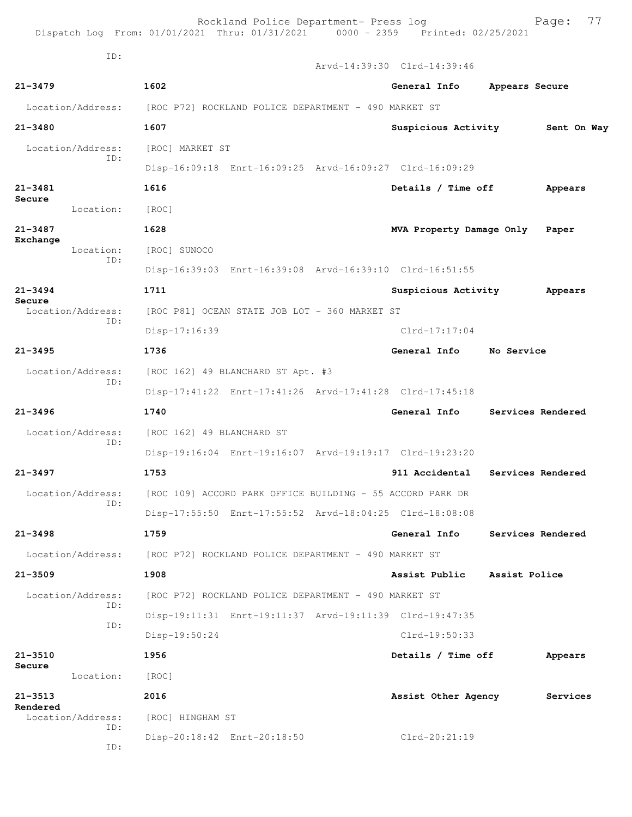|                             | Rockland Police Department- Press log<br>Dispatch Log From: 01/01/2021 Thru: 01/31/2021 0000 - 2359 Printed: 02/25/2021 |                             | 77<br>Page:                     |
|-----------------------------|-------------------------------------------------------------------------------------------------------------------------|-----------------------------|---------------------------------|
| ID:                         |                                                                                                                         | Arvd-14:39:30 Clrd-14:39:46 |                                 |
| $21 - 3479$                 | 1602                                                                                                                    | General Info                | Appears Secure                  |
| Location/Address:           | [ROC P72] ROCKLAND POLICE DEPARTMENT - 490 MARKET ST                                                                    |                             |                                 |
| $21 - 3480$                 | 1607                                                                                                                    |                             | Suspicious Activity 5ent On Way |
| Location/Address:           | [ROC] MARKET ST                                                                                                         |                             |                                 |
| ID:                         | Disp-16:09:18 Enrt-16:09:25 Arvd-16:09:27 Clrd-16:09:29                                                                 |                             |                                 |
| $21 - 3481$                 | 1616                                                                                                                    | Details / Time off          | Appears                         |
| Secure<br>Location:         | [ROC]                                                                                                                   |                             |                                 |
| $21 - 3487$                 | 1628                                                                                                                    | MVA Property Damage Only    | Paper                           |
| Exchange<br>Location:       | [ROC] SUNOCO                                                                                                            |                             |                                 |
| ID:                         | Disp-16:39:03 Enrt-16:39:08 Arvd-16:39:10 Clrd-16:51:55                                                                 |                             |                                 |
| $21 - 3494$                 | 1711                                                                                                                    | Suspicious Activity         | Appears                         |
| Secure<br>Location/Address: | [ROC P81] OCEAN STATE JOB LOT - 360 MARKET ST                                                                           |                             |                                 |
| ID:                         | Disp-17:16:39                                                                                                           | $Clrd-17:17:04$             |                                 |
| $21 - 3495$                 | 1736                                                                                                                    | General Info                | No Service                      |
| Location/Address:           | [ROC 162] 49 BLANCHARD ST Apt. #3                                                                                       |                             |                                 |
| ID:                         | Disp-17:41:22 Enrt-17:41:26 Arvd-17:41:28 Clrd-17:45:18                                                                 |                             |                                 |
| $21 - 3496$                 | 1740                                                                                                                    | General Info                | Services Rendered               |
| Location/Address:           | [ROC 162] 49 BLANCHARD ST                                                                                               |                             |                                 |
| ID:                         | Disp-19:16:04 Enrt-19:16:07 Arvd-19:19:17 Clrd-19:23:20                                                                 |                             |                                 |
| $21 - 3497$                 | 1753                                                                                                                    | 911 Accidental              | Services Rendered               |
| Location/Address:           | [ROC 109] ACCORD PARK OFFICE BUILDING - 55 ACCORD PARK DR                                                               |                             |                                 |
| ID:                         | Disp-17:55:50 Enrt-17:55:52 Arvd-18:04:25 Clrd-18:08:08                                                                 |                             |                                 |
| $21 - 3498$                 | 1759                                                                                                                    | General Info                | Services Rendered               |
| Location/Address:           | [ROC P72] ROCKLAND POLICE DEPARTMENT - 490 MARKET ST                                                                    |                             |                                 |
| $21 - 3509$                 | 1908                                                                                                                    | Assist Public               | Assist Police                   |
| Location/Address:           | [ROC P72] ROCKLAND POLICE DEPARTMENT - 490 MARKET ST                                                                    |                             |                                 |
| TD:                         | Disp-19:11:31 Enrt-19:11:37 Arvd-19:11:39 Clrd-19:47:35                                                                 |                             |                                 |
| ID:                         | Disp-19:50:24                                                                                                           | $Clrd-19:50:33$             |                                 |
| $21 - 3510$                 | 1956                                                                                                                    | Details / Time off          | Appears                         |
| Secure<br>Location:         | [ROC]                                                                                                                   |                             |                                 |
| $21 - 3513$<br>Rendered     | 2016                                                                                                                    | Assist Other Agency         | Services                        |
| Location/Address:<br>ID:    | [ROC] HINGHAM ST                                                                                                        |                             |                                 |
| ID:                         | Disp-20:18:42 Enrt-20:18:50                                                                                             | $Clrd-20:21:19$             |                                 |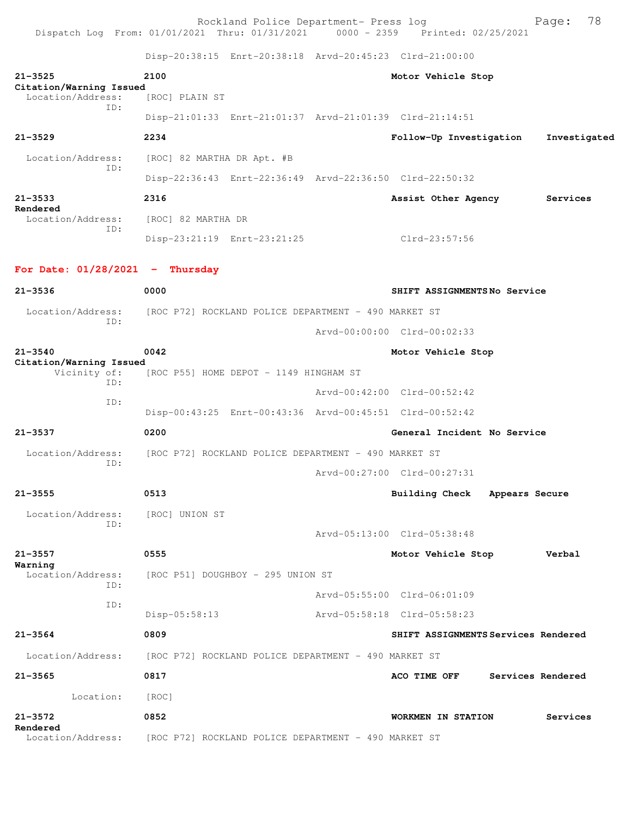Rockland Police Department- Press log entitled and Page: 78 Dispatch Log From: 01/01/2021 Thru: 01/31/2021 0000 - 2359 Printed: 02/25/2021

Disp-20:38:15 Enrt-20:38:18 Arvd-20:45:23 Clrd-21:00:00

| $21 - 3525$                                  | 2100                                                    | Motor Vehicle Stop                  |                |                   |
|----------------------------------------------|---------------------------------------------------------|-------------------------------------|----------------|-------------------|
| Citation/Warning Issued<br>Location/Address: | [ROC] PLAIN ST                                          |                                     |                |                   |
| ID:                                          | Disp-21:01:33 Enrt-21:01:37 Arvd-21:01:39 Clrd-21:14:51 |                                     |                |                   |
| $21 - 3529$                                  | 2234                                                    | Follow-Up Investigation             |                | Investigated      |
| Location/Address:<br>ID:                     | [ROC] 82 MARTHA DR Apt. #B                              |                                     |                |                   |
|                                              | Disp-22:36:43 Enrt-22:36:49 Arvd-22:36:50 Clrd-22:50:32 |                                     |                |                   |
| $21 - 3533$<br>Rendered                      | 2316                                                    | Assist Other Agency                 |                | Services          |
| Location/Address:<br>ID:                     | [ROC] 82 MARTHA DR                                      |                                     |                |                   |
|                                              | Disp-23:21:19 Enrt-23:21:25                             | Clrd-23:57:56                       |                |                   |
| For Date: $01/28/2021$ - Thursday            |                                                         |                                     |                |                   |
| $21 - 3536$                                  | 0000                                                    | SHIFT ASSIGNMENTSNo Service         |                |                   |
| Location/Address:                            | [ROC P72] ROCKLAND POLICE DEPARTMENT - 490 MARKET ST    |                                     |                |                   |
| ID:                                          |                                                         | Arvd-00:00:00 Clrd-00:02:33         |                |                   |
| $21 - 3540$                                  | 0042                                                    | Motor Vehicle Stop                  |                |                   |
| Citation/Warning Issued<br>Vicinity of:      | [ROC P55] HOME DEPOT - 1149 HINGHAM ST                  |                                     |                |                   |
| TD:                                          |                                                         | Arvd-00:42:00 Clrd-00:52:42         |                |                   |
| ID:                                          | Disp-00:43:25 Enrt-00:43:36 Arvd-00:45:51 Clrd-00:52:42 |                                     |                |                   |
| $21 - 3537$                                  | 0200                                                    | General Incident No Service         |                |                   |
| Location/Address:                            | [ROC P72] ROCKLAND POLICE DEPARTMENT - 490 MARKET ST    |                                     |                |                   |
| ID:                                          |                                                         | Arvd-00:27:00 Clrd-00:27:31         |                |                   |
| $21 - 3555$                                  | 0513                                                    | <b>Building Check</b>               | Appears Secure |                   |
| Location/Address:                            | [ROC] UNION ST                                          |                                     |                |                   |
| ID:                                          |                                                         | Arvd-05:13:00 Clrd-05:38:48         |                |                   |
| $21 - 3557$                                  | 0555                                                    | Motor Vehicle Stop                  |                | Verbal            |
| Warning<br>Location/Address:<br>ID:          | [ROC P51] DOUGHBOY - 295 UNION ST                       |                                     |                |                   |
|                                              |                                                         | Arvd-05:55:00 Clrd-06:01:09         |                |                   |
| ID:                                          | Disp-05:58:13                                           | Arvd-05:58:18 Clrd-05:58:23         |                |                   |
| $21 - 3564$                                  | 0809                                                    | SHIFT ASSIGNMENTS Services Rendered |                |                   |
| Location/Address:                            | [ROC P72] ROCKLAND POLICE DEPARTMENT - 490 MARKET ST    |                                     |                |                   |
| $21 - 3565$                                  | 0817                                                    | ACO TIME OFF                        |                | Services Rendered |
| Location:                                    | [ROC]                                                   |                                     |                |                   |
| $21 - 3572$                                  | 0852                                                    | WORKMEN IN STATION                  |                | Services          |
| Rendered<br>Location/Address:                | [ROC P72] ROCKLAND POLICE DEPARTMENT - 490 MARKET ST    |                                     |                |                   |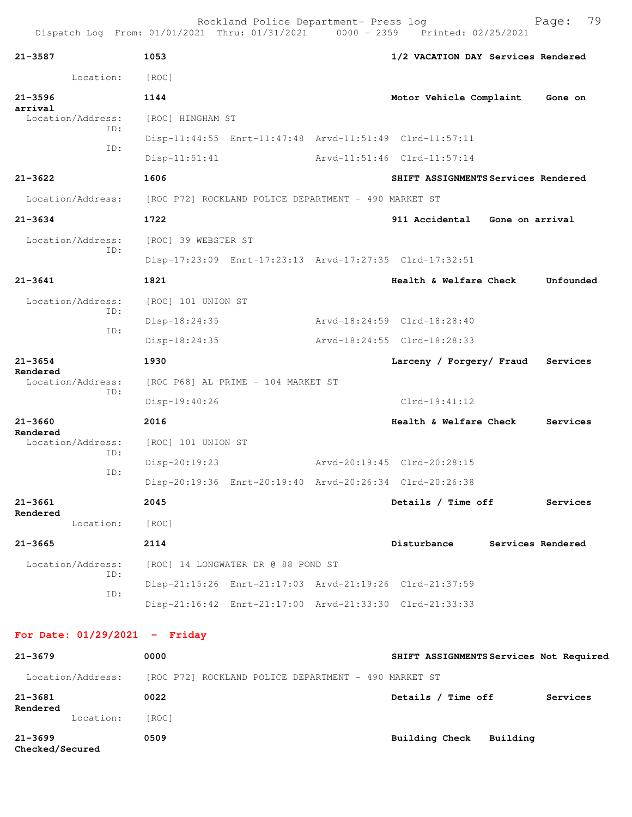| $21 - 3587$                   | 1053                                                 |  | 1/2 VACATION DAY Services Rendered                      |                 |                   |
|-------------------------------|------------------------------------------------------|--|---------------------------------------------------------|-----------------|-------------------|
| Location:                     | [ROC]                                                |  |                                                         |                 |                   |
| $21 - 3596$                   | 1144                                                 |  | Motor Vehicle Complaint                                 |                 | Gone on           |
| arrival<br>Location/Address:  | [ROC] HINGHAM ST                                     |  |                                                         |                 |                   |
| ID:<br>ID:                    |                                                      |  | Disp-11:44:55 Enrt-11:47:48 Arvd-11:51:49 Clrd-11:57:11 |                 |                   |
|                               | $Disp-11:51:41$                                      |  | Arvd-11:51:46 Clrd-11:57:14                             |                 |                   |
| $21 - 3622$                   | 1606                                                 |  | SHIFT ASSIGNMENTS Services Rendered                     |                 |                   |
| Location/Address:             | [ROC P72] ROCKLAND POLICE DEPARTMENT - 490 MARKET ST |  |                                                         |                 |                   |
| $21 - 3634$                   | 1722                                                 |  | 911 Accidental                                          | Gone on arrival |                   |
| Location/Address:             | [ROC] 39 WEBSTER ST                                  |  |                                                         |                 |                   |
| ID:                           |                                                      |  | Disp-17:23:09 Enrt-17:23:13 Arvd-17:27:35 Clrd-17:32:51 |                 |                   |
| $21 - 3641$                   | 1821                                                 |  | Health & Welfare Check                                  |                 | Unfounded         |
| Location/Address:             | [ROC] 101 UNION ST                                   |  |                                                         |                 |                   |
| ID:<br>ID:                    | Disp-18:24:35                                        |  | Arvd-18:24:59 Clrd-18:28:40                             |                 |                   |
|                               | Disp-18:24:35                                        |  | Arvd-18:24:55 Clrd-18:28:33                             |                 |                   |
| $21 - 3654$                   | 1930                                                 |  | Larceny / Forgery/ Fraud                                |                 | Services          |
| Rendered<br>Location/Address: | [ROC P68] AL PRIME - 104 MARKET ST                   |  |                                                         |                 |                   |
| ID:                           | Disp-19:40:26                                        |  | $Clrd-19:41:12$                                         |                 |                   |
| $21 - 3660$                   | 2016                                                 |  | Health & Welfare Check                                  |                 | Services          |
| Rendered<br>Location/Address: | [ROC] 101 UNION ST                                   |  |                                                         |                 |                   |
| ID:                           | $Disp-20:19:23$                                      |  | Arvd-20:19:45 Clrd-20:28:15                             |                 |                   |
| ID:                           |                                                      |  | Disp-20:19:36 Enrt-20:19:40 Arvd-20:26:34 Clrd-20:26:38 |                 |                   |
| 21-3661                       | 2045                                                 |  | Details / Time off                                      |                 | Services          |
| Rendered<br>Location:         | [ROC]                                                |  |                                                         |                 |                   |
| $21 - 3665$                   | 2114                                                 |  | Disturbance                                             |                 | Services Rendered |
| Location/Address:             | [ROC] 14 LONGWATER DR @ 88 POND ST                   |  |                                                         |                 |                   |
| ID:                           |                                                      |  | Disp-21:15:26 Enrt-21:17:03 Arvd-21:19:26 Clrd-21:37:59 |                 |                   |
| ID:                           |                                                      |  | Disp-21:16:42 Enrt-21:17:00 Arvd-21:33:30 Clrd-21:33:33 |                 |                   |

**For Date: 01/29/2021 - Friday**

| $21 - 3679$                    |                   | 0000                                                 |                |          | SHIFT ASSIGNMENTS Services Not Required |          |
|--------------------------------|-------------------|------------------------------------------------------|----------------|----------|-----------------------------------------|----------|
|                                | Location/Address: | [ROC P72] ROCKLAND POLICE DEPARTMENT - 490 MARKET ST |                |          |                                         |          |
| $21 - 3681$<br>Rendered        |                   | 0022                                                 | Details $/$    | Time off |                                         | Services |
|                                | Location:         | [ROC]                                                |                |          |                                         |          |
| $21 - 3699$<br>Checked/Secured |                   | 0509                                                 | Building Check |          | Building                                |          |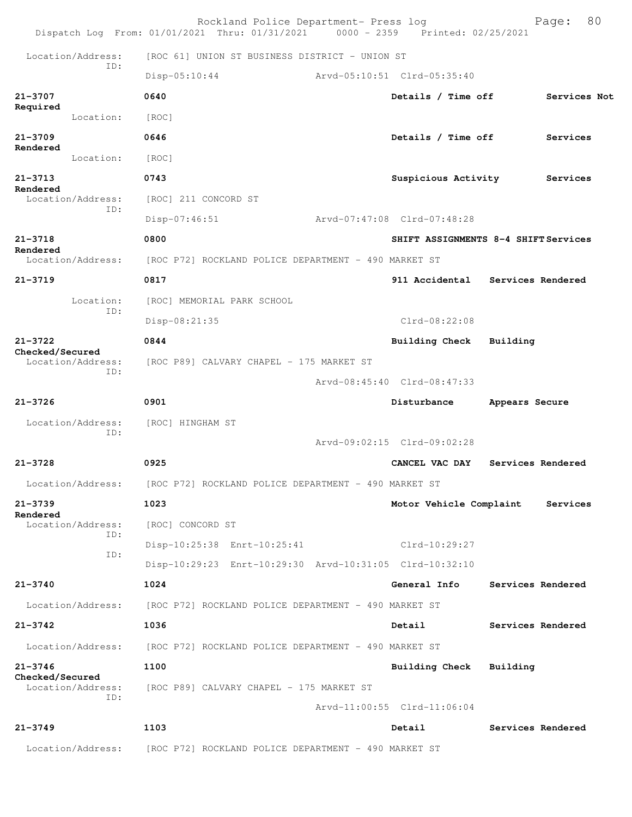|                                |                          | Rockland Police Department- Press log<br>Dispatch Log From: 01/01/2021 Thru: 01/31/2021 0000 - 2359 Printed: 02/25/2021 |                                      |                | 80<br>Page:       |
|--------------------------------|--------------------------|-------------------------------------------------------------------------------------------------------------------------|--------------------------------------|----------------|-------------------|
|                                | Location/Address:        | [ROC 61] UNION ST BUSINESS DISTRICT - UNION ST                                                                          |                                      |                |                   |
|                                | ID:                      | $Disp-05:10:44$                                                                                                         | Arvd-05:10:51 Clrd-05:35:40          |                |                   |
| 21-3707                        |                          | 0640                                                                                                                    | Details / Time off                   |                | Services Not      |
| Required                       | Location:                | [ROC]                                                                                                                   |                                      |                |                   |
| $21 - 3709$                    |                          | 0646                                                                                                                    | Details / Time off                   |                | Services          |
| Rendered                       | Location:                | [ROC]                                                                                                                   |                                      |                |                   |
| $21 - 3713$                    |                          | 0743                                                                                                                    | Suspicious Activity                  |                | Services          |
| Rendered                       | Location/Address:        | [ROC] 211 CONCORD ST                                                                                                    |                                      |                |                   |
|                                | ID:                      | $Disp-07:46:51$                                                                                                         | Arvd-07:47:08 Clrd-07:48:28          |                |                   |
| $21 - 3718$<br>Rendered        |                          | 0800                                                                                                                    | SHIFT ASSIGNMENTS 8-4 SHIFT Services |                |                   |
|                                | Location/Address:        | [ROC P72] ROCKLAND POLICE DEPARTMENT - 490 MARKET ST                                                                    |                                      |                |                   |
| $21 - 3719$                    |                          | 0817                                                                                                                    | 911 Accidental Services Rendered     |                |                   |
|                                | Location:<br>ID:         | [ROC] MEMORIAL PARK SCHOOL                                                                                              |                                      |                |                   |
|                                |                          | Disp-08:21:35                                                                                                           | $Clrd-08:22:08$                      |                |                   |
| $21 - 3722$<br>Checked/Secured |                          | 0844                                                                                                                    | <b>Building Check</b>                | Building       |                   |
|                                | Location/Address:<br>ID: | [ROC P89] CALVARY CHAPEL - 175 MARKET ST                                                                                |                                      |                |                   |
|                                |                          |                                                                                                                         | Arvd-08:45:40 Clrd-08:47:33          |                |                   |
| $21 - 3726$                    |                          | 0901                                                                                                                    | Disturbance                          | Appears Secure |                   |
|                                | Location/Address:<br>ID: | [ROC] HINGHAM ST                                                                                                        |                                      |                |                   |
|                                |                          |                                                                                                                         | Arvd-09:02:15 Clrd-09:02:28          |                |                   |
| $21 - 3728$                    |                          | 0925                                                                                                                    | CANCEL VAC DAY                       |                | Services Rendered |
|                                | Location/Address:        | [ROC P72] ROCKLAND POLICE DEPARTMENT - 490 MARKET ST                                                                    |                                      |                |                   |
| $21 - 3739$<br>Rendered        |                          | 1023                                                                                                                    | Motor Vehicle Complaint              |                | Services          |
|                                | Location/Address:<br>ID: | [ROC] CONCORD ST                                                                                                        |                                      |                |                   |
|                                | ID:                      | Disp-10:25:38 Enrt-10:25:41                                                                                             | Clrd-10:29:27                        |                |                   |
|                                |                          | Disp-10:29:23 Enrt-10:29:30 Arvd-10:31:05 Clrd-10:32:10                                                                 |                                      |                |                   |
| $21 - 3740$                    |                          | 1024                                                                                                                    | General Info                         |                | Services Rendered |
|                                | Location/Address:        | [ROC P72] ROCKLAND POLICE DEPARTMENT - 490 MARKET ST                                                                    |                                      |                |                   |
| $21 - 3742$                    |                          | 1036                                                                                                                    | Detail                               |                | Services Rendered |
|                                | Location/Address:        | [ROC P72] ROCKLAND POLICE DEPARTMENT - 490 MARKET ST                                                                    |                                      |                |                   |
| $21 - 3746$<br>Checked/Secured |                          | 1100                                                                                                                    | <b>Building Check</b>                | Building       |                   |
|                                | Location/Address:<br>ID: | [ROC P89] CALVARY CHAPEL - 175 MARKET ST                                                                                |                                      |                |                   |
|                                |                          |                                                                                                                         | Arvd-11:00:55 Clrd-11:06:04          |                |                   |
| $21 - 3749$                    |                          | 1103                                                                                                                    | Detail                               |                | Services Rendered |
|                                | Location/Address:        | [ROC P72] ROCKLAND POLICE DEPARTMENT - 490 MARKET ST                                                                    |                                      |                |                   |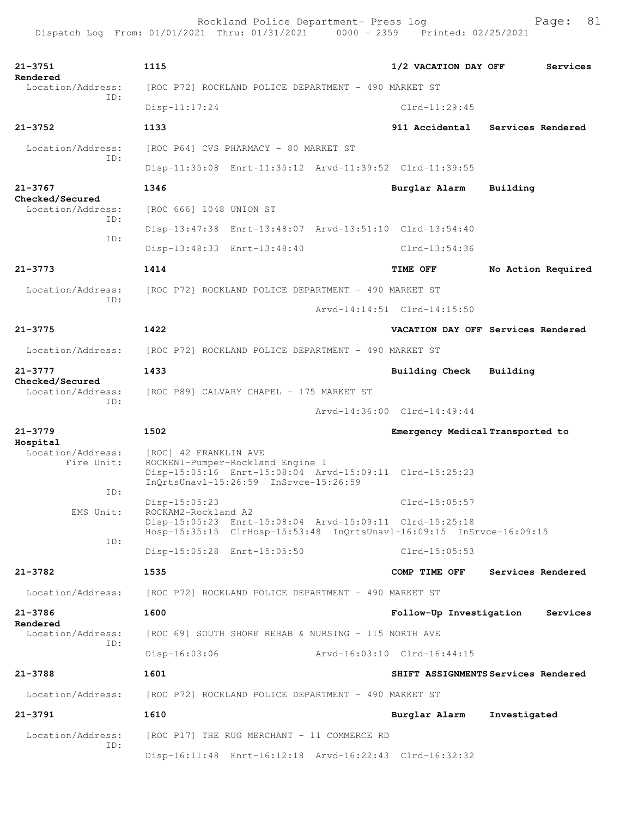**21-3751 1115 1/2 VACATION DAY OFF Services Rendered**  Location/Address: [ROC P72] ROCKLAND POLICE DEPARTMENT - 490 MARKET ST ID: Disp-11:17:24 Clrd-11:29:45 **21-3752 1133 911 Accidental Services Rendered** Location/Address: [ROC P64] CVS PHARMACY - 80 MARKET ST ID: Disp-11:35:08 Enrt-11:35:12 Arvd-11:39:52 Clrd-11:39:55 **21-3767 1346 Burglar Alarm Building Checked/Secured**  Location/Address: [ROC 666] 1048 UNION ST ID: Disp-13:47:38 Enrt-13:48:07 Arvd-13:51:10 Clrd-13:54:40 ID: Disp-13:48:33 Enrt-13:48:40 Clrd-13:54:36 **21-3773 1414 TIME OFF No Action Required** Location/Address: [ROC P72] ROCKLAND POLICE DEPARTMENT - 490 MARKET ST ID: Arvd-14:14:51 Clrd-14:15:50 **21-3775 1422 VACATION DAY OFF Services Rendered** Location/Address: [ROC P72] ROCKLAND POLICE DEPARTMENT - 490 MARKET ST **21-3777 1433 Building Check Building Checked/Secured**  Location/Address: [ROC P89] CALVARY CHAPEL - 175 MARKET ST ID: Arvd-14:36:00 Clrd-14:49:44 **21-3779 1502 Emergency Medical Transported to Hospital**  [ROC] 42 FRANKLIN AVE Fire Unit: ROCKEN1-Pumper-Rockland Engine 1 Disp-15:05:16 Enrt-15:08:04 Arvd-15:09:11 Clrd-15:25:23 InQrtsUnavl-15:26:59 InSrvce-15:26:59 ID: Disp-15:05:23 Clrd-15:05:57<br>EMS Unit: ROCKAM2-Rockland A2 ROCKAM2-Rockland A2 Disp-15:05:23 Enrt-15:08:04 Arvd-15:09:11 Clrd-15:25:18 Hosp-15:35:15 ClrHosp-15:53:48 InQrtsUnavl-16:09:15 InSrvce-16:09:15 ID: Disp-15:05:28 Enrt-15:05:50 Clrd-15:05:53 **21-3782 1535 COMP TIME OFF Services Rendered** Location/Address: [ROC P72] ROCKLAND POLICE DEPARTMENT - 490 MARKET ST **21-3786 1600 Follow-Up Investigation Services Rendered**  Location/Address: [ROC 69] SOUTH SHORE REHAB & NURSING - 115 NORTH AVE ID: Disp-16:03:06 Arvd-16:03:10 Clrd-16:44:15 **21-3788 1601 SHIFT ASSIGNMENTS Services Rendered** Location/Address: [ROC P72] ROCKLAND POLICE DEPARTMENT - 490 MARKET ST **21-3791 1610 Burglar Alarm Investigated** Location/Address: [ROC P17] THE RUG MERCHANT - 11 COMMERCE RD ID: Disp-16:11:48 Enrt-16:12:18 Arvd-16:22:43 Clrd-16:32:32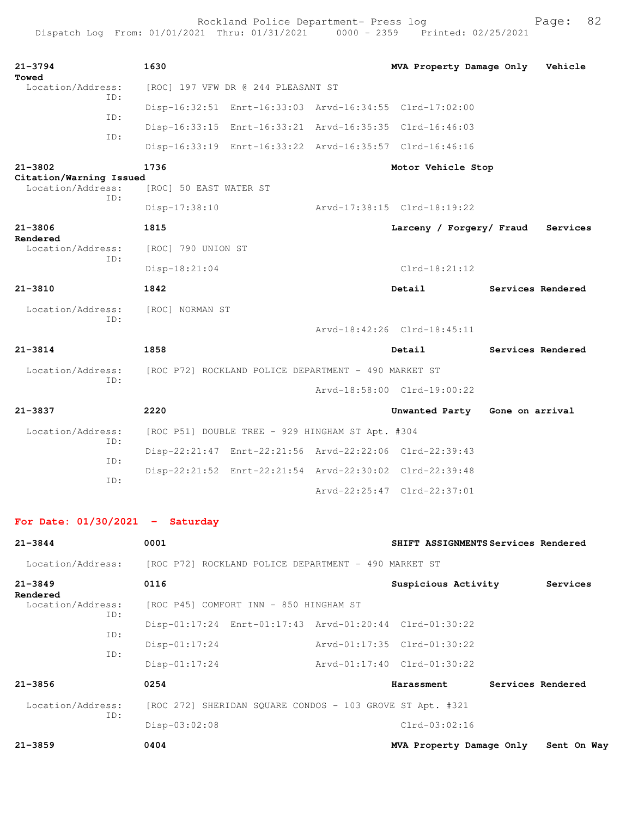| $21 - 3794$<br>Towed                         |     | 1630                   |                                                           | MVA Property Damage Only                                |                 | Vehicle           |
|----------------------------------------------|-----|------------------------|-----------------------------------------------------------|---------------------------------------------------------|-----------------|-------------------|
| Location/Address:                            | ID: |                        | [ROC] 197 VFW DR @ 244 PLEASANT ST                        |                                                         |                 |                   |
|                                              | ID: |                        |                                                           | Disp-16:32:51 Enrt-16:33:03 Arvd-16:34:55 Clrd-17:02:00 |                 |                   |
|                                              |     |                        |                                                           | Disp-16:33:15 Enrt-16:33:21 Arvd-16:35:35 Clrd-16:46:03 |                 |                   |
|                                              | ID: |                        | Disp-16:33:19 Enrt-16:33:22 Arvd-16:35:57 Clrd-16:46:16   |                                                         |                 |                   |
| $21 - 3802$                                  |     | 1736                   |                                                           | Motor Vehicle Stop                                      |                 |                   |
| Citation/Warning Issued<br>Location/Address: | TD: | [ROC] 50 EAST WATER ST |                                                           |                                                         |                 |                   |
|                                              |     | Disp-17:38:10          |                                                           | Arvd-17:38:15 Clrd-18:19:22                             |                 |                   |
| $21 - 3806$                                  |     | 1815                   |                                                           | Larceny / Forgery/ Fraud                                |                 | Services          |
| Rendered<br>Location/Address:                |     | [ROC] 790 UNION ST     |                                                           |                                                         |                 |                   |
|                                              | ID: | Disp-18:21:04          |                                                           | $Clrd-18:21:12$                                         |                 |                   |
| $21 - 3810$                                  |     | 1842                   |                                                           | Detail                                                  |                 | Services Rendered |
| Location/Address:                            |     | [ROC] NORMAN ST        |                                                           |                                                         |                 |                   |
|                                              | ID: |                        |                                                           | Arvd-18:42:26 Clrd-18:45:11                             |                 |                   |
| $21 - 3814$                                  |     | 1858                   |                                                           | Detail                                                  |                 | Services Rendered |
| Location/Address:                            |     |                        | [ROC P72] ROCKLAND POLICE DEPARTMENT - 490 MARKET ST      |                                                         |                 |                   |
| TD:                                          |     |                        | Arvd-18:58:00 Clrd-19:00:22                               |                                                         |                 |                   |
| $21 - 3837$                                  |     |                        |                                                           |                                                         |                 |                   |
|                                              |     | 2220                   |                                                           | Unwanted Party                                          | Gone on arrival |                   |
| Location/Address:                            |     |                        | [ROC P51] DOUBLE TREE - 929 HINGHAM ST Apt. #304          |                                                         |                 |                   |
|                                              | ID: |                        |                                                           | Disp-22:21:47 Enrt-22:21:56 Arvd-22:22:06 Clrd-22:39:43 |                 |                   |
|                                              | ID: |                        | Disp-22:21:52 Enrt-22:21:54 Arvd-22:30:02 Clrd-22:39:48   |                                                         |                 |                   |
|                                              | ID: |                        |                                                           | Arvd-22:25:47 Clrd-22:37:01                             |                 |                   |
| For Date: $01/30/2021$ - Saturday            |     |                        |                                                           |                                                         |                 |                   |
| $21 - 3844$                                  |     | 0001                   |                                                           | SHIFT ASSIGNMENTS Services Rendered                     |                 |                   |
| Location/Address:                            |     |                        | [ROC P72] ROCKLAND POLICE DEPARTMENT - 490 MARKET ST      |                                                         |                 |                   |
| $21 - 3849$                                  |     | 0116                   |                                                           | Suspicious Activity                                     |                 | Services          |
| Rendered<br>Location/Address:                |     |                        | [ROC P45] COMFORT INN - 850 HINGHAM ST                    |                                                         |                 |                   |
|                                              | ID: |                        |                                                           | Disp-01:17:24 Enrt-01:17:43 Arvd-01:20:44 Clrd-01:30:22 |                 |                   |
|                                              | ID: | $Disp-01:17:24$        |                                                           | Arvd-01:17:35 Clrd-01:30:22                             |                 |                   |
|                                              | ID: | $Disp-01:17:24$        |                                                           | Arvd-01:17:40 Clrd-01:30:22                             |                 |                   |
| $21 - 3856$                                  |     | 0254                   |                                                           | Harassment                                              |                 | Services Rendered |
| Location/Address:                            |     |                        | [ROC 272] SHERIDAN SQUARE CONDOS - 103 GROVE ST Apt. #321 |                                                         |                 |                   |
|                                              | ID: | Disp-03:02:08          |                                                           | Clrd-03:02:16                                           |                 |                   |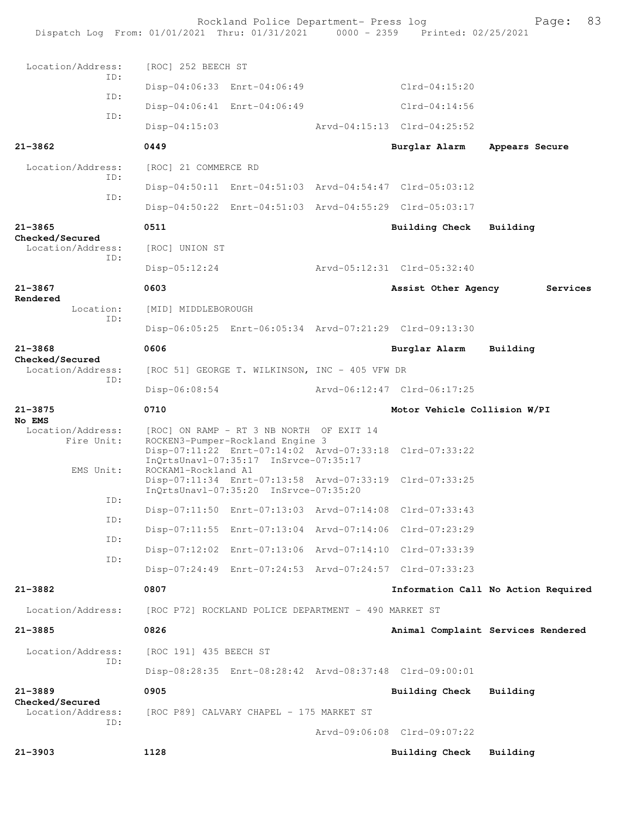|                                      |     |                        | Rockland Police Department- Press log                                                                                                                                            | Dispatch Log From: 01/01/2021 Thru: 01/31/2021 0000 - 2359 Printed: 02/25/2021 | 83<br>Page:                         |
|--------------------------------------|-----|------------------------|----------------------------------------------------------------------------------------------------------------------------------------------------------------------------------|--------------------------------------------------------------------------------|-------------------------------------|
| Location/Address:                    |     | [ROC] 252 BEECH ST     |                                                                                                                                                                                  |                                                                                |                                     |
|                                      | TD: |                        | Disp-04:06:33 Enrt-04:06:49                                                                                                                                                      | Clrd-04:15:20                                                                  |                                     |
|                                      | ID: |                        | Disp-04:06:41 Enrt-04:06:49                                                                                                                                                      | Clrd-04:14:56                                                                  |                                     |
|                                      | ID: | $Disp-04:15:03$        |                                                                                                                                                                                  | Arvd-04:15:13 Clrd-04:25:52                                                    |                                     |
| $21 - 3862$                          |     | 0449                   |                                                                                                                                                                                  | Burglar Alarm                                                                  | Appears Secure                      |
| Location/Address:                    |     | [ROC] 21 COMMERCE RD   |                                                                                                                                                                                  |                                                                                |                                     |
|                                      | TD: |                        | Disp-04:50:11 Enrt-04:51:03 Arvd-04:54:47 Clrd-05:03:12                                                                                                                          |                                                                                |                                     |
|                                      | ID: |                        | Disp-04:50:22 Enrt-04:51:03 Arvd-04:55:29 Clrd-05:03:17                                                                                                                          |                                                                                |                                     |
| $21 - 3865$                          |     | 0511                   |                                                                                                                                                                                  | <b>Building Check</b>                                                          | Building                            |
| Checked/Secured<br>Location/Address: | TD: | [ROC] UNION ST         |                                                                                                                                                                                  |                                                                                |                                     |
|                                      |     | $Disp-05:12:24$        |                                                                                                                                                                                  | Arvd-05:12:31 Clrd-05:32:40                                                    |                                     |
| $21 - 3867$                          |     | 0603                   |                                                                                                                                                                                  | Assist Other Agency                                                            | Services                            |
| Rendered<br>Location:                | ID: | [MID] MIDDLEBOROUGH    |                                                                                                                                                                                  |                                                                                |                                     |
|                                      |     |                        | Disp-06:05:25 Enrt-06:05:34 Arvd-07:21:29 Clrd-09:13:30                                                                                                                          |                                                                                |                                     |
| $21 - 3868$<br>Checked/Secured       |     | 0606                   |                                                                                                                                                                                  | Burglar Alarm                                                                  | Building                            |
| Location/Address:                    | TD: |                        | [ROC 51] GEORGE T. WILKINSON, INC - 405 VFW DR                                                                                                                                   |                                                                                |                                     |
|                                      |     | Disp-06:08:54          |                                                                                                                                                                                  | Arvd-06:12:47 Clrd-06:17:25                                                    |                                     |
| $21 - 3875$<br>No EMS                |     | 0710                   |                                                                                                                                                                                  | Motor Vehicle Collision W/PI                                                   |                                     |
| Location/Address:<br>Fire Unit:      |     |                        | [ROC] ON RAMP - RT 3 NB NORTH OF EXIT 14<br>ROCKEN3-Pumper-Rockland Engine 3<br>Disp-07:11:22 Enrt-07:14:02 Arvd-07:33:18 Clrd-07:33:22<br>InQrtsUnavl-07:35:17 InSrvce-07:35:17 |                                                                                |                                     |
| EMS Unit:                            |     | ROCKAM1-Rockland A1    | Disp-07:11:34 Enrt-07:13:58 Arvd-07:33:19 Clrd-07:33:25<br>InQrtsUnavl-07:35:20 InSrvce-07:35:20                                                                                 |                                                                                |                                     |
|                                      | ID: |                        | Disp-07:11:50 Enrt-07:13:03 Arvd-07:14:08 Clrd-07:33:43                                                                                                                          |                                                                                |                                     |
|                                      | ID: |                        | Disp-07:11:55 Enrt-07:13:04 Arvd-07:14:06 Clrd-07:23:29                                                                                                                          |                                                                                |                                     |
|                                      | ID: |                        | Disp-07:12:02 Enrt-07:13:06 Arvd-07:14:10 Clrd-07:33:39                                                                                                                          |                                                                                |                                     |
|                                      | ID: |                        | Disp-07:24:49 Enrt-07:24:53 Arvd-07:24:57 Clrd-07:33:23                                                                                                                          |                                                                                |                                     |
| 21-3882                              |     | 0807                   |                                                                                                                                                                                  |                                                                                | Information Call No Action Required |
| Location/Address:                    |     |                        | [ROC P72] ROCKLAND POLICE DEPARTMENT - 490 MARKET ST                                                                                                                             |                                                                                |                                     |
| $21 - 3885$                          |     | 0826                   |                                                                                                                                                                                  |                                                                                | Animal Complaint Services Rendered  |
| Location/Address:                    |     | [ROC 191] 435 BEECH ST |                                                                                                                                                                                  |                                                                                |                                     |
|                                      | ID: |                        | Disp-08:28:35 Enrt-08:28:42 Arvd-08:37:48 Clrd-09:00:01                                                                                                                          |                                                                                |                                     |
| $21 - 3889$                          |     | 0905                   |                                                                                                                                                                                  | <b>Building Check</b>                                                          | Building                            |
| Checked/Secured<br>Location/Address: |     |                        | [ROC P89] CALVARY CHAPEL - 175 MARKET ST                                                                                                                                         |                                                                                |                                     |
|                                      | ID: |                        |                                                                                                                                                                                  | Arvd-09:06:08 Clrd-09:07:22                                                    |                                     |
| $21 - 3903$                          |     | 1128                   |                                                                                                                                                                                  | <b>Building Check</b>                                                          | Building                            |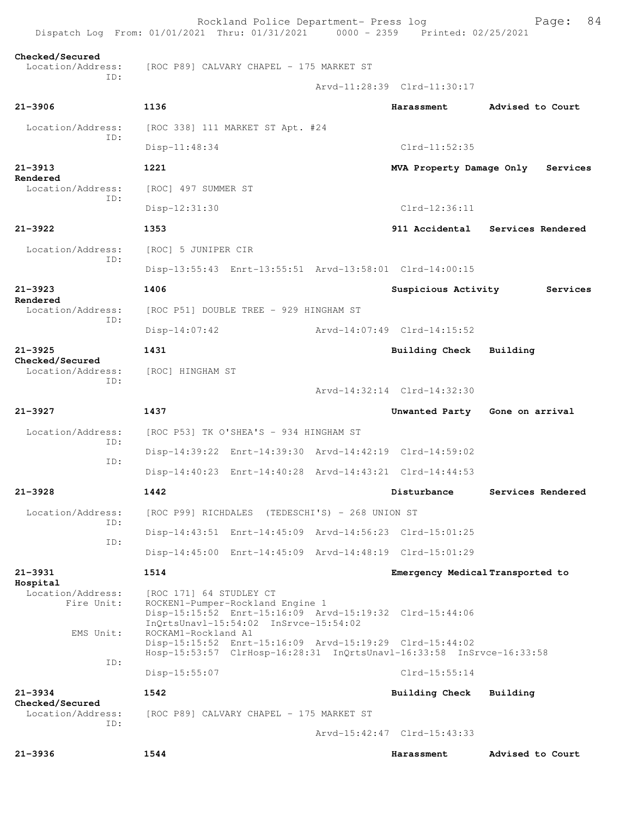| Dispatch Log From: 01/01/2021 Thru: 01/31/2021 0000 - 2359 Printed: 02/25/2021 |                                                                                                      | Rockland Police Department- Press log |                                                                                                                                 | 84<br>Page:                      |
|--------------------------------------------------------------------------------|------------------------------------------------------------------------------------------------------|---------------------------------------|---------------------------------------------------------------------------------------------------------------------------------|----------------------------------|
| Checked/Secured<br>Location/Address:                                           | [ROC P89] CALVARY CHAPEL - 175 MARKET ST                                                             |                                       |                                                                                                                                 |                                  |
| TD:                                                                            |                                                                                                      |                                       | Arvd-11:28:39 Clrd-11:30:17                                                                                                     |                                  |
| $21 - 3906$                                                                    | 1136                                                                                                 |                                       | Harassment                                                                                                                      | Advised to Court                 |
| Location/Address:                                                              | [ROC 338] 111 MARKET ST Apt. #24                                                                     |                                       |                                                                                                                                 |                                  |
| ID:                                                                            | Disp-11:48:34                                                                                        |                                       | $Clrd-11:52:35$                                                                                                                 |                                  |
| $21 - 3913$                                                                    | 1221                                                                                                 |                                       | MVA Property Damage Only                                                                                                        | Services                         |
| Rendered<br>Location/Address:                                                  | [ROC] 497 SUMMER ST                                                                                  |                                       |                                                                                                                                 |                                  |
| ID:                                                                            | Disp-12:31:30                                                                                        |                                       | Clrd-12:36:11                                                                                                                   |                                  |
| $21 - 3922$                                                                    | 1353                                                                                                 |                                       |                                                                                                                                 | 911 Accidental Services Rendered |
| Location/Address:                                                              | [ROC] 5 JUNIPER CIR                                                                                  |                                       |                                                                                                                                 |                                  |
| TD:                                                                            |                                                                                                      |                                       | Disp-13:55:43 Enrt-13:55:51 Arvd-13:58:01 Clrd-14:00:15                                                                         |                                  |
| $21 - 3923$                                                                    | 1406                                                                                                 |                                       | Suspicious Activity                                                                                                             | Services                         |
| Rendered<br>Location/Address:                                                  | [ROC P51] DOUBLE TREE - 929 HINGHAM ST                                                               |                                       |                                                                                                                                 |                                  |
| ID:                                                                            | $Disp-14:07:42$                                                                                      |                                       | Arvd-14:07:49 Clrd-14:15:52                                                                                                     |                                  |
| $21 - 3925$                                                                    | 1431                                                                                                 |                                       | <b>Building Check</b>                                                                                                           | Building                         |
| Checked/Secured<br>Location/Address:<br>ID:                                    | [ROC] HINGHAM ST                                                                                     |                                       |                                                                                                                                 |                                  |
|                                                                                |                                                                                                      |                                       | Arvd-14:32:14 Clrd-14:32:30                                                                                                     |                                  |
| $21 - 3927$                                                                    | 1437                                                                                                 |                                       |                                                                                                                                 | Unwanted Party Gone on arrival   |
| Location/Address:                                                              | [ROC P53] TK O'SHEA'S - 934 HINGHAM ST                                                               |                                       |                                                                                                                                 |                                  |
| ID:                                                                            |                                                                                                      |                                       | Disp-14:39:22 Enrt-14:39:30 Arvd-14:42:19 Clrd-14:59:02                                                                         |                                  |
| ID:                                                                            |                                                                                                      |                                       | Disp-14:40:23 Enrt-14:40:28 Arvd-14:43:21 Clrd-14:44:53                                                                         |                                  |
| $21 - 3928$                                                                    | 1442                                                                                                 |                                       | Disturbance                                                                                                                     | Services Rendered                |
| Location/Address:                                                              | [ROC P99] RICHDALES (TEDESCHI'S) - 268 UNION ST                                                      |                                       |                                                                                                                                 |                                  |
| TD:                                                                            |                                                                                                      |                                       | Disp-14:43:51 Enrt-14:45:09 Arvd-14:56:23 Clrd-15:01:25                                                                         |                                  |
| ID:                                                                            |                                                                                                      |                                       | Disp-14:45:00 Enrt-14:45:09 Arvd-14:48:19 Clrd-15:01:29                                                                         |                                  |
| 21-3931                                                                        | 1514                                                                                                 |                                       | Emergency Medical Transported to                                                                                                |                                  |
| Hospital<br>Location/Address:<br>Fire Unit:                                    | [ROC 171] 64 STUDLEY CT<br>ROCKEN1-Pumper-Rockland Engine 1<br>InQrtsUnavl-15:54:02 InSrvce-15:54:02 |                                       | Disp-15:15:52 Enrt-15:16:09 Arvd-15:19:32 Clrd-15:44:06                                                                         |                                  |
| EMS Unit:                                                                      | ROCKAM1-Rockland A1                                                                                  |                                       | Disp-15:15:52 Enrt-15:16:09 Arvd-15:19:29 Clrd-15:44:02<br>Hosp-15:53:57 ClrHosp-16:28:31 InQrtsUnavl-16:33:58 InSrvce-16:33:58 |                                  |
| ID:                                                                            | $Disp-15:55:07$                                                                                      |                                       | $Clrd-15:55:14$                                                                                                                 |                                  |
| $21 - 3934$                                                                    | 1542                                                                                                 |                                       | Building Check                                                                                                                  | Building                         |
| Checked/Secured<br>Location/Address:                                           | [ROC P89] CALVARY CHAPEL - 175 MARKET ST                                                             |                                       |                                                                                                                                 |                                  |
| TD:                                                                            |                                                                                                      |                                       | Arvd-15:42:47 Clrd-15:43:33                                                                                                     |                                  |
| $21 - 3936$                                                                    | 1544                                                                                                 |                                       | Harassment                                                                                                                      | Advised to Court                 |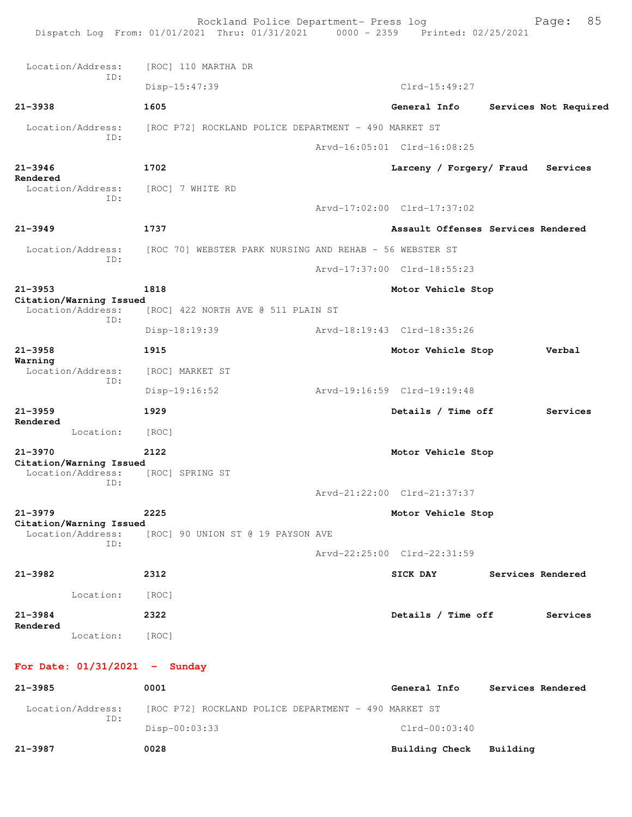Rockland Police Department- Press log Frank Page: 85 Dispatch Log From: 01/01/2021 Thru: 01/31/2021 0000 - 2359 Printed: 02/25/2021 Location/Address: [ROC] 110 MARTHA DR ID: Disp-15:47:39 Clrd-15:49:27 **21-3938 1605 General Info Services Not Required** Location/Address: [ROC P72] ROCKLAND POLICE DEPARTMENT - 490 MARKET ST ID: Arvd-16:05:01 Clrd-16:08:25 **21-3946 1702 Larceny / Forgery/ Fraud Services Rendered**  Location/Address: [ROC] 7 WHITE RD ID: Arvd-17:02:00 Clrd-17:37:02 **21-3949 1737 Assault Offenses Services Rendered** Location/Address: [ROC 70] WEBSTER PARK NURSING AND REHAB - 56 WEBSTER ST ID: Arvd-17:37:00 Clrd-18:55:23 **21-3953 1818 Motor Vehicle Stop Citation/Warning Issued**  Location/Address: [ROC] 422 NORTH AVE @ 511 PLAIN ST ID: Disp-18:19:39 Arvd-18:19:43 Clrd-18:35:26 **21-3958 1915 Motor Vehicle Stop Verbal Warning**  Location/Address: [ROC] MARKET ST ID: Disp-19:16:52 Arvd-19:16:59 Clrd-19:19:48 **21-3959 1929 Details / Time off Services Rendered**  Location: [ROC] **21-3970 2122 Motor Vehicle Stop Citation/Warning Issued**  Location/Address: [ROC] SPRING ST ID: Arvd-21:22:00 Clrd-21:37:37 **21-3979 2225 Motor Vehicle Stop Citation/Warning Issued**  Location/Address: [ROC] 90 UNION ST @ 19 PAYSON AVE ID: Arvd-22:25:00 Clrd-22:31:59 **21-3982 2312 SICK DAY Services Rendered** Location: [ROC] **21-3984 2322 Details / Time off Services Rendered**  Location: [ROC] **For Date: 01/31/2021 - Sunday 21-3985 0001 General Info Services Rendered** Location/Address: [ROC P72] ROCKLAND POLICE DEPARTMENT - 490 MARKET ST ID: Disp-00:03:33 Clrd-00:03:40 **21-3987 0028 Building Check Building**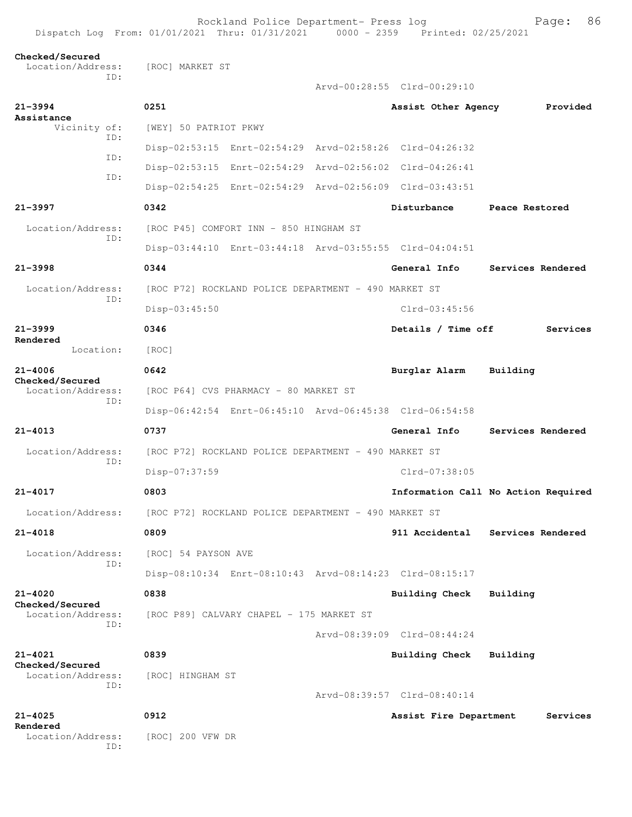Rockland Police Department- Press log Freed Page: 86 Dispatch Log From: 01/01/2021 Thru: 01/31/2021 0000 - 2359 Printed: 02/25/2021

## **Checked/Secured**

 Location/Address: [ROC] MARKET ST ID: **21-3994 0251 Assist Other Agency Provided Assistance** 

 Vicinity of: [WEY] 50 PATRIOT PKWY ID: Disp-02:53:15 Enrt-02:54:29 Arvd-02:58:26 Clrd-04:26:32 ID: ID:

ID:

ID:

**Rendered** 

**Checked/Secured**  ID:

ID:

ID:

**Checked/Secured**  ID:

**21-4021 0839 Building Check Building Checked/Secured** 

Location/Address: [ROC] HINGHAM ST ID:

**Rendered** 

**21-4025 0912 Assist Fire Department Services**

 Disp-02:53:15 Enrt-02:54:29 Arvd-02:56:02 Clrd-04:26:41 Disp-02:54:25 Enrt-02:54:29 Arvd-02:56:09 Clrd-03:43:51 **21-3997 0342 Disturbance Peace Restored** Location/Address: [ROC P45] COMFORT INN - 850 HINGHAM ST Disp-03:44:10 Enrt-03:44:18 Arvd-03:55:55 Clrd-04:04:51 **21-3998 0344 General Info Services Rendered** Location/Address: [ROC P72] ROCKLAND POLICE DEPARTMENT - 490 MARKET ST Disp-03:45:50 Clrd-03:45:56 **21-3999 0346 Details / Time off Services** Location: [ROC] **21-4006 0642 Burglar Alarm Building** Location/Address: [ROC P64] CVS PHARMACY - 80 MARKET ST Disp-06:42:54 Enrt-06:45:10 Arvd-06:45:38 Clrd-06:54:58 **21-4013 0737 General Info Services Rendered** Location/Address: [ROC P72] ROCKLAND POLICE DEPARTMENT - 490 MARKET ST Disp-07:37:59 Clrd-07:38:05 **21-4017 0803 Information Call No Action Required** Location/Address: [ROC P72] ROCKLAND POLICE DEPARTMENT - 490 MARKET ST **21-4018 0809 911 Accidental Services Rendered**

Arvd-00:28:55 Clrd-00:29:10

Location/Address: [ROC] 54 PAYSON AVE Disp-08:10:34 Enrt-08:10:43 Arvd-08:14:23 Clrd-08:15:17

**21-4020 0838 Building Check Building** Location/Address: [ROC P89] CALVARY CHAPEL - 175 MARKET ST

Arvd-08:39:09 Clrd-08:44:24

Arvd-08:39:57 Clrd-08:40:14

Location/Address: [ROC] 200 VFW DR ID: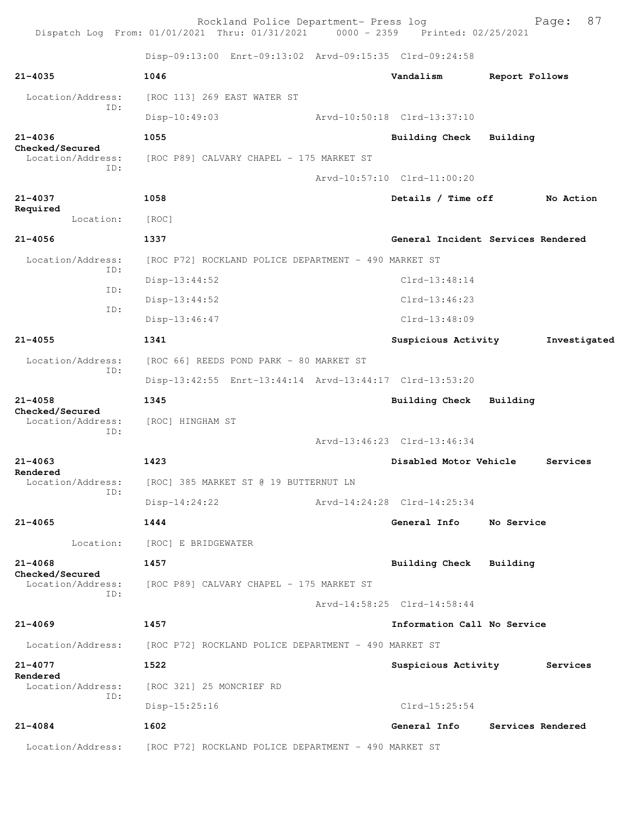Rockland Police Department- Press log Fage: 87 Dispatch Log From: 01/01/2021 Thru: 01/31/2021 0000 - 2359 Printed: 02/25/2021 Disp-09:13:00 Enrt-09:13:02 Arvd-09:15:35 Clrd-09:24:58 **21-4035 1046 Vandalism Report Follows** Location/Address: [ROC 113] 269 EAST WATER ST ID: Disp-10:49:03 Arvd-10:50:18 Clrd-13:37:10 **21-4036 1055 Building Check Building Checked/Secured**  Location/Address: [ROC P89] CALVARY CHAPEL - 175 MARKET ST ID: Arvd-10:57:10 Clrd-11:00:20 **21-4037 1058 Details / Time off No Action Required**  Location: [ROC] **21-4056 1337 General Incident Services Rendered** Location/Address: [ROC P72] ROCKLAND POLICE DEPARTMENT - 490 MARKET ST ID: Disp-13:44:52 Clrd-13:48:14 ID: Disp-13:44:52 Clrd-13:46:23 ID: Disp-13:46:47 Clrd-13:48:09 **21-4055 1341 Suspicious Activity Investigated** Location/Address: [ROC 66] REEDS POND PARK - 80 MARKET ST ID: Disp-13:42:55 Enrt-13:44:14 Arvd-13:44:17 Clrd-13:53:20 **21-4058 1345 Building Check Building Checked/Secured**  Location/Address: [ROC] HINGHAM ST ID: Arvd-13:46:23 Clrd-13:46:34 **21-4063 1423 Disabled Motor Vehicle Services Rendered**  Location/Address: [ROC] 385 MARKET ST @ 19 BUTTERNUT LN ID: Disp-14:24:22 Arvd-14:24:28 Clrd-14:25:34 **21-4065 1444 General Info No Service** Location: [ROC] E BRIDGEWATER **21-4068 1457 Building Check Building Checked/Secured**  Location/Address: [ROC P89] CALVARY CHAPEL - 175 MARKET ST ID: Arvd-14:58:25 Clrd-14:58:44 **21-4069 1457 Information Call No Service** Location/Address: [ROC P72] ROCKLAND POLICE DEPARTMENT - 490 MARKET ST **21-4077 1522 Suspicious Activity Services Rendered**  Location/Address: [ROC 321] 25 MONCRIEF RD ID: Disp-15:25:16 Clrd-15:25:54 **21-4084 1602 General Info Services Rendered** Location/Address: [ROC P72] ROCKLAND POLICE DEPARTMENT - 490 MARKET ST